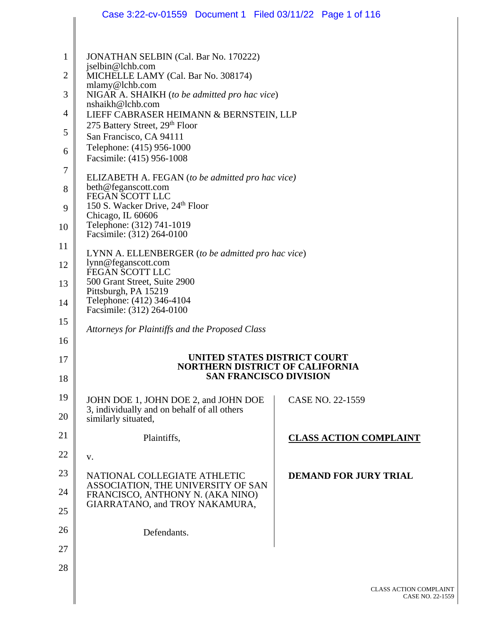|                | Case 3:22-cv-01559 Document 1 Filed 03/11/22 Page 1 of 116                                               |                               |
|----------------|----------------------------------------------------------------------------------------------------------|-------------------------------|
|                |                                                                                                          |                               |
| $\mathbf{1}$   | JONATHAN SELBIN (Cal. Bar No. 170222)                                                                    |                               |
| $\overline{2}$ | jselbin@lchb.com<br>MICHELLE LAMY (Cal. Bar No. 308174)<br>mlamy@lchb.com                                |                               |
| 3              | NIGAR A. SHAIKH (to be admitted pro hac vice)                                                            |                               |
| 4              | nshaikh@lchb.com<br>LIEFF CABRASER HEIMANN & BERNSTEIN, LLP                                              |                               |
| 5              | 275 Battery Street, 29th Floor<br>San Francisco, CA 94111                                                |                               |
| 6              | Telephone: (415) 956-1000<br>Facsimile: (415) 956-1008                                                   |                               |
| 7              | ELIZABETH A. FEGAN (to be admitted pro hac vice)                                                         |                               |
| 8              | beth@feganscott.com<br><b>FEGAN SCOTT LLC</b>                                                            |                               |
| 9              | 150 S. Wacker Drive, 24 <sup>th</sup> Floor<br>Chicago, IL 60606                                         |                               |
| 10             | Telephone: (312) 741-1019<br>Facsimile: (312) 264-0100                                                   |                               |
| 11             | LYNN A. ELLENBERGER (to be admitted pro hac vice)                                                        |                               |
| 12             | lynn@feganscott.com<br>FEGAN SCOTT LLC                                                                   |                               |
| 13             | 500 Grant Street, Suite 2900<br>Pittsburgh, PA 15219                                                     |                               |
| 14             | Telephone: (412) 346-4104<br>Facsimile: (312) 264-0100                                                   |                               |
| 15<br>16       | Attorneys for Plaintiffs and the Proposed Class                                                          |                               |
| 17             | UNITED STATES DISTRICT COURT                                                                             |                               |
| 18             | <b>NORTHERN DISTRICT OF CALIFORNIA</b><br><b>SAN FRANCISCO DIVISION</b>                                  |                               |
| 19             | JOHN DOE 1, JOHN DOE 2, and JOHN DOE                                                                     | CASE NO. 22-1559              |
| 20             | 3, individually and on behalf of all others<br>similarly situated,                                       |                               |
| 21             | Plaintiffs,                                                                                              | <b>CLASS ACTION COMPLAINT</b> |
| 22             | V.                                                                                                       |                               |
| 23             | NATIONAL COLLEGIATE ATHLETIC                                                                             | <b>DEMAND FOR JURY TRIAL</b>  |
| 24<br>25       | ASSOCIATION, THE UNIVERSITY OF SAN<br>FRANCISCO, ANTHONY N. (AKA NINO)<br>GIARRATANO, and TROY NAKAMURA, |                               |
|                |                                                                                                          |                               |
| 26             | Defendants.                                                                                              |                               |
| 27             |                                                                                                          |                               |
| 28             |                                                                                                          |                               |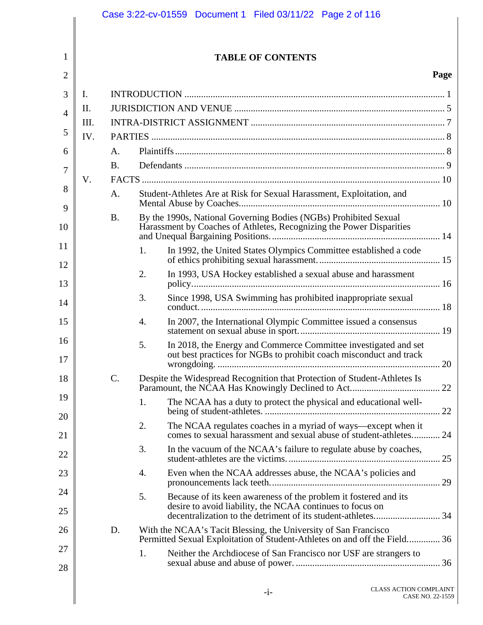|                |     |             | Case 3:22-cv-01559  Document 1  Filed 03/11/22  Page 2 of 116                                                                                |                  |
|----------------|-----|-------------|----------------------------------------------------------------------------------------------------------------------------------------------|------------------|
|                |     |             |                                                                                                                                              |                  |
| 1              |     |             | <b>TABLE OF CONTENTS</b>                                                                                                                     |                  |
| $\overline{2}$ |     |             |                                                                                                                                              | Page             |
| 3              | I.  |             |                                                                                                                                              |                  |
| 4              | II. |             |                                                                                                                                              |                  |
| 5              | Ш.  |             |                                                                                                                                              |                  |
| 6              | IV. | $A_{\cdot}$ |                                                                                                                                              |                  |
| 7              |     | <b>B.</b>   |                                                                                                                                              |                  |
|                | V.  |             |                                                                                                                                              |                  |
| 8<br>9         |     | $A_{\cdot}$ | Student-Athletes Are at Risk for Sexual Harassment, Exploitation, and                                                                        |                  |
| 10             |     | <b>B.</b>   | By the 1990s, National Governing Bodies (NGBs) Prohibited Sexual<br>Harassment by Coaches of Athletes, Recognizing the Power Disparities     |                  |
| 11<br>12       |     |             | In 1992, the United States Olympics Committee established a code<br>1.                                                                       |                  |
| 13             |     |             | 2.<br>In 1993, USA Hockey established a sexual abuse and harassment                                                                          |                  |
| 14             |     |             | Since 1998, USA Swimming has prohibited inappropriate sexual<br>3.                                                                           |                  |
| 15             |     |             | In 2007, the International Olympic Committee issued a consensus<br>4.                                                                        |                  |
| 16<br>17       |     |             | In 2018, the Energy and Commerce Committee investigated and set<br>5.<br>out best practices for NGBs to prohibit coach misconduct and track  |                  |
| 18             |     | C.          | Despite the Widespread Recognition that Protection of Student-Athletes Is                                                                    |                  |
| 19<br>20       |     |             | The NCAA has a duty to protect the physical and educational well-<br>1.                                                                      |                  |
| 21             |     |             | The NCAA regulates coaches in a myriad of ways—except when it<br>2.<br>comes to sexual harassment and sexual abuse of student-athletes 24    |                  |
| 22             |     |             | 3.<br>In the vacuum of the NCAA's failure to regulate abuse by coaches,                                                                      |                  |
| 23             |     |             | Even when the NCAA addresses abuse, the NCAA's policies and<br>4.                                                                            |                  |
| 24<br>25       |     |             | 5.<br>Because of its keen awareness of the problem it fostered and its<br>desire to avoid liability, the NCAA continues to focus on          |                  |
| 26             |     | D.          | With the NCAA's Tacit Blessing, the University of San Francisco<br>Permitted Sexual Exploitation of Student-Athletes on and off the Field 36 |                  |
| 27             |     |             | 1.<br>Neither the Archdiocese of San Francisco nor USF are strangers to                                                                      |                  |
| 28             |     |             | <b>CLASS ACTION COMPLAINT</b><br>$-i-$                                                                                                       | CASE NO. 22-1559 |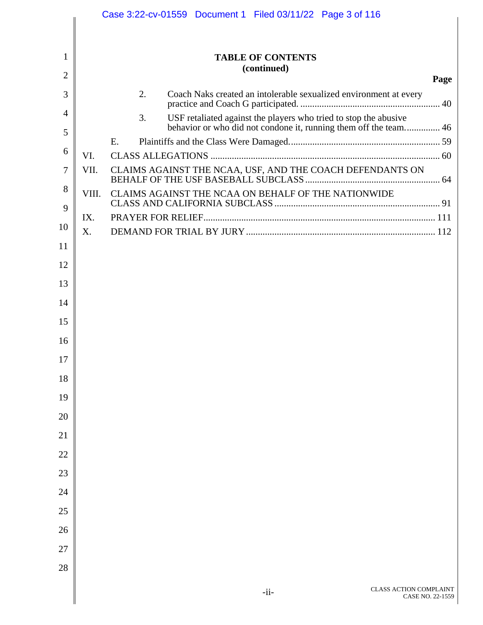|                |       | Case 3:22-cv-01559 Document 1 Filed 03/11/22 Page 3 of 116                                                                                 |
|----------------|-------|--------------------------------------------------------------------------------------------------------------------------------------------|
|                |       |                                                                                                                                            |
| 1              |       | <b>TABLE OF CONTENTS</b>                                                                                                                   |
| $\overline{2}$ |       | (continued)<br>Page                                                                                                                        |
| 3              |       | 2.<br>Coach Naks created an intolerable sexualized environment at every                                                                    |
| 4              |       | USF retaliated against the players who tried to stop the abusive<br>3.<br>behavior or who did not condone it, running them off the team 46 |
| 5              |       | Ε.                                                                                                                                         |
| 6              | VI.   |                                                                                                                                            |
| 7              | VII.  | CLAIMS AGAINST THE NCAA, USF, AND THE COACH DEFENDANTS ON                                                                                  |
| 8              | VIII. | CLAIMS AGAINST THE NCAA ON BEHALF OF THE NATIONWIDE                                                                                        |
| 9              | IX.   |                                                                                                                                            |
| 10             | X.    |                                                                                                                                            |
| 11             |       |                                                                                                                                            |
| 12             |       |                                                                                                                                            |
| 13             |       |                                                                                                                                            |
| 14             |       |                                                                                                                                            |
| 15             |       |                                                                                                                                            |
| 16             |       |                                                                                                                                            |
| 17             |       |                                                                                                                                            |
| 18             |       |                                                                                                                                            |
| 19             |       |                                                                                                                                            |
| 20             |       |                                                                                                                                            |
| 21             |       |                                                                                                                                            |
| 22             |       |                                                                                                                                            |
| 23             |       |                                                                                                                                            |
| 24             |       |                                                                                                                                            |
| 25             |       |                                                                                                                                            |
| 26             |       |                                                                                                                                            |
| 27             |       |                                                                                                                                            |
| 28             |       |                                                                                                                                            |
|                |       | CLASS ACTION COMPLAINT                                                                                                                     |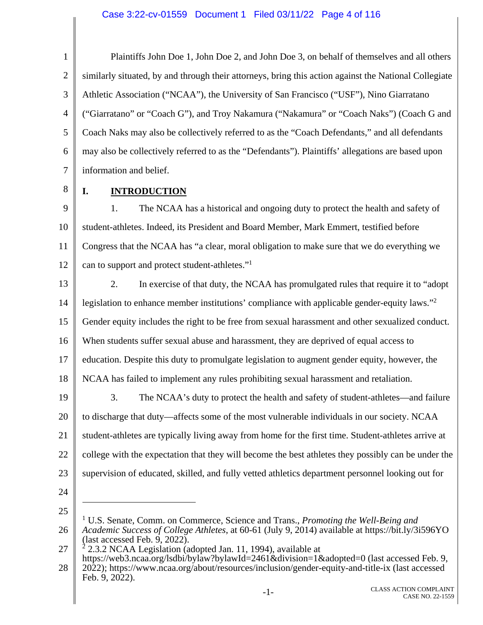1 2 3 4 5 6 7 Plaintiffs John Doe 1, John Doe 2, and John Doe 3, on behalf of themselves and all others similarly situated, by and through their attorneys, bring this action against the National Collegiate Athletic Association ("NCAA"), the University of San Francisco ("USF"), Nino Giarratano ("Giarratano" or "Coach G"), and Troy Nakamura ("Nakamura" or "Coach Naks") (Coach G and Coach Naks may also be collectively referred to as the "Coach Defendants," and all defendants may also be collectively referred to as the "Defendants"). Plaintiffs' allegations are based upon information and belief.

8

## **I. INTRODUCTION**

9 10 11 12 1. The NCAA has a historical and ongoing duty to protect the health and safety of student-athletes. Indeed, its President and Board Member, Mark Emmert, testified before Congress that the NCAA has "a clear, moral obligation to make sure that we do everything we can to support and protect student-athletes."1

13 14 15 16 17 18 19 20 21 2. In exercise of that duty, the NCAA has promulgated rules that require it to "adopt legislation to enhance member institutions' compliance with applicable gender-equity laws."<sup>2</sup> Gender equity includes the right to be free from sexual harassment and other sexualized conduct. When students suffer sexual abuse and harassment, they are deprived of equal access to education. Despite this duty to promulgate legislation to augment gender equity, however, the NCAA has failed to implement any rules prohibiting sexual harassment and retaliation. 3. The NCAA's duty to protect the health and safety of student-athletes—and failure to discharge that duty—affects some of the most vulnerable individuals in our society. NCAA student-athletes are typically living away from home for the first time. Student-athletes arrive at

22 college with the expectation that they will become the best athletes they possibly can be under the

supervision of educated, skilled, and fully vetted athletics department personnel looking out for

- 23
- 24

25

 $\overline{a}$ 

<sup>26</sup>  <sup>1</sup> U.S. Senate, Comm. on Commerce, Science and Trans., *Promoting the Well-Being and Academic Success of College Athletes*, at 60-61 (July 9, 2014) available at https://bit.ly/3i596YO (last accessed Feb. 9, 2022).

<sup>27</sup>   $^{2}$  2.3.2 NCAA Legislation (adopted Jan. 11, 1994), available at

<sup>28</sup>  https://web3.ncaa.org/lsdbi/bylaw?bylawId=2461&division=1&adopted=0 (last accessed Feb. 9, 2022); https://www.ncaa.org/about/resources/inclusion/gender-equity-and-title-ix (last accessed Feb. 9, 2022).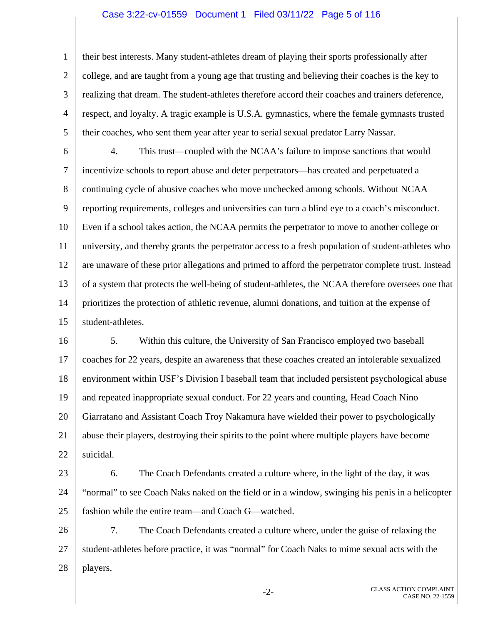#### Case 3:22-cv-01559 Document 1 Filed 03/11/22 Page 5 of 116

1 2 3 4 5 their best interests. Many student-athletes dream of playing their sports professionally after college, and are taught from a young age that trusting and believing their coaches is the key to realizing that dream. The student-athletes therefore accord their coaches and trainers deference, respect, and loyalty. A tragic example is U.S.A. gymnastics, where the female gymnasts trusted their coaches, who sent them year after year to serial sexual predator Larry Nassar.

6 7 8 9 10 11 12 13 14 15 4. This trust—coupled with the NCAA's failure to impose sanctions that would incentivize schools to report abuse and deter perpetrators—has created and perpetuated a continuing cycle of abusive coaches who move unchecked among schools. Without NCAA reporting requirements, colleges and universities can turn a blind eye to a coach's misconduct. Even if a school takes action, the NCAA permits the perpetrator to move to another college or university, and thereby grants the perpetrator access to a fresh population of student-athletes who are unaware of these prior allegations and primed to afford the perpetrator complete trust. Instead of a system that protects the well-being of student-athletes, the NCAA therefore oversees one that prioritizes the protection of athletic revenue, alumni donations, and tuition at the expense of student-athletes.

16 17 18 19 20 21 22 5. Within this culture, the University of San Francisco employed two baseball coaches for 22 years, despite an awareness that these coaches created an intolerable sexualized environment within USF's Division I baseball team that included persistent psychological abuse and repeated inappropriate sexual conduct. For 22 years and counting, Head Coach Nino Giarratano and Assistant Coach Troy Nakamura have wielded their power to psychologically abuse their players, destroying their spirits to the point where multiple players have become suicidal.

23

24 25 6. The Coach Defendants created a culture where, in the light of the day, it was "normal" to see Coach Naks naked on the field or in a window, swinging his penis in a helicopter fashion while the entire team—and Coach G—watched.

26 27 28 7. The Coach Defendants created a culture where, under the guise of relaxing the student-athletes before practice, it was "normal" for Coach Naks to mime sexual acts with the players.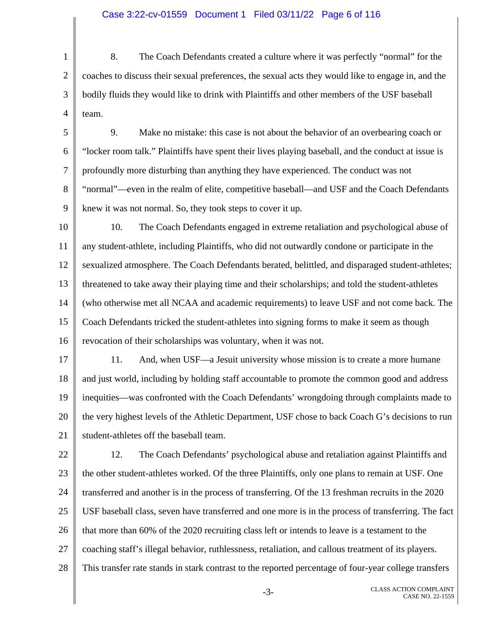### Case 3:22-cv-01559 Document 1 Filed 03/11/22 Page 6 of 116

1 2 3 4 8. The Coach Defendants created a culture where it was perfectly "normal" for the coaches to discuss their sexual preferences, the sexual acts they would like to engage in, and the bodily fluids they would like to drink with Plaintiffs and other members of the USF baseball team.

- 5 6 7 8 9 9. Make no mistake: this case is not about the behavior of an overbearing coach or "locker room talk." Plaintiffs have spent their lives playing baseball, and the conduct at issue is profoundly more disturbing than anything they have experienced. The conduct was not "normal"—even in the realm of elite, competitive baseball—and USF and the Coach Defendants knew it was not normal. So, they took steps to cover it up.
- 10 11 12 13 14 15 16 10. The Coach Defendants engaged in extreme retaliation and psychological abuse of any student-athlete, including Plaintiffs, who did not outwardly condone or participate in the sexualized atmosphere. The Coach Defendants berated, belittled, and disparaged student-athletes; threatened to take away their playing time and their scholarships; and told the student-athletes (who otherwise met all NCAA and academic requirements) to leave USF and not come back. The Coach Defendants tricked the student-athletes into signing forms to make it seem as though revocation of their scholarships was voluntary, when it was not.
- 17 18 19 20 21 11. And, when USF—a Jesuit university whose mission is to create a more humane and just world, including by holding staff accountable to promote the common good and address inequities—was confronted with the Coach Defendants' wrongdoing through complaints made to the very highest levels of the Athletic Department, USF chose to back Coach G's decisions to run student-athletes off the baseball team.
- 22 23 24 25 26 27 28 12. The Coach Defendants' psychological abuse and retaliation against Plaintiffs and the other student-athletes worked. Of the three Plaintiffs, only one plans to remain at USF. One transferred and another is in the process of transferring. Of the 13 freshman recruits in the 2020 USF baseball class, seven have transferred and one more is in the process of transferring. The fact that more than 60% of the 2020 recruiting class left or intends to leave is a testament to the coaching staff's illegal behavior, ruthlessness, retaliation, and callous treatment of its players. This transfer rate stands in stark contrast to the reported percentage of four-year college transfers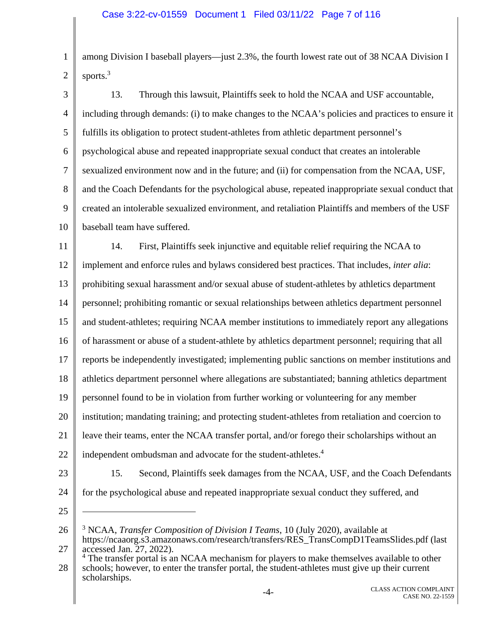1 2 among Division I baseball players—just 2.3%, the fourth lowest rate out of 38 NCAA Division I sports.<sup>3</sup>

3 4 5 6 7 8 9 10 11 12 13. Through this lawsuit, Plaintiffs seek to hold the NCAA and USF accountable, including through demands: (i) to make changes to the NCAA's policies and practices to ensure it fulfills its obligation to protect student-athletes from athletic department personnel's psychological abuse and repeated inappropriate sexual conduct that creates an intolerable sexualized environment now and in the future; and (ii) for compensation from the NCAA, USF, and the Coach Defendants for the psychological abuse, repeated inappropriate sexual conduct that created an intolerable sexualized environment, and retaliation Plaintiffs and members of the USF baseball team have suffered. 14. First, Plaintiffs seek injunctive and equitable relief requiring the NCAA to implement and enforce rules and bylaws considered best practices. That includes, *inter alia*:

14 personnel; prohibiting romantic or sexual relationships between athletics department personnel

prohibiting sexual harassment and/or sexual abuse of student-athletes by athletics department

15 and student-athletes; requiring NCAA member institutions to immediately report any allegations

16 of harassment or abuse of a student-athlete by athletics department personnel; requiring that all

17 reports be independently investigated; implementing public sanctions on member institutions and

18 athletics department personnel where allegations are substantiated; banning athletics department

19 personnel found to be in violation from further working or volunteering for any member

20 institution; mandating training; and protecting student-athletes from retaliation and coercion to

21 leave their teams, enter the NCAA transfer portal, and/or forego their scholarships without an

- 22 independent ombudsman and advocate for the student-athletes.<sup>4</sup>
- 23

13

15. Second, Plaintiffs seek damages from the NCAA, USF, and the Coach Defendants for the psychological abuse and repeated inappropriate sexual conduct they suffered, and

25

 $\overline{a}$ 

24

26 27 3 NCAA, *Transfer Composition of Division I Teams*, 10 (July 2020), available at https://ncaaorg.s3.amazonaws.com/research/transfers/RES\_TransCompD1TeamsSlides.pdf (last accessed Jan. 27, 2022).

28 <sup>4</sup> The transfer portal is an NCAA mechanism for players to make themselves available to other schools; however, to enter the transfer portal, the student-athletes must give up their current scholarships.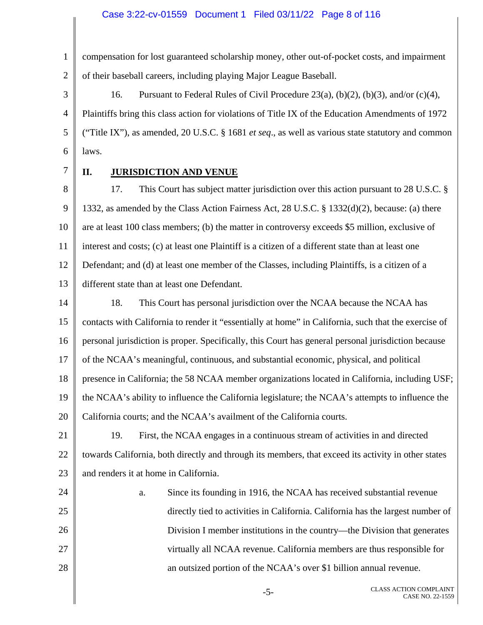1 2 compensation for lost guaranteed scholarship money, other out-of-pocket costs, and impairment of their baseball careers, including playing Major League Baseball.

3 4 5 6 16. Pursuant to Federal Rules of Civil Procedure 23(a), (b)(2), (b)(3), and/or (c)(4), Plaintiffs bring this class action for violations of Title IX of the Education Amendments of 1972 ("Title IX"), as amended, 20 U.S.C. § 1681 *et seq*., as well as various state statutory and common laws.

7

## **II. JURISDICTION AND VENUE**

8 9 10 11 12 13 17. This Court has subject matter jurisdiction over this action pursuant to 28 U.S.C. § 1332, as amended by the Class Action Fairness Act, 28 U.S.C. § 1332(d)(2), because: (a) there are at least 100 class members; (b) the matter in controversy exceeds \$5 million, exclusive of interest and costs; (c) at least one Plaintiff is a citizen of a different state than at least one Defendant; and (d) at least one member of the Classes, including Plaintiffs, is a citizen of a different state than at least one Defendant.

14 15 16 17 18 19 20 18. This Court has personal jurisdiction over the NCAA because the NCAA has contacts with California to render it "essentially at home" in California, such that the exercise of personal jurisdiction is proper. Specifically, this Court has general personal jurisdiction because of the NCAA's meaningful, continuous, and substantial economic, physical, and political presence in California; the 58 NCAA member organizations located in California, including USF; the NCAA's ability to influence the California legislature; the NCAA's attempts to influence the California courts; and the NCAA's availment of the California courts.

21 22 23 19. First, the NCAA engages in a continuous stream of activities in and directed towards California, both directly and through its members, that exceed its activity in other states and renders it at home in California.

24 25 26 27 28 a. Since its founding in 1916, the NCAA has received substantial revenue directly tied to activities in California. California has the largest number of Division I member institutions in the country—the Division that generates virtually all NCAA revenue. California members are thus responsible for an outsized portion of the NCAA's over \$1 billion annual revenue.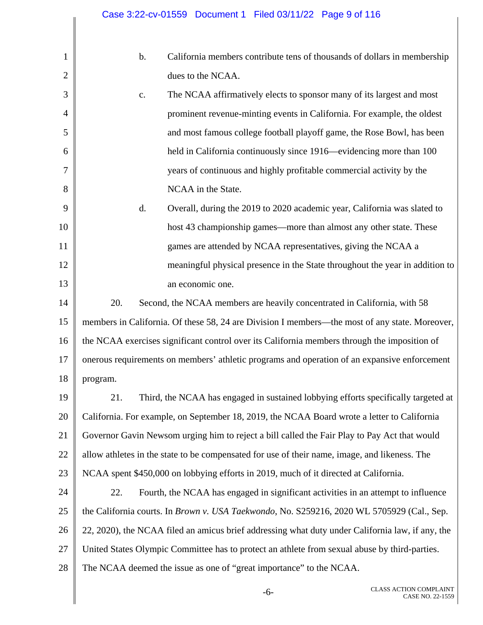1 2 3 4 5 6 7 8 9 10 11 12 13 14 15 16 17 18 19 20 21 22 23 24 25 26 27 28 b. California members contribute tens of thousands of dollars in membership dues to the NCAA. c. The NCAA affirmatively elects to sponsor many of its largest and most prominent revenue-minting events in California. For example, the oldest and most famous college football playoff game, the Rose Bowl, has been held in California continuously since 1916—evidencing more than 100 years of continuous and highly profitable commercial activity by the NCAA in the State. d. Overall, during the 2019 to 2020 academic year, California was slated to host 43 championship games—more than almost any other state. These games are attended by NCAA representatives, giving the NCAA a meaningful physical presence in the State throughout the year in addition to an economic one. 20. Second, the NCAA members are heavily concentrated in California, with 58 members in California. Of these 58, 24 are Division I members—the most of any state. Moreover, the NCAA exercises significant control over its California members through the imposition of onerous requirements on members' athletic programs and operation of an expansive enforcement program. 21. Third, the NCAA has engaged in sustained lobbying efforts specifically targeted at California. For example, on September 18, 2019, the NCAA Board wrote a letter to California Governor Gavin Newsom urging him to reject a bill called the Fair Play to Pay Act that would allow athletes in the state to be compensated for use of their name, image, and likeness. The NCAA spent \$450,000 on lobbying efforts in 2019, much of it directed at California. 22. Fourth, the NCAA has engaged in significant activities in an attempt to influence the California courts. In *Brown v. USA Taekwondo*, No. S259216, 2020 WL 5705929 (Cal., Sep. 22, 2020), the NCAA filed an amicus brief addressing what duty under California law, if any, the United States Olympic Committee has to protect an athlete from sexual abuse by third-parties. The NCAA deemed the issue as one of "great importance" to the NCAA.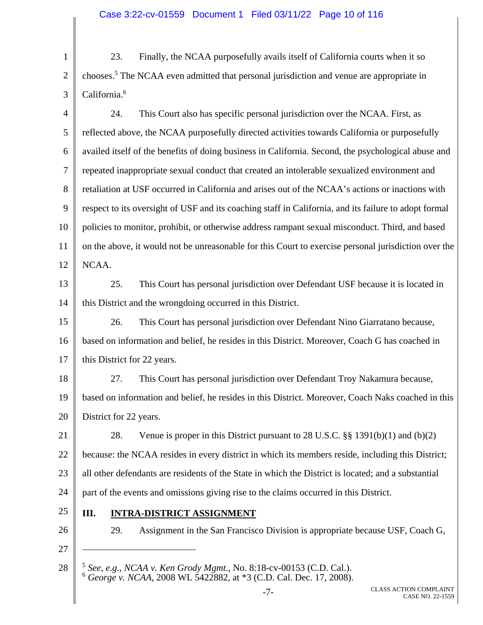1 2 3 23. Finally, the NCAA purposefully avails itself of California courts when it so chooses.5 The NCAA even admitted that personal jurisdiction and venue are appropriate in California.<sup>6</sup>

4 5 6 7 8 9 10 11 12 24. This Court also has specific personal jurisdiction over the NCAA. First, as reflected above, the NCAA purposefully directed activities towards California or purposefully availed itself of the benefits of doing business in California. Second, the psychological abuse and repeated inappropriate sexual conduct that created an intolerable sexualized environment and retaliation at USF occurred in California and arises out of the NCAA's actions or inactions with respect to its oversight of USF and its coaching staff in California, and its failure to adopt formal policies to monitor, prohibit, or otherwise address rampant sexual misconduct. Third, and based on the above, it would not be unreasonable for this Court to exercise personal jurisdiction over the NCAA.

13 14 25. This Court has personal jurisdiction over Defendant USF because it is located in this District and the wrongdoing occurred in this District.

15 16 17 26. This Court has personal jurisdiction over Defendant Nino Giarratano because, based on information and belief, he resides in this District. Moreover, Coach G has coached in this District for 22 years.

18 19 20 27. This Court has personal jurisdiction over Defendant Troy Nakamura because, based on information and belief, he resides in this District. Moreover, Coach Naks coached in this District for 22 years.

21 22 23 24 28. Venue is proper in this District pursuant to 28 U.S.C. §§ 1391(b)(1) and (b)(2) because: the NCAA resides in every district in which its members reside, including this District; all other defendants are residents of the State in which the District is located; and a substantial part of the events and omissions giving rise to the claims occurred in this District.

25

26

- 29. Assignment in the San Francisco Division is appropriate because USF, Coach G,
- 27

 $\overline{a}$ 

28 <sup>5</sup> *See, e.g., NCAA v. Ken Grody Mgmt*., No. 8:18-cv-00153 (C.D. Cal.). <sup>6</sup> *George v. NCAA*, 2008 WL 5422882, at \*3 (C.D. Cal. Dec. 17, 2008).

**III. INTRA-DISTRICT ASSIGNMENT**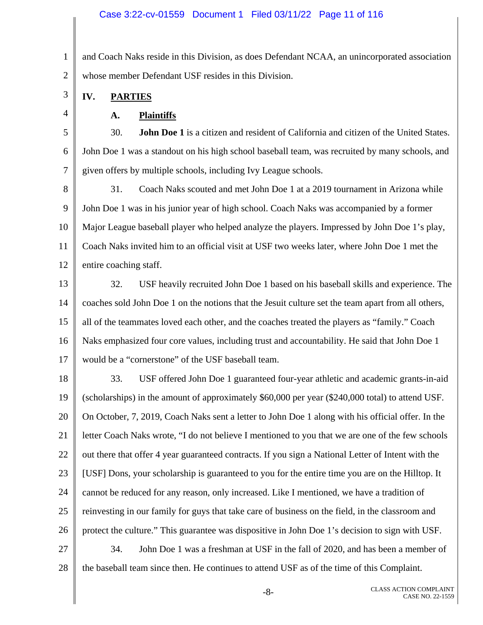#### Case 3:22-cv-01559 Document 1 Filed 03/11/22 Page 11 of 116

1 2 and Coach Naks reside in this Division, as does Defendant NCAA, an unincorporated association whose member Defendant USF resides in this Division.

**IV. PARTIES** 

3

4

**A. Plaintiffs** 

5 6 7 30. **John Doe 1** is a citizen and resident of California and citizen of the United States. John Doe 1 was a standout on his high school baseball team, was recruited by many schools, and given offers by multiple schools, including Ivy League schools.

8 9 10 11 12 31. Coach Naks scouted and met John Doe 1 at a 2019 tournament in Arizona while John Doe 1 was in his junior year of high school. Coach Naks was accompanied by a former Major League baseball player who helped analyze the players. Impressed by John Doe 1's play, Coach Naks invited him to an official visit at USF two weeks later, where John Doe 1 met the entire coaching staff.

13 14 15 16 17 32. USF heavily recruited John Doe 1 based on his baseball skills and experience. The coaches sold John Doe 1 on the notions that the Jesuit culture set the team apart from all others, all of the teammates loved each other, and the coaches treated the players as "family." Coach Naks emphasized four core values, including trust and accountability. He said that John Doe 1 would be a "cornerstone" of the USF baseball team.

18 19 20 21 22 23 24 25 26 33. USF offered John Doe 1 guaranteed four-year athletic and academic grants-in-aid (scholarships) in the amount of approximately \$60,000 per year (\$240,000 total) to attend USF. On October, 7, 2019, Coach Naks sent a letter to John Doe 1 along with his official offer. In the letter Coach Naks wrote, "I do not believe I mentioned to you that we are one of the few schools out there that offer 4 year guaranteed contracts. If you sign a National Letter of Intent with the [USF] Dons, your scholarship is guaranteed to you for the entire time you are on the Hilltop. It cannot be reduced for any reason, only increased. Like I mentioned, we have a tradition of reinvesting in our family for guys that take care of business on the field, in the classroom and protect the culture." This guarantee was dispositive in John Doe 1's decision to sign with USF.

27 28 34. John Doe 1 was a freshman at USF in the fall of 2020, and has been a member of the baseball team since then. He continues to attend USF as of the time of this Complaint.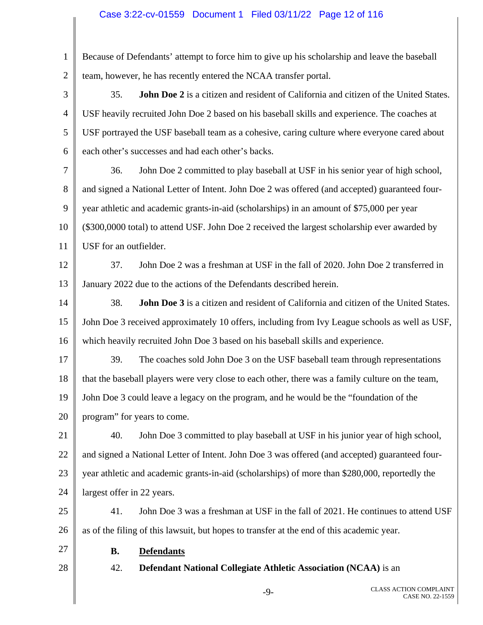### Case 3:22-cv-01559 Document 1 Filed 03/11/22 Page 12 of 116

1 2 Because of Defendants' attempt to force him to give up his scholarship and leave the baseball team, however, he has recently entered the NCAA transfer portal.

3 4 5 6 35. **John Doe 2** is a citizen and resident of California and citizen of the United States. USF heavily recruited John Doe 2 based on his baseball skills and experience. The coaches at USF portrayed the USF baseball team as a cohesive, caring culture where everyone cared about each other's successes and had each other's backs.

7 8 9 10 11 36. John Doe 2 committed to play baseball at USF in his senior year of high school, and signed a National Letter of Intent. John Doe 2 was offered (and accepted) guaranteed fouryear athletic and academic grants-in-aid (scholarships) in an amount of \$75,000 per year (\$300,0000 total) to attend USF. John Doe 2 received the largest scholarship ever awarded by USF for an outfielder.

12 13 37. John Doe 2 was a freshman at USF in the fall of 2020. John Doe 2 transferred in January 2022 due to the actions of the Defendants described herein.

14 15 16 38. **John Doe 3** is a citizen and resident of California and citizen of the United States. John Doe 3 received approximately 10 offers, including from Ivy League schools as well as USF, which heavily recruited John Doe 3 based on his baseball skills and experience.

17 18 19 20 39. The coaches sold John Doe 3 on the USF baseball team through representations that the baseball players were very close to each other, there was a family culture on the team, John Doe 3 could leave a legacy on the program, and he would be the "foundation of the program" for years to come.

21 22 23 24 40. John Doe 3 committed to play baseball at USF in his junior year of high school, and signed a National Letter of Intent. John Doe 3 was offered (and accepted) guaranteed fouryear athletic and academic grants-in-aid (scholarships) of more than \$280,000, reportedly the largest offer in 22 years.

25 26 41. John Doe 3 was a freshman at USF in the fall of 2021. He continues to attend USF as of the filing of this lawsuit, but hopes to transfer at the end of this academic year.

27

**B. Defendants** 

28

42. **Defendant National Collegiate Athletic Association (NCAA)** is an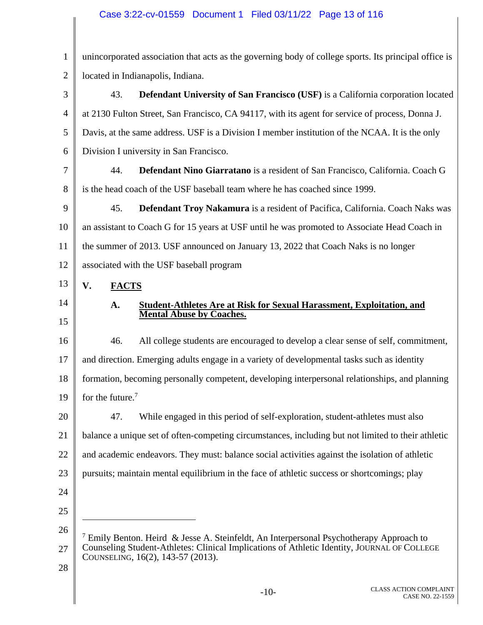# Case 3:22-cv-01559 Document 1 Filed 03/11/22 Page 13 of 116

| $\mathbf{1}$   | unincorporated association that acts as the governing body of college sports. Its principal office is                            |
|----------------|----------------------------------------------------------------------------------------------------------------------------------|
| $\overline{2}$ | located in Indianapolis, Indiana.                                                                                                |
| 3              | Defendant University of San Francisco (USF) is a California corporation located<br>43.                                           |
| $\overline{4}$ | at 2130 Fulton Street, San Francisco, CA 94117, with its agent for service of process, Donna J.                                  |
| 5              | Davis, at the same address. USF is a Division I member institution of the NCAA. It is the only                                   |
| 6              | Division I university in San Francisco.                                                                                          |
| 7              | 44.<br>Defendant Nino Giarratano is a resident of San Francisco, California. Coach G                                             |
| 8              | is the head coach of the USF baseball team where he has coached since 1999.                                                      |
| 9              | Defendant Troy Nakamura is a resident of Pacifica, California. Coach Naks was<br>45.                                             |
| 10             | an assistant to Coach G for 15 years at USF until he was promoted to Associate Head Coach in                                     |
| 11             | the summer of 2013. USF announced on January 13, 2022 that Coach Naks is no longer                                               |
| 12             | associated with the USF baseball program                                                                                         |
| 13             | V.<br><b>FACTS</b>                                                                                                               |
| 14             | Student-Athletes Are at Risk for Sexual Harassment, Exploitation, and<br>A.<br><b>Mental Abuse by Coaches.</b>                   |
| 15             |                                                                                                                                  |
| 16             | All college students are encouraged to develop a clear sense of self, commitment,<br>46.                                         |
| 17             | and direction. Emerging adults engage in a variety of developmental tasks such as identity                                       |
| 18             | formation, becoming personally competent, developing interpersonal relationships, and planning                                   |
| 19             | for the future. $7$                                                                                                              |
| 20             | 47.<br>While engaged in this period of self-exploration, student-athletes must also                                              |
| 21             | balance a unique set of often-competing circumstances, including but not limited to their athletic                               |
| 22             | and academic endeavors. They must: balance social activities against the isolation of athletic                                   |
| 23             | pursuits; maintain mental equilibrium in the face of athletic success or shortcomings; play                                      |
| 24             |                                                                                                                                  |
| 25             |                                                                                                                                  |
| 26             | <sup>7</sup> Emily Benton. Heird & Jesse A. Steinfeldt, An Interpersonal Psychotherapy Approach to                               |
| 27             | Counseling Student-Athletes: Clinical Implications of Athletic Identity, JOURNAL OF COLLEGE<br>COUNSELING, 16(2), 143-57 (2013). |
| 28             |                                                                                                                                  |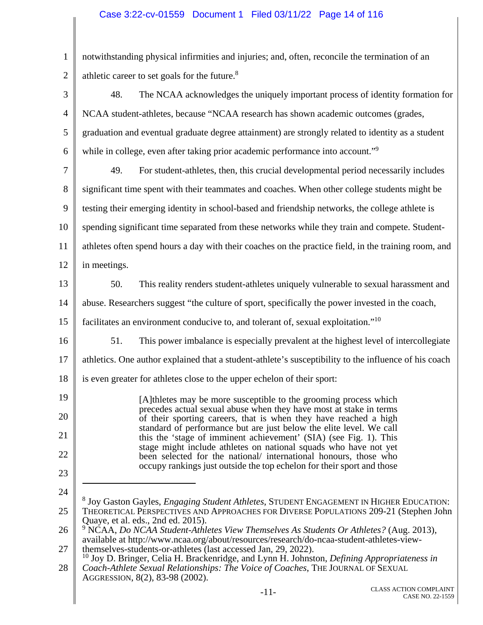## Case 3:22-cv-01559 Document 1 Filed 03/11/22 Page 14 of 116

1 2 notwithstanding physical infirmities and injuries; and, often, reconcile the termination of an athletic career to set goals for the future.8

| 3              | 48.<br>The NCAA acknowledges the uniquely important process of identity formation for                                                                                                                   |
|----------------|---------------------------------------------------------------------------------------------------------------------------------------------------------------------------------------------------------|
| $\overline{4}$ | NCAA student-athletes, because "NCAA research has shown academic outcomes (grades,                                                                                                                      |
| 5              | graduation and eventual graduate degree attainment) are strongly related to identity as a student                                                                                                       |
| 6              | while in college, even after taking prior academic performance into account." <sup>9</sup>                                                                                                              |
| $\tau$         | 49.<br>For student-athletes, then, this crucial developmental period necessarily includes                                                                                                               |
| $8\,$          | significant time spent with their teammates and coaches. When other college students might be                                                                                                           |
| 9              | testing their emerging identity in school-based and friendship networks, the college athlete is                                                                                                         |
| 10             | spending significant time separated from these networks while they train and compete. Student-                                                                                                          |
| 11             | athletes often spend hours a day with their coaches on the practice field, in the training room, and                                                                                                    |
| 12             | in meetings.                                                                                                                                                                                            |
| 13             | This reality renders student-athletes uniquely vulnerable to sexual harassment and<br>50.                                                                                                               |
| 14             | abuse. Researchers suggest "the culture of sport, specifically the power invested in the coach,                                                                                                         |
| 15             | facilitates an environment conducive to, and tolerant of, sexual exploitation." <sup>10</sup>                                                                                                           |
| 16             | 51.<br>This power imbalance is especially prevalent at the highest level of intercollegiate                                                                                                             |
| 17             | athletics. One author explained that a student-athlete's susceptibility to the influence of his coach                                                                                                   |
| 18             | is even greater for athletes close to the upper echelon of their sport:                                                                                                                                 |
| 19             | [A] the letters may be more susceptible to the grooming process which                                                                                                                                   |
| 20             | precedes actual sexual abuse when they have most at stake in terms<br>of their sporting careers, that is when they have reached a high                                                                  |
| 21             | standard of performance but are just below the elite level. We call<br>this the 'stage of imminent achievement' (SIA) (see Fig. 1). This                                                                |
| 22             | stage might include athletes on national squads who have not yet<br>been selected for the national/ international honours, those who                                                                    |
| 23             | occupy rankings just outside the top echelon for their sport and those                                                                                                                                  |
| 24             | <sup>8</sup> Joy Gaston Gayles, <i>Engaging Student Athletes</i> , STUDENT ENGAGEMENT IN HIGHER EDUCATION:                                                                                              |
| 25             | THEORETICAL PERSPECTIVES AND APPROACHES FOR DIVERSE POPULATIONS 209-21 (Stephen John<br>Quaye, et al. eds., 2nd ed. 2015).                                                                              |
| 26             | $9\,\text{NCAA}, Do\, NCAA\, Student-Athletes\,View\,Themselves\,As\, Students\,Or\,Athletes?$ (Aug. 2013),<br>available at http://www.ncaa.org/about/resources/research/do-ncaa-student-athletes-view- |
| 27             | themselves-students-or-athletes (last accessed Jan, 29, 2022).<br>Joy D. Bringer, Celia H. Brackenridge, and Lynn H. Johnston, Defining Appropriateness in                                              |
| 28             | Coach-Athlete Sexual Relationships: The Voice of Coaches, THE JOURNAL OF SEXUAL<br>AGGRESSION, 8(2), 83-98 (2002).                                                                                      |
|                | <b>CLASS ACTION COMPLAINT</b><br>$-11-$<br>CASE NO. 22-1559                                                                                                                                             |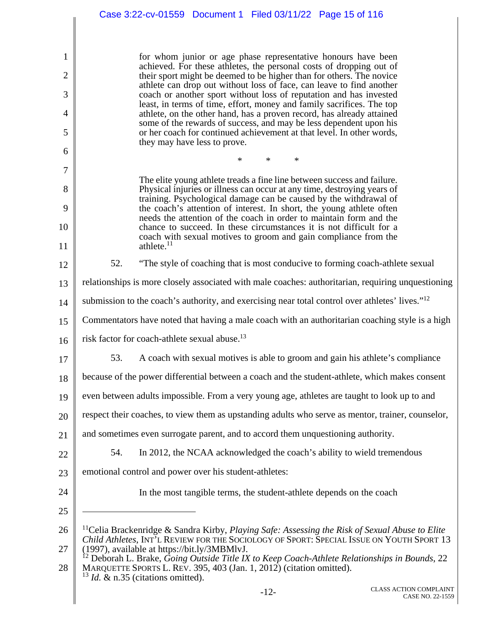|                | Case 3:22-cv-01559  Document 1  Filed 03/11/22  Page 15 of 116                                                                                                                                                                                                |
|----------------|---------------------------------------------------------------------------------------------------------------------------------------------------------------------------------------------------------------------------------------------------------------|
|                |                                                                                                                                                                                                                                                               |
| 1              | for whom junior or age phase representative honours have been<br>achieved. For these athletes, the personal costs of dropping out of                                                                                                                          |
| $\overline{2}$ | their sport might be deemed to be higher than for others. The novice<br>athlete can drop out without loss of face, can leave to find another                                                                                                                  |
| 3              | coach or another sport without loss of reputation and has invested<br>least, in terms of time, effort, money and family sacrifices. The top                                                                                                                   |
| 4<br>5         | athlete, on the other hand, has a proven record, has already attained<br>some of the rewards of success, and may be less dependent upon his<br>or her coach for continued achievement at that level. In other words,                                          |
| 6              | they may have less to prove.                                                                                                                                                                                                                                  |
| 7              | $\ast$<br>∗<br>∗                                                                                                                                                                                                                                              |
| 8              | The elite young athlete treads a fine line between success and failure.<br>Physical injuries or illness can occur at any time, destroying years of                                                                                                            |
| 9              | training. Psychological damage can be caused by the withdrawal of<br>the coach's attention of interest. In short, the young athlete often                                                                                                                     |
| 10             | needs the attention of the coach in order to maintain form and the<br>chance to succeed. In these circumstances it is not difficult for a                                                                                                                     |
| 11             | coach with sexual motives to groom and gain compliance from the<br>athlete. $11$                                                                                                                                                                              |
| 12             | 52.<br>"The style of coaching that is most conducive to forming coach-athlete sexual                                                                                                                                                                          |
| 13             | relationships is more closely associated with male coaches: authoritarian, requiring unquestioning                                                                                                                                                            |
| 14             | submission to the coach's authority, and exercising near total control over athletes' lives." <sup>12</sup>                                                                                                                                                   |
| 15             | Commentators have noted that having a male coach with an authoritarian coaching style is a high                                                                                                                                                               |
| 16             | risk factor for coach-athlete sexual abuse. <sup>13</sup>                                                                                                                                                                                                     |
| 17             | A coach with sexual motives is able to groom and gain his athlete's compliance<br>53.                                                                                                                                                                         |
| 18             | because of the power differential between a coach and the student-athlete, which makes consent                                                                                                                                                                |
| 19             | even between adults impossible. From a very young age, athletes are taught to look up to and                                                                                                                                                                  |
| 20             | respect their coaches, to view them as upstanding adults who serve as mentor, trainer, counselor,                                                                                                                                                             |
| 21             | and sometimes even surrogate parent, and to accord them unquestioning authority.                                                                                                                                                                              |
| 22             | 54.<br>In 2012, the NCAA acknowledged the coach's ability to wield tremendous                                                                                                                                                                                 |
| 23             | emotional control and power over his student-athletes:                                                                                                                                                                                                        |
| 24             | In the most tangible terms, the student-athlete depends on the coach                                                                                                                                                                                          |
| 25             |                                                                                                                                                                                                                                                               |
| 26<br>27       | <sup>11</sup> Celia Brackenridge & Sandra Kirby, <i>Playing Safe: Assessing the Risk of Sexual Abuse to Elite</i><br>Child Athletes, INT'L REVIEW FOR THE SOCIOLOGY OF SPORT: SPECIAL ISSUE ON YOUTH SPORT 13<br>(1997), available at https://bit.ly/3MBMlvJ. |
| 28             | Deborah L. Brake, Going Outside Title IX to Keep Coach-Athlete Relationships in Bounds, 22<br>MARQUETTE SPORTS L. REV. 395, 403 (Jan. 1, 2012) (citation omitted).<br>$13$ <i>Id.</i> & n.35 (citations omitted).                                             |
|                | <b>CLASS ACTION COMPLAINT</b><br>$-12-$<br>CASE NO. 22-1559                                                                                                                                                                                                   |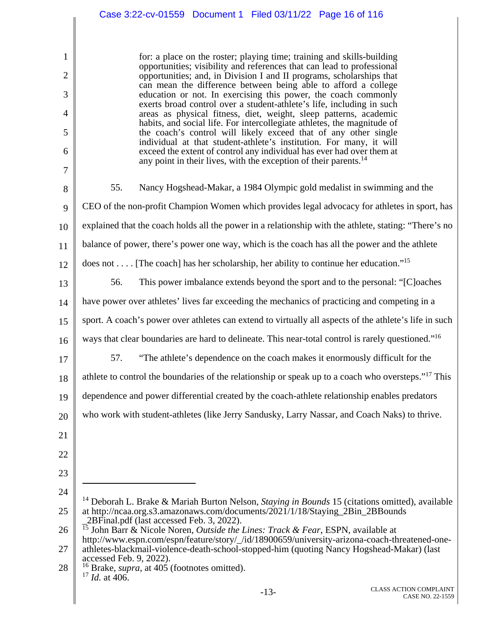## Case 3:22-cv-01559 Document 1 Filed 03/11/22 Page 16 of 116

for: a place on the roster; playing time; training and skills-building opportunities; visibility and references that can lead to professional opportunities; and, in Division I and II programs, scholarships that can mean the difference between being able to afford a college education or not. In exercising this power, the coach commonly exerts broad control over a student-athlete's life, including in such areas as physical fitness, diet, weight, sleep patterns, academic habits, and social life. For intercollegiate athletes, the magnitude of the coach's control will likely exceed that of any other single individual at that student-athlete's institution. For many, it will exceed the extent of control any individual has ever had over them at any point in their lives, with the exception of their parents.<sup>14</sup>

8 9 10 11 12 13 14 15 16 17 55. Nancy Hogshead-Makar, a 1984 Olympic gold medalist in swimming and the CEO of the non-profit Champion Women which provides legal advocacy for athletes in sport, has explained that the coach holds all the power in a relationship with the athlete, stating: "There's no balance of power, there's power one way, which is the coach has all the power and the athlete does not . . . . [The coach] has her scholarship, her ability to continue her education."<sup>15</sup> 56. This power imbalance extends beyond the sport and to the personal: "[C]oaches have power over athletes' lives far exceeding the mechanics of practicing and competing in a sport. A coach's power over athletes can extend to virtually all aspects of the athlete's life in such ways that clear boundaries are hard to delineate. This near-total control is rarely questioned."<sup>16</sup> 57. "The athlete's dependence on the coach makes it enormously difficult for the

18 athlete to control the boundaries of the relationship or speak up to a coach who oversteps."17 This

19 dependence and power differential created by the coach-athlete relationship enables predators

20 who work with student-athletes (like Jerry Sandusky, Larry Nassar, and Coach Naks) to thrive.

21

1

2

3

4

5

6

7

- 22
- 23
- 24

 $\overline{a}$ 

<sup>25</sup>  14 Deborah L. Brake & Mariah Burton Nelson, *Staying in Bounds* 15 (citations omitted), available at http://ncaa.org.s3.amazonaws.com/documents/2021/1/18/Staying\_2Bin\_2BBounds \_2BFinal.pdf (last accessed Feb. 3, 2022).

<sup>26</sup>  15 John Barr & Nicole Noren, *Outside the Lines: Track & Fear*, ESPN*,* available at http://www.espn.com/espn/feature/story/\_/id/18900659/university-arizona-coach-threatened-one-

<sup>27</sup>  athletes-blackmail-violence-death-school-stopped-him (quoting Nancy Hogshead-Makar) (last accessed Feb. 9, 2022).

<sup>28</sup>  16 Brake, *supra*, at 405 (footnotes omitted). 17 *Id.* at 406.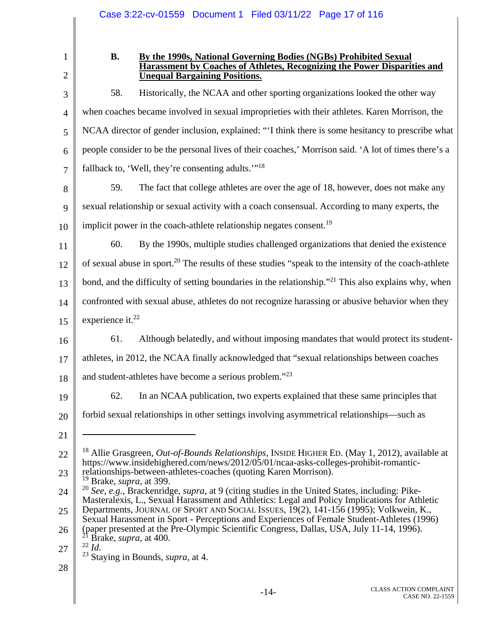2

3

4

5

6

7

1

### **B. By the 1990s, National Governing Bodies (NGBs) Prohibited Sexual Harassment by Coaches of Athletes, Recognizing the Power Disparities and Unequal Bargaining Positions.**

58. Historically, the NCAA and other sporting organizations looked the other way when coaches became involved in sexual improprieties with their athletes. Karen Morrison, the NCAA director of gender inclusion, explained: "'I think there is some hesitancy to prescribe what people consider to be the personal lives of their coaches,' Morrison said. 'A lot of times there's a fallback to, 'Well, they're consenting adults.'"<sup>18</sup>

- 8 9 10 59. The fact that college athletes are over the age of 18, however, does not make any sexual relationship or sexual activity with a coach consensual. According to many experts, the implicit power in the coach-athlete relationship negates consent.<sup>19</sup>
	- 11 12 13 14 15 60. By the 1990s, multiple studies challenged organizations that denied the existence of sexual abuse in sport.20 The results of these studies "speak to the intensity of the coach-athlete bond, and the difficulty of setting boundaries in the relationship."<sup>21</sup> This also explains why, when confronted with sexual abuse, athletes do not recognize harassing or abusive behavior when they experience it. $^{22}$
	- 16 61. Although belatedly, and without imposing mandates that would protect its student-
	- 17 athletes, in 2012, the NCAA finally acknowledged that "sexual relationships between coaches
	- 18 and student-athletes have become a serious problem."<sup>23</sup>
	- 19

62. In an NCAA publication, two experts explained that these same principles that

20

forbid sexual relationships in other settings involving asymmetrical relationships—such as  $\overline{a}$ 

28

<sup>21</sup> 

<sup>22</sup>  23 18 Allie Grasgreen, *Out-of-Bounds Relationships*, INSIDE HIGHER ED. (May 1, 2012), available at https://www.insidehighered.com/news/2012/05/01/ncaa-asks-colleges-prohibit-romanticrelationships-between-athletes-coaches (quoting Karen Morrison). 19 Brake, *supra*, at 399.

<sup>24</sup>  <sup>20</sup> *See, e.g.*, Brackenridge, *supra*, at 9 (citing studies in the United States, including: Pike-Masteralexis, L., Sexual Harassment and Athletics: Legal and Policy Implications for Athletic Departments, JOURNAL OF SPORT AND SOCIAL ISSUES, 19(2), 141-156 (1995); Volkwein, K.,

<sup>25</sup>  26 Sexual Harassment in Sport - Perceptions and Experiences of Female Student-Athletes (1996) (paper presented at the Pre-Olympic Scientific Congress, Dallas, USA, July 11-14, 1996).<br><sup>21</sup> Brake, *supra*, at 400.<br><sup>22</sup> Id.

<sup>27</sup> 

<sup>&</sup>lt;sup>23</sup> Staying in Bounds, *supra*, at 4.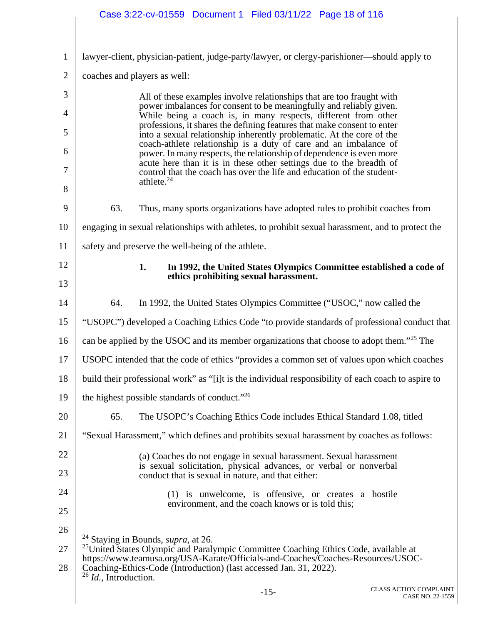|                | Case 3:22-cv-01559  Document 1  Filed 03/11/22  Page 18 of 116                                                                                                                                                                                                                               |
|----------------|----------------------------------------------------------------------------------------------------------------------------------------------------------------------------------------------------------------------------------------------------------------------------------------------|
|                |                                                                                                                                                                                                                                                                                              |
| $\mathbf{1}$   | lawyer-client, physician-patient, judge-party/lawyer, or clergy-parishioner—should apply to                                                                                                                                                                                                  |
| $\overline{2}$ | coaches and players as well:                                                                                                                                                                                                                                                                 |
| 3              | All of these examples involve relationships that are too fraught with                                                                                                                                                                                                                        |
| $\overline{4}$ | power imbalances for consent to be meaningfully and reliably given.<br>While being a coach is, in many respects, different from other                                                                                                                                                        |
| 5              | professions, it shares the defining features that make consent to enter<br>into a sexual relationship inherently problematic. At the core of the                                                                                                                                             |
| 6              | coach-athlete relationship is a duty of care and an imbalance of<br>power. In many respects, the relationship of dependence is even more                                                                                                                                                     |
| 7              | acute here than it is in these other settings due to the breadth of<br>control that the coach has over the life and education of the student-<br>athlete. <sup>24</sup>                                                                                                                      |
| 8              |                                                                                                                                                                                                                                                                                              |
| 9              | 63.<br>Thus, many sports organizations have adopted rules to prohibit coaches from                                                                                                                                                                                                           |
| 10             | engaging in sexual relationships with athletes, to prohibit sexual harassment, and to protect the                                                                                                                                                                                            |
| 11             | safety and preserve the well-being of the athlete.                                                                                                                                                                                                                                           |
| 12<br>13       | 1.<br>In 1992, the United States Olympics Committee established a code of<br>ethics prohibiting sexual harassment.                                                                                                                                                                           |
| 14             | 64.<br>In 1992, the United States Olympics Committee ("USOC," now called the                                                                                                                                                                                                                 |
| 15             | "USOPC") developed a Coaching Ethics Code "to provide standards of professional conduct that                                                                                                                                                                                                 |
| 16             | can be applied by the USOC and its member organizations that choose to adopt them." <sup>25</sup> The                                                                                                                                                                                        |
| 17             | USOPC intended that the code of ethics "provides a common set of values upon which coaches                                                                                                                                                                                                   |
| 18             | build their professional work" as "[i]t is the individual responsibility of each coach to aspire to                                                                                                                                                                                          |
| 19             | the highest possible standards of conduct." <sup>26</sup>                                                                                                                                                                                                                                    |
| 20             | 65.<br>The USOPC's Coaching Ethics Code includes Ethical Standard 1.08, titled                                                                                                                                                                                                               |
| 21             | "Sexual Harassment," which defines and prohibits sexual harassment by coaches as follows:                                                                                                                                                                                                    |
| 22             | (a) Coaches do not engage in sexual harassment. Sexual harassment                                                                                                                                                                                                                            |
| 23             | is sexual solicitation, physical advances, or verbal or nonverbal<br>conduct that is sexual in nature, and that either:                                                                                                                                                                      |
| 24             | (1) is unwelcome, is offensive, or creates a hostile                                                                                                                                                                                                                                         |
| 25             | environment, and the coach knows or is told this;                                                                                                                                                                                                                                            |
| 26             | <sup>24</sup> Staying in Bounds, <i>supra</i> , at 26.                                                                                                                                                                                                                                       |
| 27<br>28       | <sup>25</sup> United States Olympic and Paralympic Committee Coaching Ethics Code, available at<br>https://www.teamusa.org/USA-Karate/Officials-and-Coaches/Coaches-Resources/USOC-<br>Coaching-Ethics-Code (Introduction) (last accessed Jan. 31, 2022).<br>$26$ <i>Id.</i> , Introduction. |
|                | <b>CLASS ACTION COMPLAINT</b><br>$-15-$<br>CASE NO. 22-1559                                                                                                                                                                                                                                  |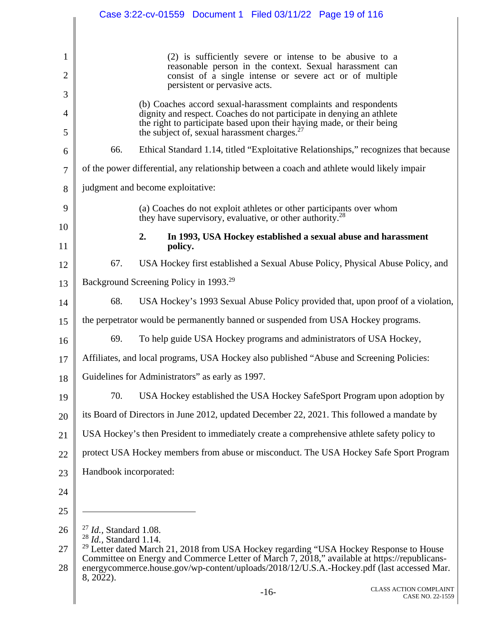|                                |                                     |                                                    | Case 3:22-cv-01559  Document 1  Filed 03/11/22  Page 19 of 116                                                                                                                  |                                                                                                                                                                                           |
|--------------------------------|-------------------------------------|----------------------------------------------------|---------------------------------------------------------------------------------------------------------------------------------------------------------------------------------|-------------------------------------------------------------------------------------------------------------------------------------------------------------------------------------------|
|                                |                                     |                                                    |                                                                                                                                                                                 |                                                                                                                                                                                           |
| $\mathbf{1}$<br>$\overline{2}$ |                                     |                                                    | (2) is sufficiently severe or intense to be abusive to a<br>reasonable person in the context. Sexual harassment can<br>consist of a single intense or severe act or of multiple |                                                                                                                                                                                           |
| 3                              |                                     |                                                    | persistent or pervasive acts.                                                                                                                                                   |                                                                                                                                                                                           |
| 4                              |                                     |                                                    | (b) Coaches accord sexual-harassment complaints and respondents<br>dignity and respect. Coaches do not participate in denying an athlete                                        |                                                                                                                                                                                           |
| 5                              |                                     |                                                    | the right to participate based upon their having made, or their being<br>the subject of, sexual harassment charges. <sup>27</sup>                                               |                                                                                                                                                                                           |
| 6                              | 66.                                 |                                                    |                                                                                                                                                                                 | Ethical Standard 1.14, titled "Exploitative Relationships," recognizes that because                                                                                                       |
| 7                              |                                     |                                                    | of the power differential, any relationship between a coach and athlete would likely impair                                                                                     |                                                                                                                                                                                           |
| 8                              |                                     | judgment and become exploitative:                  |                                                                                                                                                                                 |                                                                                                                                                                                           |
| 9                              |                                     |                                                    | (a) Coaches do not exploit athletes or other participants over whom<br>they have supervisory, evaluative, or other authority. <sup>28</sup>                                     |                                                                                                                                                                                           |
| 10                             |                                     | 2.                                                 | In 1993, USA Hockey established a sexual abuse and harassment                                                                                                                   |                                                                                                                                                                                           |
| 11                             |                                     | policy.                                            |                                                                                                                                                                                 |                                                                                                                                                                                           |
| 12                             | 67.                                 |                                                    |                                                                                                                                                                                 | USA Hockey first established a Sexual Abuse Policy, Physical Abuse Policy, and                                                                                                            |
| 13                             |                                     | Background Screening Policy in 1993. <sup>29</sup> |                                                                                                                                                                                 |                                                                                                                                                                                           |
| 14                             | 68.                                 |                                                    |                                                                                                                                                                                 | USA Hockey's 1993 Sexual Abuse Policy provided that, upon proof of a violation,                                                                                                           |
| 15                             |                                     |                                                    | the perpetrator would be permanently banned or suspended from USA Hockey programs.                                                                                              |                                                                                                                                                                                           |
| 16                             | 69.                                 |                                                    | To help guide USA Hockey programs and administrators of USA Hockey,                                                                                                             |                                                                                                                                                                                           |
| 17                             |                                     |                                                    | Affiliates, and local programs, USA Hockey also published "Abuse and Screening Policies:                                                                                        |                                                                                                                                                                                           |
| 18                             |                                     |                                                    | Guidelines for Administrators" as early as 1997.                                                                                                                                |                                                                                                                                                                                           |
| 19                             | 70.                                 |                                                    |                                                                                                                                                                                 | USA Hockey established the USA Hockey SafeSport Program upon adoption by                                                                                                                  |
| 20                             |                                     |                                                    | its Board of Directors in June 2012, updated December 22, 2021. This followed a mandate by                                                                                      |                                                                                                                                                                                           |
| 21                             |                                     |                                                    | USA Hockey's then President to immediately create a comprehensive athlete safety policy to                                                                                      |                                                                                                                                                                                           |
| 22                             |                                     |                                                    |                                                                                                                                                                                 | protect USA Hockey members from abuse or misconduct. The USA Hockey Safe Sport Program                                                                                                    |
| 23                             | Handbook incorporated:              |                                                    |                                                                                                                                                                                 |                                                                                                                                                                                           |
| 24                             |                                     |                                                    |                                                                                                                                                                                 |                                                                                                                                                                                           |
| 25                             |                                     |                                                    |                                                                                                                                                                                 |                                                                                                                                                                                           |
| 26                             | $^{27}$ <i>Id.</i> , Standard 1.08. |                                                    |                                                                                                                                                                                 |                                                                                                                                                                                           |
| 27                             | $28$ <i>Id.</i> , Standard 1.14.    |                                                    |                                                                                                                                                                                 | <sup>29</sup> Letter dated March 21, 2018 from USA Hockey regarding "USA Hockey Response to House                                                                                         |
| 28                             | 8, 2022).                           |                                                    |                                                                                                                                                                                 | Committee on Energy and Commerce Letter of March 7, 2018," available at https://republicans-<br>energycommerce.house.gov/wp-content/uploads/2018/12/U.S.A.-Hockey.pdf (last accessed Mar. |
|                                |                                     |                                                    | $-16-$                                                                                                                                                                          | <b>CLASS ACTION COMPLAINT</b><br>CASE NO. 22-1559                                                                                                                                         |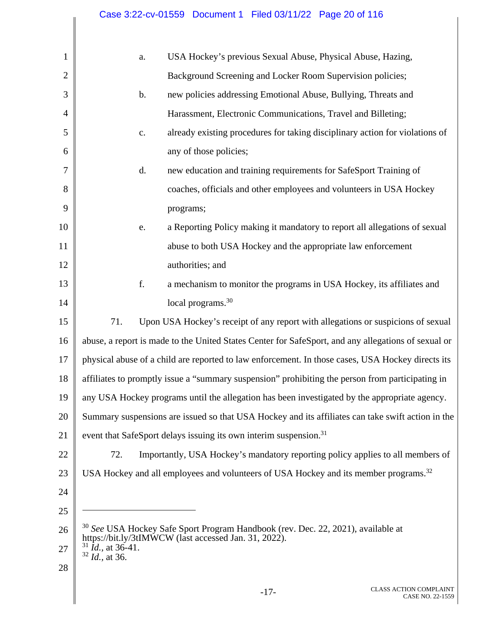| $\mathbf{1}$   | a.                                                      | USA Hockey's previous Sexual Abuse, Physical Abuse, Hazing,                                         |
|----------------|---------------------------------------------------------|-----------------------------------------------------------------------------------------------------|
| $\overline{2}$ |                                                         | Background Screening and Locker Room Supervision policies;                                          |
| 3              | $\mathbf b$ .                                           | new policies addressing Emotional Abuse, Bullying, Threats and                                      |
| $\overline{4}$ |                                                         | Harassment, Electronic Communications, Travel and Billeting;                                        |
| 5              | c.                                                      | already existing procedures for taking disciplinary action for violations of                        |
| 6              |                                                         | any of those policies;                                                                              |
| 7              | d.                                                      | new education and training requirements for SafeSport Training of                                   |
| 8              |                                                         | coaches, officials and other employees and volunteers in USA Hockey                                 |
| 9              |                                                         | programs;                                                                                           |
| 10             | e.                                                      | a Reporting Policy making it mandatory to report all allegations of sexual                          |
| 11             |                                                         | abuse to both USA Hockey and the appropriate law enforcement                                        |
| 12             |                                                         | authorities; and                                                                                    |
| 13             | f.                                                      | a mechanism to monitor the programs in USA Hockey, its affiliates and                               |
| 14             |                                                         | local programs. <sup>30</sup>                                                                       |
| 15             | 71.                                                     | Upon USA Hockey's receipt of any report with allegations or suspicions of sexual                    |
| 16             |                                                         | abuse, a report is made to the United States Center for SafeSport, and any allegations of sexual or |
| 17             |                                                         | physical abuse of a child are reported to law enforcement. In those cases, USA Hockey directs its   |
| 18             |                                                         | affiliates to promptly issue a "summary suspension" prohibiting the person from participating in    |
| 19             |                                                         | any USA Hockey programs until the allegation has been investigated by the appropriate agency.       |
| 20             |                                                         | Summary suspensions are issued so that USA Hockey and its affiliates can take swift action in the   |
| 21             |                                                         | event that SafeSport delays issuing its own interim suspension. <sup>31</sup>                       |
| 22             | 72.                                                     | Importantly, USA Hockey's mandatory reporting policy applies to all members of                      |
| 23             |                                                         | USA Hockey and all employees and volunteers of USA Hockey and its member programs. <sup>32</sup>    |
| 24             |                                                         |                                                                                                     |
| 25             |                                                         |                                                                                                     |
| 26             |                                                         | <sup>30</sup> See USA Hockey Safe Sport Program Handbook (rev. Dec. 22, 2021), available at         |
| 27             | $31$ <i>Id.</i> , at 36-41.<br>$32$ <i>Id.</i> , at 36. | https://bit.ly/3tIMWCW (last accessed Jan. 31, 2022).                                               |
| 28             |                                                         |                                                                                                     |
|                |                                                         | <b>CLASS ACTION COMPLAINT</b><br>$-17-$<br>CASE NO. 22-1559                                         |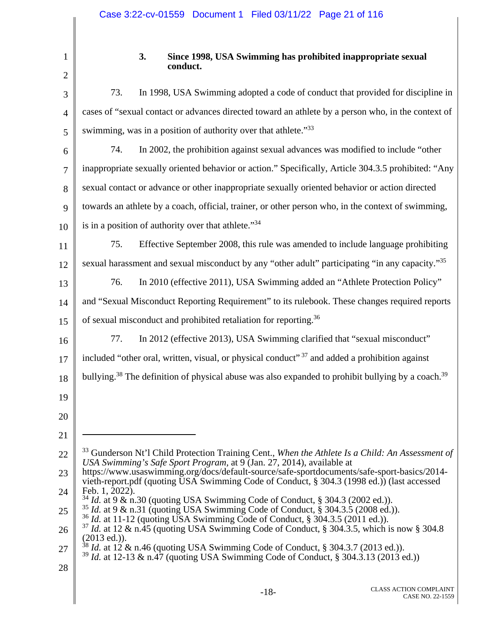| 1              |
|----------------|
| 2              |
| 3              |
| $\overline{4}$ |

## **3. Since 1998, USA Swimming has prohibited inappropriate sexual conduct.**

| 3              | In 1998, USA Swimming adopted a code of conduct that provided for discipline in<br>73.                                                                                                                        |
|----------------|---------------------------------------------------------------------------------------------------------------------------------------------------------------------------------------------------------------|
| $\overline{4}$ | cases of "sexual contact or advances directed toward an athlete by a person who, in the context of                                                                                                            |
| 5              | swimming, was in a position of authority over that athlete."33                                                                                                                                                |
| 6              | In 2002, the prohibition against sexual advances was modified to include "other<br>74.                                                                                                                        |
| $\tau$         | inappropriate sexually oriented behavior or action." Specifically, Article 304.3.5 prohibited: "Any                                                                                                           |
| 8              | sexual contact or advance or other inappropriate sexually oriented behavior or action directed                                                                                                                |
| 9              | towards an athlete by a coach, official, trainer, or other person who, in the context of swimming,                                                                                                            |
| 10             | is in a position of authority over that athlete."34                                                                                                                                                           |
| 11             | Effective September 2008, this rule was amended to include language prohibiting<br>75.                                                                                                                        |
| 12             | sexual harassment and sexual misconduct by any "other adult" participating "in any capacity." <sup>35</sup>                                                                                                   |
| 13             | In 2010 (effective 2011), USA Swimming added an "Athlete Protection Policy"<br>76.                                                                                                                            |
| 14             | and "Sexual Misconduct Reporting Requirement" to its rulebook. These changes required reports                                                                                                                 |
| 15             | of sexual misconduct and prohibited retaliation for reporting. <sup>36</sup>                                                                                                                                  |
| 16             | In 2012 (effective 2013), USA Swimming clarified that "sexual misconduct"<br>77.                                                                                                                              |
| 17             | included "other oral, written, visual, or physical conduct" <sup>37</sup> and added a prohibition against                                                                                                     |
| 18             | bullying. <sup>38</sup> The definition of physical abuse was also expanded to prohibit bullying by a coach. <sup>39</sup>                                                                                     |
| 19             |                                                                                                                                                                                                               |
| 20             |                                                                                                                                                                                                               |
| 21             |                                                                                                                                                                                                               |
| 22             | <sup>33</sup> Gunderson Nt'l Child Protection Training Cent., When the Athlete Is a Child: An Assessment of<br>USA Swimming's Safe Sport Program, at 9 (Jan. 27, 2014), available at                          |
| 23             | https://www.usaswimming.org/docs/default-source/safe-sportdocuments/safe-sport-basics/2014-<br>vieth-report.pdf (quoting USA Swimming Code of Conduct, § 304.3 (1998 ed.)) (last accessed                     |
| 24             | Feb. $1, 2022$ ).<br>$34$ <i>Id.</i> at 9 & n.30 (quoting USA Swimming Code of Conduct, § 304.3 (2002 ed.)).                                                                                                  |
| 25             | $35$ <i>Id.</i> at 9 & n.31 (quoting USA Swimming Code of Conduct, § 304.3.5 (2008 ed.)).<br>$36$ <i>Id.</i> at 11-12 (quoting USA Swimming Code of Conduct, § 304.3.5 (2011 ed.)).                           |
| 26             | $37$ <i>Id.</i> at 12 & n.45 (quoting USA Swimming Code of Conduct, § 304.3.5, which is now § 304.8<br>(2013 ed.)).                                                                                           |
| 27             | <sup>38</sup> <i>Id.</i> at 12 & n.46 (quoting USA Swimming Code of Conduct, § 304.3.7 (2013 ed.)).<br><sup>39</sup> <i>Id.</i> at 12-13 & n.47 (quoting USA Swimming Code of Conduct, § 304.3.13 (2013 ed.)) |
| 28             |                                                                                                                                                                                                               |
|                |                                                                                                                                                                                                               |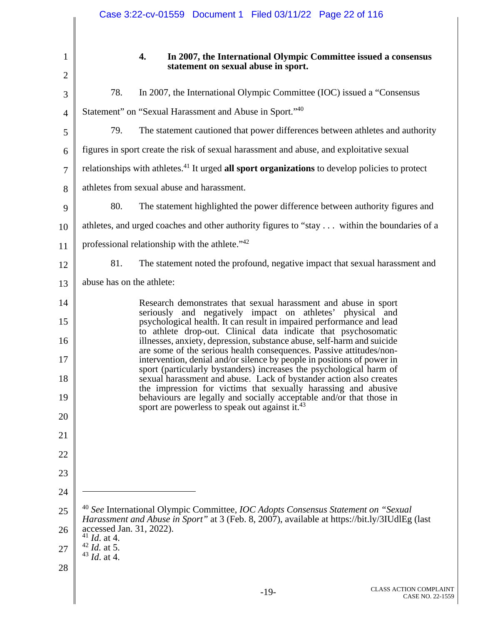|                | Case 3:22-cv-01559  Document 1  Filed 03/11/22  Page 22 of 116                                                                                                                                                      |
|----------------|---------------------------------------------------------------------------------------------------------------------------------------------------------------------------------------------------------------------|
| $\mathbf 1$    | 4.<br>In 2007, the International Olympic Committee issued a consensus                                                                                                                                               |
| $\overline{2}$ | statement on sexual abuse in sport.                                                                                                                                                                                 |
| 3              | 78.<br>In 2007, the International Olympic Committee (IOC) issued a "Consensus                                                                                                                                       |
| $\overline{4}$ | Statement" on "Sexual Harassment and Abuse in Sport." <sup>40</sup>                                                                                                                                                 |
| 5              | 79.<br>The statement cautioned that power differences between athletes and authority                                                                                                                                |
| 6              | figures in sport create the risk of sexual harassment and abuse, and exploitative sexual                                                                                                                            |
| $\tau$         | relationships with athletes. <sup>41</sup> It urged all sport organizations to develop policies to protect                                                                                                          |
| 8              | athletes from sexual abuse and harassment.                                                                                                                                                                          |
| 9              | 80.<br>The statement highlighted the power difference between authority figures and                                                                                                                                 |
| 10             | athletes, and urged coaches and other authority figures to "stay within the boundaries of a                                                                                                                         |
| 11             | professional relationship with the athlete." <sup>42</sup>                                                                                                                                                          |
| 12             | 81.<br>The statement noted the profound, negative impact that sexual harassment and                                                                                                                                 |
| 13             | abuse has on the athlete:                                                                                                                                                                                           |
| 14             | Research demonstrates that sexual harassment and abuse in sport                                                                                                                                                     |
| 15             | seriously and negatively impact on athletes' physical and<br>psychological health. It can result in impaired performance and lead<br>to athlete drop-out. Clinical data indicate that psychosomatic                 |
| 16             | illnesses, anxiety, depression, substance abuse, self-harm and suicide<br>are some of the serious health consequences. Passive attitudes/non-                                                                       |
| 17<br>18       | intervention, denial and/or silence by people in positions of power in<br>sport (particularly bystanders) increases the psychological harm of<br>sexual harassment and abuse. Lack of bystander action also creates |
| 19             | the impression for victims that sexually harassing and abusive<br>behaviours are legally and socially acceptable and/or that those in                                                                               |
| 20             | sport are powerless to speak out against it. <sup>43</sup>                                                                                                                                                          |
| 21             |                                                                                                                                                                                                                     |
| 22             |                                                                                                                                                                                                                     |
| 23             |                                                                                                                                                                                                                     |
| 24             |                                                                                                                                                                                                                     |
| 25             | <sup>40</sup> See International Olympic Committee, IOC Adopts Consensus Statement on "Sexual                                                                                                                        |
| 26             | Harassment and Abuse in Sport" at 3 (Feb. 8, 2007), available at https://bit.ly/3IUdlEg (last<br>accessed Jan. 31, 2022).                                                                                           |
| 27             | $41$ <i>Id.</i> at 4.<br>$42$ <i>Id.</i> at 5.                                                                                                                                                                      |
| 28             | $43$ <i>Id.</i> at 4.                                                                                                                                                                                               |
|                | CLASS ACTION COMPLAI<br>$-19-$<br><b>CASE NO. 22-1</b>                                                                                                                                                              |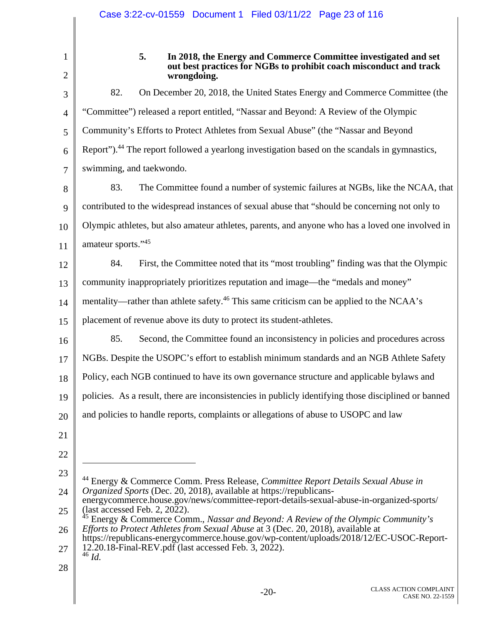2

1

### **5. In 2018, the Energy and Commerce Committee investigated and set out best practices for NGBs to prohibit coach misconduct and track wrongdoing.**

3 4 5 6 7 8 9 10 11 12 13 82. On December 20, 2018, the United States Energy and Commerce Committee (the "Committee") released a report entitled, "Nassar and Beyond: A Review of the Olympic Community's Efforts to Protect Athletes from Sexual Abuse" (the "Nassar and Beyond Report").<sup>44</sup> The report followed a yearlong investigation based on the scandals in gymnastics, swimming, and taekwondo. 83. The Committee found a number of systemic failures at NGBs, like the NCAA, that contributed to the widespread instances of sexual abuse that "should be concerning not only to Olympic athletes, but also amateur athletes, parents, and anyone who has a loved one involved in amateur sports."45 84. First, the Committee noted that its "most troubling" finding was that the Olympic community inappropriately prioritizes reputation and image—the "medals and money"

14 mentality—rather than athlete safety.<sup>46</sup> This same criticism can be applied to the NCAA's

15 placement of revenue above its duty to protect its student-athletes.

16 85. Second, the Committee found an inconsistency in policies and procedures across

17 NGBs. Despite the USOPC's effort to establish minimum standards and an NGB Athlete Safety

18 Policy, each NGB continued to have its own governance structure and applicable bylaws and

19 policies. As a result, there are inconsistencies in publicly identifying those disciplined or banned

20 and policies to handle reports, complaints or allegations of abuse to USOPC and law

21 22

 $\overline{a}$ 

23 24 44 Energy & Commerce Comm. Press Release, *Committee Report Details Sexual Abuse in Organized Sports* (Dec. 20, 2018), available at https://republicans-

28

<sup>25</sup>  energycommerce.house.gov/news/committee-report-details-sexual-abuse-in-organized-sports/  $\arccos$  Feb. 2, 2022).

<sup>26</sup>  45 Energy & Commerce Comm., *Nassar and Beyond: A Review of the Olympic Community's Efforts to Protect Athletes from Sexual Abuse* at 3 (Dec. 20, 2018), available at

<sup>27</sup>  https://republicans-energycommerce.house.gov/wp-content/uploads/2018/12/EC-USOC-Report-12.20.18-Final-REV.pdf (last accessed Feb. 3, 2022). <sup>46</sup> *Id.*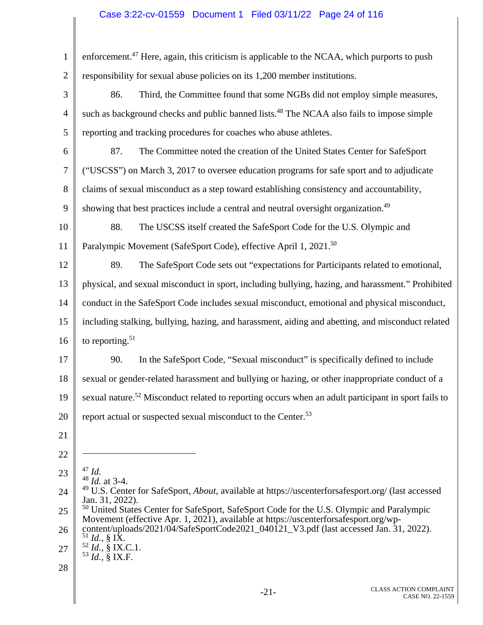# Case 3:22-cv-01559 Document 1 Filed 03/11/22 Page 24 of 116

| $\mathbf{1}$   | enforcement. <sup>47</sup> Here, again, this criticism is applicable to the NCAA, which purports to push                                                                                     |
|----------------|----------------------------------------------------------------------------------------------------------------------------------------------------------------------------------------------|
| $\overline{2}$ | responsibility for sexual abuse policies on its 1,200 member institutions.                                                                                                                   |
| 3              | 86.<br>Third, the Committee found that some NGBs did not employ simple measures,                                                                                                             |
| $\overline{4}$ | such as background checks and public banned lists. <sup>48</sup> The NCAA also fails to impose simple                                                                                        |
| 5              | reporting and tracking procedures for coaches who abuse athletes.                                                                                                                            |
| 6              | 87.<br>The Committee noted the creation of the United States Center for SafeSport                                                                                                            |
| 7              | ("USCSS") on March 3, 2017 to oversee education programs for safe sport and to adjudicate                                                                                                    |
| 8              | claims of sexual misconduct as a step toward establishing consistency and accountability,                                                                                                    |
| 9              | showing that best practices include a central and neutral oversight organization. <sup>49</sup>                                                                                              |
| 10             | 88.<br>The USCSS itself created the SafeSport Code for the U.S. Olympic and                                                                                                                  |
| 11             | Paralympic Movement (SafeSport Code), effective April 1, 2021. <sup>50</sup>                                                                                                                 |
| 12             | 89.<br>The SafeSport Code sets out "expectations for Participants related to emotional,                                                                                                      |
| 13             | physical, and sexual misconduct in sport, including bullying, hazing, and harassment." Prohibited                                                                                            |
| 14             | conduct in the SafeSport Code includes sexual misconduct, emotional and physical misconduct,                                                                                                 |
| 15             | including stalking, bullying, hazing, and harassment, aiding and abetting, and misconduct related                                                                                            |
| 16             | to reporting. $51$                                                                                                                                                                           |
| 17             | In the SafeSport Code, "Sexual misconduct" is specifically defined to include<br>90.                                                                                                         |
| 18             | sexual or gender-related harassment and bullying or hazing, or other inappropriate conduct of a                                                                                              |
| 19             | sexual nature. <sup>52</sup> Misconduct related to reporting occurs when an adult participant in sport fails to                                                                              |
| 20             | report actual or suspected sexual misconduct to the Center. <sup>53</sup>                                                                                                                    |
| 21             |                                                                                                                                                                                              |
| 22             |                                                                                                                                                                                              |
| 23             | $47$ Id.<br>$48$ <i>Id.</i> at 3-4.                                                                                                                                                          |
| 24             | <sup>49</sup> U.S. Center for SafeSport, <i>About</i> , available at https://uscenterforsafesport.org/ (last accessed<br>Jan. 31, 2022).                                                     |
| 25             | <sup>50</sup> United States Center for SafeSport, SafeSport Code for the U.S. Olympic and Paralympic<br>Movement (effective Apr. 1, 2021), available at https://uscenterforsafesport.org/wp- |
| 26             | content/uploads/2021/04/SafeSportCode2021_040121_V3.pdf (last accessed Jan. 31, 2022).<br>$^{51}_{-1}$ <i>Id.</i> , § IX.                                                                    |
| 27             | $52$ <i>Id.</i> , § IX.C.1.<br>$53$ <i>Id.</i> , § IX.F.                                                                                                                                     |
| 28             |                                                                                                                                                                                              |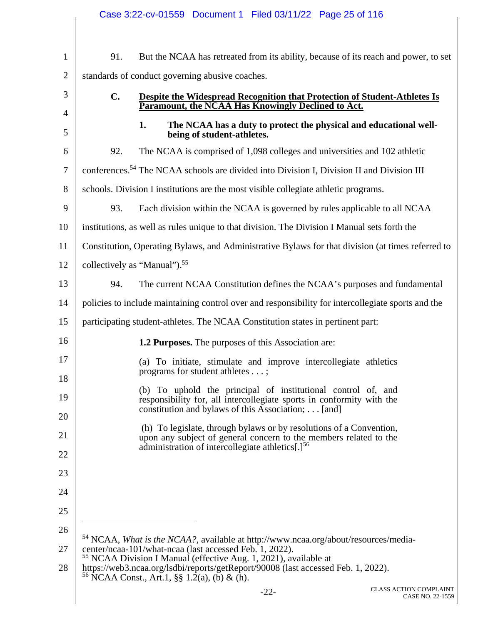|                |     | Case 3:22-cv-01559  Document 1  Filed 03/11/22  Page 25 of 116                                                                                                                              |
|----------------|-----|---------------------------------------------------------------------------------------------------------------------------------------------------------------------------------------------|
|                |     |                                                                                                                                                                                             |
| $\mathbf{1}$   | 91. | But the NCAA has retreated from its ability, because of its reach and power, to set                                                                                                         |
| $\overline{2}$ |     | standards of conduct governing abusive coaches.                                                                                                                                             |
| 3              | C.  | Despite the Widespread Recognition that Protection of Student-Athletes Is<br>Paramount, the NCAA Has Knowingly Declined to Act.                                                             |
| $\overline{4}$ |     |                                                                                                                                                                                             |
| 5              |     | The NCAA has a duty to protect the physical and educational well-<br>1.<br>being of student-athletes.                                                                                       |
| 6              | 92. | The NCAA is comprised of 1,098 colleges and universities and 102 athletic                                                                                                                   |
| $\overline{7}$ |     | conferences. <sup>54</sup> The NCAA schools are divided into Division I, Division II and Division III                                                                                       |
| 8              |     | schools. Division I institutions are the most visible collegiate athletic programs.                                                                                                         |
| 9              | 93. | Each division within the NCAA is governed by rules applicable to all NCAA                                                                                                                   |
| 10             |     | institutions, as well as rules unique to that division. The Division I Manual sets forth the                                                                                                |
| 11             |     | Constitution, Operating Bylaws, and Administrative Bylaws for that division (at times referred to                                                                                           |
| 12             |     | collectively as "Manual"). <sup>55</sup>                                                                                                                                                    |
| 13             | 94. | The current NCAA Constitution defines the NCAA's purposes and fundamental                                                                                                                   |
| 14             |     | policies to include maintaining control over and responsibility for intercollegiate sports and the                                                                                          |
| 15             |     | participating student-athletes. The NCAA Constitution states in pertinent part:                                                                                                             |
| 16             |     | <b>1.2 Purposes.</b> The purposes of this Association are:                                                                                                                                  |
| 17             |     | (a) To initiate, stimulate and improve intercollegiate athletics<br>programs for student athletes ;                                                                                         |
| 18             |     |                                                                                                                                                                                             |
| 19             |     | (b) To uphold the principal of institutional control of, and<br>responsibility for, all intercollegiate sports in conformity with the<br>constitution and bylaws of this Association; [and] |
| 20             |     |                                                                                                                                                                                             |
| 21             |     | (h) To legislate, through bylaws or by resolutions of a Convention,<br>upon any subject of general concern to the members related to the                                                    |
| 22             |     | administration of intercollegiate athletics[.] <sup>56</sup>                                                                                                                                |
| 23             |     |                                                                                                                                                                                             |
| 24             |     |                                                                                                                                                                                             |
| 25             |     |                                                                                                                                                                                             |
| 26             |     | <sup>54</sup> NCAA, What is the NCAA?, available at http://www.ncaa.org/about/resources/media-                                                                                              |
| 27             |     | center/ncaa-101/what-ncaa (last accessed Feb. 1, 2022).<br><sup>55</sup> NCAA Division I Manual (effective Aug. 1, 2021), available at                                                      |
| 28             |     | https://web3.ncaa.org/lsdbi/reports/getReport/90008 (last accessed Feb. 1, 2022).<br><sup>56</sup> NCAA Const., Art.1, §§ 1.2(a), (b) & (h).                                                |
|                |     | <b>CLASS ACTION COMPLAINT</b><br>$-22-$<br>CASE NO. 22-1559                                                                                                                                 |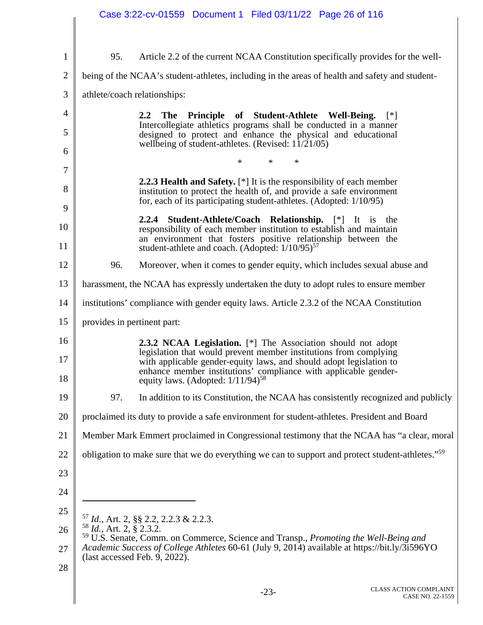|                |                                     | Case 3:22-cv-01559 Document 1 Filed 03/11/22 Page 26 of 116                                                                                                                                                 |
|----------------|-------------------------------------|-------------------------------------------------------------------------------------------------------------------------------------------------------------------------------------------------------------|
|                |                                     |                                                                                                                                                                                                             |
| $\mathbf{1}$   | 95.                                 | Article 2.2 of the current NCAA Constitution specifically provides for the well-                                                                                                                            |
| $\overline{2}$ |                                     | being of the NCAA's student-athletes, including in the areas of health and safety and student-                                                                                                              |
| 3              |                                     | athlete/coach relationships:                                                                                                                                                                                |
| 4              |                                     | The Principle of Student-Athlete Well-Being.<br>2.2<br>$[$ *]                                                                                                                                               |
| 5              |                                     | Intercollegiate athletics programs shall be conducted in a manner<br>designed to protect and enhance the physical and educational<br>wellbeing of student-athletes. (Revised: $11/21/05$ )                  |
| 6              |                                     | ∗<br>∗<br>*                                                                                                                                                                                                 |
| 7              |                                     | <b>2.2.3 Health and Safety.</b> $[*]$ It is the responsibility of each member                                                                                                                               |
| 8<br>9         |                                     | institution to protect the health of, and provide a safe environment<br>for, each of its participating student-athletes. (Adopted: 1/10/95)                                                                 |
| 10             |                                     | 2.2.4 Student-Athlete/Coach Relationship. [*] It is the                                                                                                                                                     |
| 11             |                                     | responsibility of each member institution to establish and maintain<br>an environment that fosters positive relationship between the<br>student-athlete and coach. (Adopted: 1/10/95) <sup>57</sup>         |
| 12             | 96.                                 | Moreover, when it comes to gender equity, which includes sexual abuse and                                                                                                                                   |
| 13             |                                     | harassment, the NCAA has expressly undertaken the duty to adopt rules to ensure member                                                                                                                      |
| 14             |                                     | institutions' compliance with gender equity laws. Article 2.3.2 of the NCAA Constitution                                                                                                                    |
| 15             | provides in pertinent part:         |                                                                                                                                                                                                             |
| 16             |                                     | <b>2.3.2 NCAA Legislation.</b> [*] The Association should not adopt                                                                                                                                         |
| 17             |                                     | legislation that would prevent member institutions from complying<br>with applicable gender-equity laws, and should adopt legislation to<br>enhance member institutions' compliance with applicable gender- |
| 18             |                                     | equity laws. (Adopted: $1/11/94$ ) <sup>58</sup>                                                                                                                                                            |
| 19             | 97.                                 | In addition to its Constitution, the NCAA has consistently recognized and publicly                                                                                                                          |
| 20             |                                     | proclaimed its duty to provide a safe environment for student-athletes. President and Board                                                                                                                 |
| 21             |                                     | Member Mark Emmert proclaimed in Congressional testimony that the NCAA has "a clear, moral                                                                                                                  |
| 22             |                                     | obligation to make sure that we do everything we can to support and protect student-athletes." <sup>59</sup>                                                                                                |
| 23             |                                     |                                                                                                                                                                                                             |
| 24             |                                     |                                                                                                                                                                                                             |
| 25             |                                     | $^{57}$ <i>Id.</i> , Art. 2, §§ 2.2, 2.2.3 & 2.2.3.                                                                                                                                                         |
| 26             | <sup>58</sup> Id., Art. 2, § 2.3.2. | <sup>59</sup> U.S. Senate, Comm. on Commerce, Science and Transp., Promoting the Well-Being and                                                                                                             |
| 27             |                                     | Academic Success of College Athletes 60-61 (July 9, 2014) available at https://bit.ly/3i596YO<br>(last accessed Feb. 9, 2022).                                                                              |
| 28             |                                     |                                                                                                                                                                                                             |
|                |                                     | <b>CLASS ACTION COMPLAINT</b><br>$-23-$<br>CASE NO. 22-1559                                                                                                                                                 |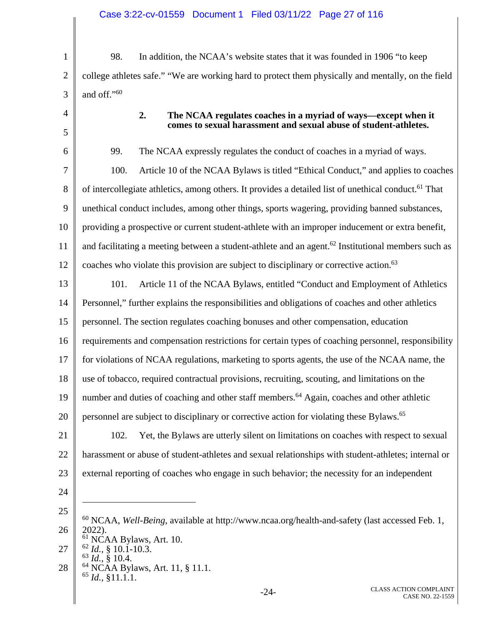1 2 3 98. In addition, the NCAA's website states that it was founded in 1906 "to keep college athletes safe." "We are working hard to protect them physically and mentally, on the field and off."60

4 5

12

## **2. The NCAA regulates coaches in a myriad of ways—except when it comes to sexual harassment and sexual abuse of student-athletes.**

6 7 8 9 10 11 99. The NCAA expressly regulates the conduct of coaches in a myriad of ways. 100. Article 10 of the NCAA Bylaws is titled "Ethical Conduct," and applies to coaches of intercollegiate athletics, among others. It provides a detailed list of unethical conduct.<sup>61</sup> That unethical conduct includes, among other things, sports wagering, providing banned substances, providing a prospective or current student-athlete with an improper inducement or extra benefit, and facilitating a meeting between a student-athlete and an agent.<sup>62</sup> Institutional members such as coaches who violate this provision are subject to disciplinary or corrective action.<sup>63</sup>

13 14 15 16 17 18 19 20 101. Article 11 of the NCAA Bylaws, entitled "Conduct and Employment of Athletics Personnel," further explains the responsibilities and obligations of coaches and other athletics personnel. The section regulates coaching bonuses and other compensation, education requirements and compensation restrictions for certain types of coaching personnel, responsibility for violations of NCAA regulations, marketing to sports agents, the use of the NCAA name, the use of tobacco, required contractual provisions, recruiting, scouting, and limitations on the number and duties of coaching and other staff members.<sup>64</sup> Again, coaches and other athletic personnel are subject to disciplinary or corrective action for violating these Bylaws.<sup>65</sup>

21 22 23 102. Yet, the Bylaws are utterly silent on limitations on coaches with respect to sexual harassment or abuse of student-athletes and sexual relationships with student-athletes; internal or external reporting of coaches who engage in such behavior; the necessity for an independent

24

 $\overline{a}$ 

25

28 64 NCAA Bylaws, Art. 11, § 11.1. 65 *Id.,* §11.1.1.

<sup>26</sup>  60 NCAA, *Well-Being*, available at http://www.ncaa.org/health-and-safety (last accessed Feb. 1, 2022).

<sup>27</sup>  61 NCAA Bylaws, Art. 10. 62 *Id.,* § 10.1-10.3.

<sup>63</sup> *Id.,* § 10.4.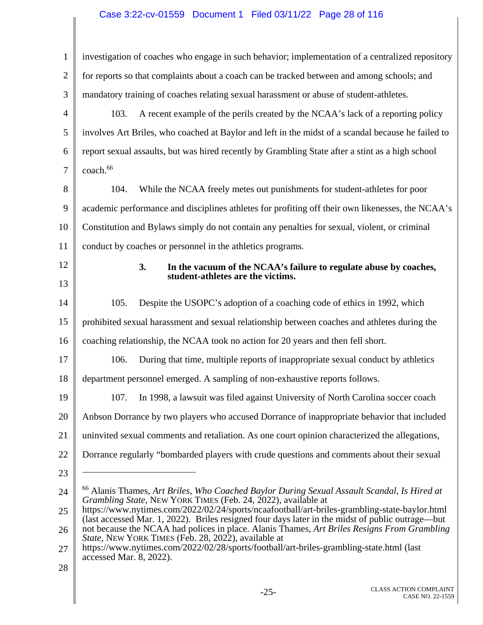# Case 3:22-cv-01559 Document 1 Filed 03/11/22 Page 28 of 116

| 1              | investigation of coaches who engage in such behavior; implementation of a centralized repository                                                                                                  |
|----------------|---------------------------------------------------------------------------------------------------------------------------------------------------------------------------------------------------|
| $\overline{2}$ | for reports so that complaints about a coach can be tracked between and among schools; and                                                                                                        |
| 3              | mandatory training of coaches relating sexual harassment or abuse of student-athletes.                                                                                                            |
| 4              | 103.<br>A recent example of the perils created by the NCAA's lack of a reporting policy                                                                                                           |
| 5              | involves Art Briles, who coached at Baylor and left in the midst of a scandal because he failed to                                                                                                |
| 6              | report sexual assaults, but was hired recently by Grambling State after a stint as a high school                                                                                                  |
| 7              | coach. <sup>66</sup>                                                                                                                                                                              |
| 8              | While the NCAA freely metes out punishments for student-athletes for poor<br>104.                                                                                                                 |
| 9              | academic performance and disciplines athletes for profiting off their own likenesses, the NCAA's                                                                                                  |
| 10             | Constitution and Bylaws simply do not contain any penalties for sexual, violent, or criminal                                                                                                      |
| 11             | conduct by coaches or personnel in the athletics programs.                                                                                                                                        |
| 12             | 3.<br>In the vacuum of the NCAA's failure to regulate abuse by coaches,                                                                                                                           |
| 13             | student-athletes are the victims.                                                                                                                                                                 |
| 14             | 105.<br>Despite the USOPC's adoption of a coaching code of ethics in 1992, which                                                                                                                  |
| 15             | prohibited sexual harassment and sexual relationship between coaches and athletes during the                                                                                                      |
| 16             | coaching relationship, the NCAA took no action for 20 years and then fell short.                                                                                                                  |
| 17             | 106.<br>During that time, multiple reports of inappropriate sexual conduct by athletics                                                                                                           |
| 18             | department personnel emerged. A sampling of non-exhaustive reports follows.                                                                                                                       |
| 19             | 107. In 1998, a lawsuit was filed against University of North Carolina soccer coach                                                                                                               |
| 20             | Anbson Dorrance by two players who accused Dorrance of inappropriate behavior that included                                                                                                       |
| 21             | uninvited sexual comments and retaliation. As one court opinion characterized the allegations,                                                                                                    |
| 22             | Dorrance regularly "bombarded players with crude questions and comments about their sexual                                                                                                        |
| 23             |                                                                                                                                                                                                   |
| 24             | <sup>66</sup> Alanis Thames, Art Briles, Who Coached Baylor During Sexual Assault Scandal, Is Hired at<br>Grambling State, NEW YORK TIMES (Feb. 24, 2022), available at                           |
| 25             | https://www.nytimes.com/2022/02/24/sports/ncaafootball/art-briles-grambling-state-baylor.html<br>(last accessed Mar. 1, 2022). Briles resigned four days later in the midst of public outrage—but |
| 26             | not because the NCAA had polices in place. Alanis Thames, Art Briles Resigns From Grambling<br>State, NEW YORK TIMES (Feb. 28, 2022), available at                                                |
| 27             | https://www.nytimes.com/2022/02/28/sports/football/art-briles-grambling-state.html (last<br>accessed Mar. 8, 2022).                                                                               |
| 28             |                                                                                                                                                                                                   |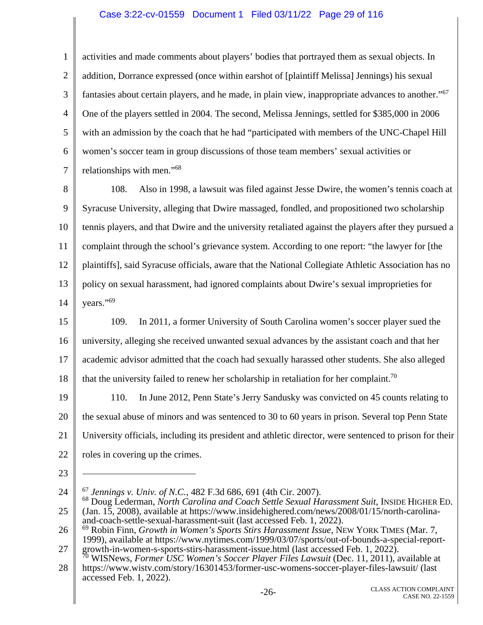### Case 3:22-cv-01559 Document 1 Filed 03/11/22 Page 29 of 116

1 2 3 4 5 6 7 activities and made comments about players' bodies that portrayed them as sexual objects. In addition, Dorrance expressed (once within earshot of [plaintiff Melissa] Jennings) his sexual fantasies about certain players, and he made, in plain view, inappropriate advances to another."<sup>67</sup> One of the players settled in 2004. The second, Melissa Jennings, settled for \$385,000 in 2006 with an admission by the coach that he had "participated with members of the UNC-Chapel Hill women's soccer team in group discussions of those team members' sexual activities or relationships with men."<sup>68</sup>

8 9 10 11 12 13 14 108. Also in 1998, a lawsuit was filed against Jesse Dwire, the women's tennis coach at Syracuse University, alleging that Dwire massaged, fondled, and propositioned two scholarship tennis players, and that Dwire and the university retaliated against the players after they pursued a complaint through the school's grievance system. According to one report: "the lawyer for [the plaintiffs], said Syracuse officials, aware that the National Collegiate Athletic Association has no policy on sexual harassment, had ignored complaints about Dwire's sexual improprieties for years."<sup>69</sup>

15 16 17 18 109. In 2011, a former University of South Carolina women's soccer player sued the university, alleging she received unwanted sexual advances by the assistant coach and that her academic advisor admitted that the coach had sexually harassed other students. She also alleged that the university failed to renew her scholarship in retaliation for her complaint.<sup>70</sup>

- 19 20 21 22 110. In June 2012, Penn State's Jerry Sandusky was convicted on 45 counts relating to the sexual abuse of minors and was sentenced to 30 to 60 years in prison. Several top Penn State University officials, including its president and athletic director, were sentenced to prison for their roles in covering up the crimes.
- 23

 $\overline{a}$ 

<sup>24</sup>  25 <sup>67</sup> *Jennings v. Univ. of N.C.,* 482 F.3d 686, 691 (4th Cir. 2007). 68 Doug Lederman, *North Carolina and Coach Settle Sexual Harassment Suit*, INSIDE HIGHER ED. (Jan. 15, 2008), available at https://www.insidehighered.com/news/2008/01/15/north-carolina-

and-coach-settle-sexual-harassment-suit (last accessed Feb. 1, 2022).

<sup>26</sup>  27 69 Robin Finn, *Growth in Women's Sports Stirs Harassment Issue*, NEW YORK TIMES (Mar. 7, 1999), available at https://www.nytimes.com/1999/03/07/sports/out-of-bounds-a-special-report-

<sup>28</sup>  growth-in-women-s-sports-stirs-harassment-issue.html (last accessed Feb. 1, 2022). 70 WISNews, *Former USC Women's Soccer Player Files Lawsuit* (Dec. 11, 2011), available at https://www.wistv.com/story/16301453/former-usc-womens-soccer-player-files-lawsuit/ (last accessed Feb. 1, 2022).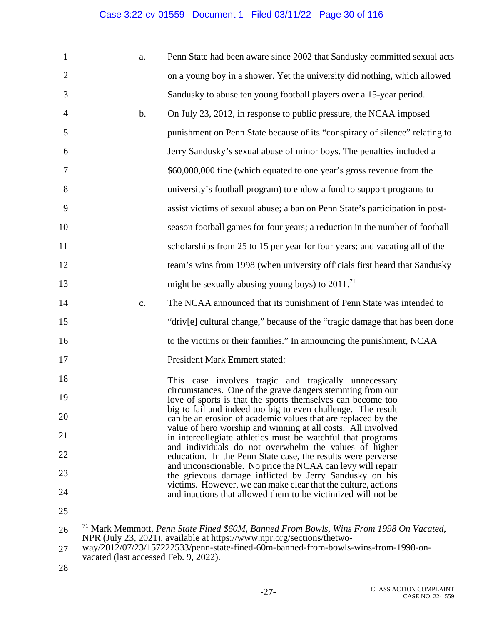# Case 3:22-cv-01559 Document 1 Filed 03/11/22 Page 30 of 116

| 1              | a.                                    | Penn State had been aware since 2002 that Sandusky committed sexual acts                                                                                                    |
|----------------|---------------------------------------|-----------------------------------------------------------------------------------------------------------------------------------------------------------------------------|
| $\overline{2}$ |                                       | on a young boy in a shower. Yet the university did nothing, which allowed                                                                                                   |
| 3              |                                       | Sandusky to abuse ten young football players over a 15-year period.                                                                                                         |
| 4              | b.                                    | On July 23, 2012, in response to public pressure, the NCAA imposed                                                                                                          |
| 5              |                                       | punishment on Penn State because of its "conspiracy of silence" relating to                                                                                                 |
| 6              |                                       | Jerry Sandusky's sexual abuse of minor boys. The penalties included a                                                                                                       |
| 7              |                                       | \$60,000,000 fine (which equated to one year's gross revenue from the                                                                                                       |
| 8              |                                       | university's football program) to endow a fund to support programs to                                                                                                       |
| 9              |                                       | assist victims of sexual abuse; a ban on Penn State's participation in post-                                                                                                |
| 10             |                                       | season football games for four years; a reduction in the number of football                                                                                                 |
| 11             |                                       | scholarships from 25 to 15 per year for four years; and vacating all of the                                                                                                 |
| 12             |                                       | team's wins from 1998 (when university officials first heard that Sandusky                                                                                                  |
| 13             |                                       | might be sexually abusing young boys) to $2011$ <sup>71</sup>                                                                                                               |
| 14             | c.                                    | The NCAA announced that its punishment of Penn State was intended to                                                                                                        |
| 15             |                                       | "driv[e] cultural change," because of the "tragic damage that has been done"                                                                                                |
| 16             |                                       | to the victims or their families." In announcing the punishment, NCAA                                                                                                       |
| 17             |                                       | <b>President Mark Emmert stated:</b>                                                                                                                                        |
| 18             |                                       | This case involves tragic and tragically unnecessary                                                                                                                        |
| 19             |                                       | circumstances. One of the grave dangers stemming from our<br>love of sports is that the sports themselves can become too                                                    |
| 20             |                                       | big to fail and indeed too big to even challenge. The result<br>can be an erosion of academic values that are replaced by the                                               |
| 21             |                                       | value of hero worship and winning at all costs. All involved<br>in intercollegiate athletics must be watchful that programs                                                 |
| 22             |                                       | and individuals do not overwhelm the values of higher<br>education. In the Penn State case, the results were perverse                                                       |
| 23             |                                       | and unconscionable. No price the NCAA can levy will repair<br>the grievous damage inflicted by Jerry Sandusky on his                                                        |
| 24             |                                       | victims. However, we can make clear that the culture, actions<br>and inactions that allowed them to be victimized will not be                                               |
| 25             |                                       |                                                                                                                                                                             |
| 26             |                                       | <sup>71</sup> Mark Memmott, Penn State Fined \$60M, Banned From Bowls, Wins From 1998 On Vacated,<br>NPR (July 23, 2021), available at https://www.npr.org/sections/thetwo- |
| 27             | vacated (last accessed Feb. 9, 2022). | way/2012/07/23/157222533/penn-state-fined-60m-banned-from-bowls-wins-from-1998-on-                                                                                          |
| 28             |                                       |                                                                                                                                                                             |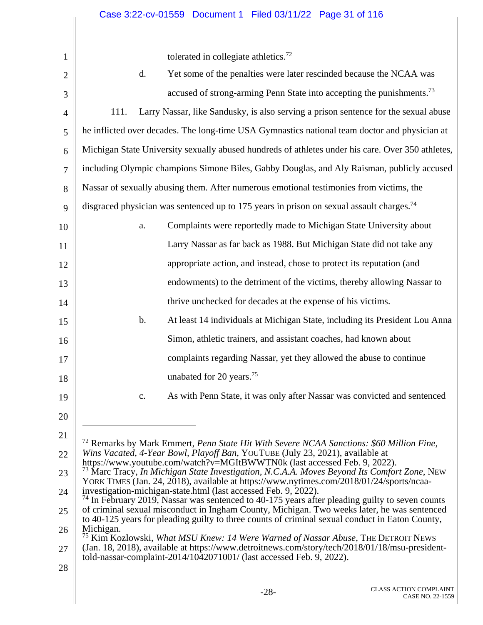tolerated in collegiate athletics<sup>72</sup>

| $\mathbf{1}$   | tolerated in collegiate athletics. <sup>72</sup>                                                                                                                                               |
|----------------|------------------------------------------------------------------------------------------------------------------------------------------------------------------------------------------------|
| $\overline{2}$ | Yet some of the penalties were later rescinded because the NCAA was<br>d.                                                                                                                      |
| 3              | accused of strong-arming Penn State into accepting the punishments. <sup>73</sup>                                                                                                              |
| $\overline{4}$ | 111.<br>Larry Nassar, like Sandusky, is also serving a prison sentence for the sexual abuse                                                                                                    |
| 5              | he inflicted over decades. The long-time USA Gymnastics national team doctor and physician at                                                                                                  |
| 6              | Michigan State University sexually abused hundreds of athletes under his care. Over 350 athletes,                                                                                              |
| $\overline{7}$ | including Olympic champions Simone Biles, Gabby Douglas, and Aly Raisman, publicly accused                                                                                                     |
| 8              | Nassar of sexually abusing them. After numerous emotional testimonies from victims, the                                                                                                        |
| 9              | disgraced physician was sentenced up to 175 years in prison on sexual assault charges. <sup>74</sup>                                                                                           |
| 10             | Complaints were reportedly made to Michigan State University about<br>a.                                                                                                                       |
| 11             | Larry Nassar as far back as 1988. But Michigan State did not take any                                                                                                                          |
| 12             | appropriate action, and instead, chose to protect its reputation (and                                                                                                                          |
| 13             | endowments) to the detriment of the victims, thereby allowing Nassar to                                                                                                                        |
| 14             | thrive unchecked for decades at the expense of his victims.                                                                                                                                    |
| 15             | At least 14 individuals at Michigan State, including its President Lou Anna<br>b.                                                                                                              |
| 16             | Simon, athletic trainers, and assistant coaches, had known about                                                                                                                               |
| 17             | complaints regarding Nassar, yet they allowed the abuse to continue                                                                                                                            |
| 18             | unabated for 20 years. <sup>75</sup>                                                                                                                                                           |
| 19             | As with Penn State, it was only after Nassar was convicted and sentenced<br>c.                                                                                                                 |
| 20             |                                                                                                                                                                                                |
| 21             | <sup>72</sup> Remarks by Mark Emmert, Penn State Hit With Severe NCAA Sanctions: \$60 Million Fine,                                                                                            |
| 22             | Wins Vacated, 4-Year Bowl, Playoff Ban, YOUTUBE (July 23, 2021), available at<br>https://www.youtube.com/watch?v=MGItBWWTN0k (last accessed Feb. 9, 2022).                                     |
| 23             | $^{73}$ Marc Tracy, In Michigan State Investigation, N.C.A.A. Moves Beyond Its Comfort Zone, NEW<br>YORK TIMES (Jan. 24, 2018), available at https://www.nytimes.com/2018/01/24/sports/ncaa-   |
| 24             | investigation-michigan-state.html (last accessed Feb. 9, 2022).<br>$^{74}$ In February 2019, Nassar was sentenced to 40-175 years after pleading guilty to seven counts                        |
| 25             | of criminal sexual misconduct in Ingham County, Michigan. Two weeks later, he was sentenced<br>to 40-125 years for pleading guilty to three counts of criminal sexual conduct in Eaton County, |
| 26             | Michigan.<br><sup>75</sup> Kim Kozlowski, What MSU Knew: 14 Were Warned of Nassar Abuse, THE DETROIT NEWS                                                                                      |
| 27             | (Jan. 18, 2018), available at https://www.detroitnews.com/story/tech/2018/01/18/msu-president-<br>told-nassar-complaint-2014/1042071001/ (last accessed Feb. 9, 2022).                         |
| 28             |                                                                                                                                                                                                |
|                |                                                                                                                                                                                                |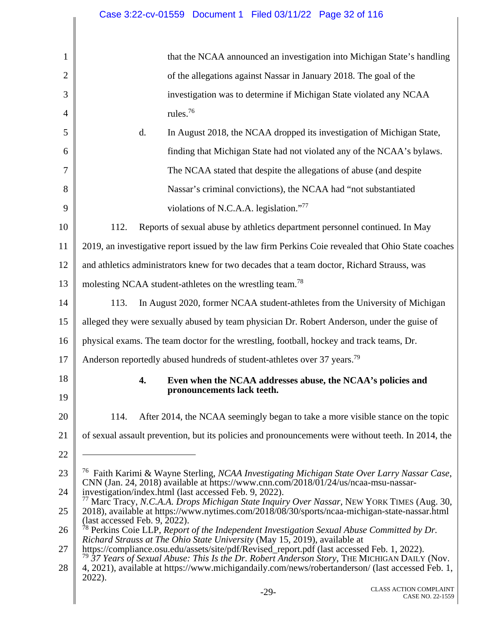#### 1 2 3 4 5 6 7 8 9 10 11 12 13 14 15 16 17 18 19 20 21 22 23 24 25 26 27 28 -29- CLASS ACTION COMPLAINT that the NCAA announced an investigation into Michigan State's handling of the allegations against Nassar in January 2018. The goal of the investigation was to determine if Michigan State violated any NCAA rules.76 d. In August 2018, the NCAA dropped its investigation of Michigan State, finding that Michigan State had not violated any of the NCAA's bylaws. The NCAA stated that despite the allegations of abuse (and despite Nassar's criminal convictions), the NCAA had "not substantiated violations of N.C.A.A. legislation."77 112. Reports of sexual abuse by athletics department personnel continued. In May 2019, an investigative report issued by the law firm Perkins Coie revealed that Ohio State coaches and athletics administrators knew for two decades that a team doctor, Richard Strauss, was molesting NCAA student-athletes on the wrestling team.<sup>78</sup> 113. In August 2020, former NCAA student-athletes from the University of Michigan alleged they were sexually abused by team physician Dr. Robert Anderson, under the guise of physical exams. The team doctor for the wrestling, football, hockey and track teams, Dr. Anderson reportedly abused hundreds of student-athletes over 37 years.<sup>79</sup> **4. Even when the NCAA addresses abuse, the NCAA's policies and pronouncements lack teeth.**  114. After 2014, the NCAA seemingly began to take a more visible stance on the topic of sexual assault prevention, but its policies and pronouncements were without teeth. In 2014, the  $\overline{a}$ 76 Faith Karimi & Wayne Sterling, *NCAA Investigating Michigan State Over Larry Nassar Case*, CNN (Jan. 24, 2018) available at https://www.cnn.com/2018/01/24/us/ncaa-msu-nassarinvestigation/index.html (last accessed Feb. 9, 2022). 77 Marc Tracy, *N.C.A.A. Drops Michigan State Inquiry Over Nassar*, NEW YORK TIMES (Aug. 30, 2018), available at https://www.nytimes.com/2018/08/30/sports/ncaa-michigan-state-nassar.html (last accessed Feb. 9, 2022). 78 Perkins Coie LLP, *Report of the Independent Investigation Sexual Abuse Committed by Dr. Richard Strauss at The Ohio State University* (May 15, 2019), available at https://compliance.osu.edu/assets/site/pdf/Revised\_report.pdf (last accessed Feb. 1, 2022). <sup>79</sup> *37 Years of Sexual Abuse: This Is the Dr. Robert Anderson Story*, THE MICHIGAN DAILY (Nov. 4, 2021), available at https://www.michigandaily.com/news/robertanderson/ (last accessed Feb. 1, 2022). Case 3:22-cv-01559 Document 1 Filed 03/11/22 Page 32 of 116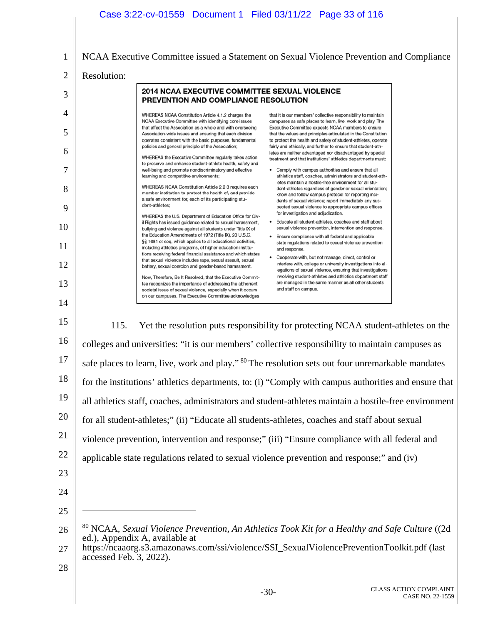|                | Case 3:22-cv-01559  Document 1  Filed 03/11/22  Page 33 of 116                                                                                                                                                                                                                                                                                                                                                                                                                                    |
|----------------|---------------------------------------------------------------------------------------------------------------------------------------------------------------------------------------------------------------------------------------------------------------------------------------------------------------------------------------------------------------------------------------------------------------------------------------------------------------------------------------------------|
|                |                                                                                                                                                                                                                                                                                                                                                                                                                                                                                                   |
| 1              | NCAA Executive Committee issued a Statement on Sexual Violence Prevention and Compliance                                                                                                                                                                                                                                                                                                                                                                                                          |
| $\overline{2}$ | Resolution:                                                                                                                                                                                                                                                                                                                                                                                                                                                                                       |
| 3              | 2014 NCAA EXECUTIVE COMMITTEE SEXUAL VIOLENCE<br>PREVENTION AND COMPLIANCE RESOLUTION                                                                                                                                                                                                                                                                                                                                                                                                             |
| $\overline{4}$ | WHEREAS NCAA Constitution Article 4.1.2 charges the<br>that it is our members' collective responsibility to maintain<br>NCAA Executive Committee with identifying core issues<br>campuses as safe places to learn, live, work and play. The                                                                                                                                                                                                                                                       |
| 5              | that affect the Association as a whole and with overseeing<br>Executive Committee expects NCAA members to ensure<br>Association-wide issues and ensuring that each division<br>that the values and principles articulated in the Constitution<br>operates consistent with the basic purposes, fundamental<br>to protect the health and safety of student-athletes, operate<br>policies and general principle of the Association;<br>fairly and ethically, and further to ensure that student-ath- |
| 6              | letes are neither advantaged nor disadvantaged by special<br>WHEREAS the Executive Committee regularly takes action<br>treatment and that institutions' athletics departments must:<br>to preserve and enhance student-athlete health, safety and                                                                                                                                                                                                                                                 |
| 7              | well-being and promote nondiscriminatory and effective<br>• Comply with campus authorities and ensure that all<br>learning and competitive environments;<br>athletics staff, coaches, administrators and student-ath-<br>letes maintain a hostile-free environment for all stu-                                                                                                                                                                                                                   |
| 8              | WHEREAS NCAA Constitution Article 2.2.3 requires each<br>dent-athletes regardless of gender or sexual orientation;<br>member institution to protect the health of, and provide<br>know and follow campus protocol for reporting inci-<br>a safe environment for, each of its participating stu-<br>dents of sexual violence; report immediately any sus-                                                                                                                                          |
| 9              | dent-athletes:<br>pected sexual violence to appropriate campus offices<br>for investigation and adjudication.<br>WHEREAS the U.S. Department of Education Office for Civ-<br>Educate all student-athletes, coaches and staff about<br>il Rights has issued guidance related to sexual harassment,<br>٠                                                                                                                                                                                            |
| 10             | sexual violence prevention, intervention and response.<br>bullying and violence against all students under Title IX of<br>the Education Amendments of 1972 (Title IX), 20 U.S.C.<br>Ensure compliance with all federal and applicable                                                                                                                                                                                                                                                             |
| 11             | §§ 1681 et seq, which applies to all educational activities,<br>state regulations related to sexual violence prevention<br>including athletics programs, of higher education institu-<br>and response.<br>tions receiving federal financial assistance and which states<br>Cooperate with, but not manage, direct, control or<br>that sexual violence includes rape, sexual assault, sexual                                                                                                       |
| 12             | interfere with, college or university investigations into al-<br>battery, sexual coercion and gender-based harassment.<br>legations of sexual violence, ensuring that investigations<br>involving student-athletes and athletics department staff<br>Now, Therefore, Be It Resolved, that the Executive Commit-                                                                                                                                                                                   |
| 13<br>14       | are managed in the same manner as all other students<br>tee recognizes the importance of addressing the abhorrent<br>and staff on campus.<br>societal issue of sexual violence, especially when it occurs<br>on our campuses. The Executive Committee acknowledges                                                                                                                                                                                                                                |
| 15             |                                                                                                                                                                                                                                                                                                                                                                                                                                                                                                   |
| 16             | 115.<br>Yet the resolution puts responsibility for protecting NCAA student-athletes on the                                                                                                                                                                                                                                                                                                                                                                                                        |
| 17             | colleges and universities: "it is our members' collective responsibility to maintain campuses as                                                                                                                                                                                                                                                                                                                                                                                                  |
| 18             | safe places to learn, live, work and play." <sup>80</sup> The resolution sets out four unremarkable mandates                                                                                                                                                                                                                                                                                                                                                                                      |
|                | for the institutions' athletics departments, to: (i) "Comply with campus authorities and ensure that                                                                                                                                                                                                                                                                                                                                                                                              |
| 19             | all athletics staff, coaches, administrators and student-athletes maintain a hostile-free environment                                                                                                                                                                                                                                                                                                                                                                                             |
| 20             | for all student-athletes;" (ii) "Educate all students-athletes, coaches and staff about sexual                                                                                                                                                                                                                                                                                                                                                                                                    |
| 21             | violence prevention, intervention and response;" (iii) "Ensure compliance with all federal and                                                                                                                                                                                                                                                                                                                                                                                                    |
| 22             | applicable state regulations related to sexual violence prevention and response;" and (iv)                                                                                                                                                                                                                                                                                                                                                                                                        |
| 23             |                                                                                                                                                                                                                                                                                                                                                                                                                                                                                                   |
| 24             |                                                                                                                                                                                                                                                                                                                                                                                                                                                                                                   |
| 25             |                                                                                                                                                                                                                                                                                                                                                                                                                                                                                                   |
| 26             | $80$ NCAA, Sexual Violence Prevention, An Athletics Took Kit for a Healthy and Safe Culture ((2d)<br>ed.), Appendix A, available at                                                                                                                                                                                                                                                                                                                                                               |
| 27             | https://ncaaorg.s3.amazonaws.com/ssi/violence/SSI_SexualViolencePreventionToolkit.pdf (last<br>accessed Feb. 3, 2022).                                                                                                                                                                                                                                                                                                                                                                            |
| 28             |                                                                                                                                                                                                                                                                                                                                                                                                                                                                                                   |
|                | <b>CLASS ACTION COMPLAINT</b><br>$-30-$<br>CASE NO. 22-1559                                                                                                                                                                                                                                                                                                                                                                                                                                       |

Π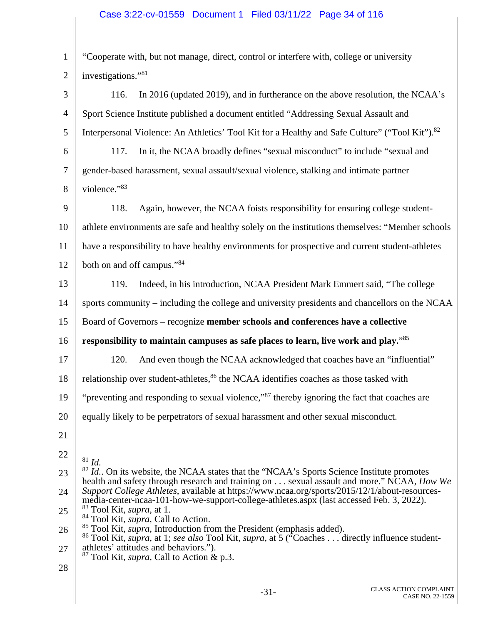## Case 3:22-cv-01559 Document 1 Filed 03/11/22 Page 34 of 116

1 2 "Cooperate with, but not manage, direct, control or interfere with, college or university investigations."<sup>81</sup>

3 4 5 6 7 8 9 10 11 12 13 14 15 16 17 18 19 20 21 22 23 24 25 26 27 28 116. In 2016 (updated 2019), and in furtherance on the above resolution, the NCAA's Sport Science Institute published a document entitled "Addressing Sexual Assault and Interpersonal Violence: An Athletics' Tool Kit for a Healthy and Safe Culture" ("Tool Kit").<sup>82</sup> 117. In it, the NCAA broadly defines "sexual misconduct" to include "sexual and gender-based harassment, sexual assault/sexual violence, stalking and intimate partner violence."<sup>83</sup> 118. Again, however, the NCAA foists responsibility for ensuring college studentathlete environments are safe and healthy solely on the institutions themselves: "Member schools have a responsibility to have healthy environments for prospective and current student-athletes both on and off campus."84 119. Indeed, in his introduction, NCAA President Mark Emmert said, "The college sports community – including the college and university presidents and chancellors on the NCAA Board of Governors – recognize **member schools and conferences have a collective responsibility to maintain campuses as safe places to learn, live work and play.**"<sup>85</sup> 120. And even though the NCAA acknowledged that coaches have an "influential" relationship over student-athletes, $86$  the NCAA identifies coaches as those tasked with "preventing and responding to sexual violence,"<sup>87</sup> thereby ignoring the fact that coaches are equally likely to be perpetrators of sexual harassment and other sexual misconduct.  $\overline{a}$  $81 \, Id.$  $82$  *Id.*. On its website, the NCAA states that the "NCAA's Sports Science Institute promotes health and safety through research and training on . . . sexual assault and more." NCAA, *How We Support College Athletes*, available at https://www.ncaa.org/sports/2015/12/1/about-resourcesmedia-center-ncaa-101-how-we-support-college-athletes.aspx (last accessed Feb. 3, 2022). 83 Tool Kit*, supra,* at 1. <sup>84</sup> Tool Kit, *supra*, Call to Action.<br><sup>85</sup> Tool Kit, *supra*, Introduction from the President (emphasis added). <sup>86</sup> Tool Kit, *supra*, at 1; *see also* Tool Kit, *supra*, at 5 ("Coaches . . . directly influence studentathletes' attitudes and behaviors."). 87 Tool Kit*, supra,* Call to Action & p.3.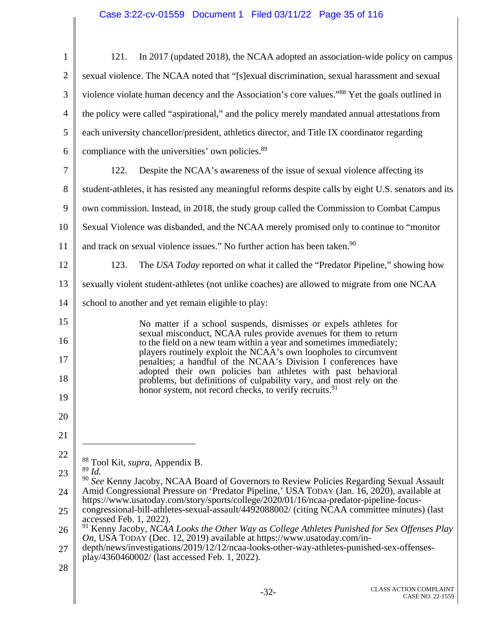| $\mathbf{1}$   | In 2017 (updated 2018), the NCAA adopted an association-wide policy on campus<br>121.                                                                                                                       |
|----------------|-------------------------------------------------------------------------------------------------------------------------------------------------------------------------------------------------------------|
| $\overline{2}$ | sexual violence. The NCAA noted that "[s] exual discrimination, sexual harassment and sexual                                                                                                                |
| 3              | violence violate human decency and the Association's core values." <sup>88</sup> Yet the goals outlined in                                                                                                  |
| $\overline{4}$ | the policy were called "aspirational," and the policy merely mandated annual attestations from                                                                                                              |
| 5              | each university chancellor/president, athletics director, and Title IX coordinator regarding                                                                                                                |
| 6              | compliance with the universities' own policies. <sup>89</sup>                                                                                                                                               |
| $\tau$         | Despite the NCAA's awareness of the issue of sexual violence affecting its<br>122.                                                                                                                          |
| 8              | student-athletes, it has resisted any meaningful reforms despite calls by eight U.S. senators and its                                                                                                       |
| 9              | own commission. Instead, in 2018, the study group called the Commission to Combat Campus                                                                                                                    |
| 10             | Sexual Violence was disbanded, and the NCAA merely promised only to continue to "monitor"                                                                                                                   |
| 11             | and track on sexual violence issues." No further action has been taken. <sup>90</sup>                                                                                                                       |
| 12             | The USA Today reported on what it called the "Predator Pipeline," showing how<br>123.                                                                                                                       |
| 13             | sexually violent student-athletes (not unlike coaches) are allowed to migrate from one NCAA                                                                                                                 |
| 14             | school to another and yet remain eligible to play:                                                                                                                                                          |
| 15             | No matter if a school suspends, dismisses or expels athletes for                                                                                                                                            |
| 16             | sexual misconduct, NCAA rules provide avenues for them to return<br>to the field on a new team within a year and sometimes immediately;<br>players routinely exploit the NCAA's own loopholes to circumvent |
| 17             | penalties; a handful of the NCAA's Division I conferences have<br>adopted their own policies ban athletes with past behavioral                                                                              |
| 18             | problems, but definitions of culpability vary, and most rely on the<br>honor system, not record checks, to verify recruits. <sup>91</sup>                                                                   |
| 19             |                                                                                                                                                                                                             |
| 20             |                                                                                                                                                                                                             |
| 21             |                                                                                                                                                                                                             |
| 22             | <sup>88</sup> Tool Kit, <i>supra</i> , Appendix B.                                                                                                                                                          |
| 23             | $89$ Id.<br><sup>90</sup> See Kenny Jacoby, NCAA Board of Governors to Review Policies Regarding Sexual Assault                                                                                             |
| 24             | Amid Congressional Pressure on 'Predator Pipeline,' USA TODAY (Jan. 16, 2020), available at<br>https://www.usatoday.com/story/sports/college/2020/01/16/ncaa-predator-pipeline-focus-                       |
| 25             | congressional-bill-athletes-sexual-assault/4492088002/ (citing NCAA committee minutes) (last<br>accessed Feb. 1, 2022).                                                                                     |
| 26             | $91$ Kenny Jacoby, NCAA Looks the Other Way as College Athletes Punished for Sex Offenses Play<br>On, USA TODAY (Dec. 12, 2019) available at https://www.usatoday.com/in-                                   |
| 27             | depth/news/investigations/2019/12/12/ncaa-looks-other-way-athletes-punished-sex-offenses-<br>play/4360460002/ (last accessed Feb. 1, 2022).                                                                 |
| 28             |                                                                                                                                                                                                             |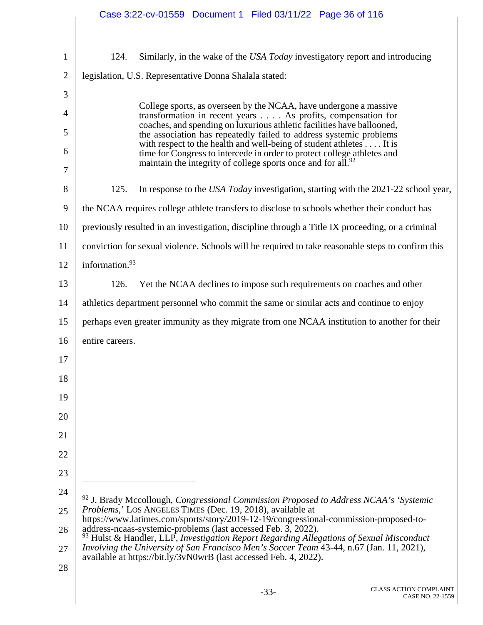|                | Case 3:22-cv-01559 Document 1 Filed 03/11/22 Page 36 of 116                                                                                                   |
|----------------|---------------------------------------------------------------------------------------------------------------------------------------------------------------|
| $\mathbf{1}$   | Similarly, in the wake of the USA Today investigatory report and introducing<br>124.                                                                          |
| $\overline{2}$ | legislation, U.S. Representative Donna Shalala stated:                                                                                                        |
| 3              |                                                                                                                                                               |
| 4              | College sports, as overseen by the NCAA, have undergone a massive<br>transformation in recent years As profits, compensation for                              |
| 5              | coaches, and spending on luxurious athletic facilities have ballooned,<br>the association has repeatedly failed to address systemic problems                  |
| 6              | with respect to the health and well-being of student athletes It is<br>time for Congress to intercede in order to protect college athletes and                |
| 7              | maintain the integrity of college sports once and for all. <sup>92</sup>                                                                                      |
| 8              | 125.<br>In response to the USA Today investigation, starting with the 2021-22 school year,                                                                    |
| 9              | the NCAA requires college athlete transfers to disclose to schools whether their conduct has                                                                  |
| 10             | previously resulted in an investigation, discipline through a Title IX proceeding, or a criminal                                                              |
| 11             | conviction for sexual violence. Schools will be required to take reasonable steps to confirm this                                                             |
| 12             | information. <sup>93</sup>                                                                                                                                    |
| 13             | Yet the NCAA declines to impose such requirements on coaches and other<br>126.                                                                                |
| 14             | athletics department personnel who commit the same or similar acts and continue to enjoy                                                                      |
| 15             | perhaps even greater immunity as they migrate from one NCAA institution to another for their                                                                  |
| 16             | entire careers.                                                                                                                                               |
| 17             |                                                                                                                                                               |
| 18             |                                                                                                                                                               |
| 19             |                                                                                                                                                               |
| 20             |                                                                                                                                                               |
| 21             |                                                                                                                                                               |
| 22             |                                                                                                                                                               |
| 23             |                                                                                                                                                               |
| 24             | $92$ J. Brady Mccollough, Congressional Commission Proposed to Address NCAA's 'Systemic'                                                                      |
| 25             | Problems,' LOS ANGELES TIMES (Dec. 19, 2018), available at<br>https://www.latimes.com/sports/story/2019-12-19/congressional-commission-proposed-to-           |
| 26             | address-ncaas-systemic-problems (last accessed Feb. 3, 2022).<br>$93$ Hulst & Handler, LLP, Investigation Report Regarding Allegations of Sexual Misconduct   |
| 27             | Involving the University of San Francisco Men's Soccer Team 43-44, n.67 (Jan. 11, 2021),<br>available at https://bit.ly/3vN0wrB (last accessed Feb. 4, 2022). |
| 28             |                                                                                                                                                               |
|                |                                                                                                                                                               |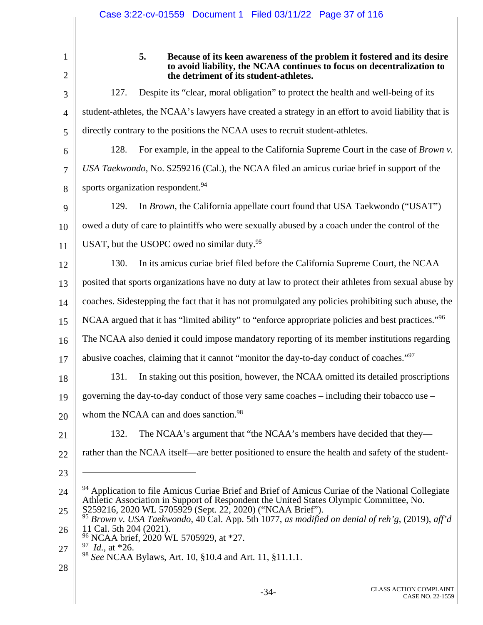|                | Case 3:22-cv-01559  Document 1  Filed 03/11/22  Page 37 of 116                                                                                                                              |
|----------------|---------------------------------------------------------------------------------------------------------------------------------------------------------------------------------------------|
|                |                                                                                                                                                                                             |
| 1              | 5.<br>Because of its keen awareness of the problem it fostered and its desire                                                                                                               |
| $\overline{2}$ | to avoid liability, the NCAA continues to focus on decentralization to<br>the detriment of its student-athletes.                                                                            |
| 3              | Despite its "clear, moral obligation" to protect the health and well-being of its<br>127.                                                                                                   |
| $\overline{4}$ | student-athletes, the NCAA's lawyers have created a strategy in an effort to avoid liability that is                                                                                        |
| 5              | directly contrary to the positions the NCAA uses to recruit student-athletes.                                                                                                               |
| 6              | For example, in the appeal to the California Supreme Court in the case of <i>Brown v</i> .<br>128.                                                                                          |
| 7              | USA Taekwondo, No. S259216 (Cal.), the NCAA filed an amicus curiae brief in support of the                                                                                                  |
| 8              | sports organization respondent. <sup>94</sup>                                                                                                                                               |
| 9              | In <i>Brown</i> , the California appellate court found that USA Taekwondo ("USAT")<br>129.                                                                                                  |
| 10             | owed a duty of care to plaintiffs who were sexually abused by a coach under the control of the                                                                                              |
| 11             | USAT, but the USOPC owed no similar duty. <sup>95</sup>                                                                                                                                     |
| 12             | In its amicus curiae brief filed before the California Supreme Court, the NCAA<br>130.                                                                                                      |
| 13             | posited that sports organizations have no duty at law to protect their athletes from sexual abuse by                                                                                        |
| 14             | coaches. Sidestepping the fact that it has not promulgated any policies prohibiting such abuse, the                                                                                         |
| 15             | NCAA argued that it has "limited ability" to "enforce appropriate policies and best practices." <sup>96</sup>                                                                               |
| 16             | The NCAA also denied it could impose mandatory reporting of its member institutions regarding                                                                                               |
| 17             | abusive coaches, claiming that it cannot "monitor the day-to-day conduct of coaches."97                                                                                                     |
| 18             | 131.<br>In staking out this position, however, the NCAA omitted its detailed proscriptions                                                                                                  |
| 19             | governing the day-to-day conduct of those very same coaches – including their tobacco use –                                                                                                 |
| 20             | whom the NCAA can and does sanction. <sup>98</sup>                                                                                                                                          |
| 21             | 132.<br>The NCAA's argument that "the NCAA's members have decided that they—                                                                                                                |
| 22             | rather than the NCAA itself—are better positioned to ensure the health and safety of the student-                                                                                           |
| 23             |                                                                                                                                                                                             |
| 24             | <sup>94</sup> Application to file Amicus Curiae Brief and Brief of Amicus Curiae of the National Collegiate                                                                                 |
| 25             | Athletic Association in Support of Respondent the United States Olympic Committee, No.<br>S259216, 2020 WL 5705929 (Sept. 22, 2020) ("NCAA Brief").                                         |
| 26             | <sup>95</sup> Brown v. USA Taekwondo, 40 Cal. App. 5th 1077, as modified on denial of reh'g, (2019), aff'd<br>11 Cal. 5th 204 (2021).<br><sup>96</sup> NCAA brief, 2020 WL 5705929, at *27. |
| 27             | $\frac{97}{1}$ <i>Id.</i> , at *26.                                                                                                                                                         |

28

<sup>98</sup> *See* NCAA Bylaws, Art. 10, §10.4 and Art. 11, §11.1.1.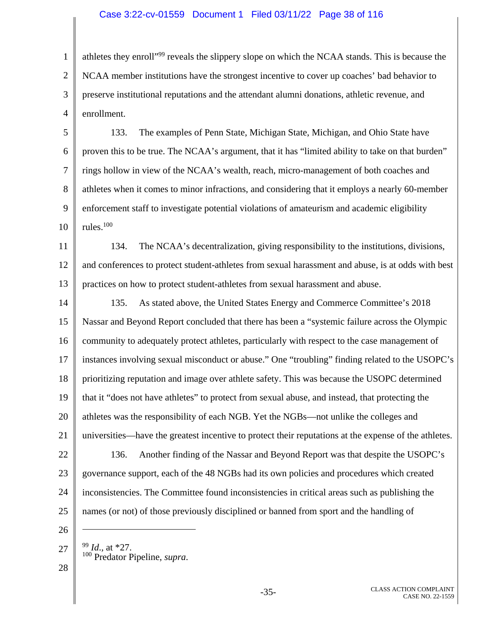### Case 3:22-cv-01559 Document 1 Filed 03/11/22 Page 38 of 116

1 2 3 4 athletes they enroll"99 reveals the slippery slope on which the NCAA stands. This is because the NCAA member institutions have the strongest incentive to cover up coaches' bad behavior to preserve institutional reputations and the attendant alumni donations, athletic revenue, and enrollment.

5 6 7 8 9 10 133. The examples of Penn State, Michigan State, Michigan, and Ohio State have proven this to be true. The NCAA's argument, that it has "limited ability to take on that burden" rings hollow in view of the NCAA's wealth, reach, micro-management of both coaches and athletes when it comes to minor infractions, and considering that it employs a nearly 60-member enforcement staff to investigate potential violations of amateurism and academic eligibility rules.100

11 12 13 134. The NCAA's decentralization, giving responsibility to the institutions, divisions, and conferences to protect student-athletes from sexual harassment and abuse, is at odds with best practices on how to protect student-athletes from sexual harassment and abuse.

14 15 16 17 18 19 20 21 22 23 24 25 135. As stated above, the United States Energy and Commerce Committee's 2018 Nassar and Beyond Report concluded that there has been a "systemic failure across the Olympic community to adequately protect athletes, particularly with respect to the case management of instances involving sexual misconduct or abuse." One "troubling" finding related to the USOPC's prioritizing reputation and image over athlete safety. This was because the USOPC determined that it "does not have athletes" to protect from sexual abuse, and instead, that protecting the athletes was the responsibility of each NGB. Yet the NGBs—not unlike the colleges and universities—have the greatest incentive to protect their reputations at the expense of the athletes. 136. Another finding of the Nassar and Beyond Report was that despite the USOPC's governance support, each of the 48 NGBs had its own policies and procedures which created inconsistencies. The Committee found inconsistencies in critical areas such as publishing the names (or not) of those previously disciplined or banned from sport and the handling of

26

 $\overline{a}$ 

- 100 Predator Pipeline, *supra*.
- 28

27

<sup>99</sup> *Id*.*,* at \*27.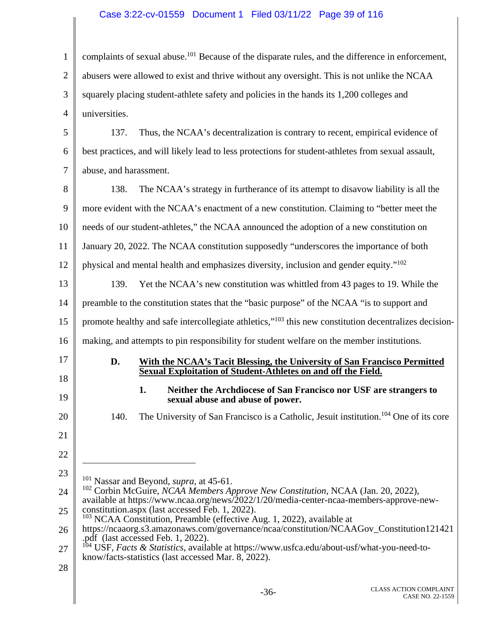## Case 3:22-cv-01559 Document 1 Filed 03/11/22 Page 39 of 116

| 1              | complaints of sexual abuse. <sup>101</sup> Because of the disparate rules, and the difference in enforcement,                                                                         |  |  |
|----------------|---------------------------------------------------------------------------------------------------------------------------------------------------------------------------------------|--|--|
| $\overline{2}$ | abusers were allowed to exist and thrive without any oversight. This is not unlike the NCAA                                                                                           |  |  |
| 3              | squarely placing student-athlete safety and policies in the hands its 1,200 colleges and                                                                                              |  |  |
| 4              | universities.                                                                                                                                                                         |  |  |
| 5              | 137.<br>Thus, the NCAA's decentralization is contrary to recent, empirical evidence of                                                                                                |  |  |
| 6              | best practices, and will likely lead to less protections for student-athletes from sexual assault,                                                                                    |  |  |
| 7              | abuse, and harassment.                                                                                                                                                                |  |  |
| 8              | 138.<br>The NCAA's strategy in furtherance of its attempt to disavow liability is all the                                                                                             |  |  |
| 9              | more evident with the NCAA's enactment of a new constitution. Claiming to "better meet the                                                                                            |  |  |
| 10             | needs of our student-athletes," the NCAA announced the adoption of a new constitution on                                                                                              |  |  |
| 11             | January 20, 2022. The NCAA constitution supposedly "underscores the importance of both                                                                                                |  |  |
| 12             | physical and mental health and emphasizes diversity, inclusion and gender equity." <sup>102</sup>                                                                                     |  |  |
| 13             | 139.<br>Yet the NCAA's new constitution was whittled from 43 pages to 19. While the                                                                                                   |  |  |
| 14             | preamble to the constitution states that the "basic purpose" of the NCAA "is to support and                                                                                           |  |  |
| 15             | promote healthy and safe intercollegiate athletics," <sup>103</sup> this new constitution decentralizes decision-                                                                     |  |  |
| 16             | making, and attempts to pin responsibility for student welfare on the member institutions.                                                                                            |  |  |
| 17             | With the NCAA's Tacit Blessing, the University of San Francisco Permitted<br>D.<br>Sexual Exploitation of Student-Athletes on and off the Field.                                      |  |  |
| 18             | Neither the Archdiocese of San Francisco nor USF are strangers to<br>1.                                                                                                               |  |  |
| 19             | sexual abuse and abuse of power.                                                                                                                                                      |  |  |
| 20             | The University of San Francisco is a Catholic, Jesuit institution. <sup>104</sup> One of its core<br>140.                                                                             |  |  |
| 21             |                                                                                                                                                                                       |  |  |
| 22             |                                                                                                                                                                                       |  |  |
| 23             | $101$ Nassar and Beyond, <i>supra</i> , at 45-61.                                                                                                                                     |  |  |
| 24             | $102$ Corbin McGuire, <i>NCAA Members Approve New Constitution</i> , NCAA (Jan. 20, 2022),<br>available at https://www.ncaa.org/news/2022/1/20/media-center-ncaa-members-approve-new- |  |  |
| 25             | constitution.aspx (last accessed Feb. 1, 2022).<br>$103$ NCAA Constitution, Preamble (effective Aug. 1, 2022), available at                                                           |  |  |
| 26             | https://ncaaorg.s3.amazonaws.com/governance/ncaa/constitution/NCAAGov_Constitution121421<br>.pdf (last accessed Feb. 1, 2022).                                                        |  |  |
| 27             | USF, Facts & Statistics, available at https://www.usfca.edu/about-usf/what-you-need-to-<br>know/facts-statistics (last accessed Mar. 8, 2022).                                        |  |  |
| 28             |                                                                                                                                                                                       |  |  |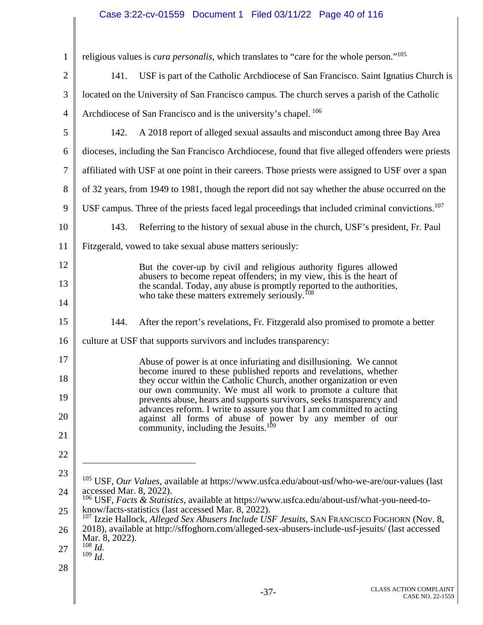## Case 3:22-cv-01559 Document 1 Filed 03/11/22 Page 40 of 116

| $\mathbf{1}$   |                                                                                                                                                              | religious values is <i>cura personalis</i> , which translates to "care for the whole person." <sup>105</sup>                                   |
|----------------|--------------------------------------------------------------------------------------------------------------------------------------------------------------|------------------------------------------------------------------------------------------------------------------------------------------------|
| $\overline{2}$ | 141.                                                                                                                                                         | USF is part of the Catholic Archdiocese of San Francisco. Saint Ignatius Church is                                                             |
| 3              |                                                                                                                                                              | located on the University of San Francisco campus. The church serves a parish of the Catholic                                                  |
| 4              |                                                                                                                                                              | Archdiocese of San Francisco and is the university's chapel. <sup>106</sup>                                                                    |
| 5              | 142.                                                                                                                                                         | A 2018 report of alleged sexual assaults and misconduct among three Bay Area                                                                   |
| 6              |                                                                                                                                                              | dioceses, including the San Francisco Archdiocese, found that five alleged offenders were priests                                              |
| 7              |                                                                                                                                                              | affiliated with USF at one point in their careers. Those priests were assigned to USF over a span                                              |
| 8              |                                                                                                                                                              | of 32 years, from 1949 to 1981, though the report did not say whether the abuse occurred on the                                                |
| 9              |                                                                                                                                                              | USF campus. Three of the priests faced legal proceedings that included criminal convictions. <sup>107</sup>                                    |
| 10             | 143.                                                                                                                                                         | Referring to the history of sexual abuse in the church, USF's president, Fr. Paul                                                              |
| 11             |                                                                                                                                                              | Fitzgerald, vowed to take sexual abuse matters seriously:                                                                                      |
| 12             |                                                                                                                                                              | But the cover-up by civil and religious authority figures allowed                                                                              |
| 13             |                                                                                                                                                              | abusers to become repeat offenders; in my view, this is the heart of<br>the scandal. Today, any abuse is promptly reported to the authorities, |
| 14             |                                                                                                                                                              | who take these matters extremely seriously. <sup>108</sup>                                                                                     |
| 15             | 144.                                                                                                                                                         | After the report's revelations, Fr. Fitzgerald also promised to promote a better                                                               |
| 16             |                                                                                                                                                              | culture at USF that supports survivors and includes transparency:                                                                              |
| 17             |                                                                                                                                                              | Abuse of power is at once infuriating and disillusioning. We cannot<br>become inured to these published reports and revelations, whether       |
| 18             |                                                                                                                                                              | they occur within the Catholic Church, another organization or even<br>our own community. We must all work to promote a culture that           |
| 19             |                                                                                                                                                              | prevents abuse, hears and supports survivors, seeks transparency and<br>advances reform. I write to assure you that I am committed to acting   |
| 20             |                                                                                                                                                              | against all forms of abuse of power by any member of our<br>community, including the Jesuits. <sup>109</sup>                                   |
| 21             |                                                                                                                                                              |                                                                                                                                                |
| 22             |                                                                                                                                                              |                                                                                                                                                |
| 23             |                                                                                                                                                              | $105$ USF, <i>Our Values</i> , available at https://www.usfca.edu/about-usf/who-we-are/our-values (last                                        |
| 24             | accessed Mar. 8, 2022).                                                                                                                                      | <sup>106</sup> USF, <i>Facts &amp; Statistics</i> , available at https://www.usfca.edu/about-usf/what-you-need-to-                             |
| 25             | know/facts-statistics (last accessed Mar. 8, 2022).<br><sup>107</sup> Izzie Hallock, Alleged Sex Abusers Include USF Jesuits, SAN FRANCISCO FOGHORN (Nov. 8, |                                                                                                                                                |
| 26             | Mar. 8, 2022).                                                                                                                                               | 2018), available at http://sffoghorn.com/alleged-sex-abusers-include-usf-jesuits/ (last accessed                                               |
| 27             | $108$ <i>Id.</i><br>$109$ <i>Id.</i>                                                                                                                         |                                                                                                                                                |
| 28             |                                                                                                                                                              |                                                                                                                                                |
|                |                                                                                                                                                              |                                                                                                                                                |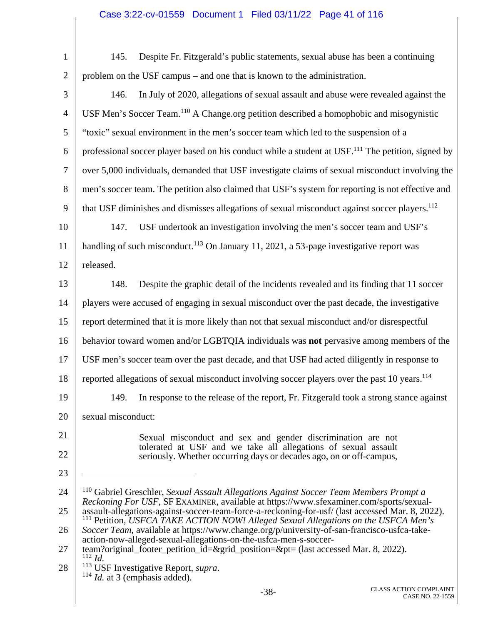## Case 3:22-cv-01559 Document 1 Filed 03/11/22 Page 41 of 116

| $\mathbf{1}$   | Despite Fr. Fitzgerald's public statements, sexual abuse has been a continuing<br>145.                                                                                                      |
|----------------|---------------------------------------------------------------------------------------------------------------------------------------------------------------------------------------------|
| $\overline{2}$ | problem on the USF campus – and one that is known to the administration.                                                                                                                    |
| 3              | In July of 2020, allegations of sexual assault and abuse were revealed against the<br>146.                                                                                                  |
| $\overline{4}$ | USF Men's Soccer Team. <sup>110</sup> A Change.org petition described a homophobic and misogynistic                                                                                         |
| 5              | "toxic" sexual environment in the men's soccer team which led to the suspension of a                                                                                                        |
| 6              | professional soccer player based on his conduct while a student at USF. <sup>111</sup> The petition, signed by                                                                              |
| 7              | over 5,000 individuals, demanded that USF investigate claims of sexual misconduct involving the                                                                                             |
| 8              | men's soccer team. The petition also claimed that USF's system for reporting is not effective and                                                                                           |
| 9              | that USF diminishes and dismisses allegations of sexual misconduct against soccer players. <sup>112</sup>                                                                                   |
| 10             | USF undertook an investigation involving the men's soccer team and USF's<br>147.                                                                                                            |
| 11             | handling of such misconduct. <sup>113</sup> On January 11, 2021, a 53-page investigative report was                                                                                         |
| 12             | released.                                                                                                                                                                                   |
| 13             | Despite the graphic detail of the incidents revealed and its finding that 11 soccer<br>148.                                                                                                 |
| 14             | players were accused of engaging in sexual misconduct over the past decade, the investigative                                                                                               |
| 15             | report determined that it is more likely than not that sexual misconduct and/or disrespectful                                                                                               |
| 16             | behavior toward women and/or LGBTQIA individuals was not pervasive among members of the                                                                                                     |
| 17             | USF men's soccer team over the past decade, and that USF had acted diligently in response to                                                                                                |
| 18             | reported allegations of sexual misconduct involving soccer players over the past 10 years. <sup>114</sup>                                                                                   |
| 19             | 149. In response to the release of the report, Fr. Fitzgerald took a strong stance against                                                                                                  |
| 20             | sexual misconduct:                                                                                                                                                                          |
| 21             | Sexual misconduct and sex and gender discrimination are not                                                                                                                                 |
| 22             | tolerated at USF and we take all allegations of sexual assault<br>seriously. Whether occurring days or decades ago, on or off-campus,                                                       |
| 23             |                                                                                                                                                                                             |
| 24             | <sup>110</sup> Gabriel Greschler, Sexual Assault Allegations Against Soccer Team Members Prompt a<br>Reckoning For USF, SF EXAMINER, available at https://www.sfexaminer.com/sports/sexual- |
| 25             | assault-allegations-against-soccer-team-force-a-reckoning-for-usf/ (last accessed Mar. 8, 2022).<br>Petition, USFCA TAKE ACTION NOW! Alleged Sexual Allegations on the USFCA Men's          |
| 26             | Soccer Team, available at https://www.change.org/p/university-of-san-francisco-usfca-take-<br>action-now-alleged-sexual-allegations-on-the-usfca-men-s-soccer-                              |
| 27             | team?original_footer_petition_id=&grid_position=&pt= (last accessed Mar. 8, 2022).<br>$112$ <i>Id.</i>                                                                                      |
| 28             | 113<br>USF Investigative Report, supra.<br>$114$ <i>Id.</i> at 3 (emphasis added).                                                                                                          |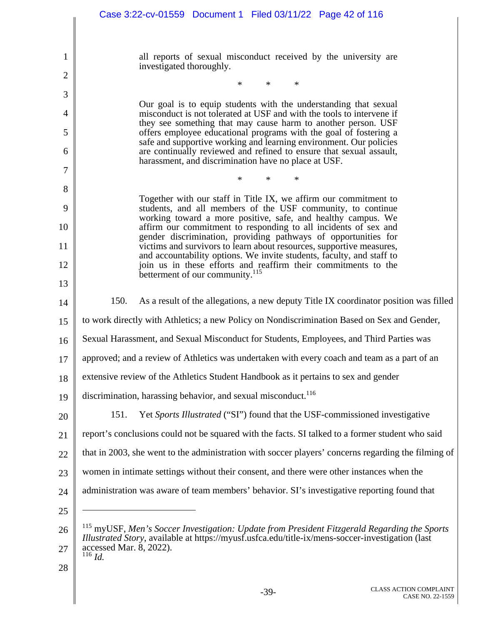|         | Case 3:22-cv-01559  Document 1  Filed 03/11/22  Page 42 of 116                                                                                                                                                 |
|---------|----------------------------------------------------------------------------------------------------------------------------------------------------------------------------------------------------------------|
|         |                                                                                                                                                                                                                |
| 1       | all reports of sexual misconduct received by the university are<br>investigated thoroughly.                                                                                                                    |
| 2       | ∗<br>∗<br>*                                                                                                                                                                                                    |
| 3       | Our goal is to equip students with the understanding that sexual                                                                                                                                               |
| 4       | misconduct is not tolerated at USF and with the tools to intervene if<br>they see something that may cause harm to another person. USF                                                                         |
| 5<br>6  | offers employee educational programs with the goal of fostering a<br>safe and supportive working and learning environment. Our policies<br>are continually reviewed and refined to ensure that sexual assault, |
|         | harassment, and discrimination have no place at USF.                                                                                                                                                           |
| 7       | ∗                                                                                                                                                                                                              |
| 8       | Together with our staff in Title IX, we affirm our commitment to                                                                                                                                               |
| 9<br>10 | students, and all members of the USF community, to continue<br>working toward a more positive, safe, and healthy campus. We<br>affirm our commitment to responding to all incidents of sex and                 |
| 11      | gender discrimination, providing pathways of opportunities for<br>victims and survivors to learn about resources, supportive measures,                                                                         |
| 12      | and accountability options. We invite students, faculty, and staff to<br>join us in these efforts and reaffirm their commitments to the                                                                        |
| 13      | betterment of our community. <sup>115</sup>                                                                                                                                                                    |
| 14      | 150.<br>As a result of the allegations, a new deputy Title IX coordinator position was filled                                                                                                                  |
| 15      | to work directly with Athletics; a new Policy on Nondiscrimination Based on Sex and Gender,                                                                                                                    |
| 16      | Sexual Harassment, and Sexual Misconduct for Students, Employees, and Third Parties was                                                                                                                        |
| 17      | approved; and a review of Athletics was undertaken with every coach and team as a part of an                                                                                                                   |
| 18      | extensive review of the Athletics Student Handbook as it pertains to sex and gender                                                                                                                            |
| 19      | discrimination, harassing behavior, and sexual misconduct. <sup>116</sup>                                                                                                                                      |
| 20      | Yet Sports Illustrated ("SI") found that the USF-commissioned investigative<br>151.                                                                                                                            |
| 21      | report's conclusions could not be squared with the facts. SI talked to a former student who said                                                                                                               |
| 22      | that in 2003, she went to the administration with soccer players' concerns regarding the filming of                                                                                                            |
| 23      | women in intimate settings without their consent, and there were other instances when the                                                                                                                      |
| 24      | administration was aware of team members' behavior. SI's investigative reporting found that                                                                                                                    |
| 25      |                                                                                                                                                                                                                |
| 26      | $115$ myUSF, Men's Soccer Investigation: Update from President Fitzgerald Regarding the Sports                                                                                                                 |
| 27      | Illustrated Story, available at https://myusf.usfca.edu/title-ix/mens-soccer-investigation (last<br>accessed Mar. 8, 2022).<br>$116$ <i>Id.</i>                                                                |
| 28      |                                                                                                                                                                                                                |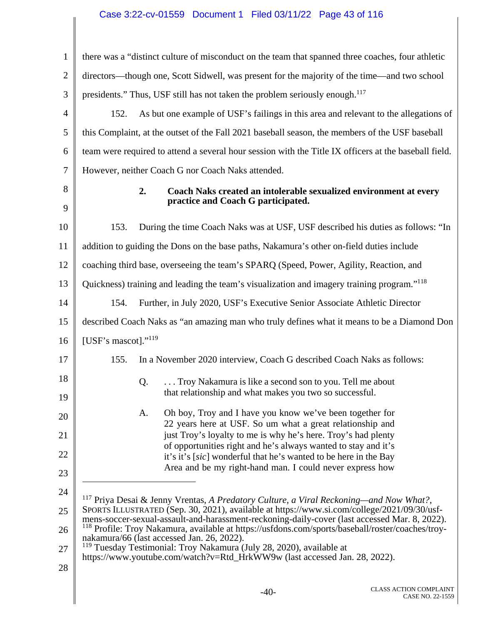## Case 3:22-cv-01559 Document 1 Filed 03/11/22 Page 43 of 116

| 1              | there was a "distinct culture of misconduct on the team that spanned three coaches, four athletic                                                                                            |
|----------------|----------------------------------------------------------------------------------------------------------------------------------------------------------------------------------------------|
| $\overline{2}$ | directors—though one, Scott Sidwell, was present for the majority of the time—and two school                                                                                                 |
| 3              | presidents." Thus, USF still has not taken the problem seriously enough. <sup>117</sup>                                                                                                      |
| $\overline{4}$ | As but one example of USF's failings in this area and relevant to the allegations of<br>152.                                                                                                 |
| 5              | this Complaint, at the outset of the Fall 2021 baseball season, the members of the USF baseball                                                                                              |
| 6              | team were required to attend a several hour session with the Title IX officers at the baseball field.                                                                                        |
| 7              | However, neither Coach G nor Coach Naks attended.                                                                                                                                            |
| 8<br>9         | 2.<br>Coach Naks created an intolerable sexualized environment at every<br>practice and Coach G participated.                                                                                |
| 10             | 153.<br>During the time Coach Naks was at USF, USF described his duties as follows: "In                                                                                                      |
| 11             | addition to guiding the Dons on the base paths, Nakamura's other on-field duties include                                                                                                     |
| 12             | coaching third base, overseeing the team's SPARQ (Speed, Power, Agility, Reaction, and                                                                                                       |
| 13             | Quickness) training and leading the team's visualization and imagery training program." <sup>118</sup>                                                                                       |
| 14             | Further, in July 2020, USF's Executive Senior Associate Athletic Director<br>154.                                                                                                            |
| 15             | described Coach Naks as "an amazing man who truly defines what it means to be a Diamond Don                                                                                                  |
| 16             | [USF's mascot]." $119$                                                                                                                                                                       |
| 17             | 155.<br>In a November 2020 interview, Coach G described Coach Naks as follows:                                                                                                               |
| 18             | Troy Nakamura is like a second son to you. Tell me about<br>Q.                                                                                                                               |
| 19             | that relationship and what makes you two so successful.                                                                                                                                      |
| 20             | Oh boy, Troy and I have you know we've been together for<br>A.<br>22 years here at USF. So um what a great relationship and                                                                  |
| 21             | just Troy's loyalty to me is why he's here. Troy's had plenty                                                                                                                                |
| 22             | of opportunities right and he's always wanted to stay and it's<br>it's it's [sic] wonderful that he's wanted to be here in the Bay                                                           |
| 23             | Area and be my right-hand man. I could never express how                                                                                                                                     |
| 24             | <sup>117</sup> Priva Desai & Jenny Vrentas, A Predatory Culture, a Viral Reckoning—and Now What?,                                                                                            |
| 25             | SPORTS ILLUSTRATED (Sep. 30, 2021), available at https://www.si.com/college/2021/09/30/usf-<br>mens-soccer-sexual-assault-and-harassment-reckoning-daily-cover (last accessed Mar. 8, 2022). |
| 26             | <sup>118</sup> Profile: Troy Nakamura, available at https://usfdons.com/sports/baseball/roster/coaches/troy-<br>nakamura/66 (last accessed Jan. 26, 2022).                                   |
| 27             | <sup>119</sup> Tuesday Testimonial: Troy Nakamura (July 28, 2020), available at<br>https://www.youtube.com/watch?v=Rtd_HrkWW9w (last accessed Jan. 28, 2022).                                |
| 28             |                                                                                                                                                                                              |
|                |                                                                                                                                                                                              |

Π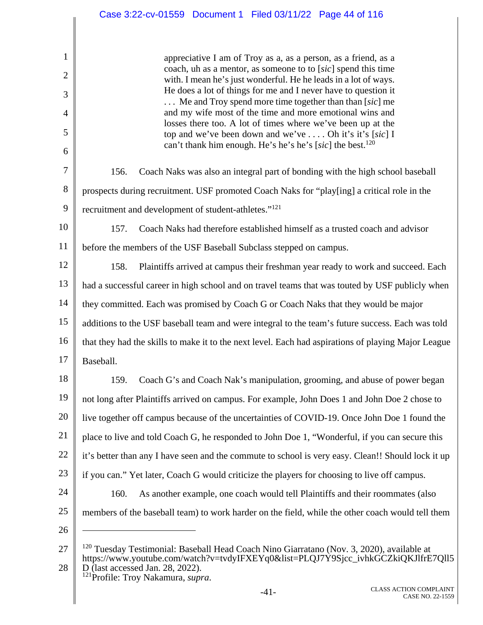appreciative I am of Troy as a, as a person, as a friend, as a coach, uh as a mentor, as someone to to [*sic*] spend this time with. I mean he's just wonderful. He he leads in a lot of ways. He does a lot of things for me and I never have to question it . . . Me and Troy spend more time together than than [*sic*] me and my wife most of the time and more emotional wins and losses there too. A lot of times where we've been up at the top and we've been down and we've . . . . Oh it's it's [*sic*] I can't thank him enough. He's he's he's [*sic*] the best.<sup>120</sup>

156. Coach Naks was also an integral part of bonding with the high school baseball prospects during recruitment. USF promoted Coach Naks for "play[ing] a critical role in the recruitment and development of student-athletes."<sup>121</sup>

10 11 157. Coach Naks had therefore established himself as a trusted coach and advisor before the members of the USF Baseball Subclass stepped on campus.

12 13 14 15 16 17 158. Plaintiffs arrived at campus their freshman year ready to work and succeed. Each had a successful career in high school and on travel teams that was touted by USF publicly when they committed. Each was promised by Coach G or Coach Naks that they would be major additions to the USF baseball team and were integral to the team's future success. Each was told that they had the skills to make it to the next level. Each had aspirations of playing Major League Baseball.

18 19 20 21 22 23 24 159. Coach G's and Coach Nak's manipulation, grooming, and abuse of power began not long after Plaintiffs arrived on campus. For example, John Does 1 and John Doe 2 chose to live together off campus because of the uncertainties of COVID-19. Once John Doe 1 found the place to live and told Coach G, he responded to John Doe 1, "Wonderful, if you can secure this it's better than any I have seen and the commute to school is very easy. Clean!! Should lock it up if you can." Yet later, Coach G would criticize the players for choosing to live off campus. 160. As another example, one coach would tell Plaintiffs and their roommates (also

25

1

2

3

4

5

6

7

8

9

26

 $\overline{a}$ 

members of the baseball team) to work harder on the field, while the other coach would tell them

<sup>27</sup>  28 <sup>120</sup> Tuesday Testimonial: Baseball Head Coach Nino Giarratano (Nov. 3, 2020), available at https://www.youtube.com/watch?v=tvdyIFXEYq0&list=PLQJ7Y9Sjcc\_ivhkGCZkiQKJlfrE7Qll5 D (last accessed Jan. 28, 2022). 121Profile: Troy Nakamura, *supra*.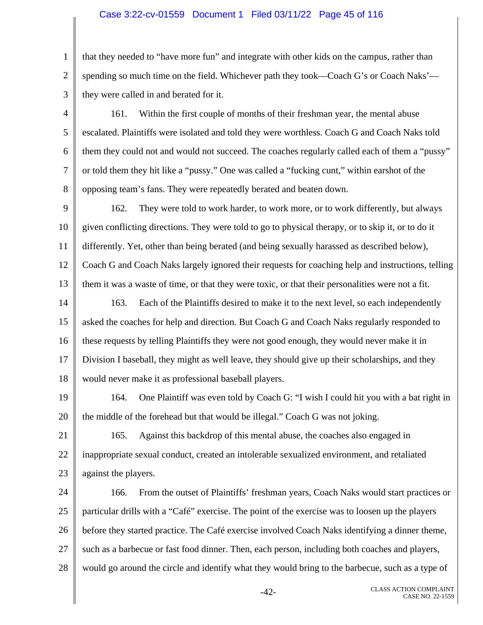### Case 3:22-cv-01559 Document 1 Filed 03/11/22 Page 45 of 116

1 2 3 that they needed to "have more fun" and integrate with other kids on the campus, rather than spending so much time on the field. Whichever path they took—Coach G's or Coach Naks' they were called in and berated for it.

4 5 6 7 8 161. Within the first couple of months of their freshman year, the mental abuse escalated. Plaintiffs were isolated and told they were worthless. Coach G and Coach Naks told them they could not and would not succeed. The coaches regularly called each of them a "pussy" or told them they hit like a "pussy." One was called a "fucking cunt," within earshot of the opposing team's fans. They were repeatedly berated and beaten down.

9 10 11 12 13 162. They were told to work harder, to work more, or to work differently, but always given conflicting directions. They were told to go to physical therapy, or to skip it, or to do it differently. Yet, other than being berated (and being sexually harassed as described below), Coach G and Coach Naks largely ignored their requests for coaching help and instructions, telling them it was a waste of time, or that they were toxic, or that their personalities were not a fit.

14 15 16 17 18 163. Each of the Plaintiffs desired to make it to the next level, so each independently asked the coaches for help and direction. But Coach G and Coach Naks regularly responded to these requests by telling Plaintiffs they were not good enough, they would never make it in Division I baseball, they might as well leave, they should give up their scholarships, and they would never make it as professional baseball players.

19 20 164. One Plaintiff was even told by Coach G: "I wish I could hit you with a bat right in the middle of the forehead but that would be illegal." Coach G was not joking.

21 22 23 165. Against this backdrop of this mental abuse, the coaches also engaged in inappropriate sexual conduct, created an intolerable sexualized environment, and retaliated against the players.

24 25 26 27 28 166. From the outset of Plaintiffs' freshman years, Coach Naks would start practices or particular drills with a "Café" exercise. The point of the exercise was to loosen up the players before they started practice. The Café exercise involved Coach Naks identifying a dinner theme, such as a barbecue or fast food dinner. Then, each person, including both coaches and players, would go around the circle and identify what they would bring to the barbecue, such as a type of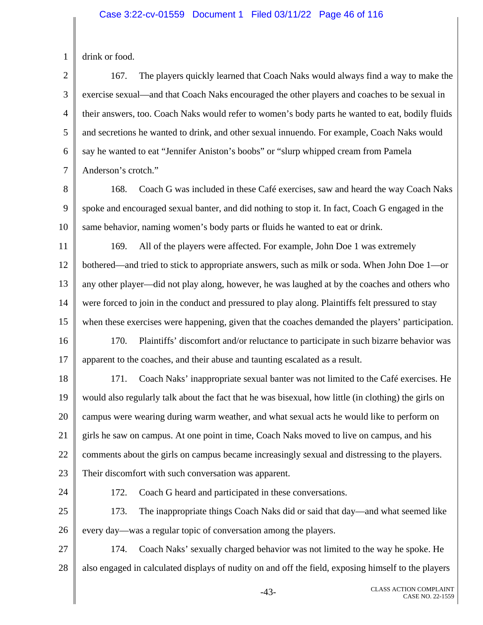#### Case 3:22-cv-01559 Document 1 Filed 03/11/22 Page 46 of 116

1 drink or food.

2 3 4 5 6 7 167. The players quickly learned that Coach Naks would always find a way to make the exercise sexual—and that Coach Naks encouraged the other players and coaches to be sexual in their answers, too. Coach Naks would refer to women's body parts he wanted to eat, bodily fluids and secretions he wanted to drink, and other sexual innuendo. For example, Coach Naks would say he wanted to eat "Jennifer Aniston's boobs" or "slurp whipped cream from Pamela Anderson's crotch."

8 9 10 168. Coach G was included in these Café exercises, saw and heard the way Coach Naks spoke and encouraged sexual banter, and did nothing to stop it. In fact, Coach G engaged in the same behavior, naming women's body parts or fluids he wanted to eat or drink.

11 12 13 14 15 169. All of the players were affected. For example, John Doe 1 was extremely bothered—and tried to stick to appropriate answers, such as milk or soda. When John Doe 1—or any other player—did not play along, however, he was laughed at by the coaches and others who were forced to join in the conduct and pressured to play along. Plaintiffs felt pressured to stay when these exercises were happening, given that the coaches demanded the players' participation.

16 17 170. Plaintiffs' discomfort and/or reluctance to participate in such bizarre behavior was apparent to the coaches, and their abuse and taunting escalated as a result.

18 19 20 21 22 23 171. Coach Naks' inappropriate sexual banter was not limited to the Café exercises. He would also regularly talk about the fact that he was bisexual, how little (in clothing) the girls on campus were wearing during warm weather, and what sexual acts he would like to perform on girls he saw on campus. At one point in time, Coach Naks moved to live on campus, and his comments about the girls on campus became increasingly sexual and distressing to the players. Their discomfort with such conversation was apparent.

24

172. Coach G heard and participated in these conversations.

25 26 173. The inappropriate things Coach Naks did or said that day—and what seemed like every day—was a regular topic of conversation among the players.

27 28 174. Coach Naks' sexually charged behavior was not limited to the way he spoke. He also engaged in calculated displays of nudity on and off the field, exposing himself to the players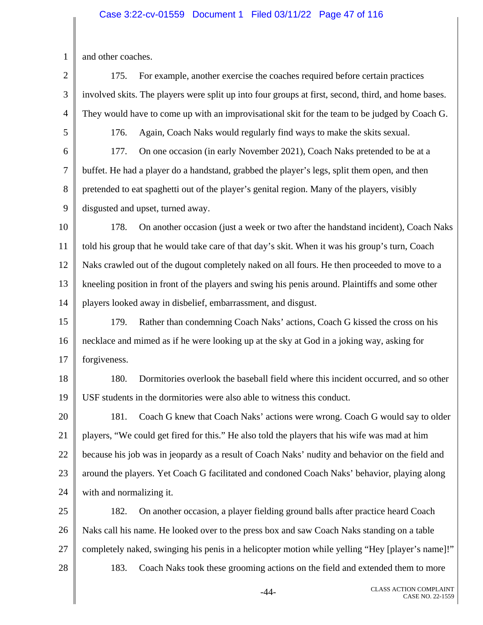### Case 3:22-cv-01559 Document 1 Filed 03/11/22 Page 47 of 116

1 and other coaches.

2 3 4 5 6 7 8 9 10 11 12 13 14 15 16 17 18 19 20 21 22 23 24 25 26 27 28 175. For example, another exercise the coaches required before certain practices involved skits. The players were split up into four groups at first, second, third, and home bases. They would have to come up with an improvisational skit for the team to be judged by Coach G. 176. Again, Coach Naks would regularly find ways to make the skits sexual. 177. On one occasion (in early November 2021), Coach Naks pretended to be at a buffet. He had a player do a handstand, grabbed the player's legs, split them open, and then pretended to eat spaghetti out of the player's genital region. Many of the players, visibly disgusted and upset, turned away. 178. On another occasion (just a week or two after the handstand incident), Coach Naks told his group that he would take care of that day's skit. When it was his group's turn, Coach Naks crawled out of the dugout completely naked on all fours. He then proceeded to move to a kneeling position in front of the players and swing his penis around. Plaintiffs and some other players looked away in disbelief, embarrassment, and disgust. 179. Rather than condemning Coach Naks' actions, Coach G kissed the cross on his necklace and mimed as if he were looking up at the sky at God in a joking way, asking for forgiveness. 180. Dormitories overlook the baseball field where this incident occurred, and so other USF students in the dormitories were also able to witness this conduct. 181. Coach G knew that Coach Naks' actions were wrong. Coach G would say to older players, "We could get fired for this." He also told the players that his wife was mad at him because his job was in jeopardy as a result of Coach Naks' nudity and behavior on the field and around the players. Yet Coach G facilitated and condoned Coach Naks' behavior, playing along with and normalizing it. 182. On another occasion, a player fielding ground balls after practice heard Coach Naks call his name. He looked over to the press box and saw Coach Naks standing on a table completely naked, swinging his penis in a helicopter motion while yelling "Hey [player's name]!" 183. Coach Naks took these grooming actions on the field and extended them to more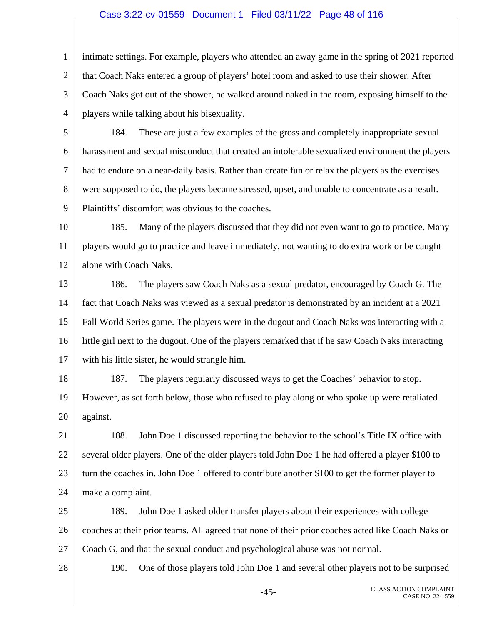### Case 3:22-cv-01559 Document 1 Filed 03/11/22 Page 48 of 116

1 2 3 4 intimate settings. For example, players who attended an away game in the spring of 2021 reported that Coach Naks entered a group of players' hotel room and asked to use their shower. After Coach Naks got out of the shower, he walked around naked in the room, exposing himself to the players while talking about his bisexuality.

5

28

6 7 8 9 184. These are just a few examples of the gross and completely inappropriate sexual harassment and sexual misconduct that created an intolerable sexualized environment the players had to endure on a near-daily basis. Rather than create fun or relax the players as the exercises were supposed to do, the players became stressed, upset, and unable to concentrate as a result. Plaintiffs' discomfort was obvious to the coaches.

10 11 12 185. Many of the players discussed that they did not even want to go to practice. Many players would go to practice and leave immediately, not wanting to do extra work or be caught alone with Coach Naks.

13 14 15 16 17 186. The players saw Coach Naks as a sexual predator, encouraged by Coach G. The fact that Coach Naks was viewed as a sexual predator is demonstrated by an incident at a 2021 Fall World Series game. The players were in the dugout and Coach Naks was interacting with a little girl next to the dugout. One of the players remarked that if he saw Coach Naks interacting with his little sister, he would strangle him.

18 19 20 187. The players regularly discussed ways to get the Coaches' behavior to stop. However, as set forth below, those who refused to play along or who spoke up were retaliated against.

21 22 23 24 188. John Doe 1 discussed reporting the behavior to the school's Title IX office with several older players. One of the older players told John Doe 1 he had offered a player \$100 to turn the coaches in. John Doe 1 offered to contribute another \$100 to get the former player to make a complaint.

25 26 27 189. John Doe 1 asked older transfer players about their experiences with college coaches at their prior teams. All agreed that none of their prior coaches acted like Coach Naks or Coach G, and that the sexual conduct and psychological abuse was not normal.

190. One of those players told John Doe 1 and several other players not to be surprised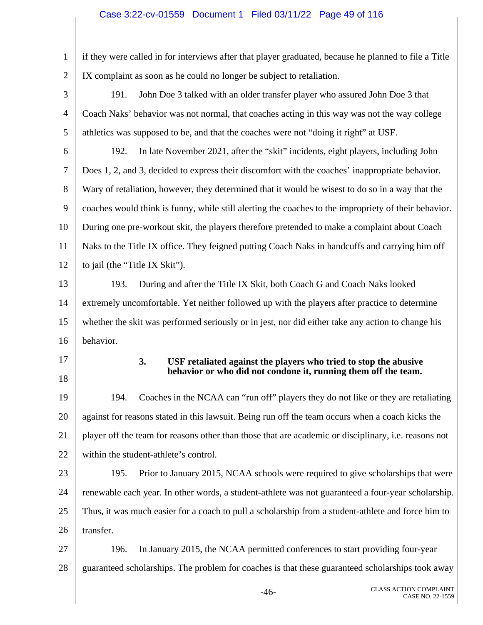### Case 3:22-cv-01559 Document 1 Filed 03/11/22 Page 49 of 116

1 2 if they were called in for interviews after that player graduated, because he planned to file a Title IX complaint as soon as he could no longer be subject to retaliation.

3 4 5 191. John Doe 3 talked with an older transfer player who assured John Doe 3 that Coach Naks' behavior was not normal, that coaches acting in this way was not the way college athletics was supposed to be, and that the coaches were not "doing it right" at USF.

6 7 8 9 10 11 12 192. In late November 2021, after the "skit" incidents, eight players, including John Does 1, 2, and 3, decided to express their discomfort with the coaches' inappropriate behavior. Wary of retaliation, however, they determined that it would be wisest to do so in a way that the coaches would think is funny, while still alerting the coaches to the impropriety of their behavior. During one pre-workout skit, the players therefore pretended to make a complaint about Coach Naks to the Title IX office. They feigned putting Coach Naks in handcuffs and carrying him off to jail (the "Title IX Skit").

13 14 15 16 193. During and after the Title IX Skit, both Coach G and Coach Naks looked extremely uncomfortable. Yet neither followed up with the players after practice to determine whether the skit was performed seriously or in jest, nor did either take any action to change his behavior.

17

18

#### **3. USF retaliated against the players who tried to stop the abusive behavior or who did not condone it, running them off the team.**

19 20 21 22 194. Coaches in the NCAA can "run off" players they do not like or they are retaliating against for reasons stated in this lawsuit. Being run off the team occurs when a coach kicks the player off the team for reasons other than those that are academic or disciplinary, i.e. reasons not within the student-athlete's control.

23 24 25 26 195. Prior to January 2015, NCAA schools were required to give scholarships that were renewable each year. In other words, a student-athlete was not guaranteed a four-year scholarship. Thus, it was much easier for a coach to pull a scholarship from a student-athlete and force him to transfer.

27 28 196. In January 2015, the NCAA permitted conferences to start providing four-year guaranteed scholarships. The problem for coaches is that these guaranteed scholarships took away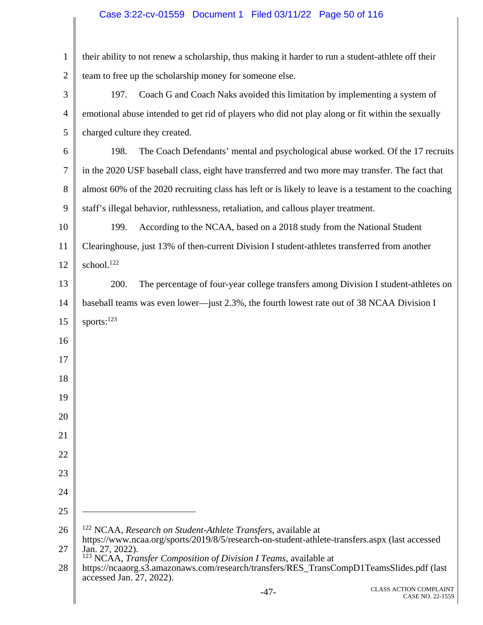# Case 3:22-cv-01559 Document 1 Filed 03/11/22 Page 50 of 116

| $\mathbf{1}$   | their ability to not renew a scholarship, thus making it harder to run a student-athlete off their                                                                         |
|----------------|----------------------------------------------------------------------------------------------------------------------------------------------------------------------------|
| $\overline{2}$ | team to free up the scholarship money for someone else.                                                                                                                    |
| 3              | Coach G and Coach Naks avoided this limitation by implementing a system of<br>197.                                                                                         |
| 4              | emotional abuse intended to get rid of players who did not play along or fit within the sexually                                                                           |
| 5              | charged culture they created.                                                                                                                                              |
| 6              | 198.<br>The Coach Defendants' mental and psychological abuse worked. Of the 17 recruits                                                                                    |
| 7              | in the 2020 USF baseball class, eight have transferred and two more may transfer. The fact that                                                                            |
| 8              | almost 60% of the 2020 recruiting class has left or is likely to leave is a testament to the coaching                                                                      |
| 9              | staff's illegal behavior, ruthlessness, retaliation, and callous player treatment.                                                                                         |
| 10             | According to the NCAA, based on a 2018 study from the National Student<br>199.                                                                                             |
| 11             | Clearinghouse, just 13% of then-current Division I student-athletes transferred from another                                                                               |
| 12             | school. <sup>122</sup>                                                                                                                                                     |
| 13             | The percentage of four-year college transfers among Division I student-athletes on<br>200.                                                                                 |
| 14             | baseball teams was even lower—just 2.3%, the fourth lowest rate out of 38 NCAA Division I                                                                                  |
| 15             | sports: $^{123}$                                                                                                                                                           |
| 16             |                                                                                                                                                                            |
| 17             |                                                                                                                                                                            |
| 18             |                                                                                                                                                                            |
| 19             |                                                                                                                                                                            |
| 20             |                                                                                                                                                                            |
| 21             |                                                                                                                                                                            |
| 22             |                                                                                                                                                                            |
| 23             |                                                                                                                                                                            |
| 24             |                                                                                                                                                                            |
| 25             |                                                                                                                                                                            |
| 26             | <sup>122</sup> NCAA, Research on Student-Athlete Transfers, available at<br>https://www.ncaa.org/sports/2019/8/5/research-on-student-athlete-transfers.aspx (last accessed |
| 27             | Jan. 27, 2022).<br>123<br>NCAA, Transfer Composition of Division I Teams, available at                                                                                     |
| 28             | https://ncaaorg.s3.amazonaws.com/research/transfers/RES_TransCompD1TeamsSlides.pdf (last<br>accessed Jan. 27, 2022).                                                       |
|                | <b>CLASS ACTION COMPLAINT</b><br>$-47-$<br>CASE NO. 22-1559                                                                                                                |
|                |                                                                                                                                                                            |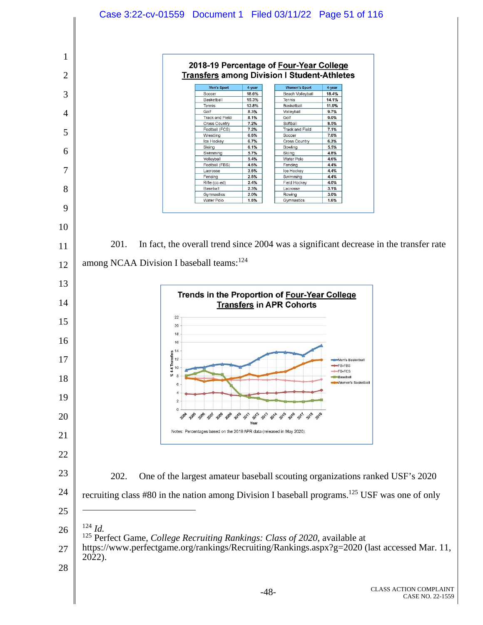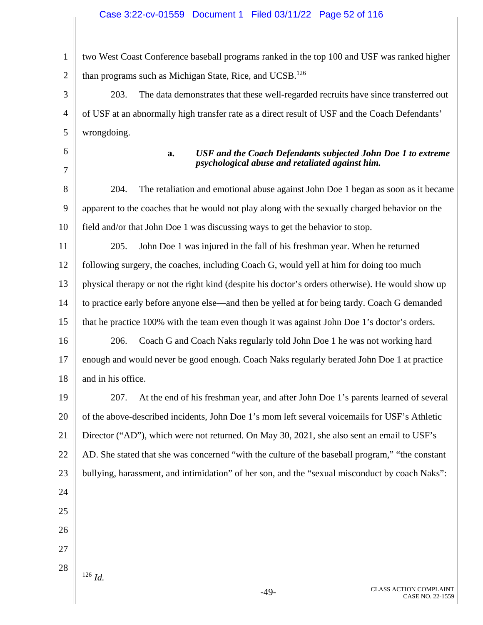#### Case 3:22-cv-01559 Document 1 Filed 03/11/22 Page 52 of 116

1 2 two West Coast Conference baseball programs ranked in the top 100 and USF was ranked higher than programs such as Michigan State, Rice, and UCSB.<sup>126</sup>

203. The data demonstrates that these well-regarded recruits have since transferred out of USF at an abnormally high transfer rate as a direct result of USF and the Coach Defendants' wrongdoing.

6 7

3

4

5

### **a.** *USF and the Coach Defendants subjected John Doe 1 to extreme psychological abuse and retaliated against him.*

8 9 10 204. The retaliation and emotional abuse against John Doe 1 began as soon as it became apparent to the coaches that he would not play along with the sexually charged behavior on the field and/or that John Doe 1 was discussing ways to get the behavior to stop.

11 12 13 14 15 205. John Doe 1 was injured in the fall of his freshman year. When he returned following surgery, the coaches, including Coach G, would yell at him for doing too much physical therapy or not the right kind (despite his doctor's orders otherwise). He would show up to practice early before anyone else—and then be yelled at for being tardy. Coach G demanded that he practice 100% with the team even though it was against John Doe 1's doctor's orders.

16 17 18 206. Coach G and Coach Naks regularly told John Doe 1 he was not working hard enough and would never be good enough. Coach Naks regularly berated John Doe 1 at practice and in his office.

19 20 21 22 23 207. At the end of his freshman year, and after John Doe 1's parents learned of several of the above-described incidents, John Doe 1's mom left several voicemails for USF's Athletic Director ("AD"), which were not returned. On May 30, 2021, she also sent an email to USF's AD. She stated that she was concerned "with the culture of the baseball program," "the constant bullying, harassment, and intimidation" of her son, and the "sexual misconduct by coach Naks":

- 24 25
- 26
- 27
- 28

<sup>126</sup> *Id.*

 $\overline{a}$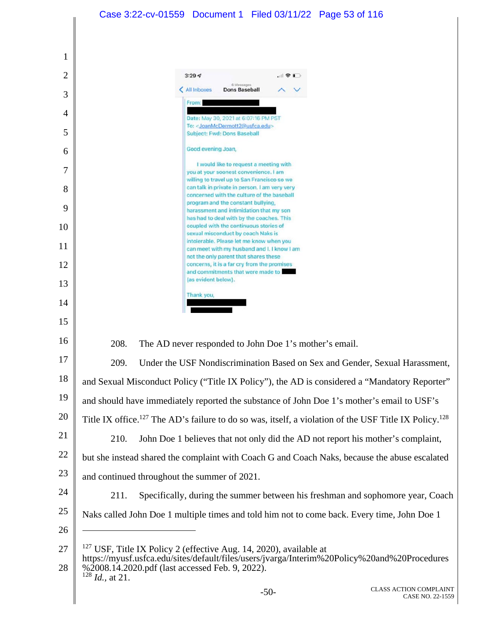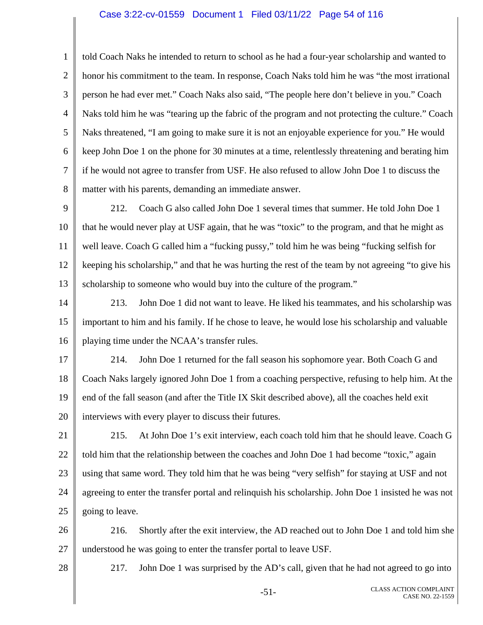#### Case 3:22-cv-01559 Document 1 Filed 03/11/22 Page 54 of 116

1 2 3 4 5 6 7 8 told Coach Naks he intended to return to school as he had a four-year scholarship and wanted to honor his commitment to the team. In response, Coach Naks told him he was "the most irrational person he had ever met." Coach Naks also said, "The people here don't believe in you." Coach Naks told him he was "tearing up the fabric of the program and not protecting the culture." Coach Naks threatened, "I am going to make sure it is not an enjoyable experience for you." He would keep John Doe 1 on the phone for 30 minutes at a time, relentlessly threatening and berating him if he would not agree to transfer from USF. He also refused to allow John Doe 1 to discuss the matter with his parents, demanding an immediate answer.

9 10 11 12 13 212. Coach G also called John Doe 1 several times that summer. He told John Doe 1 that he would never play at USF again, that he was "toxic" to the program, and that he might as well leave. Coach G called him a "fucking pussy," told him he was being "fucking selfish for keeping his scholarship," and that he was hurting the rest of the team by not agreeing "to give his scholarship to someone who would buy into the culture of the program."

14 15 16 213. John Doe 1 did not want to leave. He liked his teammates, and his scholarship was important to him and his family. If he chose to leave, he would lose his scholarship and valuable playing time under the NCAA's transfer rules.

17 18 19 20 214. John Doe 1 returned for the fall season his sophomore year. Both Coach G and Coach Naks largely ignored John Doe 1 from a coaching perspective, refusing to help him. At the end of the fall season (and after the Title IX Skit described above), all the coaches held exit interviews with every player to discuss their futures.

21 22 23 24 25 215. At John Doe 1's exit interview, each coach told him that he should leave. Coach G told him that the relationship between the coaches and John Doe 1 had become "toxic," again using that same word. They told him that he was being "very selfish" for staying at USF and not agreeing to enter the transfer portal and relinquish his scholarship. John Doe 1 insisted he was not going to leave.

26 27 216. Shortly after the exit interview, the AD reached out to John Doe 1 and told him she understood he was going to enter the transfer portal to leave USF.

28

217. John Doe 1 was surprised by the AD's call, given that he had not agreed to go into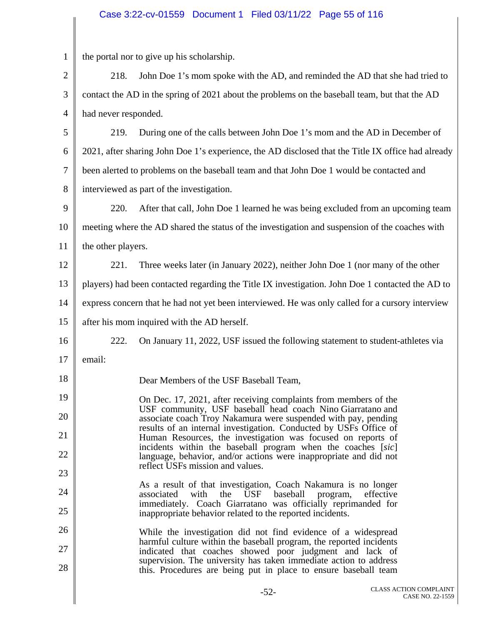## Case 3:22-cv-01559 Document 1 Filed 03/11/22 Page 55 of 116

| 1            | the portal nor to give up his scholarship.                                                       |                                                                                                                                              |  |
|--------------|--------------------------------------------------------------------------------------------------|----------------------------------------------------------------------------------------------------------------------------------------------|--|
| $\mathbf{2}$ | 218.                                                                                             | John Doe 1's mom spoke with the AD, and reminded the AD that she had tried to                                                                |  |
| 3            |                                                                                                  | contact the AD in the spring of 2021 about the problems on the baseball team, but that the AD                                                |  |
| 4            | had never responded.                                                                             |                                                                                                                                              |  |
| 5            | 219.                                                                                             | During one of the calls between John Doe 1's mom and the AD in December of                                                                   |  |
| 6            |                                                                                                  | 2021, after sharing John Doe 1's experience, the AD disclosed that the Title IX office had already                                           |  |
| 7            | been alerted to problems on the baseball team and that John Doe 1 would be contacted and         |                                                                                                                                              |  |
| 8            | interviewed as part of the investigation.                                                        |                                                                                                                                              |  |
| 9            | 220.                                                                                             | After that call, John Doe 1 learned he was being excluded from an upcoming team                                                              |  |
| 10           | meeting where the AD shared the status of the investigation and suspension of the coaches with   |                                                                                                                                              |  |
| 11           | the other players.                                                                               |                                                                                                                                              |  |
| 12           | 221.                                                                                             | Three weeks later (in January 2022), neither John Doe 1 (nor many of the other                                                               |  |
| 13           | players) had been contacted regarding the Title IX investigation. John Doe 1 contacted the AD to |                                                                                                                                              |  |
| 14           |                                                                                                  | express concern that he had not yet been interviewed. He was only called for a cursory interview                                             |  |
| 15           | after his mom inquired with the AD herself.                                                      |                                                                                                                                              |  |
| 16           | 222.                                                                                             | On January 11, 2022, USF issued the following statement to student-athletes via                                                              |  |
| 17           | email:                                                                                           |                                                                                                                                              |  |
| 18           |                                                                                                  | Dear Members of the USF Baseball Team,                                                                                                       |  |
| 19           |                                                                                                  | On Dec. 17, 2021, after receiving complaints from members of the<br>USF community, USF baseball head coach Nino Giarratano and               |  |
| 20           |                                                                                                  | associate coach Troy Nakamura were suspended with pay, pending<br>results of an internal investigation. Conducted by USFs Office of          |  |
| 21           |                                                                                                  | Human Resources, the investigation was focused on reports of<br>incidents within the baseball program when the coaches [sic]                 |  |
| 22           |                                                                                                  | language, behavior, and/or actions were inappropriate and did not<br>reflect USFs mission and values.                                        |  |
| 23           |                                                                                                  | As a result of that investigation, Coach Nakamura is no longer                                                                               |  |
| 24           |                                                                                                  | associated<br>with<br><b>USF</b><br>baseball<br>the<br>effective<br>program,<br>immediately. Coach Giarratano was officially reprimanded for |  |
| 25           |                                                                                                  | inappropriate behavior related to the reported incidents.                                                                                    |  |
| 26           |                                                                                                  | While the investigation did not find evidence of a widespread<br>harmful culture within the baseball program, the reported incidents         |  |
| 27           |                                                                                                  | indicated that coaches showed poor judgment and lack of<br>supervision. The university has taken immediate action to address                 |  |
| 28           |                                                                                                  | this. Procedures are being put in place to ensure baseball team                                                                              |  |
|              |                                                                                                  |                                                                                                                                              |  |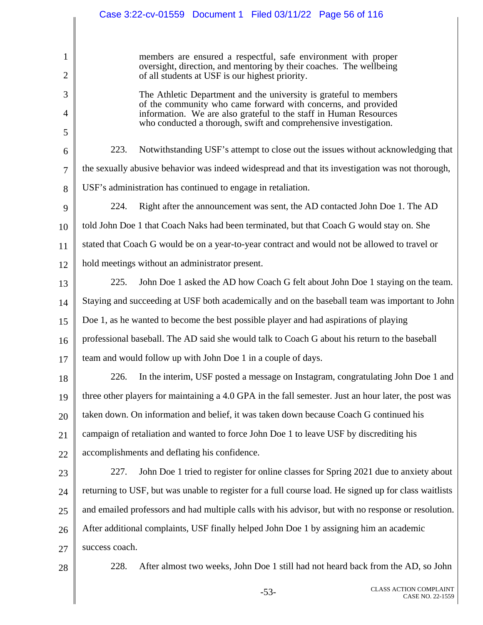|                                | Case 3:22-cv-01559 Document 1 Filed 03/11/22 Page 56 of 116                                                                                                                              |  |
|--------------------------------|------------------------------------------------------------------------------------------------------------------------------------------------------------------------------------------|--|
|                                |                                                                                                                                                                                          |  |
| $\mathbf{1}$<br>$\overline{2}$ | members are ensured a respectful, safe environment with proper<br>oversight, direction, and mentoring by their coaches. The wellbeing<br>of all students at USF is our highest priority. |  |
| 3                              | The Athletic Department and the university is grateful to members                                                                                                                        |  |
| 4                              | of the community who came forward with concerns, and provided<br>information. We are also grateful to the staff in Human Resources                                                       |  |
| 5                              | who conducted a thorough, swift and comprehensive investigation.                                                                                                                         |  |
| 6                              | 223.<br>Notwithstanding USF's attempt to close out the issues without acknowledging that                                                                                                 |  |
| 7                              | the sexually abusive behavior was indeed widespread and that its investigation was not thorough,                                                                                         |  |
| 8                              | USF's administration has continued to engage in retaliation.                                                                                                                             |  |
| 9                              | 224.<br>Right after the announcement was sent, the AD contacted John Doe 1. The AD                                                                                                       |  |
| 10                             | told John Doe 1 that Coach Naks had been terminated, but that Coach G would stay on. She                                                                                                 |  |
| 11                             | stated that Coach G would be on a year-to-year contract and would not be allowed to travel or                                                                                            |  |
| 12                             | hold meetings without an administrator present.                                                                                                                                          |  |
| 13                             | 225.<br>John Doe 1 asked the AD how Coach G felt about John Doe 1 staying on the team.                                                                                                   |  |
| 14                             | Staying and succeeding at USF both academically and on the baseball team was important to John                                                                                           |  |
| 15                             | Doe 1, as he wanted to become the best possible player and had aspirations of playing                                                                                                    |  |
| 16                             | professional baseball. The AD said she would talk to Coach G about his return to the baseball                                                                                            |  |
| 17                             | team and would follow up with John Doe 1 in a couple of days.                                                                                                                            |  |
| 18                             | In the interim, USF posted a message on Instagram, congratulating John Doe 1 and<br>226.                                                                                                 |  |
| 19                             | three other players for maintaining a 4.0 GPA in the fall semester. Just an hour later, the post was                                                                                     |  |
| 20                             | taken down. On information and belief, it was taken down because Coach G continued his                                                                                                   |  |
| 21                             | campaign of retaliation and wanted to force John Doe 1 to leave USF by discrediting his                                                                                                  |  |
| 22                             | accomplishments and deflating his confidence.                                                                                                                                            |  |
| 23                             | John Doe 1 tried to register for online classes for Spring 2021 due to anxiety about<br>227.                                                                                             |  |
| 24                             | returning to USF, but was unable to register for a full course load. He signed up for class waitlists                                                                                    |  |
| 25                             | and emailed professors and had multiple calls with his advisor, but with no response or resolution.                                                                                      |  |
| 26                             | After additional complaints, USF finally helped John Doe 1 by assigning him an academic                                                                                                  |  |
| 27                             | success coach.                                                                                                                                                                           |  |
| 28                             | 228.<br>After almost two weeks, John Doe 1 still had not heard back from the AD, so John                                                                                                 |  |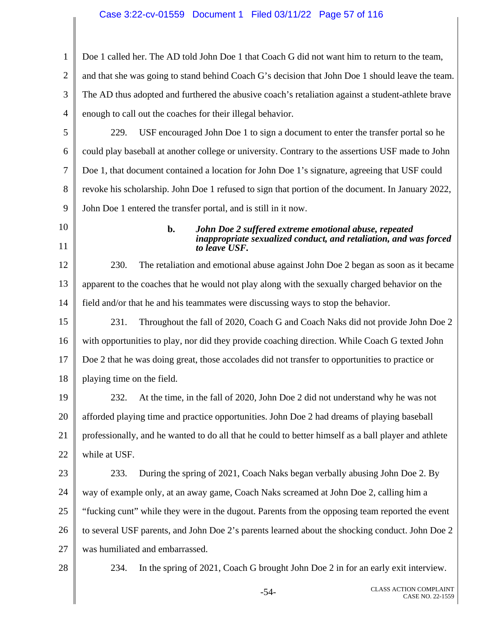### Case 3:22-cv-01559 Document 1 Filed 03/11/22 Page 57 of 116

1 2 3 4 Doe 1 called her. The AD told John Doe 1 that Coach G did not want him to return to the team, and that she was going to stand behind Coach G's decision that John Doe 1 should leave the team. The AD thus adopted and furthered the abusive coach's retaliation against a student-athlete brave enough to call out the coaches for their illegal behavior.

5 6 7 8 9 229. USF encouraged John Doe 1 to sign a document to enter the transfer portal so he could play baseball at another college or university. Contrary to the assertions USF made to John Doe 1, that document contained a location for John Doe 1's signature, agreeing that USF could revoke his scholarship. John Doe 1 refused to sign that portion of the document. In January 2022, John Doe 1 entered the transfer portal, and is still in it now.

10 11

#### **b.** *John Doe 2 suffered extreme emotional abuse, repeated inappropriate sexualized conduct, and retaliation, and was forced to leave USF.*

12 13 14 230. The retaliation and emotional abuse against John Doe 2 began as soon as it became apparent to the coaches that he would not play along with the sexually charged behavior on the field and/or that he and his teammates were discussing ways to stop the behavior.

15 16 17 18 231. Throughout the fall of 2020, Coach G and Coach Naks did not provide John Doe 2 with opportunities to play, nor did they provide coaching direction. While Coach G texted John Doe 2 that he was doing great, those accolades did not transfer to opportunities to practice or playing time on the field.

19 20 21 22 232. At the time, in the fall of 2020, John Doe 2 did not understand why he was not afforded playing time and practice opportunities. John Doe 2 had dreams of playing baseball professionally, and he wanted to do all that he could to better himself as a ball player and athlete while at USF.

23 24 25 26 27 233. During the spring of 2021, Coach Naks began verbally abusing John Doe 2. By way of example only, at an away game, Coach Naks screamed at John Doe 2, calling him a "fucking cunt" while they were in the dugout. Parents from the opposing team reported the event to several USF parents, and John Doe 2's parents learned about the shocking conduct. John Doe 2 was humiliated and embarrassed.

28

234. In the spring of 2021, Coach G brought John Doe 2 in for an early exit interview.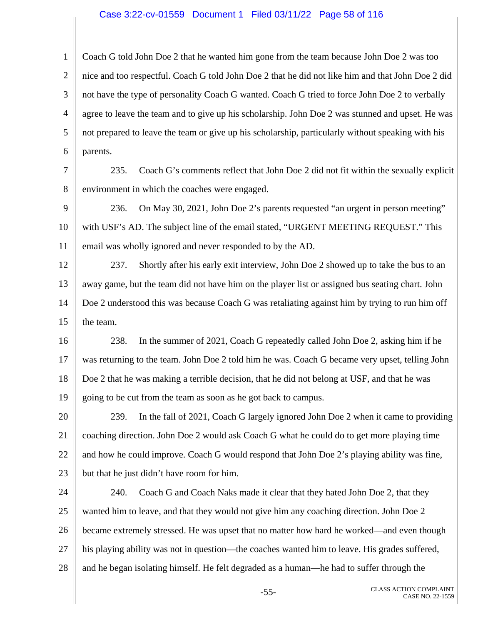#### Case 3:22-cv-01559 Document 1 Filed 03/11/22 Page 58 of 116

1 2 3 4 5 6 Coach G told John Doe 2 that he wanted him gone from the team because John Doe 2 was too nice and too respectful. Coach G told John Doe 2 that he did not like him and that John Doe 2 did not have the type of personality Coach G wanted. Coach G tried to force John Doe 2 to verbally agree to leave the team and to give up his scholarship. John Doe 2 was stunned and upset. He was not prepared to leave the team or give up his scholarship, particularly without speaking with his parents.

7

8 235. Coach G's comments reflect that John Doe 2 did not fit within the sexually explicit environment in which the coaches were engaged.

9 10 11 236. On May 30, 2021, John Doe 2's parents requested "an urgent in person meeting" with USF's AD. The subject line of the email stated, "URGENT MEETING REQUEST." This email was wholly ignored and never responded to by the AD.

12 13 14 15 237. Shortly after his early exit interview, John Doe 2 showed up to take the bus to an away game, but the team did not have him on the player list or assigned bus seating chart. John Doe 2 understood this was because Coach G was retaliating against him by trying to run him off the team.

16 17 18 19 238. In the summer of 2021, Coach G repeatedly called John Doe 2, asking him if he was returning to the team. John Doe 2 told him he was. Coach G became very upset, telling John Doe 2 that he was making a terrible decision, that he did not belong at USF, and that he was going to be cut from the team as soon as he got back to campus.

20 21 22 23 239. In the fall of 2021, Coach G largely ignored John Doe 2 when it came to providing coaching direction. John Doe 2 would ask Coach G what he could do to get more playing time and how he could improve. Coach G would respond that John Doe 2's playing ability was fine, but that he just didn't have room for him.

24 25 26 27 28 240. Coach G and Coach Naks made it clear that they hated John Doe 2, that they wanted him to leave, and that they would not give him any coaching direction. John Doe 2 became extremely stressed. He was upset that no matter how hard he worked—and even though his playing ability was not in question—the coaches wanted him to leave. His grades suffered, and he began isolating himself. He felt degraded as a human—he had to suffer through the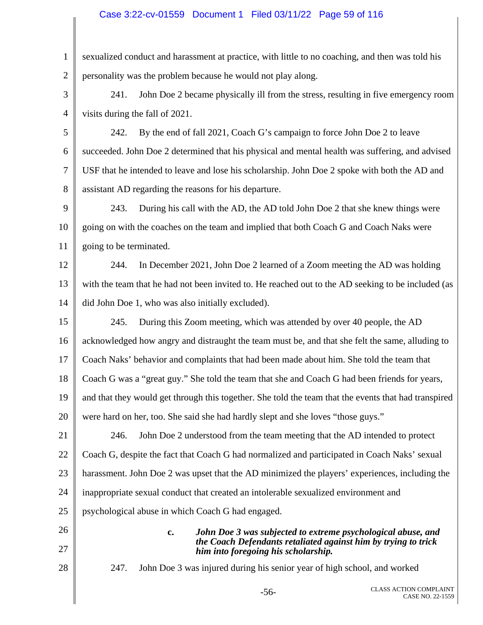### Case 3:22-cv-01559 Document 1 Filed 03/11/22 Page 59 of 116

1 2 sexualized conduct and harassment at practice, with little to no coaching, and then was told his personality was the problem because he would not play along.

3 4 241. John Doe 2 became physically ill from the stress, resulting in five emergency room visits during the fall of 2021.

5 6 7 8 242. By the end of fall 2021, Coach G's campaign to force John Doe 2 to leave succeeded. John Doe 2 determined that his physical and mental health was suffering, and advised USF that he intended to leave and lose his scholarship. John Doe 2 spoke with both the AD and assistant AD regarding the reasons for his departure.

9 10 11 243. During his call with the AD, the AD told John Doe 2 that she knew things were going on with the coaches on the team and implied that both Coach G and Coach Naks were going to be terminated.

12 13 14 244. In December 2021, John Doe 2 learned of a Zoom meeting the AD was holding with the team that he had not been invited to. He reached out to the AD seeking to be included (as did John Doe 1, who was also initially excluded).

15 16 17 18 19 20 245. During this Zoom meeting, which was attended by over 40 people, the AD acknowledged how angry and distraught the team must be, and that she felt the same, alluding to Coach Naks' behavior and complaints that had been made about him. She told the team that Coach G was a "great guy." She told the team that she and Coach G had been friends for years, and that they would get through this together. She told the team that the events that had transpired were hard on her, too. She said she had hardly slept and she loves "those guys."

21 22 23 24 25 246. John Doe 2 understood from the team meeting that the AD intended to protect Coach G, despite the fact that Coach G had normalized and participated in Coach Naks' sexual harassment. John Doe 2 was upset that the AD minimized the players' experiences, including the inappropriate sexual conduct that created an intolerable sexualized environment and psychological abuse in which Coach G had engaged.

- 26
- 
- 27
- 28

*him into foregoing his scholarship.*  247. John Doe 3 was injured during his senior year of high school, and worked

**c.** *John Doe 3 was subjected to extreme psychological abuse, and* 

*the Coach Defendants retaliated against him by trying to trick*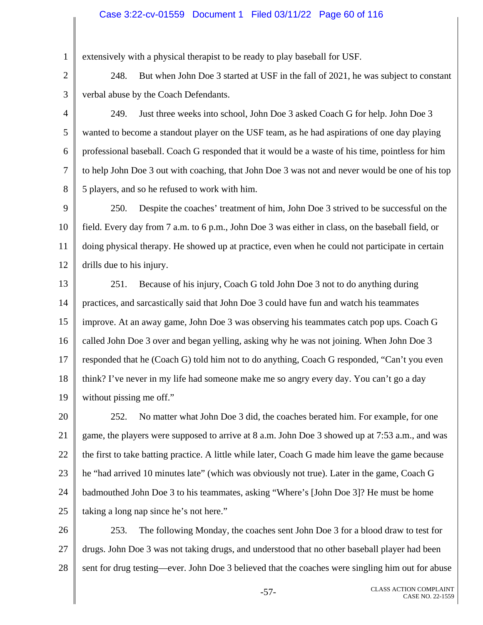### Case 3:22-cv-01559 Document 1 Filed 03/11/22 Page 60 of 116

extensively with a physical therapist to be ready to play baseball for USF.

1

2

3

5

7

8

248. But when John Doe 3 started at USF in the fall of 2021, he was subject to constant verbal abuse by the Coach Defendants.

4 6 249. Just three weeks into school, John Doe 3 asked Coach G for help. John Doe 3 wanted to become a standout player on the USF team, as he had aspirations of one day playing professional baseball. Coach G responded that it would be a waste of his time, pointless for him to help John Doe 3 out with coaching, that John Doe 3 was not and never would be one of his top 5 players, and so he refused to work with him.

9 10 11 12 250. Despite the coaches' treatment of him, John Doe 3 strived to be successful on the field. Every day from 7 a.m. to 6 p.m., John Doe 3 was either in class, on the baseball field, or doing physical therapy. He showed up at practice, even when he could not participate in certain drills due to his injury.

13 14 15 16 17 18 19 251. Because of his injury, Coach G told John Doe 3 not to do anything during practices, and sarcastically said that John Doe 3 could have fun and watch his teammates improve. At an away game, John Doe 3 was observing his teammates catch pop ups. Coach G called John Doe 3 over and began yelling, asking why he was not joining. When John Doe 3 responded that he (Coach G) told him not to do anything, Coach G responded, "Can't you even think? I've never in my life had someone make me so angry every day. You can't go a day without pissing me off."

20 21 22 23 24 25 252. No matter what John Doe 3 did, the coaches berated him. For example, for one game, the players were supposed to arrive at 8 a.m. John Doe 3 showed up at 7:53 a.m., and was the first to take batting practice. A little while later, Coach G made him leave the game because he "had arrived 10 minutes late" (which was obviously not true). Later in the game, Coach G badmouthed John Doe 3 to his teammates, asking "Where's [John Doe 3]? He must be home taking a long nap since he's not here."

26 27 28 253. The following Monday, the coaches sent John Doe 3 for a blood draw to test for drugs. John Doe 3 was not taking drugs, and understood that no other baseball player had been sent for drug testing—ever. John Doe 3 believed that the coaches were singling him out for abuse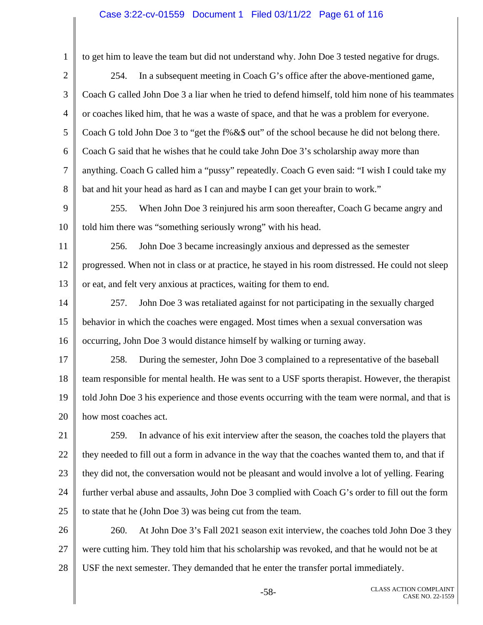## Case 3:22-cv-01559 Document 1 Filed 03/11/22 Page 61 of 116

| $\mathbf{1}$   | to get him to leave the team but did not understand why. John Doe 3 tested negative for drugs.     |
|----------------|----------------------------------------------------------------------------------------------------|
| $\overline{2}$ | In a subsequent meeting in Coach G's office after the above-mentioned game,<br>254.                |
| 3              | Coach G called John Doe 3 a liar when he tried to defend himself, told him none of his teammates   |
| 4              | or coaches liked him, that he was a waste of space, and that he was a problem for everyone.        |
| 5              | Coach G told John Doe 3 to "get the f%&\$ out" of the school because he did not belong there.      |
| 6              | Coach G said that he wishes that he could take John Doe 3's scholarship away more than             |
| 7              | anything. Coach G called him a "pussy" repeatedly. Coach G even said: "I wish I could take my      |
| 8              | bat and hit your head as hard as I can and maybe I can get your brain to work."                    |
| 9              | When John Doe 3 reinjured his arm soon thereafter, Coach G became angry and<br>255.                |
| 10             | told him there was "something seriously wrong" with his head.                                      |
| 11             | John Doe 3 became increasingly anxious and depressed as the semester<br>256.                       |
| 12             | progressed. When not in class or at practice, he stayed in his room distressed. He could not sleep |
| 13             | or eat, and felt very anxious at practices, waiting for them to end.                               |
| 14             | John Doe 3 was retaliated against for not participating in the sexually charged<br>257.            |
| 15             | behavior in which the coaches were engaged. Most times when a sexual conversation was              |
| 16             | occurring, John Doe 3 would distance himself by walking or turning away.                           |
| 17             | During the semester, John Doe 3 complained to a representative of the baseball<br>258.             |
| 18             | team responsible for mental health. He was sent to a USF sports therapist. However, the therapist  |
| 19             | told John Doe 3 his experience and those events occurring with the team were normal, and that is   |
| 20             | how most coaches act.                                                                              |
| 21             | In advance of his exit interview after the season, the coaches told the players that<br>259.       |
| 22             | they needed to fill out a form in advance in the way that the coaches wanted them to, and that if  |
| 23             | they did not, the conversation would not be pleasant and would involve a lot of yelling. Fearing   |
| 24             | further verbal abuse and assaults, John Doe 3 complied with Coach G's order to fill out the form   |
| 25             | to state that he (John Doe 3) was being cut from the team.                                         |
| 26             | 260.<br>At John Doe 3's Fall 2021 season exit interview, the coaches told John Doe 3 they          |
| 27             | were cutting him. They told him that his scholarship was revoked, and that he would not be at      |
| 28             | USF the next semester. They demanded that he enter the transfer portal immediately.                |
|                |                                                                                                    |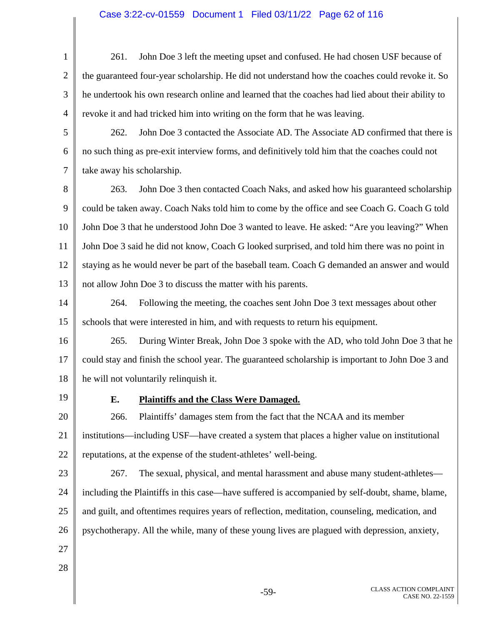### Case 3:22-cv-01559 Document 1 Filed 03/11/22 Page 62 of 116

1 2 3 4 5 6 7 8 9 10 11 12 13 14 15 16 17 18 19 20 21 22 23 24 25 26 27 28 261. John Doe 3 left the meeting upset and confused. He had chosen USF because of the guaranteed four-year scholarship. He did not understand how the coaches could revoke it. So he undertook his own research online and learned that the coaches had lied about their ability to revoke it and had tricked him into writing on the form that he was leaving. 262. John Doe 3 contacted the Associate AD. The Associate AD confirmed that there is no such thing as pre-exit interview forms, and definitively told him that the coaches could not take away his scholarship. 263. John Doe 3 then contacted Coach Naks, and asked how his guaranteed scholarship could be taken away. Coach Naks told him to come by the office and see Coach G. Coach G told John Doe 3 that he understood John Doe 3 wanted to leave. He asked: "Are you leaving?" When John Doe 3 said he did not know, Coach G looked surprised, and told him there was no point in staying as he would never be part of the baseball team. Coach G demanded an answer and would not allow John Doe 3 to discuss the matter with his parents. 264. Following the meeting, the coaches sent John Doe 3 text messages about other schools that were interested in him, and with requests to return his equipment. 265. During Winter Break, John Doe 3 spoke with the AD, who told John Doe 3 that he could stay and finish the school year. The guaranteed scholarship is important to John Doe 3 and he will not voluntarily relinquish it. **E. Plaintiffs and the Class Were Damaged.**  266. Plaintiffs' damages stem from the fact that the NCAA and its member institutions—including USF—have created a system that places a higher value on institutional reputations, at the expense of the student-athletes' well-being. 267. The sexual, physical, and mental harassment and abuse many student-athletes including the Plaintiffs in this case—have suffered is accompanied by self-doubt, shame, blame, and guilt, and oftentimes requires years of reflection, meditation, counseling, medication, and psychotherapy. All the while, many of these young lives are plagued with depression, anxiety,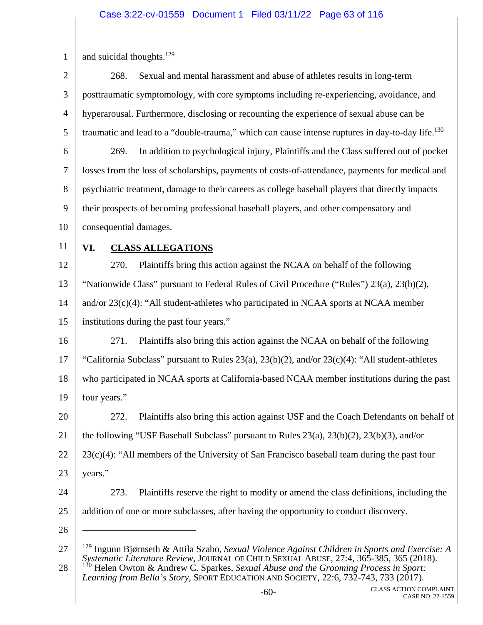1 2 3 4 5 6 7 8 9 10 11 12 13 14 15 16 17 18 19 20 21 22 23 24 25 26 27 28 -60- CLASS ACTION COMPLAINT and suicidal thoughts. $129$ 268. Sexual and mental harassment and abuse of athletes results in long-term posttraumatic symptomology, with core symptoms including re-experiencing, avoidance, and hyperarousal. Furthermore, disclosing or recounting the experience of sexual abuse can be traumatic and lead to a "double-trauma," which can cause intense ruptures in day-to-day life.<sup>130</sup> 269. In addition to psychological injury, Plaintiffs and the Class suffered out of pocket losses from the loss of scholarships, payments of costs-of-attendance, payments for medical and psychiatric treatment, damage to their careers as college baseball players that directly impacts their prospects of becoming professional baseball players, and other compensatory and consequential damages. **VI. CLASS ALLEGATIONS**  270. Plaintiffs bring this action against the NCAA on behalf of the following "Nationwide Class" pursuant to Federal Rules of Civil Procedure ("Rules") 23(a), 23(b)(2), and/or 23(c)(4): "All student-athletes who participated in NCAA sports at NCAA member institutions during the past four years." 271. Plaintiffs also bring this action against the NCAA on behalf of the following "California Subclass" pursuant to Rules 23(a), 23(b)(2), and/or 23(c)(4): "All student-athletes who participated in NCAA sports at California-based NCAA member institutions during the past four years." 272. Plaintiffs also bring this action against USF and the Coach Defendants on behalf of the following "USF Baseball Subclass" pursuant to Rules 23(a), 23(b)(2), 23(b)(3), and/or  $23(c)(4)$ : "All members of the University of San Francisco baseball team during the past four years." 273. Plaintiffs reserve the right to modify or amend the class definitions, including the addition of one or more subclasses, after having the opportunity to conduct discovery.  $\overline{a}$ 129 Ingunn Bjørnseth & Attila Szabo, *Sexual Violence Against Children in Sports and Exercise: A Systematic Literature Review*, JOURNAL OF CHILD SEXUAL ABUSE, 27:4, 365-385, 365 (2018). 130 Helen Owton & Andrew C. Sparkes, *Sexual Abuse and the Grooming Process in Sport: Learning from Bella's Story*, SPORT EDUCATION AND SOCIETY, 22:6, 732-743, 733 (2017).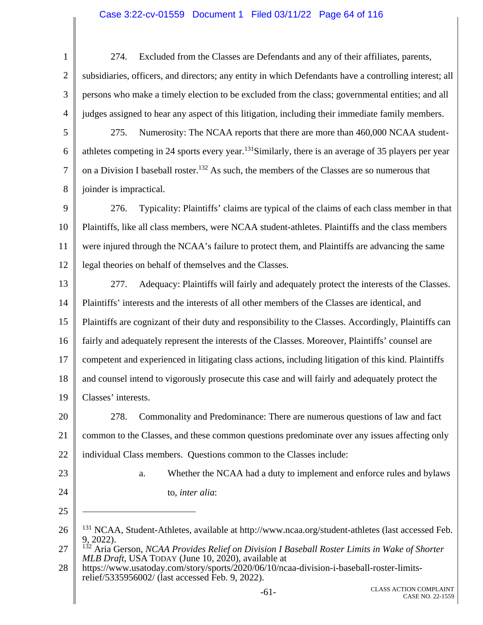### Case 3:22-cv-01559 Document 1 Filed 03/11/22 Page 64 of 116

1 2 3 4 5 274. Excluded from the Classes are Defendants and any of their affiliates, parents, subsidiaries, officers, and directors; any entity in which Defendants have a controlling interest; all persons who make a timely election to be excluded from the class; governmental entities; and all judges assigned to hear any aspect of this litigation, including their immediate family members. 275. Numerosity: The NCAA reports that there are more than 460,000 NCAA student-

6 7 8 athletes competing in 24 sports every year.<sup>131</sup>Similarly, there is an average of 35 players per year on a Division I baseball roster.<sup>132</sup> As such, the members of the Classes are so numerous that joinder is impractical.

9 10 11 12 276. Typicality: Plaintiffs' claims are typical of the claims of each class member in that Plaintiffs, like all class members, were NCAA student-athletes. Plaintiffs and the class members were injured through the NCAA's failure to protect them, and Plaintiffs are advancing the same legal theories on behalf of themselves and the Classes.

13 14 15 16 17 18 19 277. Adequacy: Plaintiffs will fairly and adequately protect the interests of the Classes. Plaintiffs' interests and the interests of all other members of the Classes are identical, and Plaintiffs are cognizant of their duty and responsibility to the Classes. Accordingly, Plaintiffs can fairly and adequately represent the interests of the Classes. Moreover, Plaintiffs' counsel are competent and experienced in litigating class actions, including litigation of this kind. Plaintiffs and counsel intend to vigorously prosecute this case and will fairly and adequately protect the Classes' interests.

20 21 22 278. Commonality and Predominance: There are numerous questions of law and fact common to the Classes, and these common questions predominate over any issues affecting only individual Class members. Questions common to the Classes include:

23

24

25

 $\overline{a}$ 

a. Whether the NCAA had a duty to implement and enforce rules and bylaws to, *inter alia*:

<sup>26</sup>  <sup>131</sup> NCAA, Student-Athletes, available at http://www.ncaa.org/student-athletes (last accessed Feb. 9, 2022).

<sup>27</sup>  132 Aria Gerson, *NCAA Provides Relief on Division I Baseball Roster Limits in Wake of Shorter MLB Draft*, USA TODAY (June 10, 2020), available at

<sup>28</sup>  https://www.usatoday.com/story/sports/2020/06/10/ncaa-division-i-baseball-roster-limitsrelief/5335956002/ (last accessed Feb. 9, 2022).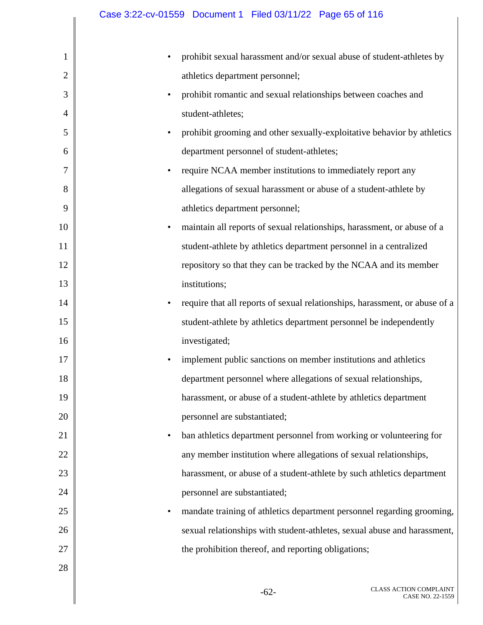|              | Case 3:22-cv-01559  Document 1  Filed 03/11/22  Page 65 of 116                       |
|--------------|--------------------------------------------------------------------------------------|
|              |                                                                                      |
| 1            | prohibit sexual harassment and/or sexual abuse of student-athletes by                |
| $\mathbf{2}$ | athletics department personnel;                                                      |
| 3            | prohibit romantic and sexual relationships between coaches and<br>$\bullet$          |
| 4            | student-athletes;                                                                    |
| 5            | prohibit grooming and other sexually-exploitative behavior by athletics              |
| 6            | department personnel of student-athletes;                                            |
| 7            | require NCAA member institutions to immediately report any<br>$\bullet$              |
| 8            | allegations of sexual harassment or abuse of a student-athlete by                    |
| 9            | athletics department personnel;                                                      |
| 10           | maintain all reports of sexual relationships, harassment, or abuse of a<br>$\bullet$ |
| 11           | student-athlete by athletics department personnel in a centralized                   |
| 12           | repository so that they can be tracked by the NCAA and its member                    |
| 13           | institutions;                                                                        |
| 14           | require that all reports of sexual relationships, harassment, or abuse of a          |
| 15           | student-athlete by athletics department personnel be independently                   |
| 16           | investigated;                                                                        |
| 17           | implement public sanctions on member institutions and athletics                      |
| 18           | department personnel where allegations of sexual relationships,                      |
| 19           | harassment, or abuse of a student-athlete by athletics department                    |
| 20           | personnel are substantiated;                                                         |
| 21           | ban athletics department personnel from working or volunteering for<br>$\bullet$     |
| 22           | any member institution where allegations of sexual relationships,                    |
| 23           | harassment, or abuse of a student-athlete by such athletics department               |
| 24           | personnel are substantiated;                                                         |
| 25           | mandate training of athletics department personnel regarding grooming,<br>$\bullet$  |
| 26           | sexual relationships with student-athletes, sexual abuse and harassment,             |
| 27           | the prohibition thereof, and reporting obligations;                                  |
| 28           |                                                                                      |
|              |                                                                                      |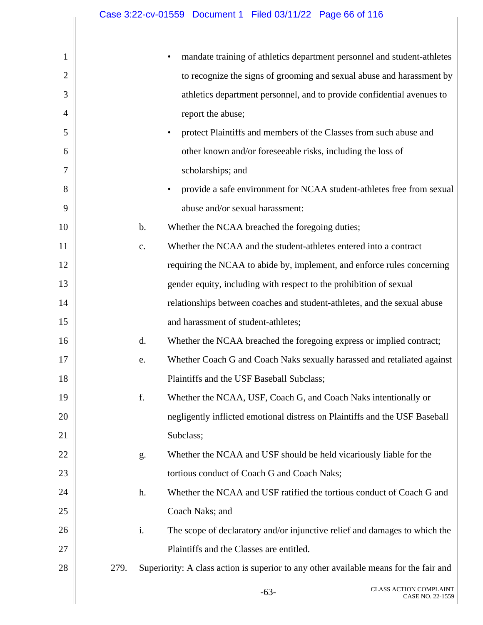| 1              |               | mandate training of athletics department personnel and student-athletes               |
|----------------|---------------|---------------------------------------------------------------------------------------|
| $\overline{2}$ |               | to recognize the signs of grooming and sexual abuse and harassment by                 |
| 3              |               | athletics department personnel, and to provide confidential avenues to                |
| $\overline{4}$ |               | report the abuse;                                                                     |
| 5              |               | protect Plaintiffs and members of the Classes from such abuse and<br>$\bullet$        |
| 6              |               | other known and/or foreseeable risks, including the loss of                           |
| 7              |               | scholarships; and                                                                     |
| 8              |               | provide a safe environment for NCAA student-athletes free from sexual<br>$\bullet$    |
| 9              |               | abuse and/or sexual harassment:                                                       |
| 10             | $\mathbf b$ . | Whether the NCAA breached the foregoing duties;                                       |
| 11             | c.            | Whether the NCAA and the student-athletes entered into a contract                     |
| 12             |               | requiring the NCAA to abide by, implement, and enforce rules concerning               |
| 13             |               | gender equity, including with respect to the prohibition of sexual                    |
| 14             |               | relationships between coaches and student-athletes, and the sexual abuse              |
| 15             |               | and harassment of student-athletes;                                                   |
| 16             | d.            | Whether the NCAA breached the foregoing express or implied contract;                  |
| 17             | e.            | Whether Coach G and Coach Naks sexually harassed and retaliated against               |
| 18             |               | Plaintiffs and the USF Baseball Subclass;                                             |
| 19             | f.            | Whether the NCAA, USF, Coach G, and Coach Naks intentionally or                       |
| 20             |               | negligently inflicted emotional distress on Plaintiffs and the USF Baseball           |
| 21             |               | Subclass;                                                                             |
| 22             | g.            | Whether the NCAA and USF should be held vicariously liable for the                    |
| 23             |               | tortious conduct of Coach G and Coach Naks;                                           |
| 24             | h.            | Whether the NCAA and USF ratified the tortious conduct of Coach G and                 |
| 25             |               | Coach Naks; and                                                                       |
| 26             | i.            | The scope of declaratory and/or injunctive relief and damages to which the            |
| 27             |               | Plaintiffs and the Classes are entitled.                                              |
| 28             | 279.          | Superiority: A class action is superior to any other available means for the fair and |
|                |               | <b>CLASS ACTION COMPLAINT</b><br>$-63-$<br>CASE NO. 22-1559                           |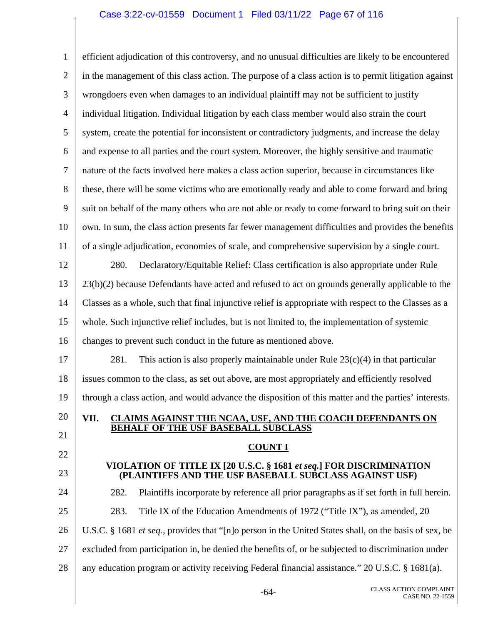### Case 3:22-cv-01559 Document 1 Filed 03/11/22 Page 67 of 116

1 2 3 4 5 6 7 8 9 10 11 12 13 14 15 16 17 18 19 20 21 22 23 24 25 26 27 28 efficient adjudication of this controversy, and no unusual difficulties are likely to be encountered in the management of this class action. The purpose of a class action is to permit litigation against wrongdoers even when damages to an individual plaintiff may not be sufficient to justify individual litigation. Individual litigation by each class member would also strain the court system, create the potential for inconsistent or contradictory judgments, and increase the delay and expense to all parties and the court system. Moreover, the highly sensitive and traumatic nature of the facts involved here makes a class action superior, because in circumstances like these, there will be some victims who are emotionally ready and able to come forward and bring suit on behalf of the many others who are not able or ready to come forward to bring suit on their own. In sum, the class action presents far fewer management difficulties and provides the benefits of a single adjudication, economies of scale, and comprehensive supervision by a single court. 280. Declaratory/Equitable Relief: Class certification is also appropriate under Rule 23(b)(2) because Defendants have acted and refused to act on grounds generally applicable to the Classes as a whole, such that final injunctive relief is appropriate with respect to the Classes as a whole. Such injunctive relief includes, but is not limited to, the implementation of systemic changes to prevent such conduct in the future as mentioned above. 281. This action is also properly maintainable under Rule  $23(c)(4)$  in that particular issues common to the class, as set out above, are most appropriately and efficiently resolved through a class action, and would advance the disposition of this matter and the parties' interests. **VII. CLAIMS AGAINST THE NCAA, USF, AND THE COACH DEFENDANTS ON BEHALF OF THE USF BASEBALL SUBCLASS COUNT I VIOLATION OF TITLE IX [20 U.S.C. § 1681** *et seq.***] FOR DISCRIMINATION (PLAINTIFFS AND THE USF BASEBALL SUBCLASS AGAINST USF)**  282. Plaintiffs incorporate by reference all prior paragraphs as if set forth in full herein. 283. Title IX of the Education Amendments of 1972 ("Title IX"), as amended, 20 U.S.C. § 1681 *et seq.*, provides that "[n]o person in the United States shall, on the basis of sex, be excluded from participation in, be denied the benefits of, or be subjected to discrimination under any education program or activity receiving Federal financial assistance." 20 U.S.C. § 1681(a).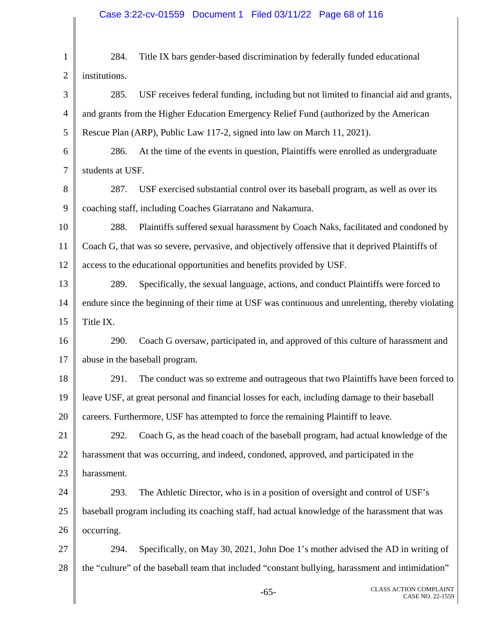## Case 3:22-cv-01559 Document 1 Filed 03/11/22 Page 68 of 116

| $\mathbf{1}$   | 284.                                                                                              | Title IX bars gender-based discrimination by federally funded educational                         |  |
|----------------|---------------------------------------------------------------------------------------------------|---------------------------------------------------------------------------------------------------|--|
| $\overline{2}$ | institutions.                                                                                     |                                                                                                   |  |
| 3              | 285.                                                                                              | USF receives federal funding, including but not limited to financial aid and grants,              |  |
| $\overline{4}$ | and grants from the Higher Education Emergency Relief Fund (authorized by the American            |                                                                                                   |  |
| 5              | Rescue Plan (ARP), Public Law 117-2, signed into law on March 11, 2021).                          |                                                                                                   |  |
| 6              | 286.                                                                                              | At the time of the events in question, Plaintiffs were enrolled as undergraduate                  |  |
| $\tau$         | students at USF.                                                                                  |                                                                                                   |  |
| 8              | 287.                                                                                              | USF exercised substantial control over its baseball program, as well as over its                  |  |
| 9              | coaching staff, including Coaches Giarratano and Nakamura.                                        |                                                                                                   |  |
| 10             | 288.                                                                                              | Plaintiffs suffered sexual harassment by Coach Naks, facilitated and condoned by                  |  |
| 11             |                                                                                                   | Coach G, that was so severe, pervasive, and objectively offensive that it deprived Plaintiffs of  |  |
| 12             |                                                                                                   | access to the educational opportunities and benefits provided by USF.                             |  |
| 13             | 289.                                                                                              | Specifically, the sexual language, actions, and conduct Plaintiffs were forced to                 |  |
| 14             | endure since the beginning of their time at USF was continuous and unrelenting, thereby violating |                                                                                                   |  |
| 15             | Title IX.                                                                                         |                                                                                                   |  |
| 16             | 290.                                                                                              | Coach G oversaw, participated in, and approved of this culture of harassment and                  |  |
| 17             | abuse in the baseball program.                                                                    |                                                                                                   |  |
| 18             | 291.                                                                                              | The conduct was so extreme and outrageous that two Plaintiffs have been forced to                 |  |
| 19             |                                                                                                   | leave USF, at great personal and financial losses for each, including damage to their baseball    |  |
| 20             |                                                                                                   | careers. Furthermore, USF has attempted to force the remaining Plaintiff to leave.                |  |
| 21             | 292.                                                                                              | Coach G, as the head coach of the baseball program, had actual knowledge of the                   |  |
| 22             |                                                                                                   | harassment that was occurring, and indeed, condoned, approved, and participated in the            |  |
| 23             | harassment.                                                                                       |                                                                                                   |  |
| 24             | 293.                                                                                              | The Athletic Director, who is in a position of oversight and control of USF's                     |  |
| 25             |                                                                                                   | baseball program including its coaching staff, had actual knowledge of the harassment that was    |  |
| 26             | occurring.                                                                                        |                                                                                                   |  |
| 27             | 294.                                                                                              | Specifically, on May 30, 2021, John Doe 1's mother advised the AD in writing of                   |  |
| 28             |                                                                                                   | the "culture" of the baseball team that included "constant bullying, harassment and intimidation" |  |
|                |                                                                                                   | <b>CLASS ACTION COMPLAINT</b><br>$-65-$<br>CASE NO. 22-1559                                       |  |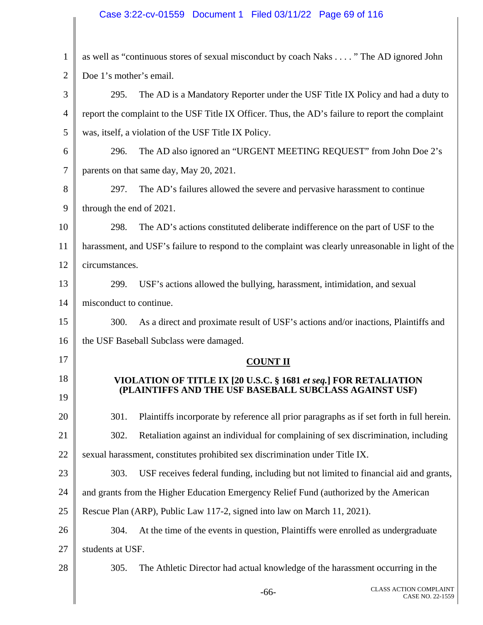# Case 3:22-cv-01559 Document 1 Filed 03/11/22 Page 69 of 116

| $\mathbf{1}$   | as well as "continuous stores of sexual misconduct by coach Naks " The AD ignored John             |  |  |  |  |
|----------------|----------------------------------------------------------------------------------------------------|--|--|--|--|
| $\overline{2}$ | Doe 1's mother's email.                                                                            |  |  |  |  |
| 3              | The AD is a Mandatory Reporter under the USF Title IX Policy and had a duty to<br>295.             |  |  |  |  |
| 4              | report the complaint to the USF Title IX Officer. Thus, the AD's failure to report the complaint   |  |  |  |  |
| 5              | was, itself, a violation of the USF Title IX Policy.                                               |  |  |  |  |
| 6              | The AD also ignored an "URGENT MEETING REQUEST" from John Doe 2's<br>296.                          |  |  |  |  |
| 7              | parents on that same day, May 20, 2021.                                                            |  |  |  |  |
| 8              | The AD's failures allowed the severe and pervasive harassment to continue<br>297.                  |  |  |  |  |
| 9              | through the end of 2021.                                                                           |  |  |  |  |
| 10             | The AD's actions constituted deliberate indifference on the part of USF to the<br>298.             |  |  |  |  |
| 11             | harassment, and USF's failure to respond to the complaint was clearly unreasonable in light of the |  |  |  |  |
| 12             | circumstances.                                                                                     |  |  |  |  |
| 13             | USF's actions allowed the bullying, harassment, intimidation, and sexual<br>299.                   |  |  |  |  |
| 14             | misconduct to continue.                                                                            |  |  |  |  |
| 15             | As a direct and proximate result of USF's actions and/or inactions, Plaintiffs and<br>300.         |  |  |  |  |
| 16             | the USF Baseball Subclass were damaged.                                                            |  |  |  |  |
| 17             | <b>COUNT II</b>                                                                                    |  |  |  |  |
| 18             | VIOLATION OF TITLE IX [20 U.S.C. § 1681 et seq.] FOR RETALIATION                                   |  |  |  |  |
| 19             | (PLAINTIFFS AND THE USF BASEBALL SUBCLASS AGAINST USF)                                             |  |  |  |  |
| 20             | Plaintiffs incorporate by reference all prior paragraphs as if set forth in full herein.<br>301.   |  |  |  |  |
| 21             | Retaliation against an individual for complaining of sex discrimination, including<br>302.         |  |  |  |  |
| 22             | sexual harassment, constitutes prohibited sex discrimination under Title IX.                       |  |  |  |  |
| 23             | USF receives federal funding, including but not limited to financial aid and grants,<br>303.       |  |  |  |  |
| 24             | and grants from the Higher Education Emergency Relief Fund (authorized by the American             |  |  |  |  |
| 25             | Rescue Plan (ARP), Public Law 117-2, signed into law on March 11, 2021).                           |  |  |  |  |
| 26             | At the time of the events in question, Plaintiffs were enrolled as undergraduate<br>304.           |  |  |  |  |
| 27             | students at USF.                                                                                   |  |  |  |  |
| 28             | 305.<br>The Athletic Director had actual knowledge of the harassment occurring in the              |  |  |  |  |
|                | <b>CLASS ACTION COMPLAINT</b><br>$-66-$<br>CASE NO. 22-1559                                        |  |  |  |  |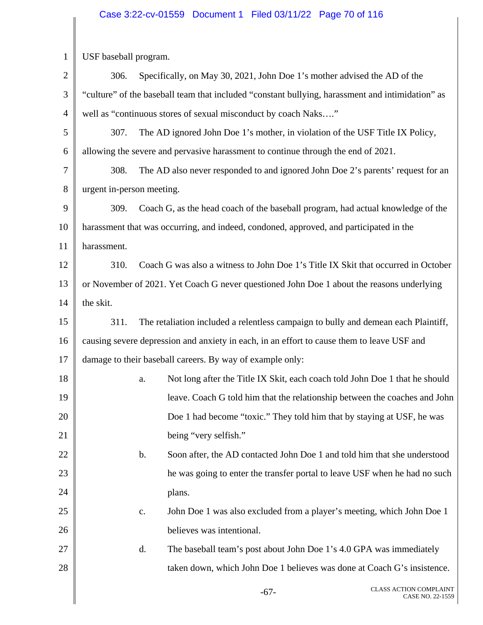# Case 3:22-cv-01559 Document 1 Filed 03/11/22 Page 70 of 116

| $\mathbf{1}$   | USF baseball program.                                                                            |                                                                                           |  |  |  |
|----------------|--------------------------------------------------------------------------------------------------|-------------------------------------------------------------------------------------------|--|--|--|
| $\mathbf{2}$   | 306.                                                                                             | Specifically, on May 30, 2021, John Doe 1's mother advised the AD of the                  |  |  |  |
| 3              | "culture" of the baseball team that included "constant bullying, harassment and intimidation" as |                                                                                           |  |  |  |
| $\overline{4}$ | well as "continuous stores of sexual misconduct by coach Naks"                                   |                                                                                           |  |  |  |
| 5              | 307.                                                                                             | The AD ignored John Doe 1's mother, in violation of the USF Title IX Policy,              |  |  |  |
| 6              |                                                                                                  | allowing the severe and pervasive harassment to continue through the end of 2021.         |  |  |  |
| $\tau$         | 308.                                                                                             | The AD also never responded to and ignored John Doe 2's parents' request for an           |  |  |  |
| 8              | urgent in-person meeting.                                                                        |                                                                                           |  |  |  |
| 9              | 309.                                                                                             | Coach G, as the head coach of the baseball program, had actual knowledge of the           |  |  |  |
| 10             | harassment that was occurring, and indeed, condoned, approved, and participated in the           |                                                                                           |  |  |  |
| 11             | harassment.                                                                                      |                                                                                           |  |  |  |
| 12             | 310.                                                                                             | Coach G was also a witness to John Doe 1's Title IX Skit that occurred in October         |  |  |  |
| 13             |                                                                                                  | or November of 2021. Yet Coach G never questioned John Doe 1 about the reasons underlying |  |  |  |
| 14             | the skit.                                                                                        |                                                                                           |  |  |  |
| 15             | 311.                                                                                             | The retaliation included a relentless campaign to bully and demean each Plaintiff,        |  |  |  |
| 16             | causing severe depression and anxiety in each, in an effort to cause them to leave USF and       |                                                                                           |  |  |  |
| 17             | damage to their baseball careers. By way of example only:                                        |                                                                                           |  |  |  |
| 18             |                                                                                                  | Not long after the Title IX Skit, each coach told John Doe 1 that he should<br>a.         |  |  |  |
| 19             |                                                                                                  | leave. Coach G told him that the relationship between the coaches and John                |  |  |  |
| 20             |                                                                                                  | Doe 1 had become "toxic." They told him that by staying at USF, he was                    |  |  |  |
| 21             |                                                                                                  | being "very selfish."                                                                     |  |  |  |
| 22             |                                                                                                  | $\mathbf b$ .<br>Soon after, the AD contacted John Doe 1 and told him that she understood |  |  |  |
| 23             |                                                                                                  | he was going to enter the transfer portal to leave USF when he had no such                |  |  |  |
| 24             |                                                                                                  | plans.                                                                                    |  |  |  |
| 25             |                                                                                                  | John Doe 1 was also excluded from a player's meeting, which John Doe 1<br>c.              |  |  |  |
| 26             |                                                                                                  | believes was intentional.                                                                 |  |  |  |
| 27             |                                                                                                  | d.<br>The baseball team's post about John Doe 1's 4.0 GPA was immediately                 |  |  |  |
| 28             |                                                                                                  | taken down, which John Doe 1 believes was done at Coach G's insistence.                   |  |  |  |
|                |                                                                                                  | <b>CLASS ACTION COMPLAINT</b><br>$-67-$<br>CASE NO. 22-1559                               |  |  |  |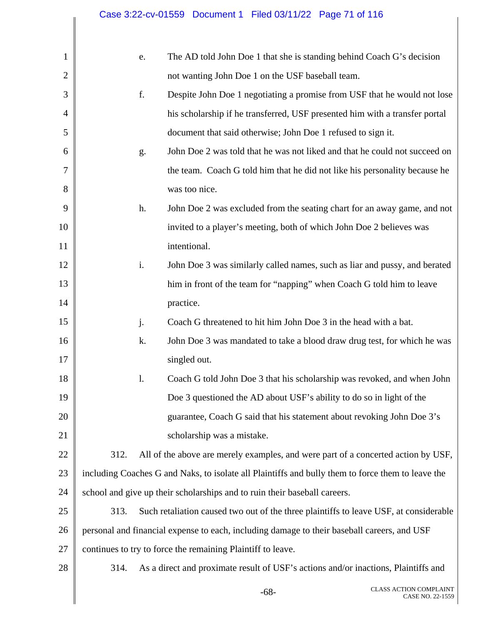$\mathbf \mathbf I$ 

| $\mathbf{1}$   | e.   | The AD told John Doe 1 that she is standing behind Coach G's decision                             |
|----------------|------|---------------------------------------------------------------------------------------------------|
| $\overline{2}$ |      | not wanting John Doe 1 on the USF baseball team.                                                  |
| 3              | f.   | Despite John Doe 1 negotiating a promise from USF that he would not lose                          |
| $\overline{4}$ |      | his scholarship if he transferred, USF presented him with a transfer portal                       |
| 5              |      | document that said otherwise; John Doe 1 refused to sign it.                                      |
| 6              | g.   | John Doe 2 was told that he was not liked and that he could not succeed on                        |
| 7              |      | the team. Coach G told him that he did not like his personality because he                        |
| 8              |      | was too nice.                                                                                     |
| 9              | h.   | John Doe 2 was excluded from the seating chart for an away game, and not                          |
| 10             |      | invited to a player's meeting, both of which John Doe 2 believes was                              |
| 11             |      | intentional.                                                                                      |
| 12             | i.   | John Doe 3 was similarly called names, such as liar and pussy, and berated                        |
| 13             |      | him in front of the team for "napping" when Coach G told him to leave                             |
| 14             |      | practice.                                                                                         |
| 15             | j.   | Coach G threatened to hit him John Doe 3 in the head with a bat.                                  |
| 16             | k.   | John Doe 3 was mandated to take a blood draw drug test, for which he was                          |
| 17             |      | singled out.                                                                                      |
| 18             | 1.   | Coach G told John Doe 3 that his scholarship was revoked, and when John                           |
| 19             |      | Doe 3 questioned the AD about USF's ability to do so in light of the                              |
| 20             |      | guarantee, Coach G said that his statement about revoking John Doe 3's                            |
| 21             |      | scholarship was a mistake.                                                                        |
| 22             | 312. | All of the above are merely examples, and were part of a concerted action by USF,                 |
| 23             |      | including Coaches G and Naks, to isolate all Plaintiffs and bully them to force them to leave the |
| 24             |      | school and give up their scholarships and to ruin their baseball careers.                         |
| 25             | 313. | Such retaliation caused two out of the three plaintiffs to leave USF, at considerable             |
| 26             |      | personal and financial expense to each, including damage to their baseball careers, and USF       |
| 27             |      | continues to try to force the remaining Plaintiff to leave.                                       |
| 28             | 314. | As a direct and proximate result of USF's actions and/or inactions, Plaintiffs and                |
|                |      | CLASS ACTION COMPLAINT<br>$-68-$<br>CASE NO. 22-1559                                              |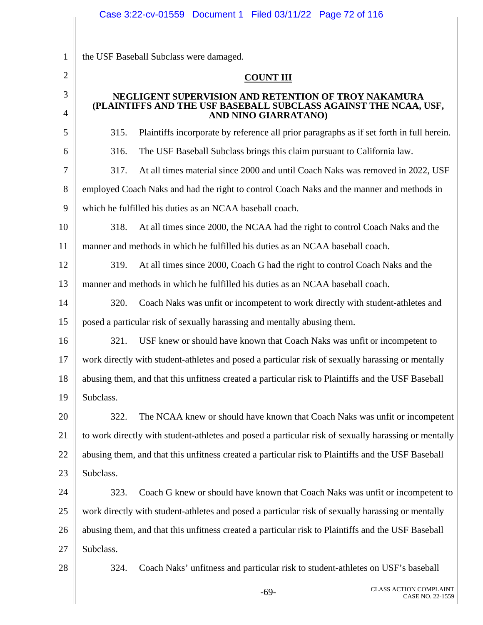|                     | Case 3:22-cv-01559  Document 1  Filed 03/11/22  Page 72 of 116                                                                                   |
|---------------------|--------------------------------------------------------------------------------------------------------------------------------------------------|
|                     |                                                                                                                                                  |
| $\mathbf{1}$        | the USF Baseball Subclass were damaged.                                                                                                          |
| $\overline{2}$      | <b>COUNT III</b>                                                                                                                                 |
| 3<br>$\overline{4}$ | NEGLIGENT SUPERVISION AND RETENTION OF TROY NAKAMURA<br>(PLAINTIFFS AND THE USF BASEBALL SUBCLASS AGAINST THE NCAA, USF,<br>AND NINO GIARRATANO) |
| 5                   | Plaintiffs incorporate by reference all prior paragraphs as if set forth in full herein.<br>315.                                                 |
| 6                   | 316.<br>The USF Baseball Subclass brings this claim pursuant to California law.                                                                  |
| 7                   | At all times material since 2000 and until Coach Naks was removed in 2022, USF<br>317.                                                           |
| 8                   | employed Coach Naks and had the right to control Coach Naks and the manner and methods in                                                        |
| 9                   | which he fulfilled his duties as an NCAA baseball coach.                                                                                         |
| 10                  | At all times since 2000, the NCAA had the right to control Coach Naks and the<br>318.                                                            |
| 11                  | manner and methods in which he fulfilled his duties as an NCAA baseball coach.                                                                   |
| 12                  | At all times since 2000, Coach G had the right to control Coach Naks and the<br>319.                                                             |
| 13                  | manner and methods in which he fulfilled his duties as an NCAA baseball coach.                                                                   |
| 14                  | Coach Naks was unfit or incompetent to work directly with student-athletes and<br>320.                                                           |
| 15                  | posed a particular risk of sexually harassing and mentally abusing them.                                                                         |
| 16                  | USF knew or should have known that Coach Naks was unfit or incompetent to<br>321.                                                                |
| 17                  | work directly with student-athletes and posed a particular risk of sexually harassing or mentally                                                |
| 18                  | abusing them, and that this unfitness created a particular risk to Plaintiffs and the USF Baseball                                               |
| 19                  | Subclass.                                                                                                                                        |
| 20                  | The NCAA knew or should have known that Coach Naks was unfit or incompetent<br>322.                                                              |
| 21                  | to work directly with student-athletes and posed a particular risk of sexually harassing or mentally                                             |
| 22                  | abusing them, and that this unfitness created a particular risk to Plaintiffs and the USF Baseball                                               |
| 23                  | Subclass.                                                                                                                                        |
| 24                  | Coach G knew or should have known that Coach Naks was unfit or incompetent to<br>323.                                                            |
| 25                  | work directly with student-athletes and posed a particular risk of sexually harassing or mentally                                                |
| 26                  | abusing them, and that this unfitness created a particular risk to Plaintiffs and the USF Baseball                                               |
| 27                  | Subclass.                                                                                                                                        |
| 28                  | Coach Naks' unfitness and particular risk to student-athletes on USF's baseball<br>324.                                                          |
|                     |                                                                                                                                                  |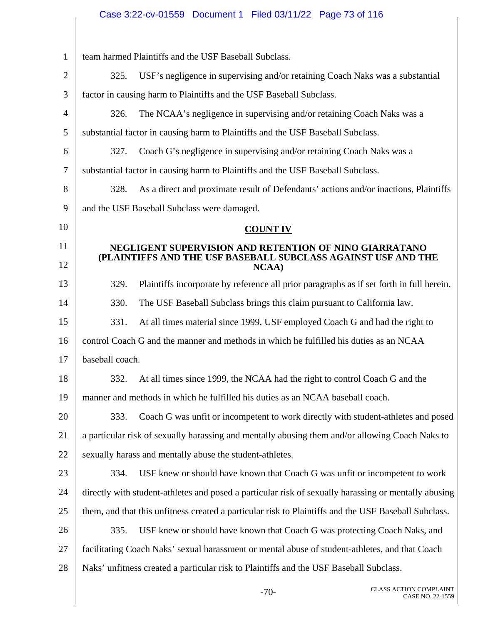|                |                 | Case 3:22-cv-01559  Document 1  Filed 03/11/22  Page 73 of 116                         |                 |                                                                                                      |
|----------------|-----------------|----------------------------------------------------------------------------------------|-----------------|------------------------------------------------------------------------------------------------------|
|                |                 |                                                                                        |                 |                                                                                                      |
| $\mathbf{1}$   |                 | team harmed Plaintiffs and the USF Baseball Subclass.                                  |                 |                                                                                                      |
| $\overline{2}$ | 325.            |                                                                                        |                 | USF's negligence in supervising and/or retaining Coach Naks was a substantial                        |
| 3              |                 | factor in causing harm to Plaintiffs and the USF Baseball Subclass.                    |                 |                                                                                                      |
| 4              | 326.            |                                                                                        |                 | The NCAA's negligence in supervising and/or retaining Coach Naks was a                               |
| 5              |                 | substantial factor in causing harm to Plaintiffs and the USF Baseball Subclass.        |                 |                                                                                                      |
| 6              | 327.            | Coach G's negligence in supervising and/or retaining Coach Naks was a                  |                 |                                                                                                      |
| 7              |                 | substantial factor in causing harm to Plaintiffs and the USF Baseball Subclass.        |                 |                                                                                                      |
| 8              | 328.            |                                                                                        |                 | As a direct and proximate result of Defendants' actions and/or inactions, Plaintiffs                 |
| 9              |                 | and the USF Baseball Subclass were damaged.                                            |                 |                                                                                                      |
| 10             |                 |                                                                                        | <b>COUNT IV</b> |                                                                                                      |
| 11             |                 | NEGLIGENT SUPERVISION AND RETENTION OF NINO GIARRATANO                                 |                 | (PLAINTIFFS AND THE USF BASEBALL SUBCLASS AGAINST USF AND THE                                        |
| 12             |                 |                                                                                        | NCAA)           |                                                                                                      |
| 13             | 329.            |                                                                                        |                 | Plaintiffs incorporate by reference all prior paragraphs as if set forth in full herein.             |
| 14             | 330.            | The USF Baseball Subclass brings this claim pursuant to California law.                |                 |                                                                                                      |
| 15             | 331.            |                                                                                        |                 | At all times material since 1999, USF employed Coach G and had the right to                          |
| 16             |                 | control Coach G and the manner and methods in which he fulfilled his duties as an NCAA |                 |                                                                                                      |
| 17             | baseball coach. |                                                                                        |                 |                                                                                                      |
| 18             | 332.            |                                                                                        |                 | At all times since 1999, the NCAA had the right to control Coach G and the                           |
| 19             |                 | manner and methods in which he fulfilled his duties as an NCAA baseball coach.         |                 |                                                                                                      |
| 20             | 333.            |                                                                                        |                 | Coach G was unfit or incompetent to work directly with student-athletes and posed                    |
| 21             |                 |                                                                                        |                 | a particular risk of sexually harassing and mentally abusing them and/or allowing Coach Naks to      |
| 22             |                 | sexually harass and mentally abuse the student-athletes.                               |                 |                                                                                                      |
| 23             | 334.            |                                                                                        |                 | USF knew or should have known that Coach G was unfit or incompetent to work                          |
| 24             |                 |                                                                                        |                 | directly with student-athletes and posed a particular risk of sexually harassing or mentally abusing |
| 25             |                 |                                                                                        |                 | them, and that this unfitness created a particular risk to Plaintiffs and the USF Baseball Subclass. |
| 26             | 335.            |                                                                                        |                 | USF knew or should have known that Coach G was protecting Coach Naks, and                            |
| 27             |                 |                                                                                        |                 | facilitating Coach Naks' sexual harassment or mental abuse of student-athletes, and that Coach       |
| 28             |                 | Naks' unfitness created a particular risk to Plaintiffs and the USF Baseball Subclass. |                 |                                                                                                      |
|                |                 |                                                                                        | 70              | CLASS ACTION COMPLAINT                                                                               |

Π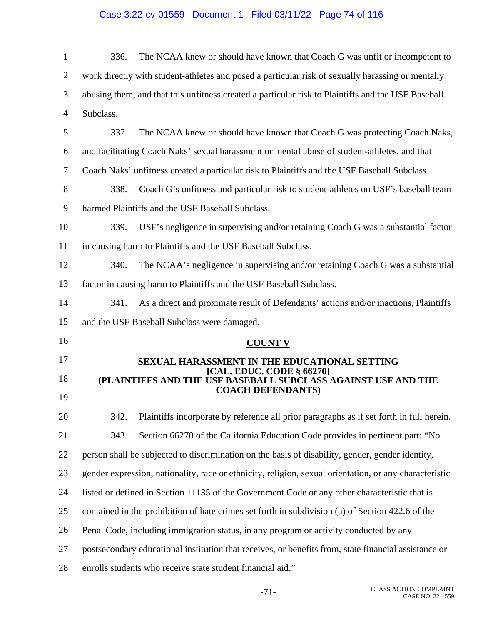# Case 3:22-cv-01559 Document 1 Filed 03/11/22 Page 74 of 116

| $\mathbf{1}$   | The NCAA knew or should have known that Coach G was unfit or incompetent to<br>336.                    |
|----------------|--------------------------------------------------------------------------------------------------------|
| $\overline{2}$ | work directly with student-athletes and posed a particular risk of sexually harassing or mentally      |
| 3              | abusing them, and that this unfitness created a particular risk to Plaintiffs and the USF Baseball     |
| 4              | Subclass.                                                                                              |
| 5              | The NCAA knew or should have known that Coach G was protecting Coach Naks,<br>337.                     |
| 6              | and facilitating Coach Naks' sexual harassment or mental abuse of student-athletes, and that           |
| 7              | Coach Naks' unfitness created a particular risk to Plaintiffs and the USF Baseball Subclass            |
| 8              | 338.<br>Coach G's unfitness and particular risk to student-athletes on USF's baseball team             |
| 9              | harmed Plaintiffs and the USF Baseball Subclass.                                                       |
| 10             | USF's negligence in supervising and/or retaining Coach G was a substantial factor<br>339.              |
| 11             | in causing harm to Plaintiffs and the USF Baseball Subclass.                                           |
| 12             | 340.<br>The NCAA's negligence in supervising and/or retaining Coach G was a substantial                |
| 13             | factor in causing harm to Plaintiffs and the USF Baseball Subclass.                                    |
| 14             | 341.<br>As a direct and proximate result of Defendants' actions and/or inactions, Plaintiffs           |
|                |                                                                                                        |
| 15             | and the USF Baseball Subclass were damaged.                                                            |
| 16             | <b>COUNT V</b>                                                                                         |
| 17             | SEXUAL HARASSMENT IN THE EDUCATIONAL SETTING                                                           |
| 18             | [CAL. EDUC. CODE § 66270]<br>(PLAINTIFFS AND THE USF BASEBALL SUBCLASS AGAINST USF AND THE             |
| 19             | <b>COACH DEFENDANTS)</b>                                                                               |
| 20             | Plaintiffs incorporate by reference all prior paragraphs as if set forth in full herein.<br>342.       |
| 21             | 343.<br>Section 66270 of the California Education Code provides in pertinent part: "No                 |
| 22             | person shall be subjected to discrimination on the basis of disability, gender, gender identity,       |
| 23             | gender expression, nationality, race or ethnicity, religion, sexual orientation, or any characteristic |
| 24             | listed or defined in Section 11135 of the Government Code or any other characteristic that is          |
| 25             | contained in the prohibition of hate crimes set forth in subdivision (a) of Section 422.6 of the       |
| 26             | Penal Code, including immigration status, in any program or activity conducted by any                  |
| 27             | postsecondary educational institution that receives, or benefits from, state financial assistance or   |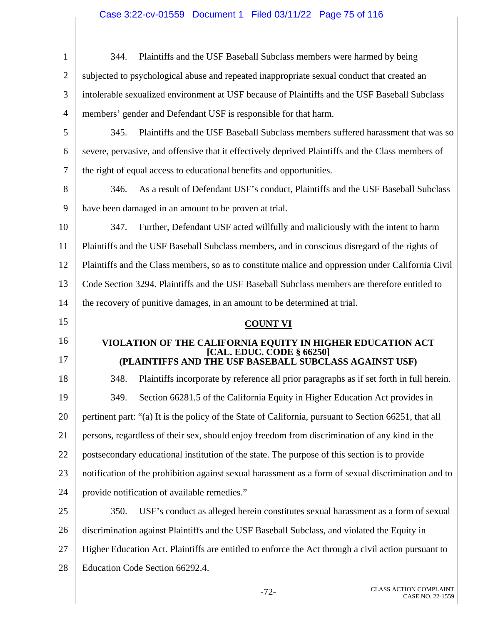# Case 3:22-cv-01559 Document 1 Filed 03/11/22 Page 75 of 116

| $\mathbf{1}$   | Plaintiffs and the USF Baseball Subclass members were harmed by being<br>344.                         |
|----------------|-------------------------------------------------------------------------------------------------------|
| $\overline{2}$ | subjected to psychological abuse and repeated inappropriate sexual conduct that created an            |
| 3              | intolerable sexualized environment at USF because of Plaintiffs and the USF Baseball Subclass         |
| $\overline{4}$ | members' gender and Defendant USF is responsible for that harm.                                       |
| 5              | 345.<br>Plaintiffs and the USF Baseball Subclass members suffered harassment that was so              |
| 6              | severe, pervasive, and offensive that it effectively deprived Plaintiffs and the Class members of     |
| 7              | the right of equal access to educational benefits and opportunities.                                  |
| 8              | 346.<br>As a result of Defendant USF's conduct, Plaintiffs and the USF Baseball Subclass              |
| 9              | have been damaged in an amount to be proven at trial.                                                 |
| 10             | 347.<br>Further, Defendant USF acted willfully and maliciously with the intent to harm                |
| 11             | Plaintiffs and the USF Baseball Subclass members, and in conscious disregard of the rights of         |
| 12             | Plaintiffs and the Class members, so as to constitute malice and oppression under California Civil    |
| 13             | Code Section 3294. Plaintiffs and the USF Baseball Subclass members are therefore entitled to         |
| 14             | the recovery of punitive damages, in an amount to be determined at trial.                             |
|                |                                                                                                       |
| 15             | <b>COUNT VI</b>                                                                                       |
| 16             | VIOLATION OF THE CALIFORNIA EQUITY IN HIGHER EDUCATION ACT                                            |
| 17             | [CAL. EDUC. CODE § 66250]<br>(PLAINTIFFS AND THE USF BASEBALL SUBCLASS AGAINST USF)                   |
| 18             | 348.<br>Plaintiffs incorporate by reference all prior paragraphs as if set forth in full herein.      |
| 19             | 349.<br>Section 66281.5 of the California Equity in Higher Education Act provides in                  |
| 20             | pertinent part: "(a) It is the policy of the State of California, pursuant to Section 66251, that all |
| 21             | persons, regardless of their sex, should enjoy freedom from discrimination of any kind in the         |
| 22             | postsecondary educational institution of the state. The purpose of this section is to provide         |
| 23             | notification of the prohibition against sexual harassment as a form of sexual discrimination and to   |
| 24             | provide notification of available remedies."                                                          |
| 25             | 350.<br>USF's conduct as alleged herein constitutes sexual harassment as a form of sexual             |
| 26             | discrimination against Plaintiffs and the USF Baseball Subclass, and violated the Equity in           |
| 27             | Higher Education Act. Plaintiffs are entitled to enforce the Act through a civil action pursuant to   |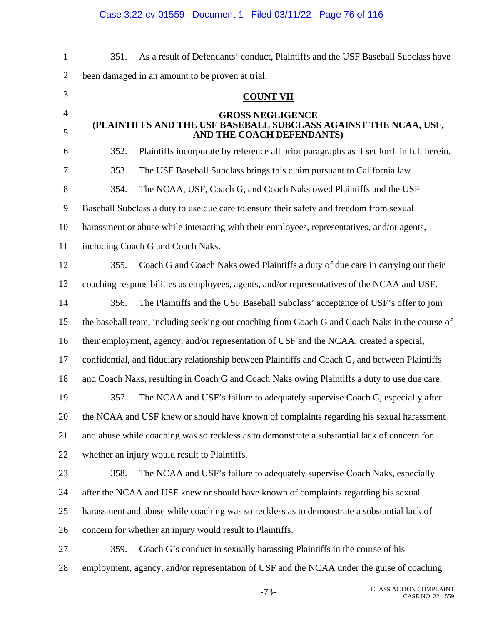|                | Case 3:22-cv-01559 Document 1 Filed 03/11/22 Page 76 of 116                                      |
|----------------|--------------------------------------------------------------------------------------------------|
|                |                                                                                                  |
| $\mathbf{1}$   | As a result of Defendants' conduct, Plaintiffs and the USF Baseball Subclass have<br>351.        |
| $\mathbf{2}$   | been damaged in an amount to be proven at trial.                                                 |
| 3              | <b>COUNT VII</b>                                                                                 |
| $\overline{4}$ | <b>GROSS NEGLIGENCE</b>                                                                          |
| 5              | (PLAINTIFFS AND THE USF BASEBALL SUBCLASS AGAINST THE NCAA, USF,<br>AND THE COACH DEFENDANTS)    |
| 6              | Plaintiffs incorporate by reference all prior paragraphs as if set forth in full herein.<br>352. |
| 7              | 353.<br>The USF Baseball Subclass brings this claim pursuant to California law.                  |
| 8              | 354.<br>The NCAA, USF, Coach G, and Coach Naks owed Plaintiffs and the USF                       |
| 9              | Baseball Subclass a duty to use due care to ensure their safety and freedom from sexual          |
| 10             | harassment or abuse while interacting with their employees, representatives, and/or agents,      |
| 11             | including Coach G and Coach Naks.                                                                |
| 12             | Coach G and Coach Naks owed Plaintiffs a duty of due care in carrying out their<br>355.          |
| 13             | coaching responsibilities as employees, agents, and/or representatives of the NCAA and USF.      |
| 14             | The Plaintiffs and the USF Baseball Subclass' acceptance of USF's offer to join<br>356.          |
| 15             | the baseball team, including seeking out coaching from Coach G and Coach Naks in the course of   |
| 16             | their employment, agency, and/or representation of USF and the NCAA, created a special,          |
| 17             | confidential, and fiduciary relationship between Plaintiffs and Coach G, and between Plaintiffs  |
| 18             | and Coach Naks, resulting in Coach G and Coach Naks owing Plaintiffs a duty to use due care.     |
| 19             | The NCAA and USF's failure to adequately supervise Coach G, especially after<br>357.             |
| 20             | the NCAA and USF knew or should have known of complaints regarding his sexual harassment         |
| 21             | and abuse while coaching was so reckless as to demonstrate a substantial lack of concern for     |
| 22             | whether an injury would result to Plaintiffs.                                                    |
| 23             | 358.<br>The NCAA and USF's failure to adequately supervise Coach Naks, especially                |
| 24             | after the NCAA and USF knew or should have known of complaints regarding his sexual              |
| 25             | harassment and abuse while coaching was so reckless as to demonstrate a substantial lack of      |
| 26             | concern for whether an injury would result to Plaintiffs.                                        |
| 27             | Coach G's conduct in sexually harassing Plaintiffs in the course of his<br>359.                  |
| 28             | employment, agency, and/or representation of USF and the NCAA under the guise of coaching        |
|                | <b>CLASS ACTION COMPLAINT</b><br>$-73-$<br>CASE NO. 22-1559                                      |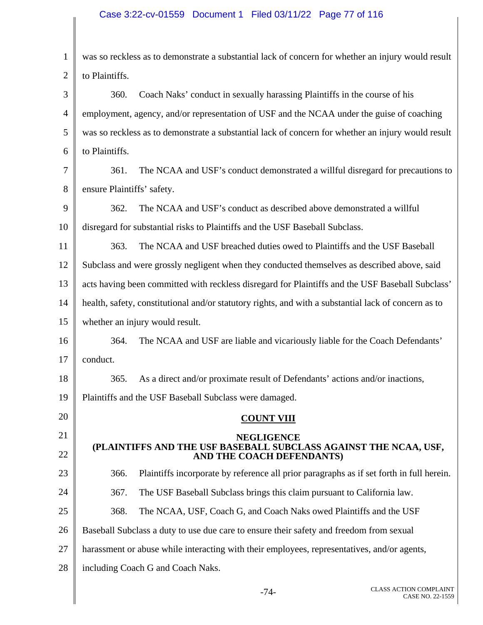# Case 3:22-cv-01559 Document 1 Filed 03/11/22 Page 77 of 116

| $\mathbf{1}$   | was so reckless as to demonstrate a substantial lack of concern for whether an injury would result              |
|----------------|-----------------------------------------------------------------------------------------------------------------|
| $\overline{2}$ | to Plaintiffs.                                                                                                  |
| 3              | Coach Naks' conduct in sexually harassing Plaintiffs in the course of his<br>360.                               |
| $\overline{4}$ | employment, agency, and/or representation of USF and the NCAA under the guise of coaching                       |
| 5              | was so reckless as to demonstrate a substantial lack of concern for whether an injury would result              |
| 6              | to Plaintiffs.                                                                                                  |
| 7              | The NCAA and USF's conduct demonstrated a willful disregard for precautions to<br>361.                          |
| 8              | ensure Plaintiffs' safety.                                                                                      |
| 9              | The NCAA and USF's conduct as described above demonstrated a willful<br>362.                                    |
| 10             | disregard for substantial risks to Plaintiffs and the USF Baseball Subclass.                                    |
| 11             | The NCAA and USF breached duties owed to Plaintiffs and the USF Baseball<br>363.                                |
| 12             | Subclass and were grossly negligent when they conducted themselves as described above, said                     |
| 13             | acts having been committed with reckless disregard for Plaintiffs and the USF Baseball Subclass'                |
| 14             | health, safety, constitutional and/or statutory rights, and with a substantial lack of concern as to            |
| 15             | whether an injury would result.                                                                                 |
| 16             | The NCAA and USF are liable and vicariously liable for the Coach Defendants'<br>364.                            |
| 17             | conduct.                                                                                                        |
| 18             | As a direct and/or proximate result of Defendants' actions and/or inactions,<br>365.                            |
| 19             | Plaintiffs and the USF Baseball Subclass were damaged.                                                          |
| 20             | <b>COUNT VIII</b>                                                                                               |
| 21<br>22       | <b>NEGLIGENCE</b><br>(PLAINTIFFS AND THE USF BASEBALL SUBCLASS AGAINST THE NCAA, USF, AND THE COACH DEFENDANTS) |
| 23             | Plaintiffs incorporate by reference all prior paragraphs as if set forth in full herein.<br>366.                |
| 24             | 367.<br>The USF Baseball Subclass brings this claim pursuant to California law.                                 |
| 25             | The NCAA, USF, Coach G, and Coach Naks owed Plaintiffs and the USF<br>368.                                      |
| 26             | Baseball Subclass a duty to use due care to ensure their safety and freedom from sexual                         |
| 27             | harassment or abuse while interacting with their employees, representatives, and/or agents,                     |
| 28             | including Coach G and Coach Naks.                                                                               |
|                |                                                                                                                 |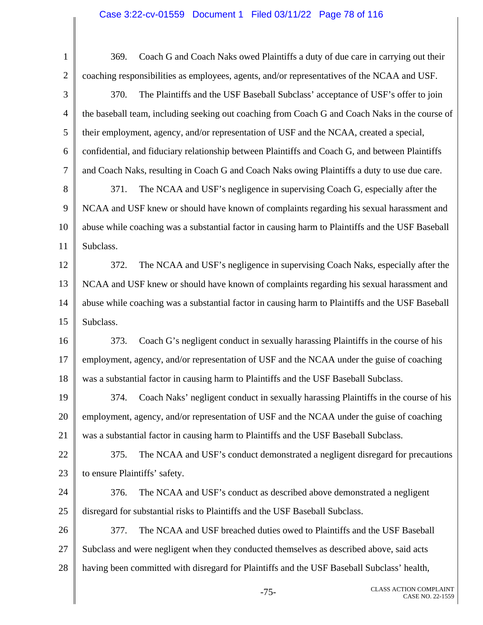# Case 3:22-cv-01559 Document 1 Filed 03/11/22 Page 78 of 116

| $\mathbf{1}$ | Coach G and Coach Naks owed Plaintiffs a duty of due care in carrying out their<br>369.          |
|--------------|--------------------------------------------------------------------------------------------------|
| $\mathbf{2}$ | coaching responsibilities as employees, agents, and/or representatives of the NCAA and USF.      |
| 3            | 370.<br>The Plaintiffs and the USF Baseball Subclass' acceptance of USF's offer to join          |
| 4            | the baseball team, including seeking out coaching from Coach G and Coach Naks in the course of   |
| 5            | their employment, agency, and/or representation of USF and the NCAA, created a special,          |
| 6            | confidential, and fiduciary relationship between Plaintiffs and Coach G, and between Plaintiffs  |
| 7            | and Coach Naks, resulting in Coach G and Coach Naks owing Plaintiffs a duty to use due care.     |
| 8            | The NCAA and USF's negligence in supervising Coach G, especially after the<br>371.               |
| 9            | NCAA and USF knew or should have known of complaints regarding his sexual harassment and         |
| 10           | abuse while coaching was a substantial factor in causing harm to Plaintiffs and the USF Baseball |
| 11           | Subclass.                                                                                        |
| 12           | The NCAA and USF's negligence in supervising Coach Naks, especially after the<br>372.            |
| 13           | NCAA and USF knew or should have known of complaints regarding his sexual harassment and         |
| 14           | abuse while coaching was a substantial factor in causing harm to Plaintiffs and the USF Baseball |
| 15           | Subclass.                                                                                        |
| 16           | Coach G's negligent conduct in sexually harassing Plaintiffs in the course of his<br>373.        |
| 17           | employment, agency, and/or representation of USF and the NCAA under the guise of coaching        |
| 18           | was a substantial factor in causing harm to Plaintiffs and the USF Baseball Subclass.            |
| 19           | Coach Naks' negligent conduct in sexually harassing Plaintiffs in the course of his<br>374.      |
| 20           | employment, agency, and/or representation of USF and the NCAA under the guise of coaching        |
| 21           | was a substantial factor in causing harm to Plaintiffs and the USF Baseball Subclass.            |
| 22           | The NCAA and USF's conduct demonstrated a negligent disregard for precautions<br>375.            |
| 23           | to ensure Plaintiffs' safety.                                                                    |
| 24           | 376.<br>The NCAA and USF's conduct as described above demonstrated a negligent                   |
| 25           | disregard for substantial risks to Plaintiffs and the USF Baseball Subclass.                     |
| 26           | The NCAA and USF breached duties owed to Plaintiffs and the USF Baseball<br>377.                 |
| 27           | Subclass and were negligent when they conducted themselves as described above, said acts         |
| 28           | having been committed with disregard for Plaintiffs and the USF Baseball Subclass' health,       |
|              | <b>CLASS ACTION COMPLAINT</b><br>$-75-$<br>CASE NO. 22-1559                                      |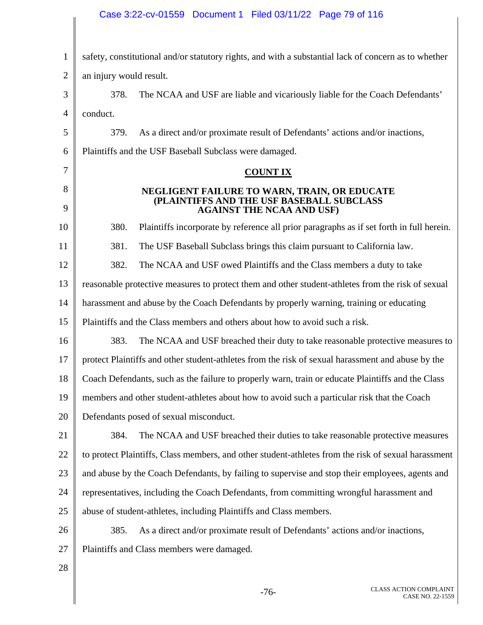# Case 3:22-cv-01559 Document 1 Filed 03/11/22 Page 79 of 116

| $\mathbf{1}$ | safety, constitutional and/or statutory rights, and with a substantial lack of concern as to whether                          |
|--------------|-------------------------------------------------------------------------------------------------------------------------------|
| 2            | an injury would result.                                                                                                       |
| 3            | The NCAA and USF are liable and vicariously liable for the Coach Defendants'<br>378.                                          |
| 4            | conduct.                                                                                                                      |
| 5            | As a direct and/or proximate result of Defendants' actions and/or inactions,<br>379.                                          |
| 6            | Plaintiffs and the USF Baseball Subclass were damaged.                                                                        |
| 7            | <b>COUNT IX</b>                                                                                                               |
| 8<br>9       | NEGLIGENT FAILURE TO WARN, TRAIN, OR EDUCATE<br>(PLAINTIFFS AND THE USF BASEBALL SUBCLASS<br><b>AGAINST THE NCAA AND USF)</b> |
| 10           | 380.<br>Plaintiffs incorporate by reference all prior paragraphs as if set forth in full herein.                              |
| 11           | 381.<br>The USF Baseball Subclass brings this claim pursuant to California law.                                               |
| 12           | 382.<br>The NCAA and USF owed Plaintiffs and the Class members a duty to take                                                 |
| 13           | reasonable protective measures to protect them and other student-athletes from the risk of sexual                             |
| 14           | harassment and abuse by the Coach Defendants by properly warning, training or educating                                       |
| 15           | Plaintiffs and the Class members and others about how to avoid such a risk.                                                   |
| 16           | 383.<br>The NCAA and USF breached their duty to take reasonable protective measures to                                        |
| 17           | protect Plaintiffs and other student-athletes from the risk of sexual harassment and abuse by the                             |
| 18           | Coach Defendants, such as the failure to properly warn, train or educate Plaintiffs and the Class                             |
| 19           | members and other student-athletes about how to avoid such a particular risk that the Coach                                   |
| 20           | Defendants posed of sexual misconduct.                                                                                        |
| 21           | The NCAA and USF breached their duties to take reasonable protective measures<br>384.                                         |
| 22           | to protect Plaintiffs, Class members, and other student-athletes from the risk of sexual harassment                           |
| 23           | and abuse by the Coach Defendants, by failing to supervise and stop their employees, agents and                               |
| 24           | representatives, including the Coach Defendants, from committing wrongful harassment and                                      |
| 25           | abuse of student-athletes, including Plaintiffs and Class members.                                                            |
| 26           | As a direct and/or proximate result of Defendants' actions and/or inactions,<br>385.                                          |
| 27           | Plaintiffs and Class members were damaged.                                                                                    |
| 28           |                                                                                                                               |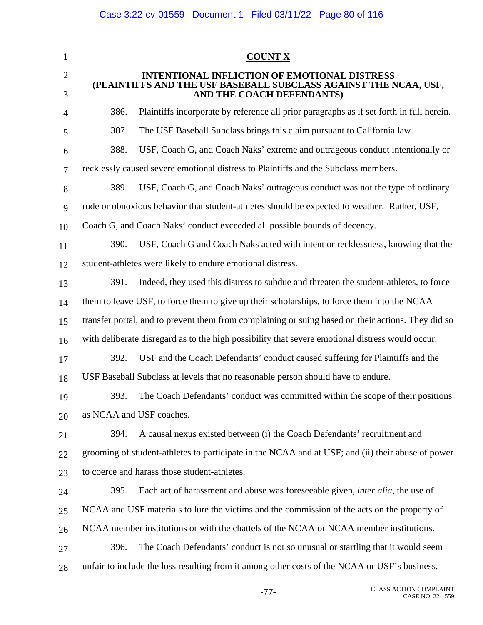|                | Case 3:22-cv-01559 Document 1 Filed 03/11/22 Page 80 of 116                                                                                          |
|----------------|------------------------------------------------------------------------------------------------------------------------------------------------------|
|                |                                                                                                                                                      |
| 1              | <b>COUNT X</b>                                                                                                                                       |
| $\overline{2}$ | <b>INTENTIONAL INFLICTION OF EMOTIONAL DISTRESS</b><br>(PLAINTIFFS AND THE USF BASEBALL SUBCLASS AGAINST THE NCAA, USF,<br>AND THE COACH DEFENDANTS) |
| 3              |                                                                                                                                                      |
| 4              | Plaintiffs incorporate by reference all prior paragraphs as if set forth in full herein.<br>386.                                                     |
| 5              | 387.<br>The USF Baseball Subclass brings this claim pursuant to California law.                                                                      |
| 6              | USF, Coach G, and Coach Naks' extreme and outrageous conduct intentionally or<br>388.                                                                |
| 7              | recklessly caused severe emotional distress to Plaintiffs and the Subclass members.                                                                  |
| 8              | USF, Coach G, and Coach Naks' outrageous conduct was not the type of ordinary<br>389.                                                                |
| 9              | rude or obnoxious behavior that student-athletes should be expected to weather. Rather, USF,                                                         |
| 10             | Coach G, and Coach Naks' conduct exceeded all possible bounds of decency.                                                                            |
| 11             | USF, Coach G and Coach Naks acted with intent or recklessness, knowing that the<br>390.                                                              |
| 12             | student-athletes were likely to endure emotional distress.                                                                                           |
| 13             | 391.<br>Indeed, they used this distress to subdue and threaten the student-athletes, to force                                                        |
| 14             | them to leave USF, to force them to give up their scholarships, to force them into the NCAA                                                          |
| 15             | transfer portal, and to prevent them from complaining or suing based on their actions. They did so                                                   |
| 16             | with deliberate disregard as to the high possibility that severe emotional distress would occur.                                                     |
| 17             | USF and the Coach Defendants' conduct caused suffering for Plaintiffs and the<br>392.                                                                |
| 18             | USF Baseball Subclass at levels that no reasonable person should have to endure.                                                                     |
| 19             | The Coach Defendants' conduct was committed within the scope of their positions<br>393.                                                              |
| 20             | as NCAA and USF coaches.                                                                                                                             |
| 21             | A causal nexus existed between (i) the Coach Defendants' recruitment and<br>394.                                                                     |
| 22             | grooming of student-athletes to participate in the NCAA and at USF; and (ii) their abuse of power                                                    |
| 23             | to coerce and harass those student-athletes.                                                                                                         |
| 24             | Each act of harassment and abuse was foreseeable given, <i>inter alia</i> , the use of<br>395.                                                       |
| 25             | NCAA and USF materials to lure the victims and the commission of the acts on the property of                                                         |
| 26             | NCAA member institutions or with the chattels of the NCAA or NCAA member institutions.                                                               |
| 27             | 396.<br>The Coach Defendants' conduct is not so unusual or startling that it would seem                                                              |
| 28             | unfair to include the loss resulting from it among other costs of the NCAA or USF's business.                                                        |
|                | CLASS ACTION COMPLAINT<br>$-77-$<br>CASE NO. 22-1559                                                                                                 |

Π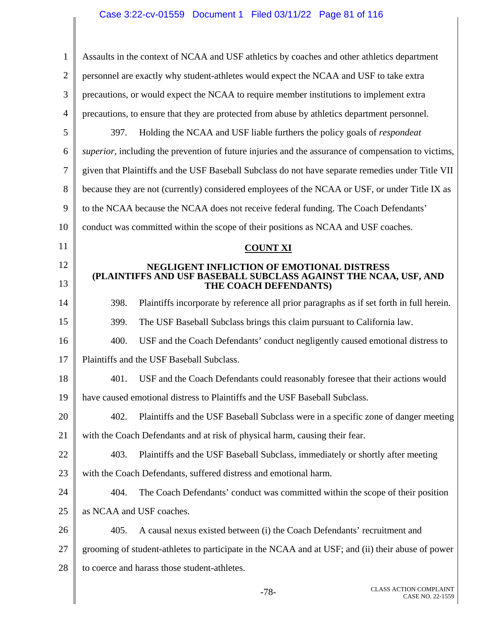| $\mathbf 1$    | Assaults in the context of NCAA and USF athletics by coaches and other athletics department                    |
|----------------|----------------------------------------------------------------------------------------------------------------|
| $\overline{2}$ | personnel are exactly why student-athletes would expect the NCAA and USF to take extra                         |
| 3              | precautions, or would expect the NCAA to require member institutions to implement extra                        |
| $\overline{4}$ | precautions, to ensure that they are protected from abuse by athletics department personnel.                   |
| 5              | Holding the NCAA and USF liable furthers the policy goals of <i>respondent</i><br>397.                         |
| 6              | <i>superior</i> , including the prevention of future injuries and the assurance of compensation to victims,    |
| 7              | given that Plaintiffs and the USF Baseball Subclass do not have separate remedies under Title VII              |
| 8              | because they are not (currently) considered employees of the NCAA or USF, or under Title IX as                 |
| 9              | to the NCAA because the NCAA does not receive federal funding. The Coach Defendants'                           |
| 10             | conduct was committed within the scope of their positions as NCAA and USF coaches.                             |
| 11             | <b>COUNT XI</b>                                                                                                |
| 12             | NEGLIGENT INFLICTION OF EMOTIONAL DISTRESS<br>(PLAINTIFFS AND USF BASEBALL SUBCLASS AGAINST THE NCAA, USF, AND |
| 13             | THE COACH DEFENDANTS)                                                                                          |
| 14             | Plaintiffs incorporate by reference all prior paragraphs as if set forth in full herein.<br>398.               |
| 15             | 399.<br>The USF Baseball Subclass brings this claim pursuant to California law.                                |
| 16             | 400.<br>USF and the Coach Defendants' conduct negligently caused emotional distress to                         |
| 17             | Plaintiffs and the USF Baseball Subclass.                                                                      |
| 18             | 401.<br>USF and the Coach Defendants could reasonably foresee that their actions would                         |
| 19             | have caused emotional distress to Plaintiffs and the USF Baseball Subclass.                                    |
| 20             | Plaintiffs and the USF Baseball Subclass were in a specific zone of danger meeting<br>402.                     |
| 21             | with the Coach Defendants and at risk of physical harm, causing their fear.                                    |
| 22             | 403.<br>Plaintiffs and the USF Baseball Subclass, immediately or shortly after meeting                         |
| 23             | with the Coach Defendants, suffered distress and emotional harm.                                               |
| 24             | 404.<br>The Coach Defendants' conduct was committed within the scope of their position                         |
| 25             | as NCAA and USF coaches.                                                                                       |
| 26             | 405.<br>A causal nexus existed between (i) the Coach Defendants' recruitment and                               |
| 27             | grooming of student-athletes to participate in the NCAA and at USF; and (ii) their abuse of power              |
| 28             | to coerce and harass those student-athletes.                                                                   |
|                |                                                                                                                |

Ш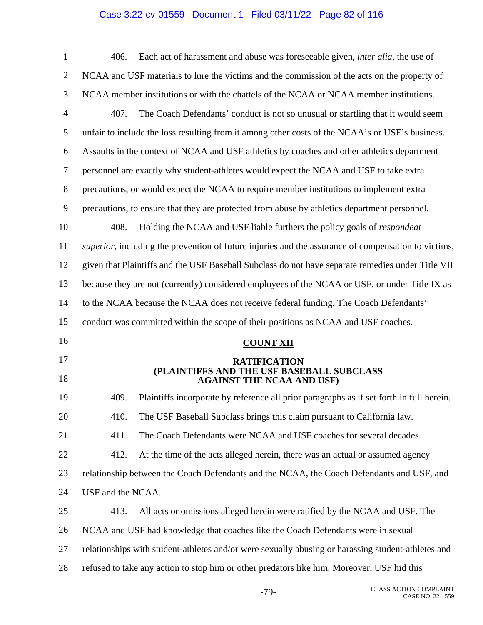# Case 3:22-cv-01559 Document 1 Filed 03/11/22 Page 82 of 116

| $\mathbf{1}$   | Each act of harassment and abuse was foreseeable given, <i>inter alia</i> , the use of<br>406.              |
|----------------|-------------------------------------------------------------------------------------------------------------|
| $\overline{2}$ | NCAA and USF materials to lure the victims and the commission of the acts on the property of                |
| 3              | NCAA member institutions or with the chattels of the NCAA or NCAA member institutions.                      |
| $\overline{4}$ | 407.<br>The Coach Defendants' conduct is not so unusual or startling that it would seem                     |
| 5              | unfair to include the loss resulting from it among other costs of the NCAA's or USF's business.             |
| 6              | Assaults in the context of NCAA and USF athletics by coaches and other athletics department                 |
| $\overline{7}$ | personnel are exactly why student-athletes would expect the NCAA and USF to take extra                      |
| 8              | precautions, or would expect the NCAA to require member institutions to implement extra                     |
| 9              | precautions, to ensure that they are protected from abuse by athletics department personnel.                |
| 10             | Holding the NCAA and USF liable furthers the policy goals of <i>respondent</i><br>408.                      |
| 11             | <i>superior</i> , including the prevention of future injuries and the assurance of compensation to victims, |
| 12             | given that Plaintiffs and the USF Baseball Subclass do not have separate remedies under Title VII           |
| 13             | because they are not (currently) considered employees of the NCAA or USF, or under Title IX as              |
| 14             | to the NCAA because the NCAA does not receive federal funding. The Coach Defendants'                        |
| 15             | conduct was committed within the scope of their positions as NCAA and USF coaches.                          |
| 16             |                                                                                                             |
|                | <b>COUNT XII</b>                                                                                            |
| 17<br>18       | <b>RATIFICATION</b><br>(PLAINTIFFS AND THE USF BASEBALL SUBCLASS<br><b>AGAINST THE NCAA AND USF)</b>        |
| 19             | Plaintiffs incorporate by reference all prior paragraphs as if set forth in full herein.<br>409.            |
| 20             | 410.<br>The USF Baseball Subclass brings this claim pursuant to California law.                             |
| 21             | 411.<br>The Coach Defendants were NCAA and USF coaches for several decades.                                 |
| 22             | 412.<br>At the time of the acts alleged herein, there was an actual or assumed agency                       |
| 23             | relationship between the Coach Defendants and the NCAA, the Coach Defendants and USF, and                   |
| 24             | USF and the NCAA.                                                                                           |
| 25             | 413.<br>All acts or omissions alleged herein were ratified by the NCAA and USF. The                         |
| 26             | NCAA and USF had knowledge that coaches like the Coach Defendants were in sexual                            |
| 27             | relationships with student-athletes and/or were sexually abusing or harassing student-athletes and          |
| 28             | refused to take any action to stop him or other predators like him. Moreover, USF hid this                  |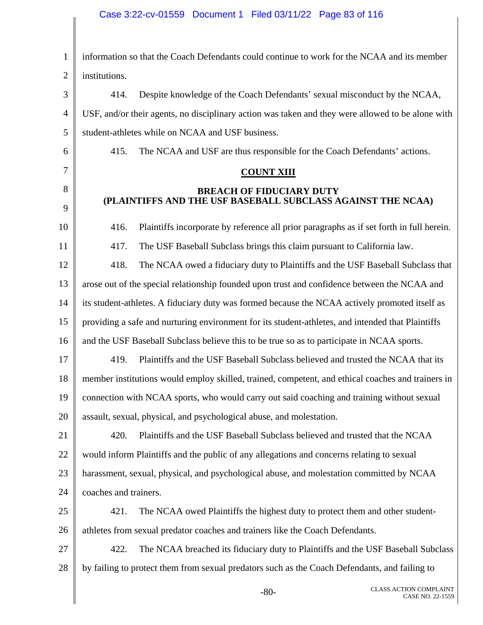# Case 3:22-cv-01559 Document 1 Filed 03/11/22 Page 83 of 116

| $\mathbf{1}$   | information so that the Coach Defendants could continue to work for the NCAA and its member       |
|----------------|---------------------------------------------------------------------------------------------------|
| $\overline{2}$ | institutions.                                                                                     |
| 3              | Despite knowledge of the Coach Defendants' sexual misconduct by the NCAA,<br>414.                 |
| $\overline{4}$ | USF, and/or their agents, no disciplinary action was taken and they were allowed to be alone with |
| 5              | student-athletes while on NCAA and USF business.                                                  |
| 6              | 415.<br>The NCAA and USF are thus responsible for the Coach Defendants' actions.                  |
| 7              | <b>COUNT XIII</b>                                                                                 |
| 8<br>9         | <b>BREACH OF FIDUCIARY DUTY</b><br>(PLAINTIFFS AND THE USF BASEBALL SUBCLASS AGAINST THE NCAA)    |
| 10             | Plaintiffs incorporate by reference all prior paragraphs as if set forth in full herein.<br>416.  |
| 11             | 417.<br>The USF Baseball Subclass brings this claim pursuant to California law.                   |
| 12             | 418.<br>The NCAA owed a fiduciary duty to Plaintiffs and the USF Baseball Subclass that           |
| 13             | arose out of the special relationship founded upon trust and confidence between the NCAA and      |
| 14             | its student-athletes. A fiduciary duty was formed because the NCAA actively promoted itself as    |
| 15             | providing a safe and nurturing environment for its student-athletes, and intended that Plaintiffs |
| 16             | and the USF Baseball Subclass believe this to be true so as to participate in NCAA sports.        |
| 17             | Plaintiffs and the USF Baseball Subclass believed and trusted the NCAA that its<br>419.           |
| 18             | member institutions would employ skilled, trained, competent, and ethical coaches and trainers in |
| 19             | connection with NCAA sports, who would carry out said coaching and training without sexual        |
| 20             | assault, sexual, physical, and psychological abuse, and molestation.                              |
| 21             | 420.<br>Plaintiffs and the USF Baseball Subclass believed and trusted that the NCAA               |
| 22             | would inform Plaintiffs and the public of any allegations and concerns relating to sexual         |
| 23             | harassment, sexual, physical, and psychological abuse, and molestation committed by NCAA          |
| 24             | coaches and trainers.                                                                             |
| 25             | 421.<br>The NCAA owed Plaintiffs the highest duty to protect them and other student-              |
| 26             | athletes from sexual predator coaches and trainers like the Coach Defendants.                     |
| 27             | The NCAA breached its fiduciary duty to Plaintiffs and the USF Baseball Subclass<br>422.          |
| 28             | by failing to protect them from sexual predators such as the Coach Defendants, and failing to     |
|                | <b>CLASS ACTION COMPLAINT</b><br>$-80-$<br>CASE NO. 22-1559                                       |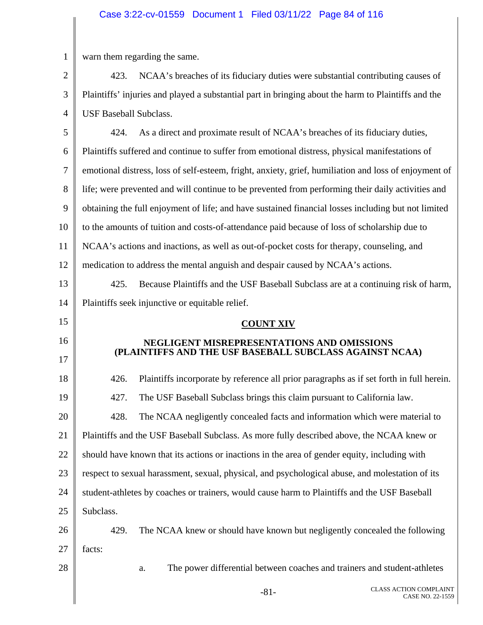# Case 3:22-cv-01559 Document 1 Filed 03/11/22 Page 84 of 116

| $\mathbf{1}$   | warn them regarding the same.                                                                         |
|----------------|-------------------------------------------------------------------------------------------------------|
| $\overline{2}$ | NCAA's breaches of its fiduciary duties were substantial contributing causes of<br>423.               |
| 3              | Plaintiffs' injuries and played a substantial part in bringing about the harm to Plaintiffs and the   |
| $\overline{4}$ | <b>USF Baseball Subclass.</b>                                                                         |
| 5              | 424.<br>As a direct and proximate result of NCAA's breaches of its fiduciary duties,                  |
| 6              | Plaintiffs suffered and continue to suffer from emotional distress, physical manifestations of        |
| $\overline{7}$ | emotional distress, loss of self-esteem, fright, anxiety, grief, humiliation and loss of enjoyment of |
| 8              | life; were prevented and will continue to be prevented from performing their daily activities and     |
| 9              | obtaining the full enjoyment of life; and have sustained financial losses including but not limited   |
| 10             | to the amounts of tuition and costs-of-attendance paid because of loss of scholarship due to          |
| 11             | NCAA's actions and inactions, as well as out-of-pocket costs for therapy, counseling, and             |
| 12             | medication to address the mental anguish and despair caused by NCAA's actions.                        |
| 13             | 425.<br>Because Plaintiffs and the USF Baseball Subclass are at a continuing risk of harm,            |
| 14             | Plaintiffs seek injunctive or equitable relief.                                                       |
| 15             | <b>COUNT XIV</b>                                                                                      |
| 16             | NEGLIGENT MISREPRESENTATIONS AND OMISSIONS                                                            |
| 17             | (PLAINTIFFS AND THE USF BASEBALL SUBCLASS AGAINST NCAA)                                               |
| 18             | Plaintiffs incorporate by reference all prior paragraphs as if set forth in full herein.<br>426.      |
| 19             | 427.<br>The USF Baseball Subclass brings this claim pursuant to California law.                       |
| 20             | 428.<br>The NCAA negligently concealed facts and information which were material to                   |
| 21             | Plaintiffs and the USF Baseball Subclass. As more fully described above, the NCAA knew or             |
| 22             | should have known that its actions or inactions in the area of gender equity, including with          |
| 23             | respect to sexual harassment, sexual, physical, and psychological abuse, and molestation of its       |
| 24             | student-athletes by coaches or trainers, would cause harm to Plaintiffs and the USF Baseball          |
| 25             | Subclass.                                                                                             |
| 26             | The NCAA knew or should have known but negligently concealed the following<br>429.                    |
| 27             | facts:                                                                                                |
| 28             | The power differential between coaches and trainers and student-athletes<br>a.                        |
|                | <b>CLASS ACTION COMPLAINT</b><br>$-81-$<br>CASE NO. 22-1559                                           |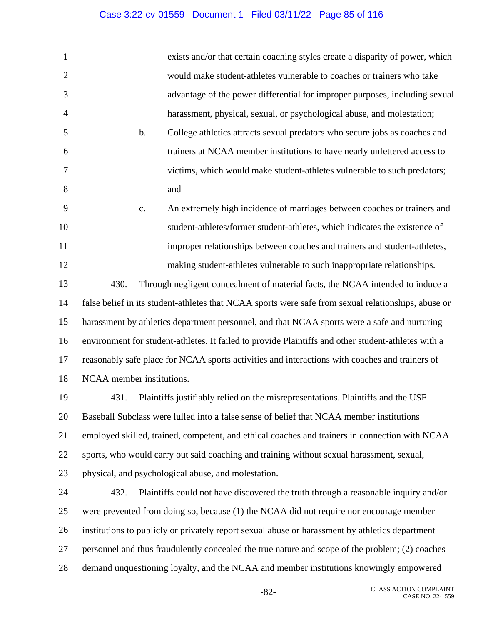1

2

3

4

5

6

7

8

9

10

11

12

exists and/or that certain coaching styles create a disparity of power, which would make student-athletes vulnerable to coaches or trainers who take advantage of the power differential for improper purposes, including sexual harassment, physical, sexual, or psychological abuse, and molestation;

b. College athletics attracts sexual predators who secure jobs as coaches and trainers at NCAA member institutions to have nearly unfettered access to victims, which would make student-athletes vulnerable to such predators; and

c. An extremely high incidence of marriages between coaches or trainers and student-athletes/former student-athletes, which indicates the existence of improper relationships between coaches and trainers and student-athletes, making student-athletes vulnerable to such inappropriate relationships.

13 14 15 16 17 18 430. Through negligent concealment of material facts, the NCAA intended to induce a false belief in its student-athletes that NCAA sports were safe from sexual relationships, abuse or harassment by athletics department personnel, and that NCAA sports were a safe and nurturing environment for student-athletes. It failed to provide Plaintiffs and other student-athletes with a reasonably safe place for NCAA sports activities and interactions with coaches and trainers of NCAA member institutions.

19 20 21 22 23 431. Plaintiffs justifiably relied on the misrepresentations. Plaintiffs and the USF Baseball Subclass were lulled into a false sense of belief that NCAA member institutions employed skilled, trained, competent, and ethical coaches and trainers in connection with NCAA sports, who would carry out said coaching and training without sexual harassment, sexual, physical, and psychological abuse, and molestation.

24 25 26 27 28 432. Plaintiffs could not have discovered the truth through a reasonable inquiry and/or were prevented from doing so, because (1) the NCAA did not require nor encourage member institutions to publicly or privately report sexual abuse or harassment by athletics department personnel and thus fraudulently concealed the true nature and scope of the problem; (2) coaches demand unquestioning loyalty, and the NCAA and member institutions knowingly empowered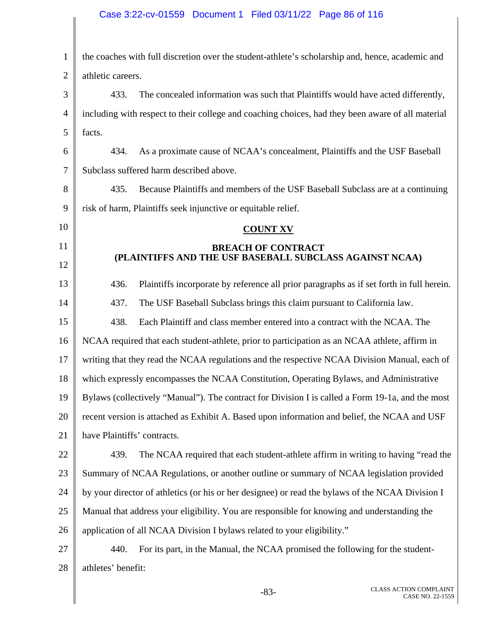# Case 3:22-cv-01559 Document 1 Filed 03/11/22 Page 86 of 116

| $\mathbf{1}$   | the coaches with full discretion over the student-athlete's scholarship and, hence, academic and  |
|----------------|---------------------------------------------------------------------------------------------------|
| $\overline{2}$ | athletic careers.                                                                                 |
| 3              | The concealed information was such that Plaintiffs would have acted differently,<br>433.          |
| 4              | including with respect to their college and coaching choices, had they been aware of all material |
| 5              | facts.                                                                                            |
| 6              | As a proximate cause of NCAA's concealment, Plaintiffs and the USF Baseball<br>434.               |
| 7              | Subclass suffered harm described above.                                                           |
| 8              | 435.<br>Because Plaintiffs and members of the USF Baseball Subclass are at a continuing           |
| 9              | risk of harm, Plaintiffs seek injunctive or equitable relief.                                     |
| 10             | <b>COUNT XV</b>                                                                                   |
| 11             | <b>BREACH OF CONTRACT</b>                                                                         |
| 12             | (PLAINTIFFS AND THE USF BASEBALL SUBCLASS AGAINST NCAA)                                           |
| 13             | 436.<br>Plaintiffs incorporate by reference all prior paragraphs as if set forth in full herein.  |
| 14             | 437.<br>The USF Baseball Subclass brings this claim pursuant to California law.                   |
| 15             | 438.<br>Each Plaintiff and class member entered into a contract with the NCAA. The                |
| 16             | NCAA required that each student-athlete, prior to participation as an NCAA athlete, affirm in     |
| 17             | writing that they read the NCAA regulations and the respective NCAA Division Manual, each of      |
| 18             | which expressly encompasses the NCAA Constitution, Operating Bylaws, and Administrative           |
| 19             | Bylaws (collectively "Manual"). The contract for Division I is called a Form 19-1a, and the most  |
| 20             | recent version is attached as Exhibit A. Based upon information and belief, the NCAA and USF      |
| 21             | have Plaintiffs' contracts.                                                                       |
| 22             | The NCAA required that each student-athlete affirm in writing to having "read the<br>439.         |
| 23             | Summary of NCAA Regulations, or another outline or summary of NCAA legislation provided           |
| 24             | by your director of athletics (or his or her designee) or read the bylaws of the NCAA Division I  |
| 25             | Manual that address your eligibility. You are responsible for knowing and understanding the       |
| 26             | application of all NCAA Division I bylaws related to your eligibility."                           |
| 27             | 440.<br>For its part, in the Manual, the NCAA promised the following for the student-             |
| 28             | athletes' benefit:                                                                                |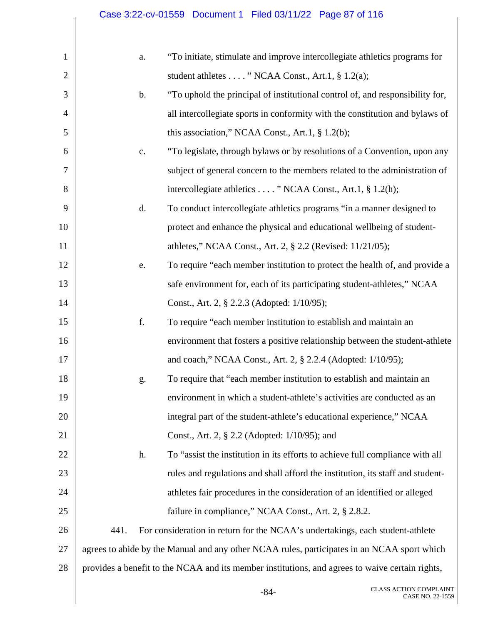| $\mathbf{1}$   | a.            | "To initiate, stimulate and improve intercollegiate athletics programs for                      |
|----------------|---------------|-------------------------------------------------------------------------------------------------|
| $\overline{2}$ |               | student athletes " NCAA Const., Art.1, § 1.2(a);                                                |
| 3              | $\mathbf b$ . | "To uphold the principal of institutional control of, and responsibility for,                   |
| $\overline{4}$ |               | all intercollegiate sports in conformity with the constitution and bylaws of                    |
| 5              |               | this association," NCAA Const., Art.1, $\S$ 1.2(b);                                             |
| 6              | c.            | "To legislate, through bylaws or by resolutions of a Convention, upon any                       |
| 7              |               | subject of general concern to the members related to the administration of                      |
| 8              |               | intercollegiate athletics " NCAA Const., Art.1, § 1.2(h);                                       |
| 9              | d.            | To conduct intercollegiate athletics programs "in a manner designed to                          |
| 10             |               | protect and enhance the physical and educational wellbeing of student-                          |
| 11             |               | athletes," NCAA Const., Art. 2, § 2.2 (Revised: 11/21/05);                                      |
| 12             | e.            | To require "each member institution to protect the health of, and provide a                     |
| 13             |               | safe environment for, each of its participating student-athletes," NCAA                         |
| 14             |               | Const., Art. 2, § 2.2.3 (Adopted: 1/10/95);                                                     |
| 15             | f.            | To require "each member institution to establish and maintain an                                |
| 16             |               | environment that fosters a positive relationship between the student-athlete                    |
| 17             |               | and coach," NCAA Const., Art. 2, § 2.2.4 (Adopted: 1/10/95);                                    |
| 18             | g.            | To require that "each member institution to establish and maintain an                           |
| 19             |               | environment in which a student-athlete's activities are conducted as an                         |
| 20             |               | integral part of the student-athlete's educational experience," NCAA                            |
| 21             |               | Const., Art. 2, § 2.2 (Adopted: 1/10/95); and                                                   |
| 22             | h.            | To "assist the institution in its efforts to achieve full compliance with all                   |
| 23             |               | rules and regulations and shall afford the institution, its staff and student-                  |
| 24             |               | athletes fair procedures in the consideration of an identified or alleged                       |
| 25             |               | failure in compliance," NCAA Const., Art. 2, § 2.8.2.                                           |
| 26             | 441.          | For consideration in return for the NCAA's undertakings, each student-athlete                   |
| 27             |               | agrees to abide by the Manual and any other NCAA rules, participates in an NCAA sport which     |
| 28             |               | provides a benefit to the NCAA and its member institutions, and agrees to waive certain rights, |
|                |               |                                                                                                 |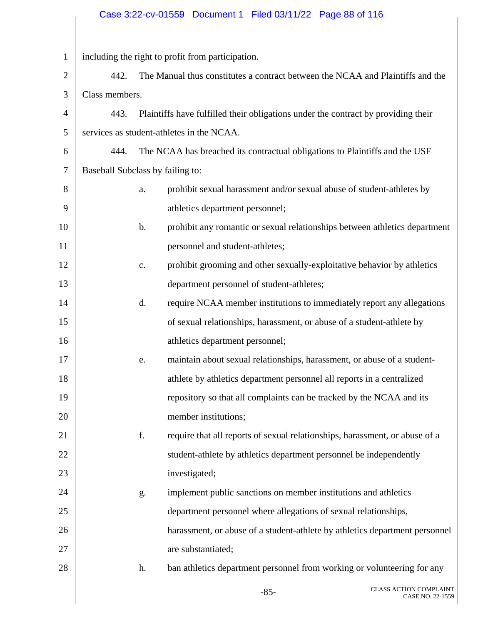# Case 3:22-cv-01559 Document 1 Filed 03/11/22 Page 88 of 116

| $\mathbf{1}$   |                                  |                | including the right to profit from participation.                                 |
|----------------|----------------------------------|----------------|-----------------------------------------------------------------------------------|
| $\overline{2}$ | 442.                             |                | The Manual thus constitutes a contract between the NCAA and Plaintiffs and the    |
| 3              | Class members.                   |                |                                                                                   |
| $\overline{4}$ | 443.                             |                | Plaintiffs have fulfilled their obligations under the contract by providing their |
| 5              |                                  |                | services as student-athletes in the NCAA.                                         |
| 6              | 444.                             |                | The NCAA has breached its contractual obligations to Plaintiffs and the USF       |
| $\tau$         | Baseball Subclass by failing to: |                |                                                                                   |
| 8              |                                  | a.             | prohibit sexual harassment and/or sexual abuse of student-athletes by             |
| 9              |                                  |                | athletics department personnel;                                                   |
| 10             |                                  | $\mathbf b$ .  | prohibit any romantic or sexual relationships between athletics department        |
| 11             |                                  |                | personnel and student-athletes;                                                   |
| 12             |                                  | $\mathbf{c}$ . | prohibit grooming and other sexually-exploitative behavior by athletics           |
| 13             |                                  |                | department personnel of student-athletes;                                         |
| 14             |                                  | d.             | require NCAA member institutions to immediately report any allegations            |
| 15             |                                  |                | of sexual relationships, harassment, or abuse of a student-athlete by             |
| 16             |                                  |                | athletics department personnel;                                                   |
| 17             |                                  | e.             | maintain about sexual relationships, harassment, or abuse of a student-           |
| 18             |                                  |                | athlete by athletics department personnel all reports in a centralized            |
| 19             |                                  |                | repository so that all complaints can be tracked by the NCAA and its              |
| 20             |                                  |                | member institutions;                                                              |
| 21             |                                  | f.             | require that all reports of sexual relationships, harassment, or abuse of a       |
| 22             |                                  |                | student-athlete by athletics department personnel be independently                |
| 23             |                                  |                | investigated;                                                                     |
| 24             |                                  | g.             | implement public sanctions on member institutions and athletics                   |
| 25             |                                  |                | department personnel where allegations of sexual relationships,                   |
| 26             |                                  |                | harassment, or abuse of a student-athlete by athletics department personnel       |
| 27             |                                  |                | are substantiated;                                                                |
| 28             |                                  | h.             | ban athletics department personnel from working or volunteering for any           |
|                |                                  |                |                                                                                   |

 $\parallel$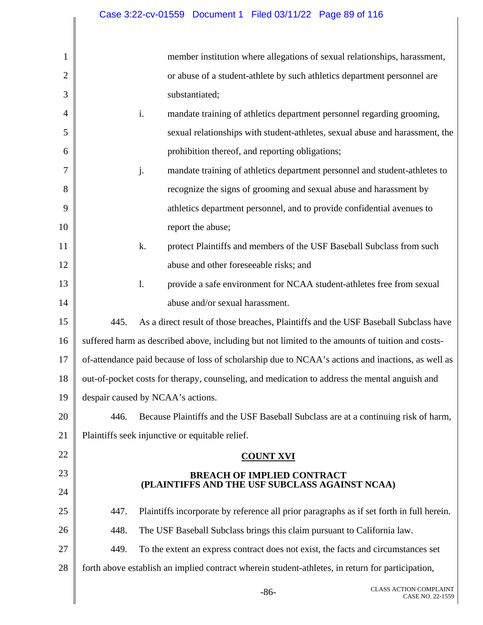# Case 3:22-cv-01559 Document 1 Filed 03/11/22 Page 89 of 116

| 1              |      | member institution where allegations of sexual relationships, harassment,                         |
|----------------|------|---------------------------------------------------------------------------------------------------|
| $\overline{2}$ |      | or abuse of a student-athlete by such athletics department personnel are                          |
| 3              |      | substantiated;                                                                                    |
|                |      |                                                                                                   |
| 4              |      | i.<br>mandate training of athletics department personnel regarding grooming,                      |
| 5              |      | sexual relationships with student-athletes, sexual abuse and harassment, the                      |
| 6              |      | prohibition thereof, and reporting obligations;                                                   |
| 7              |      | j.<br>mandate training of athletics department personnel and student-athletes to                  |
| 8              |      | recognize the signs of grooming and sexual abuse and harassment by                                |
| 9              |      | athletics department personnel, and to provide confidential avenues to                            |
| 10             |      | report the abuse;                                                                                 |
| 11             |      | k.<br>protect Plaintiffs and members of the USF Baseball Subclass from such                       |
| 12             |      | abuse and other foreseeable risks; and                                                            |
| 13             |      | $\mathbf{l}$ .<br>provide a safe environment for NCAA student-athletes free from sexual           |
| 14             |      | abuse and/or sexual harassment.                                                                   |
| 15             | 445. | As a direct result of those breaches, Plaintiffs and the USF Baseball Subclass have               |
| 16             |      | suffered harm as described above, including but not limited to the amounts of tuition and costs-  |
| 17             |      | of-attendance paid because of loss of scholarship due to NCAA's actions and inactions, as well as |
| 18             |      | out-of-pocket costs for therapy, counseling, and medication to address the mental anguish and     |
| 19             |      | despair caused by NCAA's actions.                                                                 |
| 20             | 446. | Because Plaintiffs and the USF Baseball Subclass are at a continuing risk of harm,                |
| 21             |      | Plaintiffs seek injunctive or equitable relief.                                                   |
| 22             |      | <b>COUNT XVI</b>                                                                                  |
| 23             |      | <b>BREACH OF IMPLIED CONTRACT</b>                                                                 |
| 24             |      | (PLAINTIFFS AND THE USF SUBCLASS AGAINST NCAA)                                                    |
| 25             | 447. | Plaintiffs incorporate by reference all prior paragraphs as if set forth in full herein.          |
| 26             | 448. | The USF Baseball Subclass brings this claim pursuant to California law.                           |
| 27             | 449. | To the extent an express contract does not exist, the facts and circumstances set                 |
| 28             |      | forth above establish an implied contract wherein student-athletes, in return for participation,  |
|                |      | CLASS ACTION COMPLAINT<br>$-86-$<br>CASE NO. 22-1559                                              |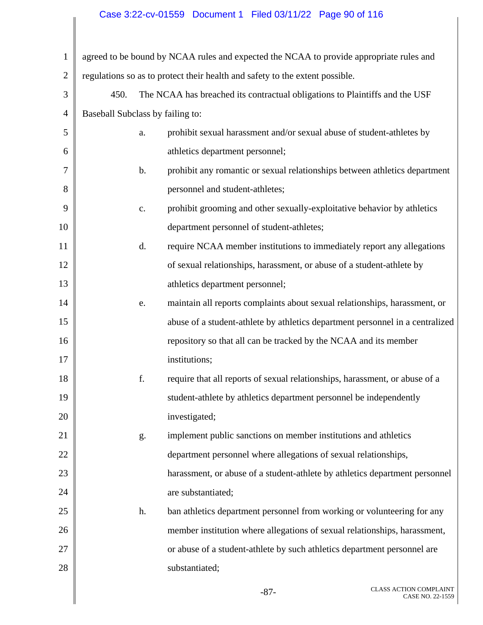# Case 3:22-cv-01559 Document 1 Filed 03/11/22 Page 90 of 116

| $\mathbf{1}$   | agreed to be bound by NCAA rules and expected the NCAA to provide appropriate rules and |               |                                                                               |  |
|----------------|-----------------------------------------------------------------------------------------|---------------|-------------------------------------------------------------------------------|--|
| $\overline{2}$ |                                                                                         |               | regulations so as to protect their health and safety to the extent possible.  |  |
| 3              | 450.                                                                                    |               | The NCAA has breached its contractual obligations to Plaintiffs and the USF   |  |
| $\overline{4}$ | Baseball Subclass by failing to:                                                        |               |                                                                               |  |
| 5              |                                                                                         | a.            | prohibit sexual harassment and/or sexual abuse of student-athletes by         |  |
| 6              |                                                                                         |               | athletics department personnel;                                               |  |
| 7              |                                                                                         | b.            | prohibit any romantic or sexual relationships between athletics department    |  |
| 8              |                                                                                         |               | personnel and student-athletes;                                               |  |
| 9              |                                                                                         | $\mathbf{c}.$ | prohibit grooming and other sexually-exploitative behavior by athletics       |  |
| 10             |                                                                                         |               | department personnel of student-athletes;                                     |  |
| 11             |                                                                                         | d.            | require NCAA member institutions to immediately report any allegations        |  |
| 12             |                                                                                         |               | of sexual relationships, harassment, or abuse of a student-athlete by         |  |
| 13             |                                                                                         |               | athletics department personnel;                                               |  |
| 14             |                                                                                         | e.            | maintain all reports complaints about sexual relationships, harassment, or    |  |
| 15             |                                                                                         |               | abuse of a student-athlete by athletics department personnel in a centralized |  |
| 16             |                                                                                         |               | repository so that all can be tracked by the NCAA and its member              |  |
| 17             |                                                                                         |               | institutions;                                                                 |  |
| 18             |                                                                                         | f.            | require that all reports of sexual relationships, harassment, or abuse of a   |  |
| 19             |                                                                                         |               | student-athlete by athletics department personnel be independently            |  |
| 20             |                                                                                         |               | investigated;                                                                 |  |
| 21             |                                                                                         | g.            | implement public sanctions on member institutions and athletics               |  |
| 22             |                                                                                         |               | department personnel where allegations of sexual relationships,               |  |
| 23             |                                                                                         |               | harassment, or abuse of a student-athlete by athletics department personnel   |  |
| 24             |                                                                                         |               | are substantiated;                                                            |  |
| 25             |                                                                                         | h.            | ban athletics department personnel from working or volunteering for any       |  |
| 26             |                                                                                         |               | member institution where allegations of sexual relationships, harassment,     |  |
| 27             |                                                                                         |               | or abuse of a student-athlete by such athletics department personnel are      |  |
| 28             |                                                                                         |               | substantiated;                                                                |  |
|                |                                                                                         |               |                                                                               |  |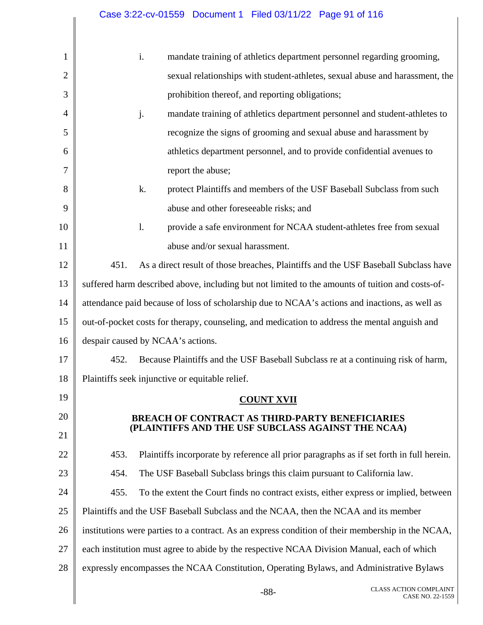# Case 3:22-cv-01559 Document 1 Filed 03/11/22 Page 91 of 116

| 1              |      | i.             |                                                 |                   | mandate training of athletics department personnel regarding grooming,                            |
|----------------|------|----------------|-------------------------------------------------|-------------------|---------------------------------------------------------------------------------------------------|
| $\overline{2}$ |      |                |                                                 |                   | sexual relationships with student-athletes, sexual abuse and harassment, the                      |
| 3              |      |                | prohibition thereof, and reporting obligations; |                   |                                                                                                   |
| $\overline{4}$ |      | j.             |                                                 |                   | mandate training of athletics department personnel and student-athletes to                        |
| 5              |      |                |                                                 |                   | recognize the signs of grooming and sexual abuse and harassment by                                |
| 6              |      |                |                                                 |                   | athletics department personnel, and to provide confidential avenues to                            |
| $\overline{7}$ |      |                | report the abuse;                               |                   |                                                                                                   |
| 8              |      | k.             |                                                 |                   | protect Plaintiffs and members of the USF Baseball Subclass from such                             |
| 9              |      |                | abuse and other foreseeable risks; and          |                   |                                                                                                   |
| 10             |      | $\mathbf{l}$ . |                                                 |                   | provide a safe environment for NCAA student-athletes free from sexual                             |
| 11             |      |                | abuse and/or sexual harassment.                 |                   |                                                                                                   |
| 12             | 451. |                |                                                 |                   | As a direct result of those breaches, Plaintiffs and the USF Baseball Subclass have               |
| 13             |      |                |                                                 |                   | suffered harm described above, including but not limited to the amounts of tuition and costs-of-  |
| 14             |      |                |                                                 |                   | attendance paid because of loss of scholarship due to NCAA's actions and inactions, as well as    |
| 15             |      |                |                                                 |                   | out-of-pocket costs for therapy, counseling, and medication to address the mental anguish and     |
| 16             |      |                | despair caused by NCAA's actions.               |                   |                                                                                                   |
| 17             | 452. |                |                                                 |                   | Because Plaintiffs and the USF Baseball Subclass re at a continuing risk of harm,                 |
| 18             |      |                | Plaintiffs seek injunctive or equitable relief. |                   |                                                                                                   |
| 19             |      |                |                                                 | <b>COUNT XVII</b> |                                                                                                   |
| 20             |      |                |                                                 |                   | <b>BREACH OF CONTRACT AS THIRD-PARTY BENEFICIARIES</b>                                            |
| 21             |      |                |                                                 |                   | (PLAINTIFFS AND THE USF SUBCLASS AGAINST THE NCAA)                                                |
| 22             | 453. |                |                                                 |                   | Plaintiffs incorporate by reference all prior paragraphs as if set forth in full herein.          |
| 23             | 454. |                |                                                 |                   | The USF Baseball Subclass brings this claim pursuant to California law.                           |
| 24             | 455. |                |                                                 |                   | To the extent the Court finds no contract exists, either express or implied, between              |
| 25             |      |                |                                                 |                   | Plaintiffs and the USF Baseball Subclass and the NCAA, then the NCAA and its member               |
| 26             |      |                |                                                 |                   | institutions were parties to a contract. As an express condition of their membership in the NCAA, |
| 27             |      |                |                                                 |                   | each institution must agree to abide by the respective NCAA Division Manual, each of which        |
| 28             |      |                |                                                 |                   | expressly encompasses the NCAA Constitution, Operating Bylaws, and Administrative Bylaws          |
|                |      |                |                                                 | $-88-$            | <b>CLASS ACTION COMPLAINT</b><br>CASE NO. 22-1559                                                 |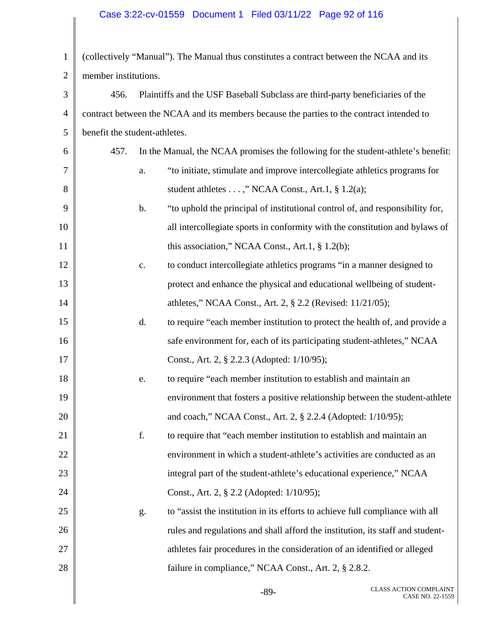# Case 3:22-cv-01559 Document 1 Filed 03/11/22 Page 92 of 116

|                               | (collectively "Manual"). The Manual thus constitutes a contract between the NCAA and its  |
|-------------------------------|-------------------------------------------------------------------------------------------|
| member institutions.          |                                                                                           |
| 456.                          | Plaintiffs and the USF Baseball Subclass are third-party beneficiaries of the             |
|                               | contract between the NCAA and its members because the parties to the contract intended to |
| benefit the student-athletes. |                                                                                           |
| 457.                          | In the Manual, the NCAA promises the following for the student-athlete's benefit:         |
| a.                            | "to initiate, stimulate and improve intercollegiate athletics programs for                |
|                               | student athletes ," NCAA Const., Art.1, § 1.2(a);                                         |
| $\mathbf b$ .                 | "to uphold the principal of institutional control of, and responsibility for,             |
|                               | all intercollegiate sports in conformity with the constitution and bylaws of              |
|                               | this association," NCAA Const., Art.1, $\S$ 1.2(b);                                       |
| $\mathbf{c}.$                 | to conduct intercollegiate athletics programs "in a manner designed to                    |
|                               | protect and enhance the physical and educational wellbeing of student-                    |
|                               | athletes," NCAA Const., Art. 2, § 2.2 (Revised: 11/21/05);                                |
| d.                            | to require "each member institution to protect the health of, and provide a               |
|                               | safe environment for, each of its participating student-athletes," NCAA                   |
|                               | Const., Art. 2, § 2.2.3 (Adopted: 1/10/95);                                               |
| e.                            | to require "each member institution to establish and maintain an                          |
|                               | environment that fosters a positive relationship between the student-athlete              |
|                               | and coach," NCAA Const., Art. 2, § 2.2.4 (Adopted: 1/10/95);                              |
| f.                            | to require that "each member institution to establish and maintain an                     |
|                               | environment in which a student-athlete's activities are conducted as an                   |
|                               | integral part of the student-athlete's educational experience," NCAA                      |
|                               | Const., Art. 2, § 2.2 (Adopted: 1/10/95);                                                 |
| g.                            | to "assist the institution in its efforts to achieve full compliance with all             |
|                               | rules and regulations and shall afford the institution, its staff and student-            |
|                               | athletes fair procedures in the consideration of an identified or alleged                 |
|                               | failure in compliance," NCAA Const., Art. 2, § 2.8.2.                                     |
|                               |                                                                                           |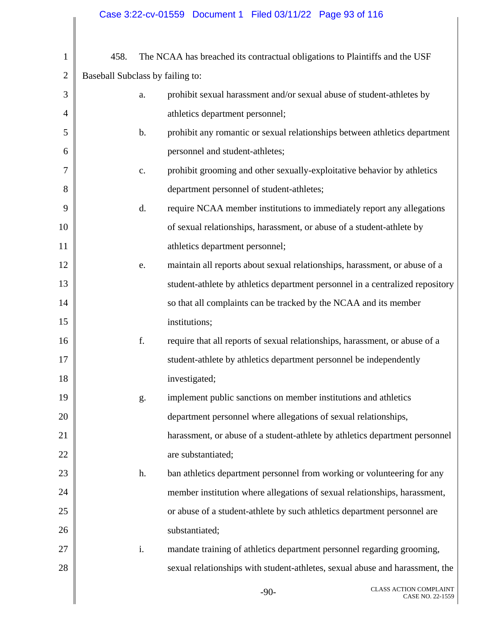| $\mathbf{1}$   | 458.                             |               | The NCAA has breached its contractual obligations to Plaintiffs and the USF   |
|----------------|----------------------------------|---------------|-------------------------------------------------------------------------------|
| $\overline{2}$ | Baseball Subclass by failing to: |               |                                                                               |
| 3              |                                  | a.            | prohibit sexual harassment and/or sexual abuse of student-athletes by         |
| 4              |                                  |               | athletics department personnel;                                               |
| 5              |                                  | $\mathbf b$ . | prohibit any romantic or sexual relationships between athletics department    |
| 6              |                                  |               | personnel and student-athletes;                                               |
| 7              |                                  | c.            | prohibit grooming and other sexually-exploitative behavior by athletics       |
| 8              |                                  |               | department personnel of student-athletes;                                     |
| 9              |                                  | d.            | require NCAA member institutions to immediately report any allegations        |
| 10             |                                  |               | of sexual relationships, harassment, or abuse of a student-athlete by         |
| 11             |                                  |               | athletics department personnel;                                               |
| 12             |                                  | e.            | maintain all reports about sexual relationships, harassment, or abuse of a    |
| 13             |                                  |               | student-athlete by athletics department personnel in a centralized repository |
| 14             |                                  |               | so that all complaints can be tracked by the NCAA and its member              |
| 15             |                                  |               | institutions;                                                                 |
| 16             |                                  | f.            | require that all reports of sexual relationships, harassment, or abuse of a   |
| 17             |                                  |               | student-athlete by athletics department personnel be independently            |
| 18             |                                  |               | investigated;                                                                 |
| 19             |                                  | g.            | implement public sanctions on member institutions and athletics               |
| 20             |                                  |               | department personnel where allegations of sexual relationships,               |
| 21             |                                  |               | harassment, or abuse of a student-athlete by athletics department personnel   |
| 22             |                                  |               | are substantiated;                                                            |
| 23             |                                  | h.            | ban athletics department personnel from working or volunteering for any       |
| 24             |                                  |               | member institution where allegations of sexual relationships, harassment,     |
| 25             |                                  |               | or abuse of a student-athlete by such athletics department personnel are      |
| 26             |                                  |               | substantiated;                                                                |
| 27             |                                  | i.            | mandate training of athletics department personnel regarding grooming,        |
| 28             |                                  |               | sexual relationships with student-athletes, sexual abuse and harassment, the  |
|                |                                  |               | CLASS ACTION COMPLAINT<br>$-90-$<br>CASE NO. 22-1559                          |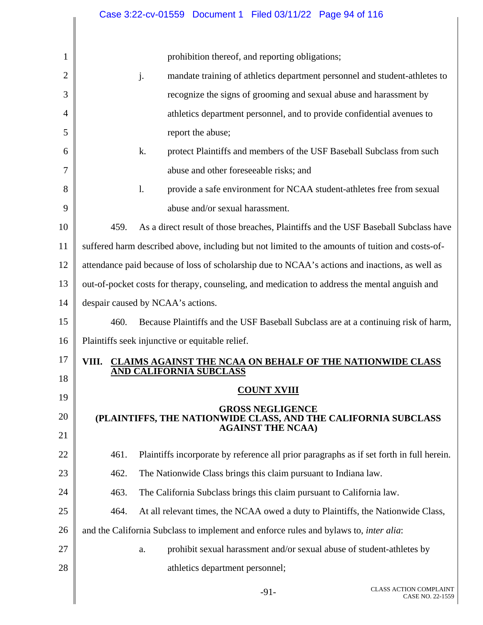|                | Case 3:22-cv-01559  Document 1  Filed 03/11/22  Page 94 of 116                                   |
|----------------|--------------------------------------------------------------------------------------------------|
|                |                                                                                                  |
| 1              | prohibition thereof, and reporting obligations;                                                  |
| $\overline{2}$ | j.<br>mandate training of athletics department personnel and student-athletes to                 |
| 3              | recognize the signs of grooming and sexual abuse and harassment by                               |
| $\overline{4}$ | athletics department personnel, and to provide confidential avenues to                           |
| 5              | report the abuse;                                                                                |
| 6              | k.<br>protect Plaintiffs and members of the USF Baseball Subclass from such                      |
| 7              | abuse and other foreseeable risks; and                                                           |
| 8              | provide a safe environment for NCAA student-athletes free from sexual<br>$\mathbf{l}$ .          |
| 9              | abuse and/or sexual harassment.                                                                  |
| 10             | As a direct result of those breaches, Plaintiffs and the USF Baseball Subclass have<br>459.      |
| 11             | suffered harm described above, including but not limited to the amounts of tuition and costs-of- |
| 12             | attendance paid because of loss of scholarship due to NCAA's actions and inactions, as well as   |
| 13             | out-of-pocket costs for therapy, counseling, and medication to address the mental anguish and    |
| 14             | despair caused by NCAA's actions.                                                                |
| 15             | Because Plaintiffs and the USF Baseball Subclass are at a continuing risk of harm,<br>460.       |
| 16             | Plaintiffs seek injunctive or equitable relief.                                                  |
| 17             | VIII. CLAIMS AGAINST THE NCAA ON BEHALF OF THE NATIONWIDE CLASS                                  |
| 18             | <b>AND CALIFORNIA SUBCLASS</b>                                                                   |
| 19             | <b>COUNT XVIII</b>                                                                               |
| 20             | <b>GROSS NEGLIGENCE</b><br>(PLAINTIFFS, THE NATIONWIDE CLASS, AND THE CALIFORNIA SUBCLASS        |
| 21             | <b>AGAINST THE NCAA)</b>                                                                         |
| 22             | Plaintiffs incorporate by reference all prior paragraphs as if set forth in full herein.<br>461. |
| 23             | 462.<br>The Nationwide Class brings this claim pursuant to Indiana law.                          |
| 24             | 463.<br>The California Subclass brings this claim pursuant to California law.                    |
| 25             | 464.<br>At all relevant times, the NCAA owed a duty to Plaintiffs, the Nationwide Class,         |
| 26             | and the California Subclass to implement and enforce rules and bylaws to, <i>inter alia</i> :    |
| 27             | prohibit sexual harassment and/or sexual abuse of student-athletes by<br>a.                      |
| 28             | athletics department personnel;                                                                  |
|                |                                                                                                  |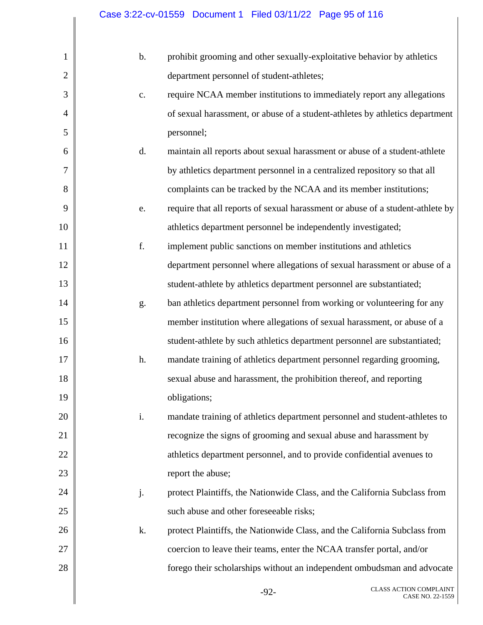| $\mathbf{1}$   | $b$ . | prohibit grooming and other sexually-exploitative behavior by athletics        |
|----------------|-------|--------------------------------------------------------------------------------|
| $\mathbf{2}$   |       | department personnel of student-athletes;                                      |
| 3              | c.    | require NCAA member institutions to immediately report any allegations         |
| $\overline{4}$ |       | of sexual harassment, or abuse of a student-athletes by athletics department   |
| 5              |       | personnel;                                                                     |
| 6              | d.    | maintain all reports about sexual harassment or abuse of a student-athlete     |
| 7              |       | by athletics department personnel in a centralized repository so that all      |
| 8              |       | complaints can be tracked by the NCAA and its member institutions;             |
| 9              | e.    | require that all reports of sexual harassment or abuse of a student-athlete by |
| 10             |       | athletics department personnel be independently investigated;                  |
| 11             | f.    | implement public sanctions on member institutions and athletics                |
| 12             |       | department personnel where allegations of sexual harassment or abuse of a      |
| 13             |       | student-athlete by athletics department personnel are substantiated;           |
| 14             | g.    | ban athletics department personnel from working or volunteering for any        |
| 15             |       | member institution where allegations of sexual harassment, or abuse of a       |
| 16             |       | student-athlete by such athletics department personnel are substantiated;      |
| 17             | h.    | mandate training of athletics department personnel regarding grooming,         |
| 18             |       | sexual abuse and harassment, the prohibition thereof, and reporting            |
| 19             |       | obligations;                                                                   |
| 20             | i.    | mandate training of athletics department personnel and student-athletes to     |
| 21             |       | recognize the signs of grooming and sexual abuse and harassment by             |
| 22             |       | athletics department personnel, and to provide confidential avenues to         |
| 23             |       | report the abuse;                                                              |
| 24             | j.    | protect Plaintiffs, the Nationwide Class, and the California Subclass from     |
| 25             |       | such abuse and other foreseeable risks;                                        |
| 26             | k.    | protect Plaintiffs, the Nationwide Class, and the California Subclass from     |
| 27             |       | coercion to leave their teams, enter the NCAA transfer portal, and/or          |
| 28             |       | forego their scholarships without an independent ombudsman and advocate        |
|                |       | <b>CLASS ACTION COMPLAINT</b><br>$-92-$<br>CASE NO. 22-1559                    |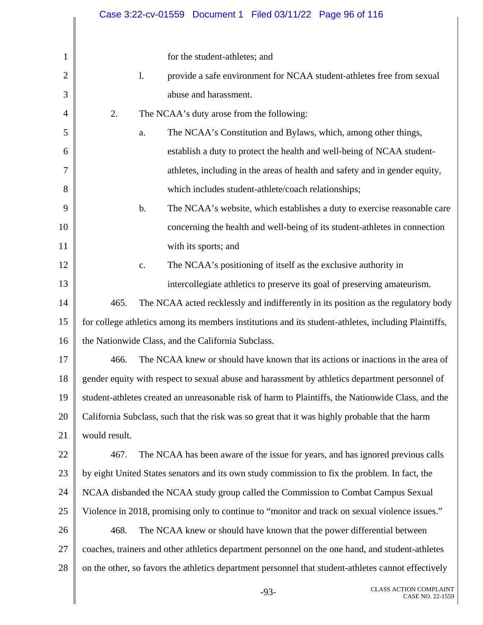|                |               |                |                                                    |                                                     | Case 3:22-cv-01559 Document 1 Filed 03/11/22 Page 96 of 116                                          |                                                                                                    |
|----------------|---------------|----------------|----------------------------------------------------|-----------------------------------------------------|------------------------------------------------------------------------------------------------------|----------------------------------------------------------------------------------------------------|
|                |               |                |                                                    |                                                     |                                                                                                      |                                                                                                    |
| $\mathbf{1}$   |               |                | for the student-athletes; and                      |                                                     |                                                                                                      |                                                                                                    |
| $\overline{2}$ |               | $\mathbf{1}$ . |                                                    |                                                     | provide a safe environment for NCAA student-athletes free from sexual                                |                                                                                                    |
| 3              |               |                | abuse and harassment.                              |                                                     |                                                                                                      |                                                                                                    |
| 4              | 2.            |                |                                                    | The NCAA's duty arose from the following:           |                                                                                                      |                                                                                                    |
| 5              |               | a.             |                                                    |                                                     | The NCAA's Constitution and Bylaws, which, among other things,                                       |                                                                                                    |
| 6              |               |                |                                                    |                                                     | establish a duty to protect the health and well-being of NCAA student-                               |                                                                                                    |
| 7              |               |                |                                                    |                                                     | athletes, including in the areas of health and safety and in gender equity,                          |                                                                                                    |
| 8              |               |                |                                                    | which includes student-athlete/coach relationships; |                                                                                                      |                                                                                                    |
| 9              |               | $\mathbf b$ .  |                                                    |                                                     |                                                                                                      | The NCAA's website, which establishes a duty to exercise reasonable care                           |
| 10             |               |                |                                                    |                                                     | concerning the health and well-being of its student-athletes in connection                           |                                                                                                    |
| 11             |               |                | with its sports; and                               |                                                     |                                                                                                      |                                                                                                    |
| 12             |               | c.             |                                                    |                                                     | The NCAA's positioning of itself as the exclusive authority in                                       |                                                                                                    |
| 13             |               |                |                                                    |                                                     | intercollegiate athletics to preserve its goal of preserving amateurism.                             |                                                                                                    |
| 14             | 465.          |                |                                                    |                                                     |                                                                                                      | The NCAA acted recklessly and indifferently in its position as the regulatory body                 |
| 15             |               |                |                                                    |                                                     | for college athletics among its members institutions and its student-athletes, including Plaintiffs, |                                                                                                    |
| 16             |               |                | the Nationwide Class, and the California Subclass. |                                                     |                                                                                                      |                                                                                                    |
| 17             | 466.          |                |                                                    |                                                     |                                                                                                      | The NCAA knew or should have known that its actions or inactions in the area of                    |
| 18             |               |                |                                                    |                                                     | gender equity with respect to sexual abuse and harassment by athletics department personnel of       |                                                                                                    |
| 19             |               |                |                                                    |                                                     |                                                                                                      | student-athletes created an unreasonable risk of harm to Plaintiffs, the Nationwide Class, and the |
| 20             |               |                |                                                    |                                                     | California Subclass, such that the risk was so great that it was highly probable that the harm       |                                                                                                    |
| 21             | would result. |                |                                                    |                                                     |                                                                                                      |                                                                                                    |
| 22             | 467.          |                |                                                    |                                                     | The NCAA has been aware of the issue for years, and has ignored previous calls                       |                                                                                                    |
| 23             |               |                |                                                    |                                                     | by eight United States senators and its own study commission to fix the problem. In fact, the        |                                                                                                    |
| 24             |               |                |                                                    |                                                     | NCAA disbanded the NCAA study group called the Commission to Combat Campus Sexual                    |                                                                                                    |
| 25             |               |                |                                                    |                                                     | Violence in 2018, promising only to continue to "monitor and track on sexual violence issues."       |                                                                                                    |
| 26             | 468.          |                |                                                    |                                                     | The NCAA knew or should have known that the power differential between                               |                                                                                                    |
| 27             |               |                |                                                    |                                                     | coaches, trainers and other athletics department personnel on the one hand, and student-athletes     |                                                                                                    |
| 28             |               |                |                                                    |                                                     | on the other, so favors the athletics department personnel that student-athletes cannot effectively  |                                                                                                    |
|                |               |                |                                                    | $-93-$                                              |                                                                                                      | <b>CLASS ACTION COMPLAINT</b><br>CASE NO. 22-1559                                                  |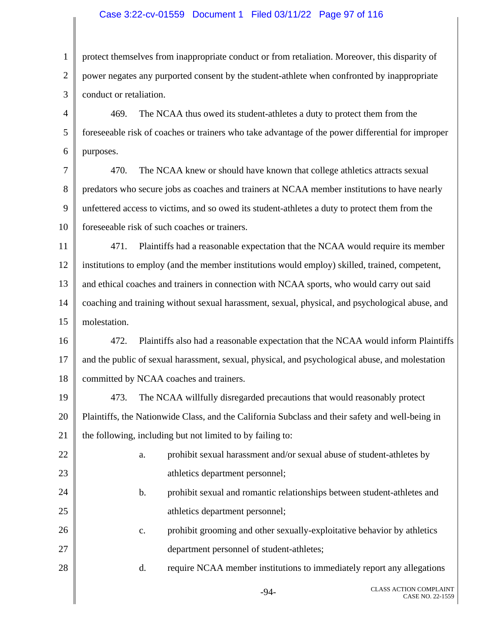#### Case 3:22-cv-01559 Document 1 Filed 03/11/22 Page 97 of 116

1 2 3 4 5 6 protect themselves from inappropriate conduct or from retaliation. Moreover, this disparity of power negates any purported consent by the student-athlete when confronted by inappropriate conduct or retaliation. 469. The NCAA thus owed its student-athletes a duty to protect them from the foreseeable risk of coaches or trainers who take advantage of the power differential for improper purposes.

7 8 9 10 470. The NCAA knew or should have known that college athletics attracts sexual predators who secure jobs as coaches and trainers at NCAA member institutions to have nearly unfettered access to victims, and so owed its student-athletes a duty to protect them from the foreseeable risk of such coaches or trainers.

11 12 13 14 15 471. Plaintiffs had a reasonable expectation that the NCAA would require its member institutions to employ (and the member institutions would employ) skilled, trained, competent, and ethical coaches and trainers in connection with NCAA sports, who would carry out said coaching and training without sexual harassment, sexual, physical, and psychological abuse, and molestation.

16 17 18 472. Plaintiffs also had a reasonable expectation that the NCAA would inform Plaintiffs and the public of sexual harassment, sexual, physical, and psychological abuse, and molestation committed by NCAA coaches and trainers.

19 20 21 473. The NCAA willfully disregarded precautions that would reasonably protect Plaintiffs, the Nationwide Class, and the California Subclass and their safety and well-being in the following, including but not limited to by failing to:

22

23

24

25

28

- a. prohibit sexual harassment and/or sexual abuse of student-athletes by athletics department personnel;
	- b. prohibit sexual and romantic relationships between student-athletes and athletics department personnel;
- 26 27 c. prohibit grooming and other sexually-exploitative behavior by athletics department personnel of student-athletes;
	- d. require NCAA member institutions to immediately report any allegations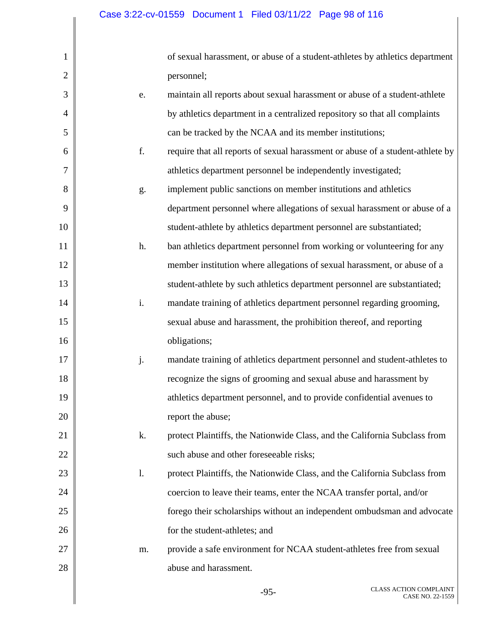1

2

3

4

5

6

7

8

9

10

11

12

13

14

15

16

17

18

19

20

21

22

23

24

25

26

27

28

of sexual harassment, or abuse of a student-athletes by athletics department personnel;

- e. maintain all reports about sexual harassment or abuse of a student-athlete by athletics department in a centralized repository so that all complaints can be tracked by the NCAA and its member institutions;
	- f. require that all reports of sexual harassment or abuse of a student-athlete by athletics department personnel be independently investigated;
- g. implement public sanctions on member institutions and athletics department personnel where allegations of sexual harassment or abuse of a student-athlete by athletics department personnel are substantiated;
- h. ban athletics department personnel from working or volunteering for any member institution where allegations of sexual harassment, or abuse of a student-athlete by such athletics department personnel are substantiated; i. mandate training of athletics department personnel regarding grooming,
	- sexual abuse and harassment, the prohibition thereof, and reporting obligations;
	- j. mandate training of athletics department personnel and student-athletes to recognize the signs of grooming and sexual abuse and harassment by athletics department personnel, and to provide confidential avenues to report the abuse;
		- k. protect Plaintiffs, the Nationwide Class, and the California Subclass from such abuse and other foreseeable risks;
	- l. protect Plaintiffs, the Nationwide Class, and the California Subclass from coercion to leave their teams, enter the NCAA transfer portal, and/or forego their scholarships without an independent ombudsman and advocate for the student-athletes; and
		- m. provide a safe environment for NCAA student-athletes free from sexual abuse and harassment.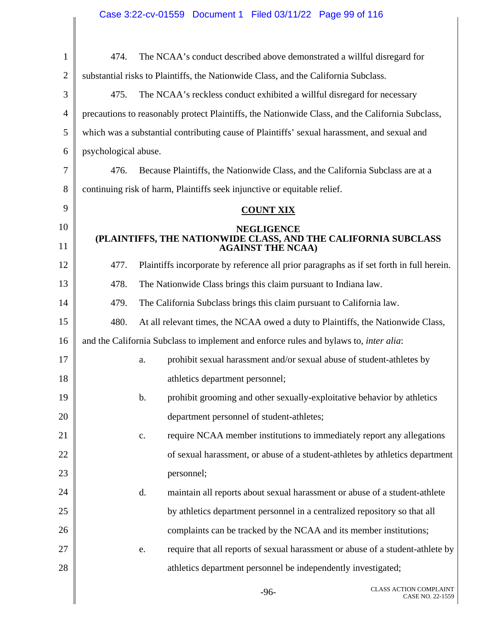| $\mathbf{1}$   | 474.                 | The NCAA's conduct described above demonstrated a willful disregard for                          |
|----------------|----------------------|--------------------------------------------------------------------------------------------------|
| $\overline{2}$ |                      | substantial risks to Plaintiffs, the Nationwide Class, and the California Subclass.              |
| 3              | 475.                 | The NCAA's reckless conduct exhibited a willful disregard for necessary                          |
| 4              |                      | precautions to reasonably protect Plaintiffs, the Nationwide Class, and the California Subclass, |
| 5              |                      | which was a substantial contributing cause of Plaintiffs' sexual harassment, and sexual and      |
| 6              | psychological abuse. |                                                                                                  |
| 7              | 476.                 | Because Plaintiffs, the Nationwide Class, and the California Subclass are at a                   |
| 8              |                      | continuing risk of harm, Plaintiffs seek injunctive or equitable relief.                         |
| 9              |                      | <b>COUNT XIX</b>                                                                                 |
| 10             |                      | <b>NEGLIGENCE</b>                                                                                |
| 11             |                      | (PLAINTIFFS, THE NATIONWIDE CLASS, AND THE CALIFORNIA SUBCLASS<br><b>AGAINST THE NCAA)</b>       |
| 12             | 477.                 | Plaintiffs incorporate by reference all prior paragraphs as if set forth in full herein.         |
| 13             | 478.                 | The Nationwide Class brings this claim pursuant to Indiana law.                                  |
| 14             | 479.                 | The California Subclass brings this claim pursuant to California law.                            |
| 15             | 480.                 | At all relevant times, the NCAA owed a duty to Plaintiffs, the Nationwide Class,                 |
| 16             |                      | and the California Subclass to implement and enforce rules and bylaws to, <i>inter alia</i> :    |
| 17             |                      | prohibit sexual harassment and/or sexual abuse of student-athletes by<br>a.                      |
| 18             |                      | athletics department personnel;                                                                  |
| 19             |                      | prohibit grooming and other sexually-exploitative behavior by athletics<br>b.                    |
| 20             |                      | department personnel of student-athletes;                                                        |
| 21             |                      | require NCAA member institutions to immediately report any allegations<br>c.                     |
| 22             |                      | of sexual harassment, or abuse of a student-athletes by athletics department                     |
| 23             |                      | personnel;                                                                                       |
| 24             |                      | maintain all reports about sexual harassment or abuse of a student-athlete<br>d.                 |
| 25             |                      | by athletics department personnel in a centralized repository so that all                        |
| 26             |                      | complaints can be tracked by the NCAA and its member institutions;                               |
| 27             |                      | require that all reports of sexual harassment or abuse of a student-athlete by<br>e.             |
| 28             |                      | athletics department personnel be independently investigated;                                    |
|                |                      |                                                                                                  |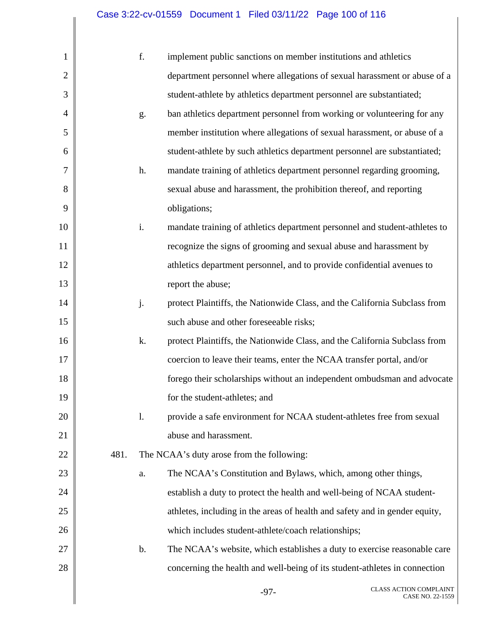# Case 3:22-cv-01559 Document 1 Filed 03/11/22 Page 100 of 116

| 1              |      | f. | implement public sanctions on member institutions and athletics             |
|----------------|------|----|-----------------------------------------------------------------------------|
| $\overline{2}$ |      |    | department personnel where allegations of sexual harassment or abuse of a   |
| 3              |      |    | student-athlete by athletics department personnel are substantiated;        |
| $\overline{4}$ |      | g. | ban athletics department personnel from working or volunteering for any     |
| 5              |      |    | member institution where allegations of sexual harassment, or abuse of a    |
| 6              |      |    | student-athlete by such athletics department personnel are substantiated;   |
| 7              |      | h. | mandate training of athletics department personnel regarding grooming,      |
| 8              |      |    | sexual abuse and harassment, the prohibition thereof, and reporting         |
| 9              |      |    | obligations;                                                                |
| 10             |      | i. | mandate training of athletics department personnel and student-athletes to  |
| 11             |      |    | recognize the signs of grooming and sexual abuse and harassment by          |
| 12             |      |    | athletics department personnel, and to provide confidential avenues to      |
| 13             |      |    | report the abuse;                                                           |
| 14             |      | j. | protect Plaintiffs, the Nationwide Class, and the California Subclass from  |
| 15             |      |    | such abuse and other foreseeable risks;                                     |
| 16             |      | k. | protect Plaintiffs, the Nationwide Class, and the California Subclass from  |
| 17             |      |    | coercion to leave their teams, enter the NCAA transfer portal, and/or       |
| 18             |      |    | forego their scholarships without an independent ombudsman and advocate     |
| 19             |      |    | for the student-athletes; and                                               |
| 20             |      | 1. | provide a safe environment for NCAA student-athletes free from sexual       |
| 21             |      |    | abuse and harassment.                                                       |
| 22             | 481. |    | The NCAA's duty arose from the following:                                   |
| 23             |      | a. | The NCAA's Constitution and Bylaws, which, among other things,              |
| 24             |      |    | establish a duty to protect the health and well-being of NCAA student-      |
| 25             |      |    | athletes, including in the areas of health and safety and in gender equity, |
| 26             |      |    | which includes student-athlete/coach relationships;                         |
| 27             |      | b. | The NCAA's website, which establishes a duty to exercise reasonable care    |
| 28             |      |    | concerning the health and well-being of its student-athletes in connection  |
|                |      |    | <b>CLASS ACTION COMPLAINT</b><br>$-97-$<br>CASE NO. 22-1559                 |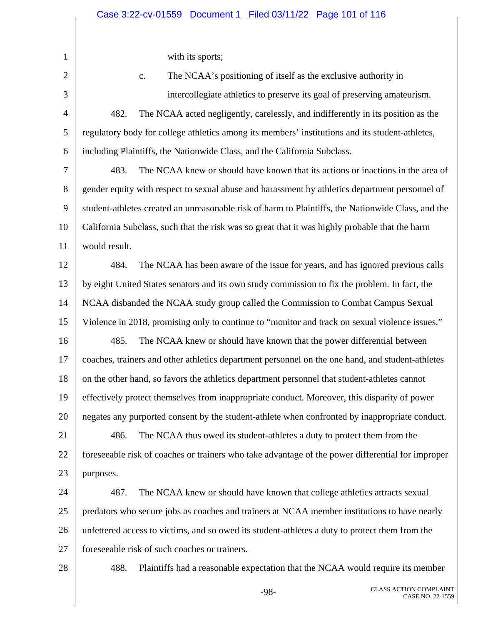with its sports;

1

2 3 4 5 6 7 8 9 10 11 12 13 14 15 16 17 18 19 20 21 22 23 24 25 26 27 28 c. The NCAA's positioning of itself as the exclusive authority in intercollegiate athletics to preserve its goal of preserving amateurism. 482. The NCAA acted negligently, carelessly, and indifferently in its position as the regulatory body for college athletics among its members' institutions and its student-athletes, including Plaintiffs, the Nationwide Class, and the California Subclass. 483. The NCAA knew or should have known that its actions or inactions in the area of gender equity with respect to sexual abuse and harassment by athletics department personnel of student-athletes created an unreasonable risk of harm to Plaintiffs, the Nationwide Class, and the California Subclass, such that the risk was so great that it was highly probable that the harm would result. 484. The NCAA has been aware of the issue for years, and has ignored previous calls by eight United States senators and its own study commission to fix the problem. In fact, the NCAA disbanded the NCAA study group called the Commission to Combat Campus Sexual Violence in 2018, promising only to continue to "monitor and track on sexual violence issues." 485. The NCAA knew or should have known that the power differential between coaches, trainers and other athletics department personnel on the one hand, and student-athletes on the other hand, so favors the athletics department personnel that student-athletes cannot effectively protect themselves from inappropriate conduct. Moreover, this disparity of power negates any purported consent by the student-athlete when confronted by inappropriate conduct. 486. The NCAA thus owed its student-athletes a duty to protect them from the foreseeable risk of coaches or trainers who take advantage of the power differential for improper purposes. 487. The NCAA knew or should have known that college athletics attracts sexual predators who secure jobs as coaches and trainers at NCAA member institutions to have nearly unfettered access to victims, and so owed its student-athletes a duty to protect them from the foreseeable risk of such coaches or trainers. 488. Plaintiffs had a reasonable expectation that the NCAA would require its member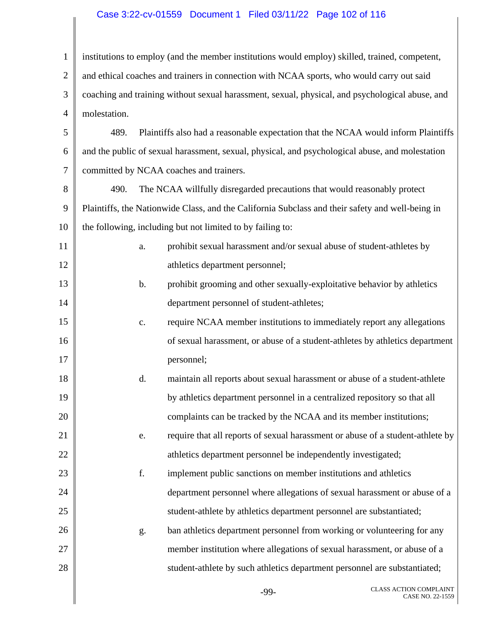#### Case 3:22-cv-01559 Document 1 Filed 03/11/22 Page 102 of 116

1 2 3 4 5 6 7 8 9 10 11 12 13 14 15 16 17 18 19 20 21 22 23 24 25 26 27 28 institutions to employ (and the member institutions would employ) skilled, trained, competent, and ethical coaches and trainers in connection with NCAA sports, who would carry out said coaching and training without sexual harassment, sexual, physical, and psychological abuse, and molestation. 489. Plaintiffs also had a reasonable expectation that the NCAA would inform Plaintiffs and the public of sexual harassment, sexual, physical, and psychological abuse, and molestation committed by NCAA coaches and trainers. 490. The NCAA willfully disregarded precautions that would reasonably protect Plaintiffs, the Nationwide Class, and the California Subclass and their safety and well-being in the following, including but not limited to by failing to: a. prohibit sexual harassment and/or sexual abuse of student-athletes by athletics department personnel; b. prohibit grooming and other sexually-exploitative behavior by athletics department personnel of student-athletes; c. require NCAA member institutions to immediately report any allegations of sexual harassment, or abuse of a student-athletes by athletics department personnel; d. maintain all reports about sexual harassment or abuse of a student-athlete by athletics department personnel in a centralized repository so that all complaints can be tracked by the NCAA and its member institutions; e. require that all reports of sexual harassment or abuse of a student-athlete by athletics department personnel be independently investigated; f. implement public sanctions on member institutions and athletics department personnel where allegations of sexual harassment or abuse of a student-athlete by athletics department personnel are substantiated; g. ban athletics department personnel from working or volunteering for any member institution where allegations of sexual harassment, or abuse of a student-athlete by such athletics department personnel are substantiated;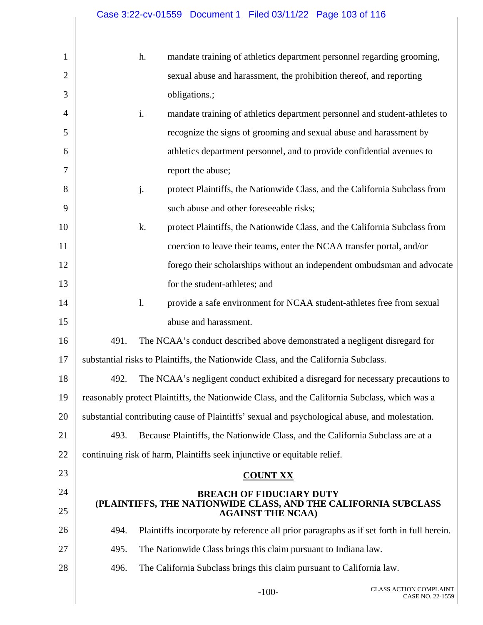# Case 3:22-cv-01559 Document 1 Filed 03/11/22 Page 103 of 116

| 1              |                                                                                                | h.             | mandate training of athletics department personnel regarding grooming,                     |                                                                                          |
|----------------|------------------------------------------------------------------------------------------------|----------------|--------------------------------------------------------------------------------------------|------------------------------------------------------------------------------------------|
| $\overline{2}$ |                                                                                                |                | sexual abuse and harassment, the prohibition thereof, and reporting                        |                                                                                          |
| 3              |                                                                                                |                | obligations.;                                                                              |                                                                                          |
| 4              |                                                                                                | i.             |                                                                                            | mandate training of athletics department personnel and student-athletes to               |
| 5              |                                                                                                |                | recognize the signs of grooming and sexual abuse and harassment by                         |                                                                                          |
| 6              |                                                                                                |                | athletics department personnel, and to provide confidential avenues to                     |                                                                                          |
| 7              |                                                                                                |                | report the abuse;                                                                          |                                                                                          |
| 8              |                                                                                                | j.             |                                                                                            | protect Plaintiffs, the Nationwide Class, and the California Subclass from               |
| 9              |                                                                                                |                | such abuse and other foreseeable risks;                                                    |                                                                                          |
| 10             |                                                                                                | k.             |                                                                                            | protect Plaintiffs, the Nationwide Class, and the California Subclass from               |
| 11             |                                                                                                |                | coercion to leave their teams, enter the NCAA transfer portal, and/or                      |                                                                                          |
| 12             |                                                                                                |                |                                                                                            | forego their scholarships without an independent ombudsman and advocate                  |
| 13             |                                                                                                |                | for the student-athletes; and                                                              |                                                                                          |
| 14             |                                                                                                | $\mathbf{l}$ . | provide a safe environment for NCAA student-athletes free from sexual                      |                                                                                          |
| 15             |                                                                                                |                | abuse and harassment.                                                                      |                                                                                          |
| 16             | 491.                                                                                           |                | The NCAA's conduct described above demonstrated a negligent disregard for                  |                                                                                          |
| 17             | substantial risks to Plaintiffs, the Nationwide Class, and the California Subclass.            |                |                                                                                            |                                                                                          |
| 18             | 492.                                                                                           |                |                                                                                            | The NCAA's negligent conduct exhibited a disregard for necessary precautions to          |
| 19             | reasonably protect Plaintiffs, the Nationwide Class, and the California Subclass, which was a  |                |                                                                                            |                                                                                          |
| 20             | substantial contributing cause of Plaintiffs' sexual and psychological abuse, and molestation. |                |                                                                                            |                                                                                          |
| 21             | 493.                                                                                           |                | Because Plaintiffs, the Nationwide Class, and the California Subclass are at a             |                                                                                          |
| 22             | continuing risk of harm, Plaintiffs seek injunctive or equitable relief.                       |                |                                                                                            |                                                                                          |
| 23             |                                                                                                |                | <b>COUNT XX</b>                                                                            |                                                                                          |
| 24             |                                                                                                |                | <b>BREACH OF FIDUCIARY DUTY</b>                                                            |                                                                                          |
| 25             |                                                                                                |                | (PLAINTIFFS, THE NATIONWIDE CLASS, AND THE CALIFORNIA SUBCLASS<br><b>AGAINST THE NCAA)</b> |                                                                                          |
| 26             | 494.                                                                                           |                |                                                                                            | Plaintiffs incorporate by reference all prior paragraphs as if set forth in full herein. |
| 27             | 495.                                                                                           |                | The Nationwide Class brings this claim pursuant to Indiana law.                            |                                                                                          |
| 28             | 496.                                                                                           |                | The California Subclass brings this claim pursuant to California law.                      |                                                                                          |
|                |                                                                                                |                | $-100-$                                                                                    | <b>CLASS ACTION COMPLAINT</b><br>CASE NO. 22-1559                                        |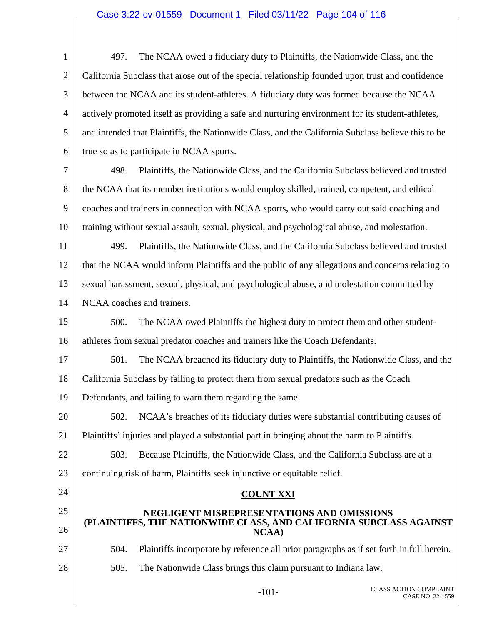# Case 3:22-cv-01559 Document 1 Filed 03/11/22 Page 104 of 116

| $\mathbf{1}$   | The NCAA owed a fiduciary duty to Plaintiffs, the Nationwide Class, and the<br>497.                |  |  |  |  |  |
|----------------|----------------------------------------------------------------------------------------------------|--|--|--|--|--|
| $\overline{2}$ | California Subclass that arose out of the special relationship founded upon trust and confidence   |  |  |  |  |  |
| 3              | between the NCAA and its student-athletes. A fiduciary duty was formed because the NCAA            |  |  |  |  |  |
| $\overline{4}$ | actively promoted itself as providing a safe and nurturing environment for its student-athletes,   |  |  |  |  |  |
| 5              | and intended that Plaintiffs, the Nationwide Class, and the California Subclass believe this to be |  |  |  |  |  |
| 6              | true so as to participate in NCAA sports.                                                          |  |  |  |  |  |
| 7              | Plaintiffs, the Nationwide Class, and the California Subclass believed and trusted<br>498.         |  |  |  |  |  |
| 8              | the NCAA that its member institutions would employ skilled, trained, competent, and ethical        |  |  |  |  |  |
| 9              | coaches and trainers in connection with NCAA sports, who would carry out said coaching and         |  |  |  |  |  |
| 10             | training without sexual assault, sexual, physical, and psychological abuse, and molestation.       |  |  |  |  |  |
| 11             | Plaintiffs, the Nationwide Class, and the California Subclass believed and trusted<br>499.         |  |  |  |  |  |
| 12             | that the NCAA would inform Plaintiffs and the public of any allegations and concerns relating to   |  |  |  |  |  |
| 13             | sexual harassment, sexual, physical, and psychological abuse, and molestation committed by         |  |  |  |  |  |
| 14             | NCAA coaches and trainers.                                                                         |  |  |  |  |  |
| 15             | 500.<br>The NCAA owed Plaintiffs the highest duty to protect them and other student-               |  |  |  |  |  |
| 16             | athletes from sexual predator coaches and trainers like the Coach Defendants.                      |  |  |  |  |  |
| 17             | 501.<br>The NCAA breached its fiduciary duty to Plaintiffs, the Nationwide Class, and the          |  |  |  |  |  |
| 18             | California Subclass by failing to protect them from sexual predators such as the Coach             |  |  |  |  |  |
| 19             | Defendants, and failing to warn them regarding the same.                                           |  |  |  |  |  |
| 20             | NCAA's breaches of its fiduciary duties were substantial contributing causes of<br>502.            |  |  |  |  |  |
| 21             | Plaintiffs' injuries and played a substantial part in bringing about the harm to Plaintiffs.       |  |  |  |  |  |
| 22             | 503.<br>Because Plaintiffs, the Nationwide Class, and the California Subclass are at a             |  |  |  |  |  |
| 23             | continuing risk of harm, Plaintiffs seek injunctive or equitable relief.                           |  |  |  |  |  |
| 24             | <b>COUNT XXI</b>                                                                                   |  |  |  |  |  |
| 25             | NEGLIGENT MISREPRESENTATIONS AND OMISSIONS                                                         |  |  |  |  |  |
| 26             | (PLAINTIFFS, THE NATIONWIDE CLASS, AND CALIFORNIA SUBCLASS AGAINST<br><b>NCAA</b> )                |  |  |  |  |  |
| 27             | Plaintiffs incorporate by reference all prior paragraphs as if set forth in full herein.<br>504.   |  |  |  |  |  |
| 28             | 505.<br>The Nationwide Class brings this claim pursuant to Indiana law.                            |  |  |  |  |  |
|                | <b>CLASS ACTION COMPLAINT</b>                                                                      |  |  |  |  |  |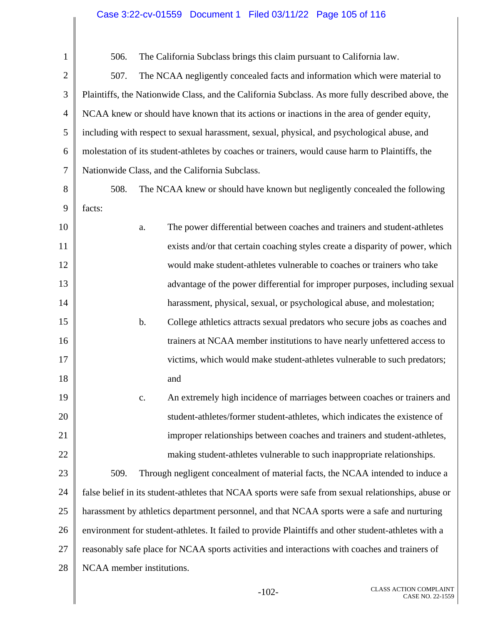# Case 3:22-cv-01559 Document 1 Filed 03/11/22 Page 105 of 116

| $\mathbf{1}$   | The California Subclass brings this claim pursuant to California law.<br>506.                       |  |  |  |  |
|----------------|-----------------------------------------------------------------------------------------------------|--|--|--|--|
| $\overline{2}$ | The NCAA negligently concealed facts and information which were material to<br>507.                 |  |  |  |  |
| 3              | Plaintiffs, the Nationwide Class, and the California Subclass. As more fully described above, the   |  |  |  |  |
| $\overline{4}$ | NCAA knew or should have known that its actions or inactions in the area of gender equity,          |  |  |  |  |
| 5              | including with respect to sexual harassment, sexual, physical, and psychological abuse, and         |  |  |  |  |
| 6              | molestation of its student-athletes by coaches or trainers, would cause harm to Plaintiffs, the     |  |  |  |  |
| 7              | Nationwide Class, and the California Subclass.                                                      |  |  |  |  |
| 8              | The NCAA knew or should have known but negligently concealed the following<br>508.                  |  |  |  |  |
| 9              | facts:                                                                                              |  |  |  |  |
| 10             | The power differential between coaches and trainers and student-athletes<br>a.                      |  |  |  |  |
| 11             | exists and/or that certain coaching styles create a disparity of power, which                       |  |  |  |  |
| 12             | would make student-athletes vulnerable to coaches or trainers who take                              |  |  |  |  |
| 13             | advantage of the power differential for improper purposes, including sexual                         |  |  |  |  |
| 14             | harassment, physical, sexual, or psychological abuse, and molestation;                              |  |  |  |  |
| 15             | b.<br>College athletics attracts sexual predators who secure jobs as coaches and                    |  |  |  |  |
| 16             | trainers at NCAA member institutions to have nearly unfettered access to                            |  |  |  |  |
| 17             | victims, which would make student-athletes vulnerable to such predators;                            |  |  |  |  |
| 18             | and                                                                                                 |  |  |  |  |
| 19             | An extremely high incidence of marriages between coaches or trainers and<br>c.                      |  |  |  |  |
| 20             | student-athletes/former student-athletes, which indicates the existence of                          |  |  |  |  |
| 21             | improper relationships between coaches and trainers and student-athletes,                           |  |  |  |  |
| 22             | making student-athletes vulnerable to such inappropriate relationships.                             |  |  |  |  |
| 23             | Through negligent concealment of material facts, the NCAA intended to induce a<br>509.              |  |  |  |  |
| 24             | false belief in its student-athletes that NCAA sports were safe from sexual relationships, abuse or |  |  |  |  |
| 25             | harassment by athletics department personnel, and that NCAA sports were a safe and nurturing        |  |  |  |  |
| 26             | environment for student-athletes. It failed to provide Plaintiffs and other student-athletes with a |  |  |  |  |
| 27             | reasonably safe place for NCAA sports activities and interactions with coaches and trainers of      |  |  |  |  |
| 28             | NCAA member institutions.                                                                           |  |  |  |  |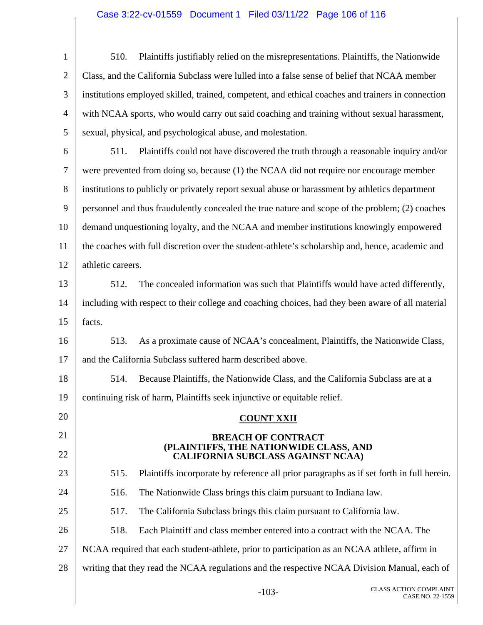#### Case 3:22-cv-01559 Document 1 Filed 03/11/22 Page 106 of 116

1 2 3 4 5 6 7 8 9 510. Plaintiffs justifiably relied on the misrepresentations. Plaintiffs, the Nationwide Class, and the California Subclass were lulled into a false sense of belief that NCAA member institutions employed skilled, trained, competent, and ethical coaches and trainers in connection with NCAA sports, who would carry out said coaching and training without sexual harassment, sexual, physical, and psychological abuse, and molestation. 511. Plaintiffs could not have discovered the truth through a reasonable inquiry and/or were prevented from doing so, because (1) the NCAA did not require nor encourage member institutions to publicly or privately report sexual abuse or harassment by athletics department personnel and thus fraudulently concealed the true nature and scope of the problem; (2) coaches

10 11 12 demand unquestioning loyalty, and the NCAA and member institutions knowingly empowered the coaches with full discretion over the student-athlete's scholarship and, hence, academic and athletic careers.

13 14 15 512. The concealed information was such that Plaintiffs would have acted differently, including with respect to their college and coaching choices, had they been aware of all material facts.

16 17 513. As a proximate cause of NCAA's concealment, Plaintiffs, the Nationwide Class, and the California Subclass suffered harm described above.

18 19 514. Because Plaintiffs, the Nationwide Class, and the California Subclass are at a continuing risk of harm, Plaintiffs seek injunctive or equitable relief.

#### **COUNT XXII**

#### **BREACH OF CONTRACT (PLAINTIFFS, THE NATIONWIDE CLASS, AND CALIFORNIA SUBCLASS AGAINST NCAA)**

515. Plaintiffs incorporate by reference all prior paragraphs as if set forth in full herein.

516. The Nationwide Class brings this claim pursuant to Indiana law.

20

21

22

23

24

25

517. The California Subclass brings this claim pursuant to California law.

26 518. Each Plaintiff and class member entered into a contract with the NCAA. The

27 NCAA required that each student-athlete, prior to participation as an NCAA athlete, affirm in

28 writing that they read the NCAA regulations and the respective NCAA Division Manual, each of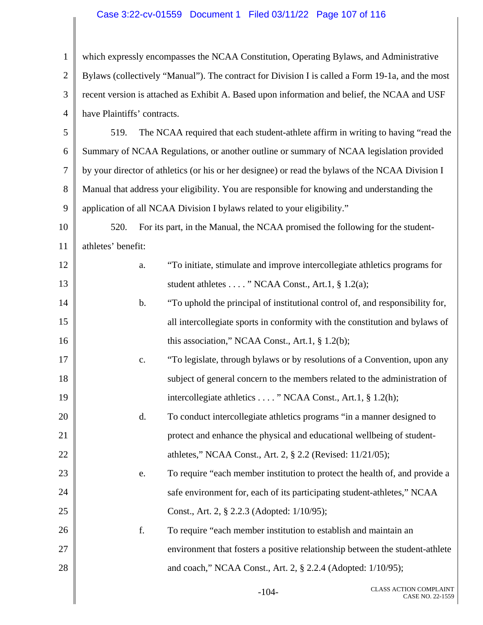#### Case 3:22-cv-01559 Document 1 Filed 03/11/22 Page 107 of 116

1 2 3 4 5 6 7 8 9 10 11 12 13 14 15 16 17 18 19 20 21 22 23 24 25 26 27 28 which expressly encompasses the NCAA Constitution, Operating Bylaws, and Administrative Bylaws (collectively "Manual"). The contract for Division I is called a Form 19-1a, and the most recent version is attached as Exhibit A. Based upon information and belief, the NCAA and USF have Plaintiffs' contracts. 519. The NCAA required that each student-athlete affirm in writing to having "read the Summary of NCAA Regulations, or another outline or summary of NCAA legislation provided by your director of athletics (or his or her designee) or read the bylaws of the NCAA Division I Manual that address your eligibility. You are responsible for knowing and understanding the application of all NCAA Division I bylaws related to your eligibility." 520. For its part, in the Manual, the NCAA promised the following for the studentathletes' benefit: a. "To initiate, stimulate and improve intercollegiate athletics programs for student athletes . . . . " NCAA Const., Art.1, § 1.2(a); b. "To uphold the principal of institutional control of, and responsibility for, all intercollegiate sports in conformity with the constitution and bylaws of this association," NCAA Const., Art.1, § 1.2(b); c. "To legislate, through bylaws or by resolutions of a Convention, upon any subject of general concern to the members related to the administration of intercollegiate athletics . . . . " NCAA Const., Art.1, § 1.2(h); d. To conduct intercollegiate athletics programs "in a manner designed to protect and enhance the physical and educational wellbeing of studentathletes," NCAA Const., Art. 2, § 2.2 (Revised: 11/21/05); e. To require "each member institution to protect the health of, and provide a safe environment for, each of its participating student-athletes," NCAA Const., Art. 2, § 2.2.3 (Adopted: 1/10/95); f. To require "each member institution to establish and maintain an environment that fosters a positive relationship between the student-athlete and coach," NCAA Const., Art. 2, § 2.2.4 (Adopted: 1/10/95);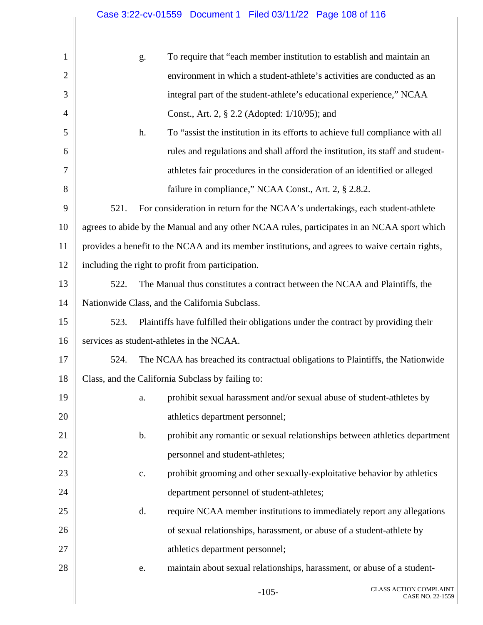# Case 3:22-cv-01559 Document 1 Filed 03/11/22 Page 108 of 116

| $\mathbf{1}$   | g.                                                                                              | To require that "each member institution to establish and maintain an             |  |  |  |
|----------------|-------------------------------------------------------------------------------------------------|-----------------------------------------------------------------------------------|--|--|--|
| $\mathbf{2}$   |                                                                                                 | environment in which a student-athlete's activities are conducted as an           |  |  |  |
| 3              |                                                                                                 | integral part of the student-athlete's educational experience," NCAA              |  |  |  |
| $\overline{4}$ |                                                                                                 | Const., Art. 2, § 2.2 (Adopted: 1/10/95); and                                     |  |  |  |
| 5              | h.                                                                                              | To "assist the institution in its efforts to achieve full compliance with all     |  |  |  |
| 6              |                                                                                                 | rules and regulations and shall afford the institution, its staff and student-    |  |  |  |
| $\tau$         |                                                                                                 | athletes fair procedures in the consideration of an identified or alleged         |  |  |  |
| 8              |                                                                                                 | failure in compliance," NCAA Const., Art. 2, § 2.8.2.                             |  |  |  |
| 9              | 521.                                                                                            | For consideration in return for the NCAA's undertakings, each student-athlete     |  |  |  |
| 10             | agrees to abide by the Manual and any other NCAA rules, participates in an NCAA sport which     |                                                                                   |  |  |  |
| 11             | provides a benefit to the NCAA and its member institutions, and agrees to waive certain rights, |                                                                                   |  |  |  |
| 12             | including the right to profit from participation.                                               |                                                                                   |  |  |  |
| 13             | 522.                                                                                            | The Manual thus constitutes a contract between the NCAA and Plaintiffs, the       |  |  |  |
| 14             | Nationwide Class, and the California Subclass.                                                  |                                                                                   |  |  |  |
| 15             | 523.                                                                                            | Plaintiffs have fulfilled their obligations under the contract by providing their |  |  |  |
| 16             | services as student-athletes in the NCAA.                                                       |                                                                                   |  |  |  |
| 17             | 524.                                                                                            | The NCAA has breached its contractual obligations to Plaintiffs, the Nationwide   |  |  |  |
| 18             | Class, and the California Subclass by failing to:                                               |                                                                                   |  |  |  |
| 19             | a.                                                                                              | prohibit sexual harassment and/or sexual abuse of student-athletes by             |  |  |  |
| 20             | athletics department personnel;                                                                 |                                                                                   |  |  |  |
| 21             | b.                                                                                              | prohibit any romantic or sexual relationships between athletics department        |  |  |  |
| 22             | personnel and student-athletes;                                                                 |                                                                                   |  |  |  |
| 23             | c.                                                                                              | prohibit grooming and other sexually-exploitative behavior by athletics           |  |  |  |
| 24             |                                                                                                 | department personnel of student-athletes;                                         |  |  |  |
| 25             | d.                                                                                              | require NCAA member institutions to immediately report any allegations            |  |  |  |
| 26             |                                                                                                 | of sexual relationships, harassment, or abuse of a student-athlete by             |  |  |  |
| 27             | athletics department personnel;                                                                 |                                                                                   |  |  |  |
| 28             | e.                                                                                              | maintain about sexual relationships, harassment, or abuse of a student-           |  |  |  |
|                |                                                                                                 |                                                                                   |  |  |  |

 $\parallel$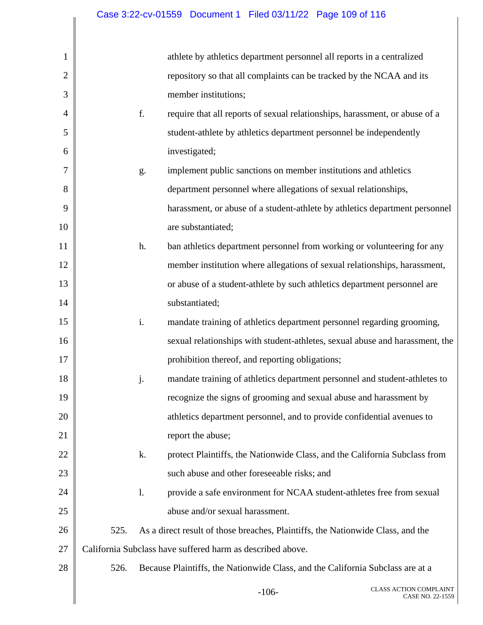| 1              |      |    | athlete by athletics department personnel all reports in a centralized          |                                                   |
|----------------|------|----|---------------------------------------------------------------------------------|---------------------------------------------------|
| $\overline{2}$ |      |    | repository so that all complaints can be tracked by the NCAA and its            |                                                   |
| 3              |      |    | member institutions;                                                            |                                                   |
| 4              |      | f. | require that all reports of sexual relationships, harassment, or abuse of a     |                                                   |
| 5              |      |    | student-athlete by athletics department personnel be independently              |                                                   |
| 6              |      |    | investigated;                                                                   |                                                   |
| 7              |      | g. | implement public sanctions on member institutions and athletics                 |                                                   |
| 8              |      |    | department personnel where allegations of sexual relationships,                 |                                                   |
| 9              |      |    | harassment, or abuse of a student-athlete by athletics department personnel     |                                                   |
| 10             |      |    | are substantiated;                                                              |                                                   |
| 11             |      | h. | ban athletics department personnel from working or volunteering for any         |                                                   |
| 12             |      |    | member institution where allegations of sexual relationships, harassment,       |                                                   |
| 13             |      |    | or abuse of a student-athlete by such athletics department personnel are        |                                                   |
| 14             |      |    | substantiated;                                                                  |                                                   |
| 15             |      | i. | mandate training of athletics department personnel regarding grooming,          |                                                   |
| 16             |      |    | sexual relationships with student-athletes, sexual abuse and harassment, the    |                                                   |
| 17             |      |    | prohibition thereof, and reporting obligations;                                 |                                                   |
| 18             |      | j. | mandate training of athletics department personnel and student-athletes to      |                                                   |
| 19             |      |    | recognize the signs of grooming and sexual abuse and harassment by              |                                                   |
| 20             |      |    | athletics department personnel, and to provide confidential avenues to          |                                                   |
| 21             |      |    | report the abuse;                                                               |                                                   |
| 22             |      | k. | protect Plaintiffs, the Nationwide Class, and the California Subclass from      |                                                   |
| 23             |      |    | such abuse and other foreseeable risks; and                                     |                                                   |
| 24             |      | 1. | provide a safe environment for NCAA student-athletes free from sexual           |                                                   |
| 25             |      |    | abuse and/or sexual harassment.                                                 |                                                   |
| 26             | 525. |    | As a direct result of those breaches, Plaintiffs, the Nationwide Class, and the |                                                   |
| 27             |      |    | California Subclass have suffered harm as described above.                      |                                                   |
| 28             | 526. |    | Because Plaintiffs, the Nationwide Class, and the California Subclass are at a  |                                                   |
|                |      |    | $-106-$                                                                         | <b>CLASS ACTION COMPLAINT</b><br>CASE NO. 22-1559 |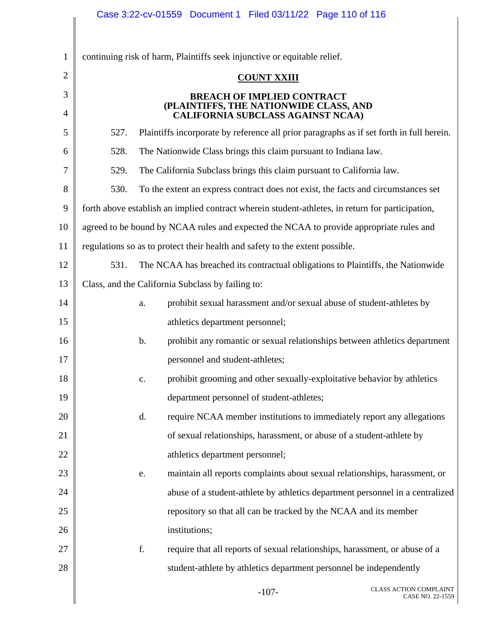|              | Case 3:22-cv-01559 Document 1 Filed 03/11/22 Page 110 of 116                                     |  |  |  |  |  |
|--------------|--------------------------------------------------------------------------------------------------|--|--|--|--|--|
| $\mathbf{1}$ | continuing risk of harm, Plaintiffs seek injunctive or equitable relief.                         |  |  |  |  |  |
| 2            | <b>COUNT XXIII</b>                                                                               |  |  |  |  |  |
| 3            | <b>BREACH OF IMPLIED CONTRACT</b>                                                                |  |  |  |  |  |
| 4            | (PLAINTIFFS, THE NATIONWIDE CLASS, AND<br><b>CALIFORNIA SUBCLASS AGAINST NCAA)</b>               |  |  |  |  |  |
| 5            | 527.<br>Plaintiffs incorporate by reference all prior paragraphs as if set forth in full herein. |  |  |  |  |  |
| 6            | 528.<br>The Nationwide Class brings this claim pursuant to Indiana law.                          |  |  |  |  |  |
| 7            | 529.<br>The California Subclass brings this claim pursuant to California law.                    |  |  |  |  |  |
| 8            | 530.<br>To the extent an express contract does not exist, the facts and circumstances set        |  |  |  |  |  |
| 9            | forth above establish an implied contract wherein student-athletes, in return for participation, |  |  |  |  |  |
| 10           | agreed to be bound by NCAA rules and expected the NCAA to provide appropriate rules and          |  |  |  |  |  |
| 11           | regulations so as to protect their health and safety to the extent possible.                     |  |  |  |  |  |
| 12           | 531.<br>The NCAA has breached its contractual obligations to Plaintiffs, the Nationwide          |  |  |  |  |  |
| 13           | Class, and the California Subclass by failing to:                                                |  |  |  |  |  |
| 14           | prohibit sexual harassment and/or sexual abuse of student-athletes by<br>a.                      |  |  |  |  |  |
| 15           | athletics department personnel;                                                                  |  |  |  |  |  |
| 16           | prohibit any romantic or sexual relationships between athletics department<br>$\mathbf b$ .      |  |  |  |  |  |
| 17           | personnel and student-athletes;                                                                  |  |  |  |  |  |
| 18           | prohibit grooming and other sexually-exploitative behavior by athletics<br>c.                    |  |  |  |  |  |
| 19           | department personnel of student-athletes;                                                        |  |  |  |  |  |
| 20           | require NCAA member institutions to immediately report any allegations<br>d.                     |  |  |  |  |  |
| 21           | of sexual relationships, harassment, or abuse of a student-athlete by                            |  |  |  |  |  |
| 22           | athletics department personnel;                                                                  |  |  |  |  |  |
| 23           | maintain all reports complaints about sexual relationships, harassment, or<br>e.                 |  |  |  |  |  |
| 24           | abuse of a student-athlete by athletics department personnel in a centralized                    |  |  |  |  |  |
| 25           | repository so that all can be tracked by the NCAA and its member                                 |  |  |  |  |  |
| 26           | institutions;                                                                                    |  |  |  |  |  |
| 27           | f.<br>require that all reports of sexual relationships, harassment, or abuse of a                |  |  |  |  |  |
| 28           | student-athlete by athletics department personnel be independently                               |  |  |  |  |  |
|              | <b>CLASS ACTION COMPLAINT</b><br>$-107-$<br>CASE NO. 22-1559                                     |  |  |  |  |  |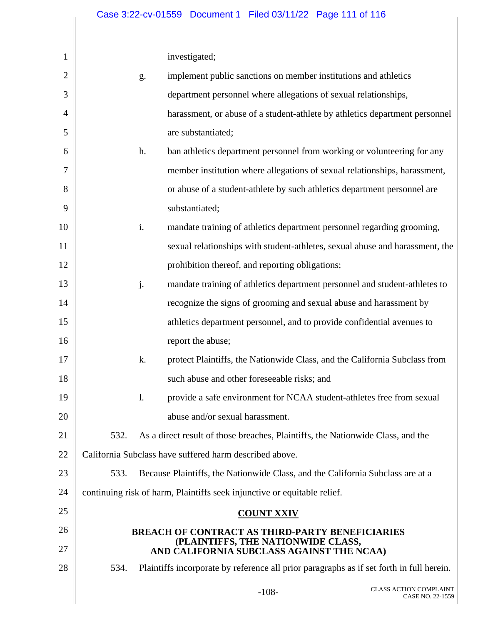investigated;

| 1              |                                                         |                | investigated;                                                                            |  |                                                   |
|----------------|---------------------------------------------------------|----------------|------------------------------------------------------------------------------------------|--|---------------------------------------------------|
| $\overline{2}$ |                                                         | g.             | implement public sanctions on member institutions and athletics                          |  |                                                   |
| 3              |                                                         |                | department personnel where allegations of sexual relationships,                          |  |                                                   |
| 4              |                                                         |                | harassment, or abuse of a student-athlete by athletics department personnel              |  |                                                   |
| 5              |                                                         |                | are substantiated;                                                                       |  |                                                   |
| 6              |                                                         | h.             | ban athletics department personnel from working or volunteering for any                  |  |                                                   |
| 7              |                                                         |                | member institution where allegations of sexual relationships, harassment,                |  |                                                   |
| 8              |                                                         |                | or abuse of a student-athlete by such athletics department personnel are                 |  |                                                   |
| 9              |                                                         |                | substantiated;                                                                           |  |                                                   |
| 10             |                                                         | i.             | mandate training of athletics department personnel regarding grooming,                   |  |                                                   |
| 11             |                                                         |                | sexual relationships with student-athletes, sexual abuse and harassment, the             |  |                                                   |
| 12             |                                                         |                | prohibition thereof, and reporting obligations;                                          |  |                                                   |
| 13             |                                                         | j.             | mandate training of athletics department personnel and student-athletes to               |  |                                                   |
| 14             |                                                         |                | recognize the signs of grooming and sexual abuse and harassment by                       |  |                                                   |
| 15             |                                                         |                | athletics department personnel, and to provide confidential avenues to                   |  |                                                   |
| 16             |                                                         |                | report the abuse;                                                                        |  |                                                   |
| 17             |                                                         | k.             | protect Plaintiffs, the Nationwide Class, and the California Subclass from               |  |                                                   |
| 18             |                                                         |                | such abuse and other foreseeable risks; and                                              |  |                                                   |
| 19             |                                                         | $\mathbf{l}$ . | provide a safe environment for NCAA student-athletes free from sexual                    |  |                                                   |
| 20             |                                                         |                | abuse and/or sexual harassment.                                                          |  |                                                   |
| 21             | 532.                                                    |                | As a direct result of those breaches, Plaintiffs, the Nationwide Class, and the          |  |                                                   |
| 22             | California Subclass have suffered harm described above. |                |                                                                                          |  |                                                   |
| 23             | 533.                                                    |                | Because Plaintiffs, the Nationwide Class, and the California Subclass are at a           |  |                                                   |
| 24             |                                                         |                | continuing risk of harm, Plaintiffs seek injunctive or equitable relief.                 |  |                                                   |
| 25             |                                                         |                | <b>COUNT XXIV</b>                                                                        |  |                                                   |
| 26             |                                                         |                | <b>BREACH OF CONTRACT AS THIRD-PARTY BENEFICIARIES</b>                                   |  |                                                   |
| 27             |                                                         |                | (PLAINTIFFS, THE NATIONWIDE CLASS,<br>AND CALIFORNIA SUBCLASS AGAINST THE NCAA)          |  |                                                   |
| 28             | 534.                                                    |                | Plaintiffs incorporate by reference all prior paragraphs as if set forth in full herein. |  |                                                   |
|                |                                                         |                | $-108-$                                                                                  |  | <b>CLASS ACTION COMPLAINT</b><br>CASE NO. 22-1559 |
|                |                                                         |                |                                                                                          |  |                                                   |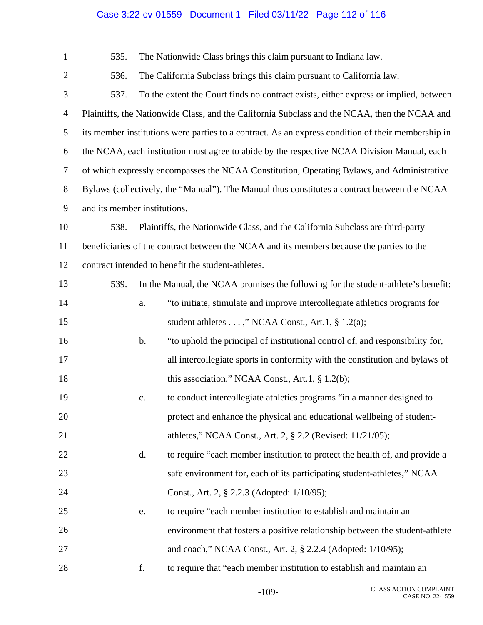## Case 3:22-cv-01559 Document 1 Filed 03/11/22 Page 112 of 116

| $\mathbf{1}$   | The Nationwide Class brings this claim pursuant to Indiana law.<br>535.                       |                |                                                                                                    |  |  |
|----------------|-----------------------------------------------------------------------------------------------|----------------|----------------------------------------------------------------------------------------------------|--|--|
| $\overline{2}$ | 536.<br>The California Subclass brings this claim pursuant to California law.                 |                |                                                                                                    |  |  |
| 3              | 537.<br>To the extent the Court finds no contract exists, either express or implied, between  |                |                                                                                                    |  |  |
| $\overline{4}$ | Plaintiffs, the Nationwide Class, and the California Subclass and the NCAA, then the NCAA and |                |                                                                                                    |  |  |
| 5              |                                                                                               |                | its member institutions were parties to a contract. As an express condition of their membership in |  |  |
| 6              |                                                                                               |                | the NCAA, each institution must agree to abide by the respective NCAA Division Manual, each        |  |  |
| 7              |                                                                                               |                | of which expressly encompasses the NCAA Constitution, Operating Bylaws, and Administrative         |  |  |
| 8              |                                                                                               |                | Bylaws (collectively, the "Manual"). The Manual thus constitutes a contract between the NCAA       |  |  |
| 9              | and its member institutions.                                                                  |                |                                                                                                    |  |  |
| 10             | 538.                                                                                          |                | Plaintiffs, the Nationwide Class, and the California Subclass are third-party                      |  |  |
| 11             | beneficiaries of the contract between the NCAA and its members because the parties to the     |                |                                                                                                    |  |  |
| 12             | contract intended to benefit the student-athletes.                                            |                |                                                                                                    |  |  |
| 13             | 539.                                                                                          |                | In the Manual, the NCAA promises the following for the student-athlete's benefit:                  |  |  |
| 14             |                                                                                               | a.             | "to initiate, stimulate and improve intercollegiate athletics programs for                         |  |  |
| 15             |                                                                                               |                | student athletes ," NCAA Const., Art.1, § 1.2(a);                                                  |  |  |
| 16             |                                                                                               | $\mathbf b$ .  | "to uphold the principal of institutional control of, and responsibility for,                      |  |  |
| 17             |                                                                                               |                | all intercollegiate sports in conformity with the constitution and bylaws of                       |  |  |
| 18             |                                                                                               |                | this association," NCAA Const., Art.1, $\S$ 1.2(b);                                                |  |  |
| 19             |                                                                                               | $\mathbf{c}$ . | to conduct intercollegiate athletics programs "in a manner designed to                             |  |  |
| 20             |                                                                                               |                | protect and enhance the physical and educational wellbeing of student-                             |  |  |
| 21             |                                                                                               |                | athletes," NCAA Const., Art. 2, § 2.2 (Revised: 11/21/05);                                         |  |  |
| 22             |                                                                                               | d.             | to require "each member institution to protect the health of, and provide a                        |  |  |
| 23             |                                                                                               |                | safe environment for, each of its participating student-athletes," NCAA                            |  |  |
| 24             |                                                                                               |                | Const., Art. 2, § 2.2.3 (Adopted: 1/10/95);                                                        |  |  |
| 25             |                                                                                               | e.             | to require "each member institution to establish and maintain an                                   |  |  |
| 26             |                                                                                               |                | environment that fosters a positive relationship between the student-athlete                       |  |  |
| 27             |                                                                                               |                | and coach," NCAA Const., Art. 2, § 2.2.4 (Adopted: 1/10/95);                                       |  |  |
| 28             |                                                                                               | f.             | to require that "each member institution to establish and maintain an                              |  |  |
|                |                                                                                               |                |                                                                                                    |  |  |

Π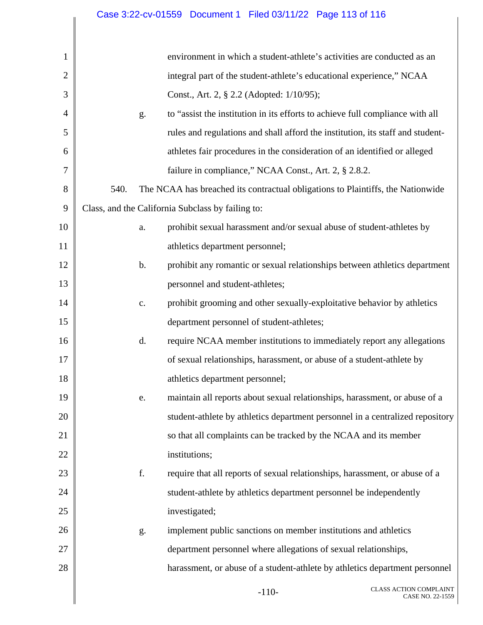## Case 3:22-cv-01559 Document 1 Filed 03/11/22 Page 113 of 116

| $\mathbf{1}$   |      |                | environment in which a student-athlete's activities are conducted as an         |                                                   |
|----------------|------|----------------|---------------------------------------------------------------------------------|---------------------------------------------------|
| $\overline{2}$ |      |                | integral part of the student-athlete's educational experience," NCAA            |                                                   |
| 3              |      |                | Const., Art. 2, § 2.2 (Adopted: 1/10/95);                                       |                                                   |
| $\overline{4}$ |      | g.             | to "assist the institution in its efforts to achieve full compliance with all   |                                                   |
| 5              |      |                | rules and regulations and shall afford the institution, its staff and student-  |                                                   |
| 6              |      |                | athletes fair procedures in the consideration of an identified or alleged       |                                                   |
| 7              |      |                | failure in compliance," NCAA Const., Art. 2, § 2.8.2.                           |                                                   |
| 8              | 540. |                | The NCAA has breached its contractual obligations to Plaintiffs, the Nationwide |                                                   |
| 9              |      |                | Class, and the California Subclass by failing to:                               |                                                   |
| 10             |      | a.             | prohibit sexual harassment and/or sexual abuse of student-athletes by           |                                                   |
| 11             |      |                | athletics department personnel;                                                 |                                                   |
| 12             |      | b.             | prohibit any romantic or sexual relationships between athletics department      |                                                   |
| 13             |      |                | personnel and student-athletes;                                                 |                                                   |
| 14             |      | $\mathbf{c}$ . | prohibit grooming and other sexually-exploitative behavior by athletics         |                                                   |
| 15             |      |                | department personnel of student-athletes;                                       |                                                   |
| 16             |      | d.             | require NCAA member institutions to immediately report any allegations          |                                                   |
| 17             |      |                | of sexual relationships, harassment, or abuse of a student-athlete by           |                                                   |
| 18             |      |                | athletics department personnel;                                                 |                                                   |
| 19             |      | e.             | maintain all reports about sexual relationships, harassment, or abuse of a      |                                                   |
| 20             |      |                | student-athlete by athletics department personnel in a centralized repository   |                                                   |
| 21             |      |                | so that all complaints can be tracked by the NCAA and its member                |                                                   |
| 22             |      |                | institutions;                                                                   |                                                   |
| 23             |      | f.             | require that all reports of sexual relationships, harassment, or abuse of a     |                                                   |
| 24             |      |                | student-athlete by athletics department personnel be independently              |                                                   |
| 25             |      |                | investigated;                                                                   |                                                   |
| 26             |      | g.             | implement public sanctions on member institutions and athletics                 |                                                   |
| 27             |      |                | department personnel where allegations of sexual relationships,                 |                                                   |
| 28             |      |                | harassment, or abuse of a student-athlete by athletics department personnel     |                                                   |
|                |      |                | $-110-$                                                                         | <b>CLASS ACTION COMPLAINT</b><br>CASE NO. 22-1559 |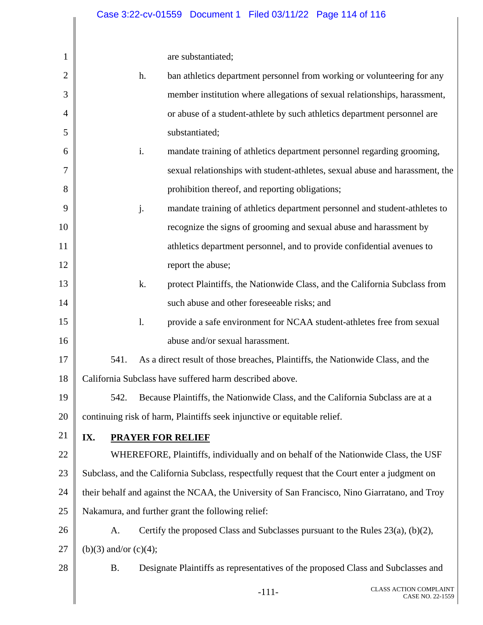| $\mathbf{1}$ |                                                                                                |                | are substantiated;                                                                |                                                   |  |
|--------------|------------------------------------------------------------------------------------------------|----------------|-----------------------------------------------------------------------------------|---------------------------------------------------|--|
| 2            |                                                                                                | h.             | ban athletics department personnel from working or volunteering for any           |                                                   |  |
| 3            |                                                                                                |                | member institution where allegations of sexual relationships, harassment,         |                                                   |  |
| 4            |                                                                                                |                | or abuse of a student-athlete by such athletics department personnel are          |                                                   |  |
| 5            |                                                                                                |                | substantiated;                                                                    |                                                   |  |
| 6            |                                                                                                | i.             | mandate training of athletics department personnel regarding grooming,            |                                                   |  |
| 7            |                                                                                                |                | sexual relationships with student-athletes, sexual abuse and harassment, the      |                                                   |  |
| 8            |                                                                                                |                | prohibition thereof, and reporting obligations;                                   |                                                   |  |
| 9            |                                                                                                | j.             | mandate training of athletics department personnel and student-athletes to        |                                                   |  |
| 10           |                                                                                                |                | recognize the signs of grooming and sexual abuse and harassment by                |                                                   |  |
| 11           |                                                                                                |                | athletics department personnel, and to provide confidential avenues to            |                                                   |  |
| 12           |                                                                                                |                | report the abuse;                                                                 |                                                   |  |
| 13           |                                                                                                | k.             | protect Plaintiffs, the Nationwide Class, and the California Subclass from        |                                                   |  |
| 14           |                                                                                                |                | such abuse and other foreseeable risks; and                                       |                                                   |  |
| 15           |                                                                                                | $\mathbf{l}$ . | provide a safe environment for NCAA student-athletes free from sexual             |                                                   |  |
| 16           |                                                                                                |                | abuse and/or sexual harassment.                                                   |                                                   |  |
| 17           | 541.                                                                                           |                | As a direct result of those breaches, Plaintiffs, the Nationwide Class, and the   |                                                   |  |
| 18           | California Subclass have suffered harm described above.                                        |                |                                                                                   |                                                   |  |
| 19           | 542.                                                                                           |                | Because Plaintiffs, the Nationwide Class, and the California Subclass are at a    |                                                   |  |
| 20           | continuing risk of harm, Plaintiffs seek injunctive or equitable relief.                       |                |                                                                                   |                                                   |  |
| 21           | IX.<br><b>PRAYER FOR RELIEF</b>                                                                |                |                                                                                   |                                                   |  |
| 22           | WHEREFORE, Plaintiffs, individually and on behalf of the Nationwide Class, the USF             |                |                                                                                   |                                                   |  |
| 23           | Subclass, and the California Subclass, respectfully request that the Court enter a judgment on |                |                                                                                   |                                                   |  |
| 24           | their behalf and against the NCAA, the University of San Francisco, Nino Giarratano, and Troy  |                |                                                                                   |                                                   |  |
| 25           | Nakamura, and further grant the following relief:                                              |                |                                                                                   |                                                   |  |
| 26           | A.                                                                                             |                | Certify the proposed Class and Subclasses pursuant to the Rules $23(a)$ , (b)(2), |                                                   |  |
| 27           | (b)(3) and/or (c)(4);                                                                          |                |                                                                                   |                                                   |  |
| 28           | <b>B.</b>                                                                                      |                | Designate Plaintiffs as representatives of the proposed Class and Subclasses and  |                                                   |  |
|              |                                                                                                |                | $-111-$                                                                           | <b>CLASS ACTION COMPLAINT</b><br>CASE NO. 22-1559 |  |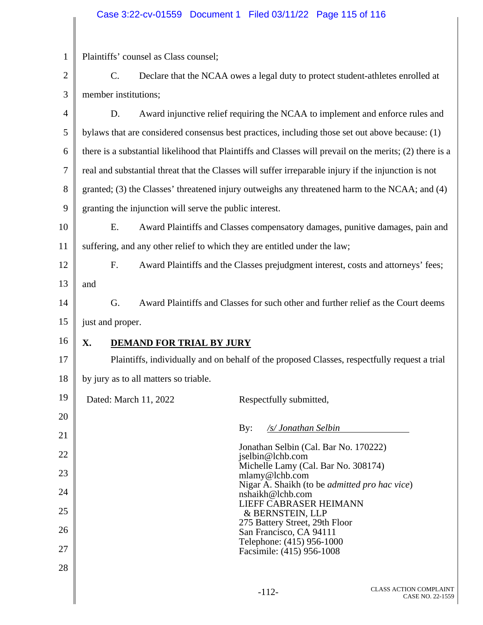## Case 3:22-cv-01559 Document 1 Filed 03/11/22 Page 115 of 116

| $\mathbf{1}$   |                                                                           | Plaintiffs' counsel as Class counsel;                                                                    |                                                       |  |  |
|----------------|---------------------------------------------------------------------------|----------------------------------------------------------------------------------------------------------|-------------------------------------------------------|--|--|
| $\overline{2}$ | $\mathcal{C}$ .                                                           | Declare that the NCAA owes a legal duty to protect student-athletes enrolled at                          |                                                       |  |  |
| 3              | member institutions;                                                      |                                                                                                          |                                                       |  |  |
| 4              | D.                                                                        | Award injunctive relief requiring the NCAA to implement and enforce rules and                            |                                                       |  |  |
| 5              |                                                                           | bylaws that are considered consensus best practices, including those set out above because: (1)          |                                                       |  |  |
| 6              |                                                                           | there is a substantial likelihood that Plaintiffs and Classes will prevail on the merits; (2) there is a |                                                       |  |  |
| 7              |                                                                           | real and substantial threat that the Classes will suffer irreparable injury if the injunction is not     |                                                       |  |  |
| 8              |                                                                           | granted; (3) the Classes' threatened injury outweighs any threatened harm to the NCAA; and (4)           |                                                       |  |  |
| 9              |                                                                           | granting the injunction will serve the public interest.                                                  |                                                       |  |  |
| 10             | Ε.                                                                        | Award Plaintiffs and Classes compensatory damages, punitive damages, pain and                            |                                                       |  |  |
| 11             | suffering, and any other relief to which they are entitled under the law; |                                                                                                          |                                                       |  |  |
| 12             | F.                                                                        | Award Plaintiffs and the Classes prejudgment interest, costs and attorneys' fees;                        |                                                       |  |  |
| 13             | and                                                                       |                                                                                                          |                                                       |  |  |
| 14             | G.                                                                        | Award Plaintiffs and Classes for such other and further relief as the Court deems                        |                                                       |  |  |
| 15             | just and proper.                                                          |                                                                                                          |                                                       |  |  |
| 16             | X.                                                                        | <b>DEMAND FOR TRIAL BY JURY</b>                                                                          |                                                       |  |  |
| 17             |                                                                           | Plaintiffs, individually and on behalf of the proposed Classes, respectfully request a trial             |                                                       |  |  |
| 18             |                                                                           | by jury as to all matters so triable.                                                                    |                                                       |  |  |
| 19             |                                                                           | Dated: March 11, 2022<br>Respectfully submitted,                                                         |                                                       |  |  |
| 20             |                                                                           | By:                                                                                                      | /s/ Jonathan Selbin                                   |  |  |
| 21             |                                                                           |                                                                                                          | Jonathan Selbin (Cal. Bar No. 170222)                 |  |  |
| 22             |                                                                           | jselbin@lchb.com                                                                                         | Michelle Lamy (Cal. Bar No. 308174)                   |  |  |
| 23             |                                                                           | mlamy@lchb.com                                                                                           | Nigar A. Shaikh (to be <i>admitted pro hac vice</i> ) |  |  |
| 24             |                                                                           | nshaikh@lchb.com                                                                                         | LIEFF CABRASER HEIMANN                                |  |  |
| 25             |                                                                           | & BERNSTEIN, LLP<br>275 Battery Street, 29th Floor                                                       |                                                       |  |  |
| 26             |                                                                           | San Francisco, CA 94111<br>Telephone: (415) 956-1000                                                     |                                                       |  |  |
| 27             |                                                                           | Facsimile: (415) 956-1008                                                                                |                                                       |  |  |
| 28             |                                                                           |                                                                                                          |                                                       |  |  |
|                |                                                                           |                                                                                                          |                                                       |  |  |